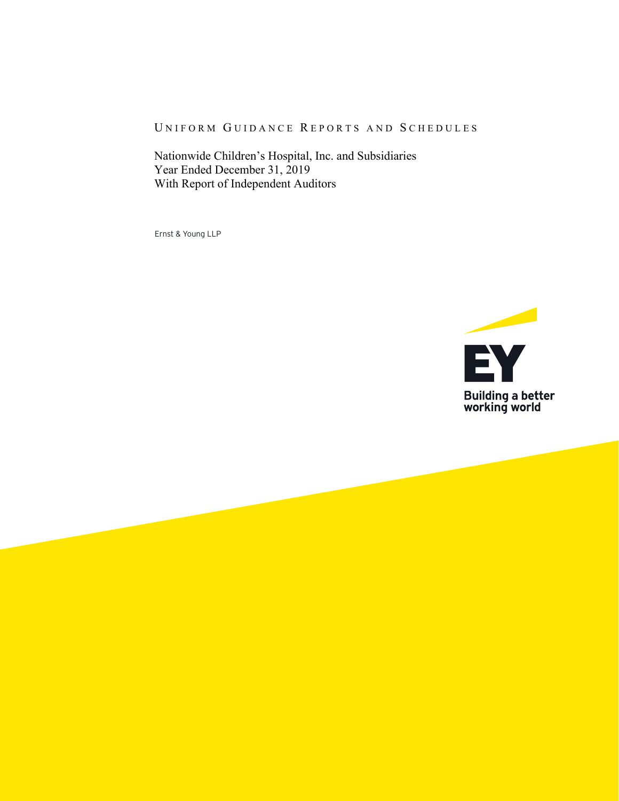#### UNIFORM GUIDANCE REPORTS AND SCHEDULES

Nationwide Children's Hospital, Inc. and Subsidiaries Year Ended December 31, 2019 With Report of Independent Auditors

Ernst & Young LLP

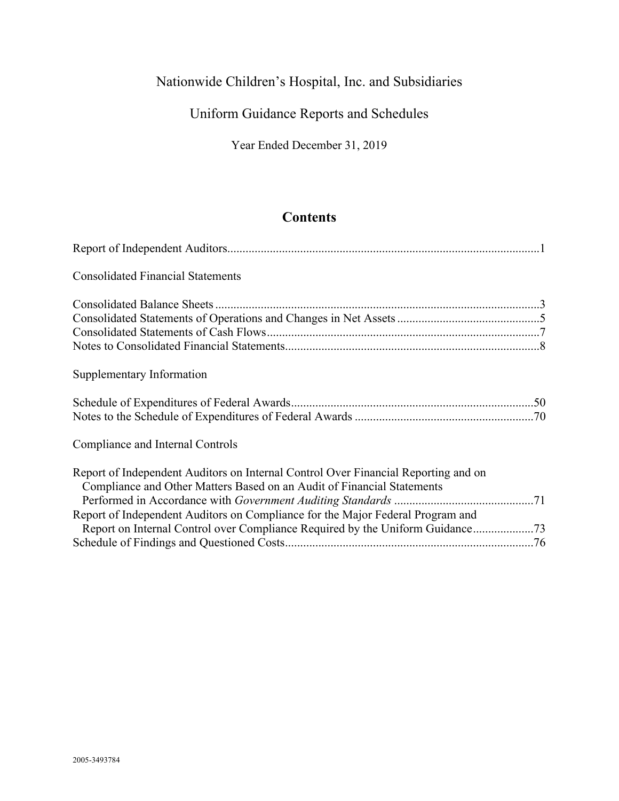# Uniform Guidance Reports and Schedules

Year Ended December 31, 2019

## **Contents**

| <b>Consolidated Financial Statements</b>                                                                                                                                                                                                       |  |
|------------------------------------------------------------------------------------------------------------------------------------------------------------------------------------------------------------------------------------------------|--|
|                                                                                                                                                                                                                                                |  |
| Supplementary Information                                                                                                                                                                                                                      |  |
|                                                                                                                                                                                                                                                |  |
| Compliance and Internal Controls                                                                                                                                                                                                               |  |
| Report of Independent Auditors on Internal Control Over Financial Reporting and on<br>Compliance and Other Matters Based on an Audit of Financial Statements<br>Report of Independent Auditors on Compliance for the Major Federal Program and |  |
| Report on Internal Control over Compliance Required by the Uniform Guidance73                                                                                                                                                                  |  |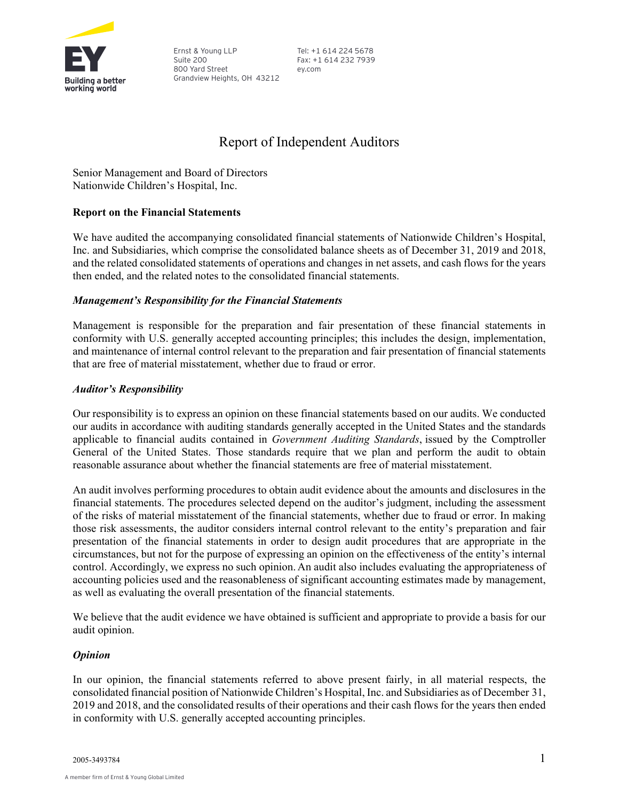

Ernst & Young LLP Suite 200 800 Yard Street Grandview Heights, OH 43212 Tel: +1 614 224 5678 Fax: +1 614 232 7939 ey.com

## Report of Independent Auditors

Senior Management and Board of Directors Nationwide Children's Hospital, Inc.

#### **Report on the Financial Statements**

We have audited the accompanying consolidated financial statements of Nationwide Children's Hospital, Inc. and Subsidiaries, which comprise the consolidated balance sheets as of December 31, 2019 and 2018, and the related consolidated statements of operations and changes in net assets, and cash flows for the years then ended, and the related notes to the consolidated financial statements.

#### *Management's Responsibility for the Financial Statements*

Management is responsible for the preparation and fair presentation of these financial statements in conformity with U.S. generally accepted accounting principles; this includes the design, implementation, and maintenance of internal control relevant to the preparation and fair presentation of financial statements that are free of material misstatement, whether due to fraud or error.

#### *Auditor's Responsibility*

Our responsibility is to express an opinion on these financial statements based on our audits. We conducted our audits in accordance with auditing standards generally accepted in the United States and the standards applicable to financial audits contained in *Government Auditing Standards*, issued by the Comptroller General of the United States. Those standards require that we plan and perform the audit to obtain reasonable assurance about whether the financial statements are free of material misstatement.

An audit involves performing procedures to obtain audit evidence about the amounts and disclosures in the financial statements. The procedures selected depend on the auditor's judgment, including the assessment of the risks of material misstatement of the financial statements, whether due to fraud or error. In making those risk assessments, the auditor considers internal control relevant to the entity's preparation and fair presentation of the financial statements in order to design audit procedures that are appropriate in the circumstances, but not for the purpose of expressing an opinion on the effectiveness of the entity's internal control. Accordingly, we express no such opinion. An audit also includes evaluating the appropriateness of accounting policies used and the reasonableness of significant accounting estimates made by management, as well as evaluating the overall presentation of the financial statements.

We believe that the audit evidence we have obtained is sufficient and appropriate to provide a basis for our audit opinion.

#### *Opinion*

In our opinion, the financial statements referred to above present fairly, in all material respects, the consolidated financial position of Nationwide Children's Hospital, Inc. and Subsidiaries as of December 31, 2019 and 2018, and the consolidated results of their operations and their cash flows for the years then ended in conformity with U.S. generally accepted accounting principles.

2005-3493784 1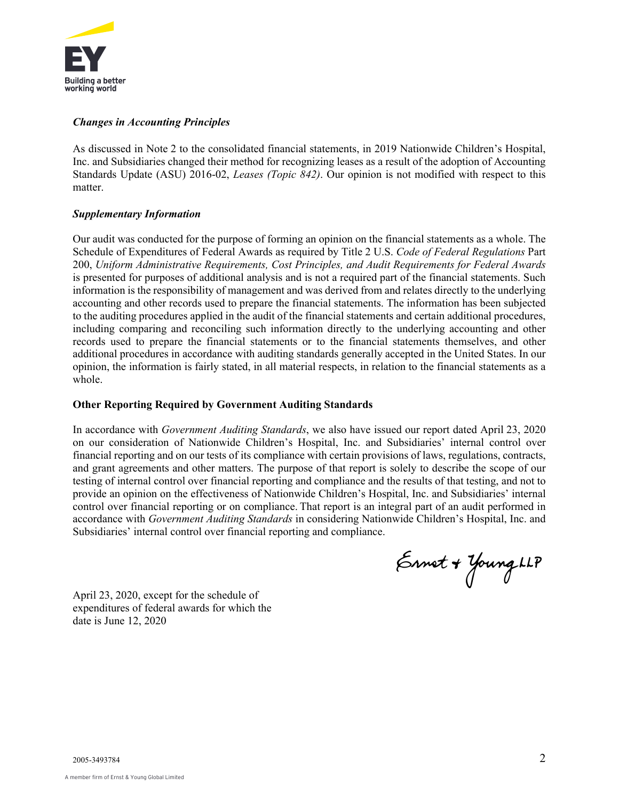

#### *Changes in Accounting Principles*

As discussed in Note 2 to the consolidated financial statements, in 2019 Nationwide Children's Hospital, Inc. and Subsidiaries changed their method for recognizing leases as a result of the adoption of Accounting Standards Update (ASU) 2016-02, *Leases (Topic 842)*. Our opinion is not modified with respect to this matter.

#### *Supplementary Information*

Our audit was conducted for the purpose of forming an opinion on the financial statements as a whole. The Schedule of Expenditures of Federal Awards as required by Title 2 U.S. *Code of Federal Regulations* Part 200, *Uniform Administrative Requirements, Cost Principles, and Audit Requirements for Federal Awards*  is presented for purposes of additional analysis and is not a required part of the financial statements. Such information is the responsibility of management and was derived from and relates directly to the underlying accounting and other records used to prepare the financial statements. The information has been subjected to the auditing procedures applied in the audit of the financial statements and certain additional procedures, including comparing and reconciling such information directly to the underlying accounting and other records used to prepare the financial statements or to the financial statements themselves, and other additional procedures in accordance with auditing standards generally accepted in the United States. In our opinion, the information is fairly stated, in all material respects, in relation to the financial statements as a whole.

#### **Other Reporting Required by Government Auditing Standards**

In accordance with *Government Auditing Standards*, we also have issued our report dated April 23, 2020 on our consideration of Nationwide Children's Hospital, Inc. and Subsidiaries' internal control over financial reporting and on our tests of its compliance with certain provisions of laws, regulations, contracts, and grant agreements and other matters. The purpose of that report is solely to describe the scope of our testing of internal control over financial reporting and compliance and the results of that testing, and not to provide an opinion on the effectiveness of Nationwide Children's Hospital, Inc. and Subsidiaries' internal control over financial reporting or on compliance. That report is an integral part of an audit performed in accordance with *Government Auditing Standards* in considering Nationwide Children's Hospital, Inc. and Subsidiaries' internal control over financial reporting and compliance.

Ennet + Young LLP

April 23, 2020, except for the schedule of expenditures of federal awards for which the date is June 12, 2020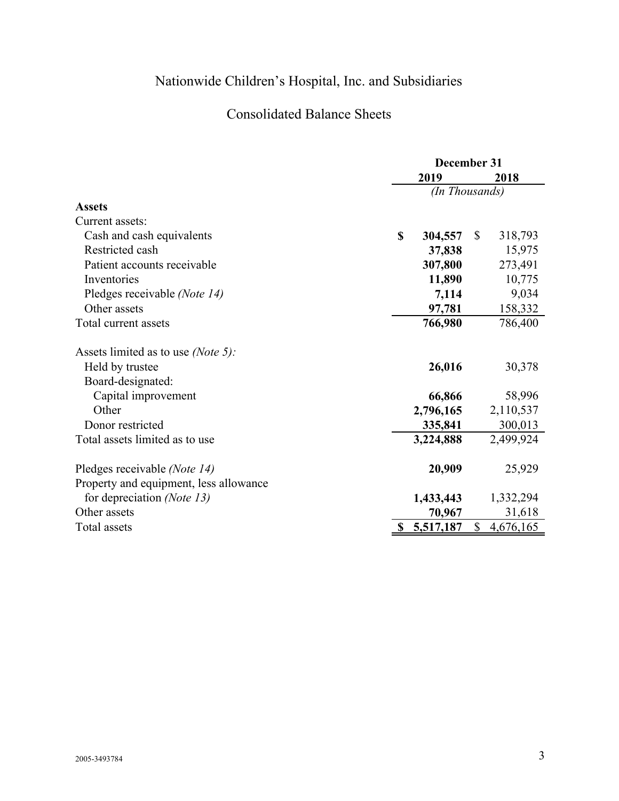## Consolidated Balance Sheets

|                                             | December 31 |                |              |           |
|---------------------------------------------|-------------|----------------|--------------|-----------|
|                                             |             | 2019           | 2018         |           |
|                                             |             | (In Thousands) |              |           |
| <b>Assets</b>                               |             |                |              |           |
| Current assets:                             |             |                |              |           |
| Cash and cash equivalents                   | \$          | 304,557        | $\mathbb{S}$ | 318,793   |
| Restricted cash                             |             | 37,838         |              | 15,975    |
| Patient accounts receivable                 |             | 307,800        |              | 273,491   |
| Inventories                                 |             | 11,890         |              | 10,775    |
| Pledges receivable (Note 14)                |             | 7,114          |              | 9,034     |
| Other assets                                |             | 97,781         |              | 158,332   |
| Total current assets                        |             | 766,980        |              | 786,400   |
| Assets limited as to use ( <i>Note 5</i> ): |             |                |              |           |
| Held by trustee                             |             | 26,016         |              | 30,378    |
| Board-designated:                           |             |                |              |           |
| Capital improvement                         |             | 66,866         |              | 58,996    |
| Other                                       |             | 2,796,165      |              | 2,110,537 |
| Donor restricted                            |             | 335,841        |              | 300,013   |
| Total assets limited as to use              |             | 3,224,888      |              | 2,499,924 |
| Pledges receivable (Note 14)                |             | 20,909         |              | 25,929    |
| Property and equipment, less allowance      |             |                |              |           |
| for depreciation (Note 13)                  |             | 1,433,443      |              | 1,332,294 |
| Other assets                                |             | 70,967         |              | 31,618    |
| Total assets                                |             | 5,517,187      | $\mathbb{S}$ | 4,676,165 |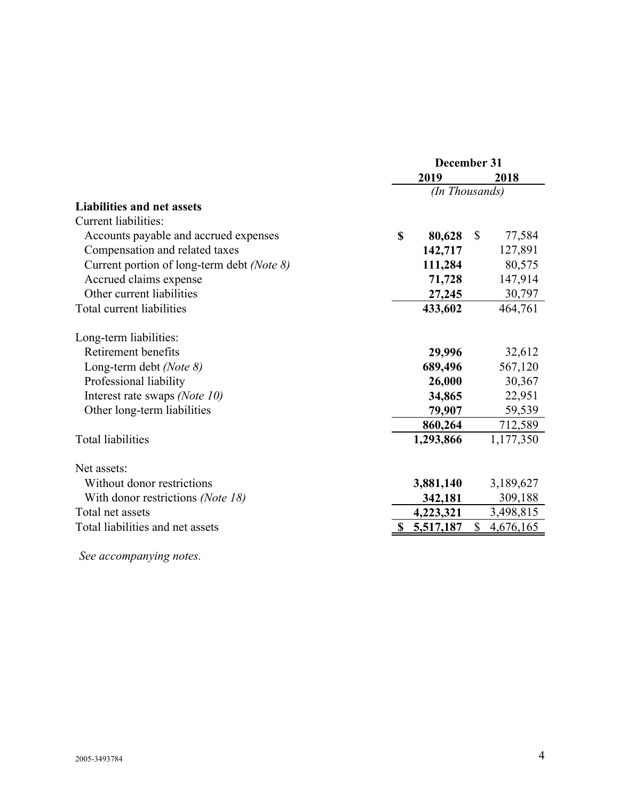|                                            |      | December 31    |              |           |  |  |
|--------------------------------------------|------|----------------|--------------|-----------|--|--|
|                                            | 2019 |                |              | 2018      |  |  |
|                                            |      | (In Thousands) |              |           |  |  |
| <b>Liabilities and net assets</b>          |      |                |              |           |  |  |
| <b>Current liabilities:</b>                |      |                |              |           |  |  |
| Accounts payable and accrued expenses      | \$   | 80,628         | $\mathbb{S}$ | 77,584    |  |  |
| Compensation and related taxes             |      | 142,717        |              | 127,891   |  |  |
| Current portion of long-term debt (Note 8) |      | 111,284        |              | 80,575    |  |  |
| Accrued claims expense                     |      | 71,728         |              | 147,914   |  |  |
| Other current liabilities                  |      | 27,245         |              | 30,797    |  |  |
| Total current liabilities                  |      | 433,602        |              | 464,761   |  |  |
| Long-term liabilities:                     |      |                |              |           |  |  |
| Retirement benefits                        |      | 29,996         |              | 32,612    |  |  |
| Long-term debt (Note 8)                    |      | 689,496        |              | 567,120   |  |  |
| Professional liability                     |      | 26,000         |              | 30,367    |  |  |
| Interest rate swaps (Note 10)              |      | 34,865         |              | 22,951    |  |  |
| Other long-term liabilities                |      | 79,907         |              | 59,539    |  |  |
|                                            |      | 860,264        |              | 712,589   |  |  |
| <b>Total liabilities</b>                   |      | 1,293,866      |              | 1,177,350 |  |  |
| Net assets:                                |      |                |              |           |  |  |
| Without donor restrictions                 |      | 3,881,140      |              | 3,189,627 |  |  |
| With donor restrictions (Note 18)          |      | 342,181        |              | 309,188   |  |  |
| Total net assets                           |      | 4,223,321      |              | 3,498,815 |  |  |
| Total liabilities and net assets           |      | 5,517,187      | $\mathbb{S}$ | 4,676,165 |  |  |
|                                            |      |                |              |           |  |  |

*See accompanying notes.*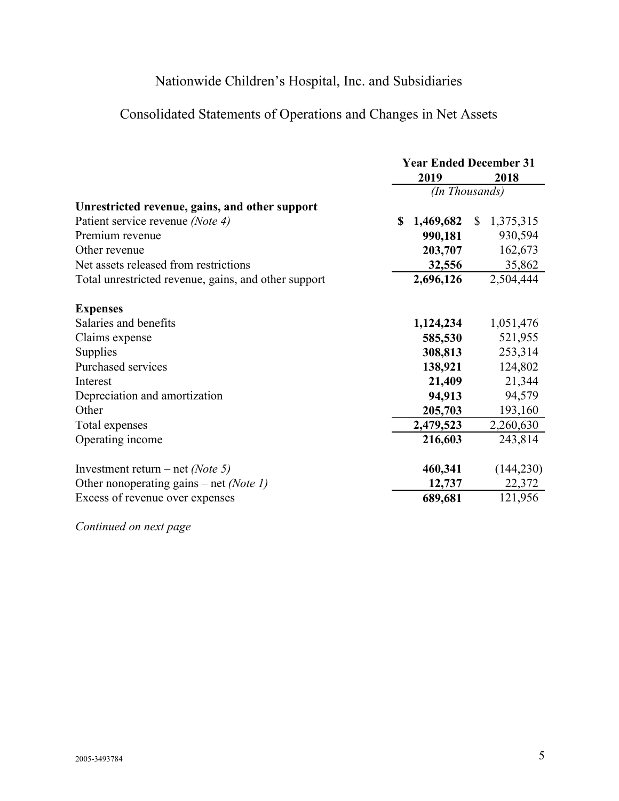# Consolidated Statements of Operations and Changes in Net Assets

|                                                      | <b>Year Ended December 31</b><br>2019<br>2018 |           |              |            |
|------------------------------------------------------|-----------------------------------------------|-----------|--------------|------------|
|                                                      | (In Thousands)                                |           |              |            |
| Unrestricted revenue, gains, and other support       |                                               |           |              |            |
| Patient service revenue (Note 4)                     | S                                             | 1,469,682 | $\mathbb{S}$ | 1,375,315  |
| Premium revenue                                      |                                               | 990,181   |              | 930,594    |
| Other revenue                                        |                                               | 203,707   |              | 162,673    |
| Net assets released from restrictions                |                                               | 32,556    |              | 35,862     |
| Total unrestricted revenue, gains, and other support |                                               | 2,696,126 |              | 2,504,444  |
| <b>Expenses</b>                                      |                                               |           |              |            |
| Salaries and benefits                                |                                               | 1,124,234 |              | 1,051,476  |
| Claims expense                                       |                                               | 585,530   |              | 521,955    |
| Supplies                                             |                                               | 308,813   |              | 253,314    |
| Purchased services                                   |                                               | 138,921   |              | 124,802    |
| Interest                                             |                                               | 21,409    |              | 21,344     |
| Depreciation and amortization                        |                                               | 94,913    |              | 94,579     |
| Other                                                |                                               | 205,703   |              | 193,160    |
| Total expenses                                       |                                               | 2,479,523 |              | 2,260,630  |
| Operating income                                     |                                               | 216,603   |              | 243,814    |
| Investment return – net (Note 5)                     |                                               | 460,341   |              | (144, 230) |
| Other nonoperating gains – net (Note 1)              |                                               | 12,737    |              | 22,372     |
| Excess of revenue over expenses                      |                                               | 689,681   |              | 121,956    |

*Continued on next page*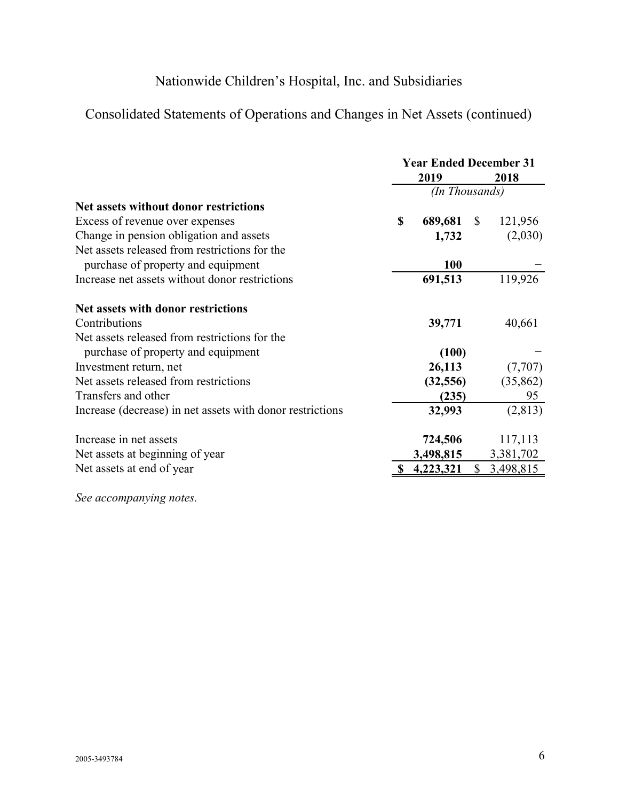# Consolidated Statements of Operations and Changes in Net Assets (continued)

|                                                           | <b>Year Ended December 31</b> |                |              |           |
|-----------------------------------------------------------|-------------------------------|----------------|--------------|-----------|
|                                                           |                               | 2019           |              | 2018      |
|                                                           |                               | (In Thousands) |              |           |
| Net assets without donor restrictions                     |                               |                |              |           |
| Excess of revenue over expenses                           | \$                            | 689,681        | $\mathbb{S}$ | 121,956   |
| Change in pension obligation and assets                   |                               | 1,732          |              | (2,030)   |
| Net assets released from restrictions for the             |                               |                |              |           |
| purchase of property and equipment                        |                               | <b>100</b>     |              |           |
| Increase net assets without donor restrictions            |                               | 691,513        |              | 119,926   |
| Net assets with donor restrictions                        |                               |                |              |           |
| Contributions                                             |                               | 39,771         |              | 40,661    |
| Net assets released from restrictions for the             |                               |                |              |           |
| purchase of property and equipment                        |                               | (100)          |              |           |
| Investment return, net                                    |                               | 26,113         |              | (7,707)   |
| Net assets released from restrictions                     |                               | (32, 556)      |              | (35, 862) |
| Transfers and other                                       |                               | (235)          |              | 95        |
| Increase (decrease) in net assets with donor restrictions |                               | 32,993         |              | (2, 813)  |
| Increase in net assets                                    |                               | 724,506        |              | 117,113   |
| Net assets at beginning of year                           |                               | 3,498,815      |              | 3,381,702 |
| Net assets at end of year                                 |                               | 4,223,321      | $\mathbb{S}$ | 3,498,815 |
|                                                           |                               |                |              |           |

*See accompanying notes.*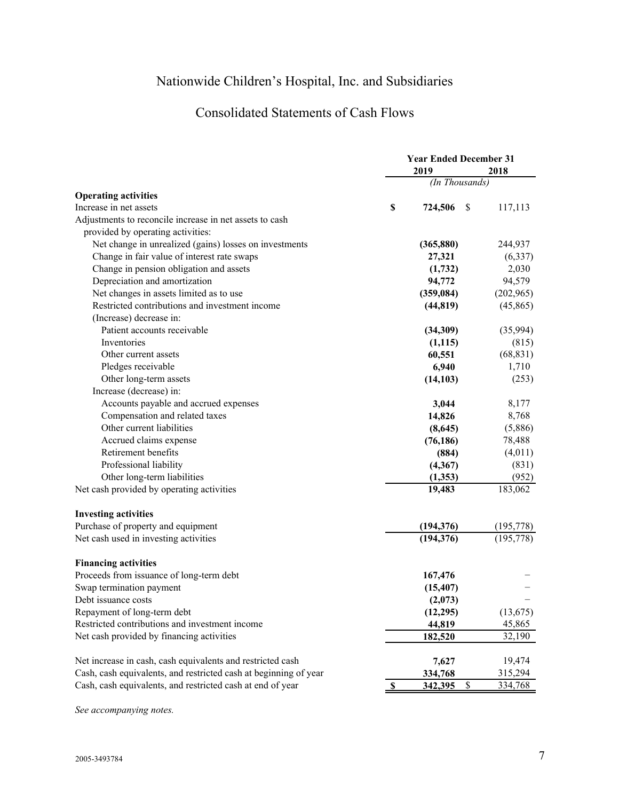# Consolidated Statements of Cash Flows

|                                                                  |              | <b>Year Ended December 31</b> |               |            |
|------------------------------------------------------------------|--------------|-------------------------------|---------------|------------|
|                                                                  |              | 2019                          |               | 2018       |
|                                                                  |              | (In Thousands)                |               |            |
| <b>Operating activities</b>                                      |              |                               |               |            |
| Increase in net assets                                           | \$           | 724,506                       | <sup>\$</sup> | 117,113    |
| Adjustments to reconcile increase in net assets to cash          |              |                               |               |            |
| provided by operating activities:                                |              |                               |               |            |
| Net change in unrealized (gains) losses on investments           |              | (365, 880)                    |               | 244,937    |
| Change in fair value of interest rate swaps                      |              | 27,321                        |               | (6,337)    |
| Change in pension obligation and assets                          |              | (1,732)                       |               | 2,030      |
| Depreciation and amortization                                    |              | 94,772                        |               | 94,579     |
| Net changes in assets limited as to use                          |              | (359, 084)                    |               | (202,965)  |
| Restricted contributions and investment income                   |              | (44, 819)                     |               | (45, 865)  |
| (Increase) decrease in:                                          |              |                               |               |            |
| Patient accounts receivable                                      |              | (34,309)                      |               | (35,994)   |
| Inventories                                                      |              | (1,115)                       |               | (815)      |
| Other current assets                                             |              | 60,551                        |               | (68, 831)  |
| Pledges receivable                                               |              | 6,940                         |               | 1,710      |
| Other long-term assets                                           |              | (14, 103)                     |               | (253)      |
| Increase (decrease) in:                                          |              |                               |               |            |
| Accounts payable and accrued expenses                            |              | 3,044                         |               | 8,177      |
| Compensation and related taxes                                   |              | 14,826                        |               | 8,768      |
| Other current liabilities                                        |              | (8,645)                       |               | (5,886)    |
| Accrued claims expense                                           |              | (76, 186)                     |               | 78,488     |
| Retirement benefits                                              |              | (884)                         |               | (4,011)    |
| Professional liability                                           |              | (4,367)                       |               | (831)      |
| Other long-term liabilities                                      |              | (1,353)                       |               | (952)      |
| Net cash provided by operating activities                        |              | 19,483                        |               | 183,062    |
| <b>Investing activities</b>                                      |              |                               |               |            |
| Purchase of property and equipment                               |              | (194, 376)                    |               | (195, 778) |
| Net cash used in investing activities                            |              | (194, 376)                    |               | (195,778)  |
| <b>Financing activities</b>                                      |              |                               |               |            |
| Proceeds from issuance of long-term debt                         |              | 167,476                       |               |            |
| Swap termination payment                                         |              | (15, 407)                     |               |            |
| Debt issuance costs                                              |              | (2,073)                       |               |            |
| Repayment of long-term debt                                      |              | (12, 295)                     |               | (13, 675)  |
| Restricted contributions and investment income                   |              | 44,819                        |               | 45,865     |
| Net cash provided by financing activities                        |              | 182,520                       |               | 32,190     |
| Net increase in cash, cash equivalents and restricted cash       |              | 7,627                         |               | 19,474     |
| Cash, cash equivalents, and restricted cash at beginning of year |              | 334,768                       |               | 315,294    |
| Cash, cash equivalents, and restricted cash at end of year       | $\mathbf{s}$ | 342,395                       | \$            | 334,768    |

*See accompanying notes.*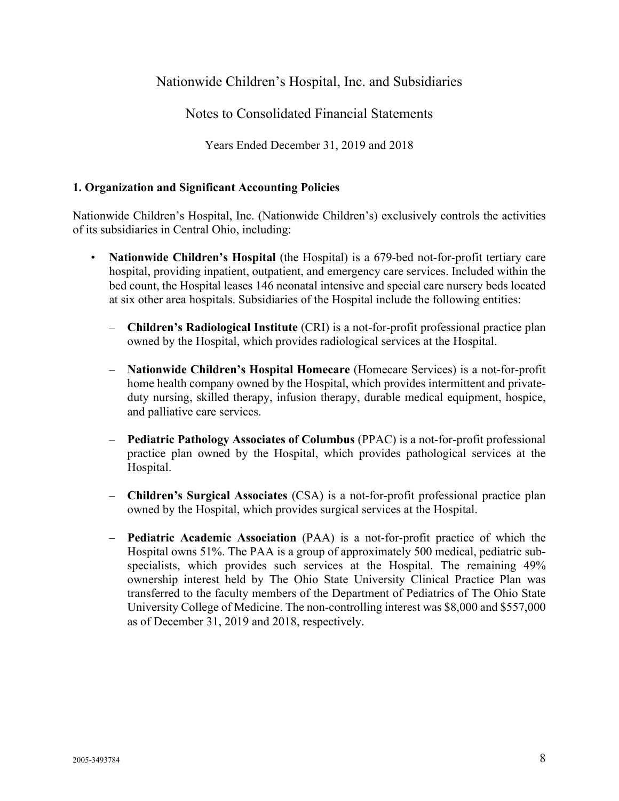## Notes to Consolidated Financial Statements

Years Ended December 31, 2019 and 2018

#### **1. Organization and Significant Accounting Policies**

Nationwide Children's Hospital, Inc. (Nationwide Children's) exclusively controls the activities of its subsidiaries in Central Ohio, including:

- **Nationwide Children's Hospital** (the Hospital) is a 679-bed not-for-profit tertiary care hospital, providing inpatient, outpatient, and emergency care services. Included within the bed count, the Hospital leases 146 neonatal intensive and special care nursery beds located at six other area hospitals. Subsidiaries of the Hospital include the following entities:
	- **Children's Radiological Institute** (CRI) is a not-for-profit professional practice plan owned by the Hospital, which provides radiological services at the Hospital.
	- **Nationwide Children's Hospital Homecare** (Homecare Services) is a not-for-profit home health company owned by the Hospital, which provides intermittent and privateduty nursing, skilled therapy, infusion therapy, durable medical equipment, hospice, and palliative care services.
	- **Pediatric Pathology Associates of Columbus** (PPAC) is a not-for-profit professional practice plan owned by the Hospital, which provides pathological services at the Hospital.
	- **Children's Surgical Associates** (CSA) is a not-for-profit professional practice plan owned by the Hospital, which provides surgical services at the Hospital.
	- **Pediatric Academic Association** (PAA) is a not-for-profit practice of which the Hospital owns 51%. The PAA is a group of approximately 500 medical, pediatric subspecialists, which provides such services at the Hospital. The remaining 49% ownership interest held by The Ohio State University Clinical Practice Plan was transferred to the faculty members of the Department of Pediatrics of The Ohio State University College of Medicine. The non-controlling interest was \$8,000 and \$557,000 as of December 31, 2019 and 2018, respectively.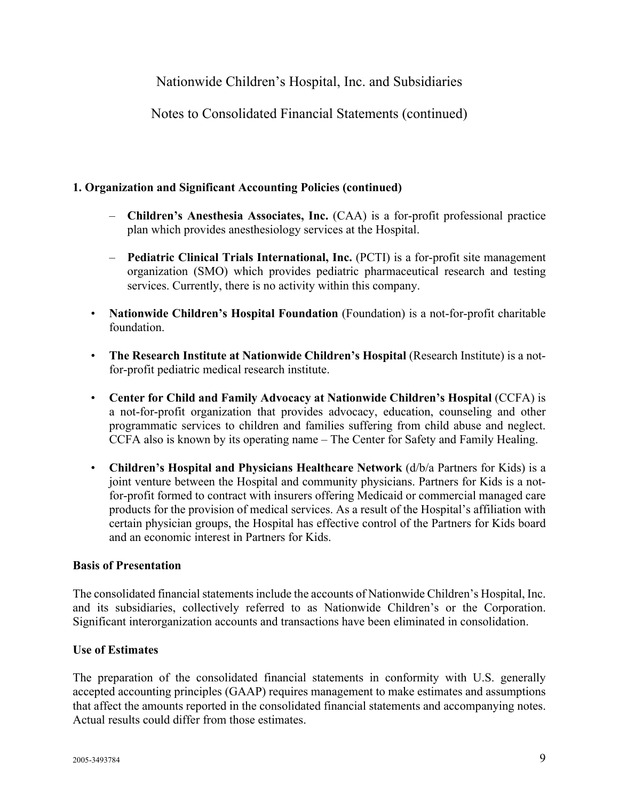Notes to Consolidated Financial Statements (continued)

## **1. Organization and Significant Accounting Policies (continued)**

- **Children's Anesthesia Associates, Inc.** (CAA) is a for-profit professional practice plan which provides anesthesiology services at the Hospital.
- **Pediatric Clinical Trials International, Inc.** (PCTI) is a for-profit site management organization (SMO) which provides pediatric pharmaceutical research and testing services. Currently, there is no activity within this company.
- **Nationwide Children's Hospital Foundation** (Foundation) is a not-for-profit charitable foundation.
- **The Research Institute at Nationwide Children's Hospital** (Research Institute) is a notfor-profit pediatric medical research institute.
- **Center for Child and Family Advocacy at Nationwide Children's Hospital** (CCFA) is a not-for-profit organization that provides advocacy, education, counseling and other programmatic services to children and families suffering from child abuse and neglect. CCFA also is known by its operating name – The Center for Safety and Family Healing.
- **Children's Hospital and Physicians Healthcare Network** (d/b/a Partners for Kids) is a joint venture between the Hospital and community physicians. Partners for Kids is a notfor-profit formed to contract with insurers offering Medicaid or commercial managed care products for the provision of medical services. As a result of the Hospital's affiliation with certain physician groups, the Hospital has effective control of the Partners for Kids board and an economic interest in Partners for Kids.

## **Basis of Presentation**

The consolidated financial statements include the accounts of Nationwide Children's Hospital, Inc. and its subsidiaries, collectively referred to as Nationwide Children's or the Corporation. Significant interorganization accounts and transactions have been eliminated in consolidation.

### **Use of Estimates**

The preparation of the consolidated financial statements in conformity with U.S. generally accepted accounting principles (GAAP) requires management to make estimates and assumptions that affect the amounts reported in the consolidated financial statements and accompanying notes. Actual results could differ from those estimates.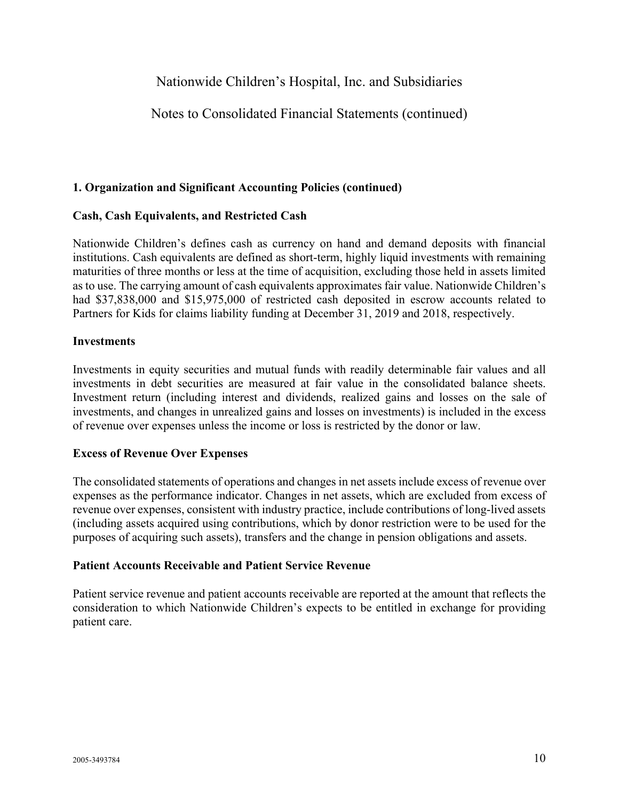## Notes to Consolidated Financial Statements (continued)

#### **1. Organization and Significant Accounting Policies (continued)**

#### **Cash, Cash Equivalents, and Restricted Cash**

Nationwide Children's defines cash as currency on hand and demand deposits with financial institutions. Cash equivalents are defined as short-term, highly liquid investments with remaining maturities of three months or less at the time of acquisition, excluding those held in assets limited as to use. The carrying amount of cash equivalents approximates fair value. Nationwide Children's had \$37,838,000 and \$15,975,000 of restricted cash deposited in escrow accounts related to Partners for Kids for claims liability funding at December 31, 2019 and 2018, respectively.

#### **Investments**

Investments in equity securities and mutual funds with readily determinable fair values and all investments in debt securities are measured at fair value in the consolidated balance sheets. Investment return (including interest and dividends, realized gains and losses on the sale of investments, and changes in unrealized gains and losses on investments) is included in the excess of revenue over expenses unless the income or loss is restricted by the donor or law.

#### **Excess of Revenue Over Expenses**

The consolidated statements of operations and changes in net assets include excess of revenue over expenses as the performance indicator. Changes in net assets, which are excluded from excess of revenue over expenses, consistent with industry practice, include contributions of long-lived assets (including assets acquired using contributions, which by donor restriction were to be used for the purposes of acquiring such assets), transfers and the change in pension obligations and assets.

#### **Patient Accounts Receivable and Patient Service Revenue**

Patient service revenue and patient accounts receivable are reported at the amount that reflects the consideration to which Nationwide Children's expects to be entitled in exchange for providing patient care.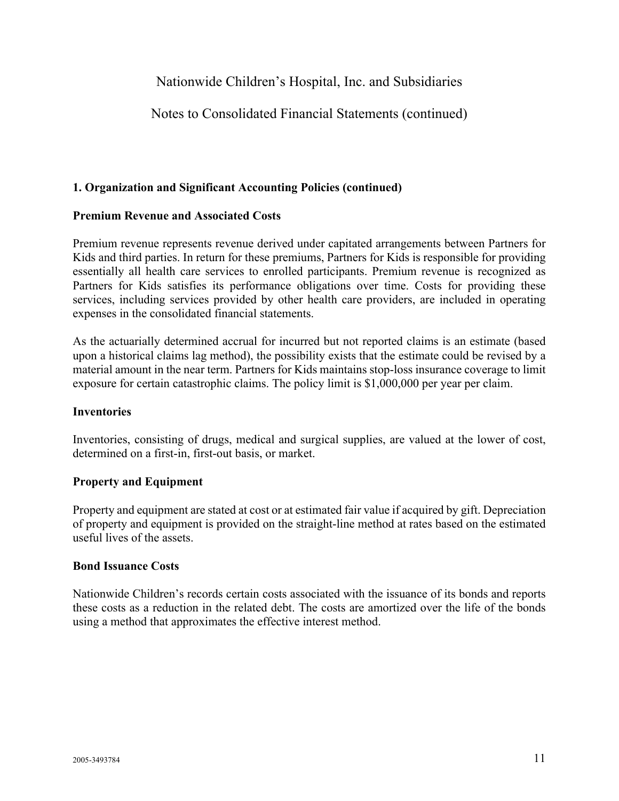## Notes to Consolidated Financial Statements (continued)

#### **1. Organization and Significant Accounting Policies (continued)**

#### **Premium Revenue and Associated Costs**

Premium revenue represents revenue derived under capitated arrangements between Partners for Kids and third parties. In return for these premiums, Partners for Kids is responsible for providing essentially all health care services to enrolled participants. Premium revenue is recognized as Partners for Kids satisfies its performance obligations over time. Costs for providing these services, including services provided by other health care providers, are included in operating expenses in the consolidated financial statements.

As the actuarially determined accrual for incurred but not reported claims is an estimate (based upon a historical claims lag method), the possibility exists that the estimate could be revised by a material amount in the near term. Partners for Kids maintains stop-loss insurance coverage to limit exposure for certain catastrophic claims. The policy limit is \$1,000,000 per year per claim.

#### **Inventories**

Inventories, consisting of drugs, medical and surgical supplies, are valued at the lower of cost, determined on a first-in, first-out basis, or market.

#### **Property and Equipment**

Property and equipment are stated at cost or at estimated fair value if acquired by gift. Depreciation of property and equipment is provided on the straight-line method at rates based on the estimated useful lives of the assets.

#### **Bond Issuance Costs**

Nationwide Children's records certain costs associated with the issuance of its bonds and reports these costs as a reduction in the related debt. The costs are amortized over the life of the bonds using a method that approximates the effective interest method.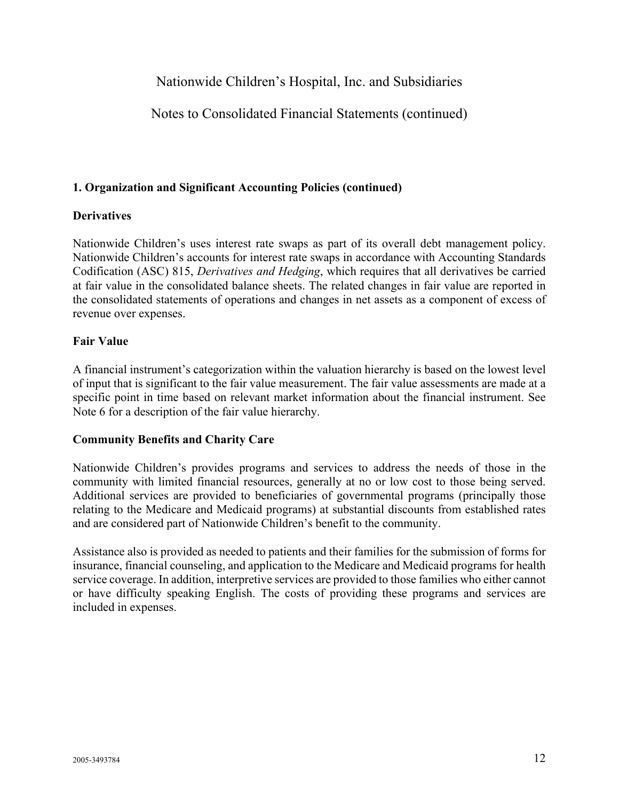## Notes to Consolidated Financial Statements (continued)

#### **1. Organization and Significant Accounting Policies (continued)**

#### **Derivatives**

Nationwide Children's uses interest rate swaps as part of its overall debt management policy. Nationwide Children's accounts for interest rate swaps in accordance with Accounting Standards Codification (ASC) 815, *Derivatives and Hedging*, which requires that all derivatives be carried at fair value in the consolidated balance sheets. The related changes in fair value are reported in the consolidated statements of operations and changes in net assets as a component of excess of revenue over expenses.

#### **Fair Value**

A financial instrument's categorization within the valuation hierarchy is based on the lowest level of input that is significant to the fair value measurement. The fair value assessments are made at a specific point in time based on relevant market information about the financial instrument. See Note 6 for a description of the fair value hierarchy.

#### **Community Benefits and Charity Care**

Nationwide Children's provides programs and services to address the needs of those in the community with limited financial resources, generally at no or low cost to those being served. Additional services are provided to beneficiaries of governmental programs (principally those relating to the Medicare and Medicaid programs) at substantial discounts from established rates and are considered part of Nationwide Children's benefit to the community.

Assistance also is provided as needed to patients and their families for the submission of forms for insurance, financial counseling, and application to the Medicare and Medicaid programs for health service coverage. In addition, interpretive services are provided to those families who either cannot or have difficulty speaking English. The costs of providing these programs and services are included in expenses.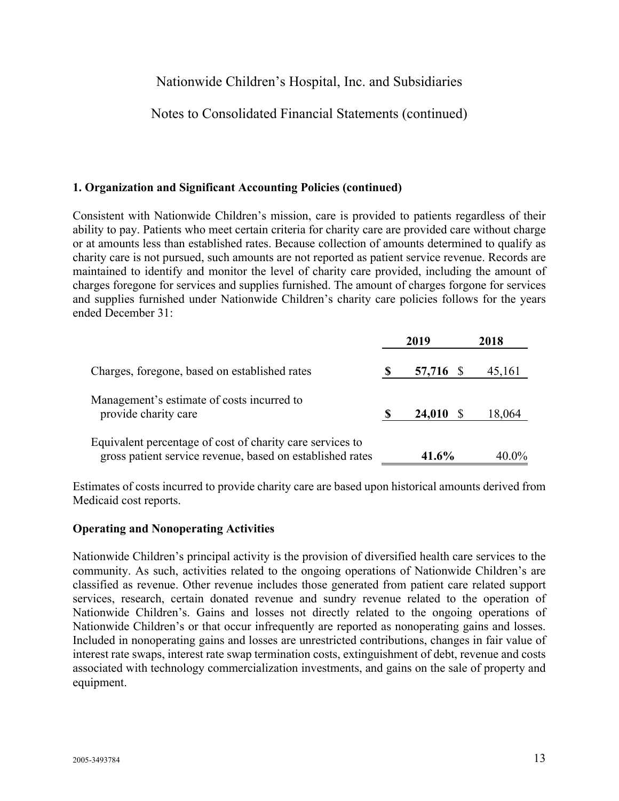## Notes to Consolidated Financial Statements (continued)

#### **1. Organization and Significant Accounting Policies (continued)**

Consistent with Nationwide Children's mission, care is provided to patients regardless of their ability to pay. Patients who meet certain criteria for charity care are provided care without charge or at amounts less than established rates. Because collection of amounts determined to qualify as charity care is not pursued, such amounts are not reported as patient service revenue. Records are maintained to identify and monitor the level of charity care provided, including the amount of charges foregone for services and supplies furnished. The amount of charges forgone for services and supplies furnished under Nationwide Children's charity care policies follows for the years ended December 31:

|                                                                                                                        |    | 2019      | 2018     |
|------------------------------------------------------------------------------------------------------------------------|----|-----------|----------|
| Charges, foregone, based on established rates                                                                          |    | 57,716 \$ | 45,161   |
| Management's estimate of costs incurred to<br>provide charity care                                                     | -S | 24,010    | 18,064   |
| Equivalent percentage of cost of charity care services to<br>gross patient service revenue, based on established rates |    | 41.6%     | $40.0\%$ |

Estimates of costs incurred to provide charity care are based upon historical amounts derived from Medicaid cost reports.

#### **Operating and Nonoperating Activities**

Nationwide Children's principal activity is the provision of diversified health care services to the community. As such, activities related to the ongoing operations of Nationwide Children's are classified as revenue. Other revenue includes those generated from patient care related support services, research, certain donated revenue and sundry revenue related to the operation of Nationwide Children's. Gains and losses not directly related to the ongoing operations of Nationwide Children's or that occur infrequently are reported as nonoperating gains and losses. Included in nonoperating gains and losses are unrestricted contributions, changes in fair value of interest rate swaps, interest rate swap termination costs, extinguishment of debt, revenue and costs associated with technology commercialization investments, and gains on the sale of property and equipment.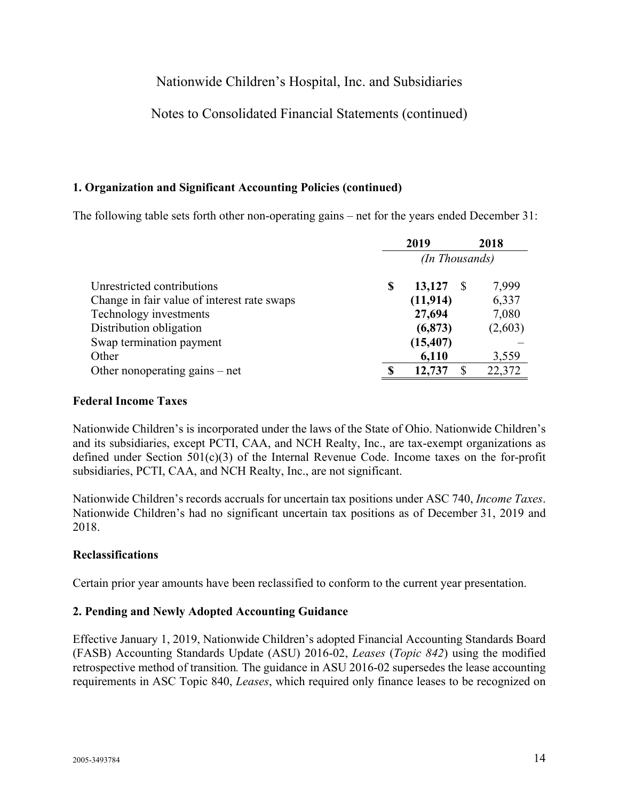## Notes to Consolidated Financial Statements (continued)

### **1. Organization and Significant Accounting Policies (continued)**

The following table sets forth other non-operating gains – net for the years ended December 31:

|                                             |   | 2019           | 2018    |
|---------------------------------------------|---|----------------|---------|
|                                             |   | (In Thousands) |         |
| Unrestricted contributions                  | S | 13,127         | 7,999   |
| Change in fair value of interest rate swaps |   | (11, 914)      | 6,337   |
| Technology investments                      |   | 27,694         | 7,080   |
| Distribution obligation                     |   | (6, 873)       | (2,603) |
| Swap termination payment                    |   | (15, 407)      |         |
| Other                                       |   | 6,110          | 3,559   |
| Other nonoperating gains $-$ net            |   | 12,737         | 22,372  |

#### **Federal Income Taxes**

Nationwide Children's is incorporated under the laws of the State of Ohio. Nationwide Children's and its subsidiaries, except PCTI, CAA, and NCH Realty, Inc., are tax-exempt organizations as defined under Section 501(c)(3) of the Internal Revenue Code. Income taxes on the for-profit subsidiaries, PCTI, CAA, and NCH Realty, Inc., are not significant.

Nationwide Children's records accruals for uncertain tax positions under ASC 740, *Income Taxes*. Nationwide Children's had no significant uncertain tax positions as of December 31, 2019 and 2018.

#### **Reclassifications**

Certain prior year amounts have been reclassified to conform to the current year presentation.

### **2. Pending and Newly Adopted Accounting Guidance**

Effective January 1, 2019, Nationwide Children's adopted Financial Accounting Standards Board (FASB) Accounting Standards Update (ASU) 2016-02, *Leases* (*Topic 842*) using the modified retrospective method of transition*.* The guidance in ASU 2016-02 supersedes the lease accounting requirements in ASC Topic 840, *Leases*, which required only finance leases to be recognized on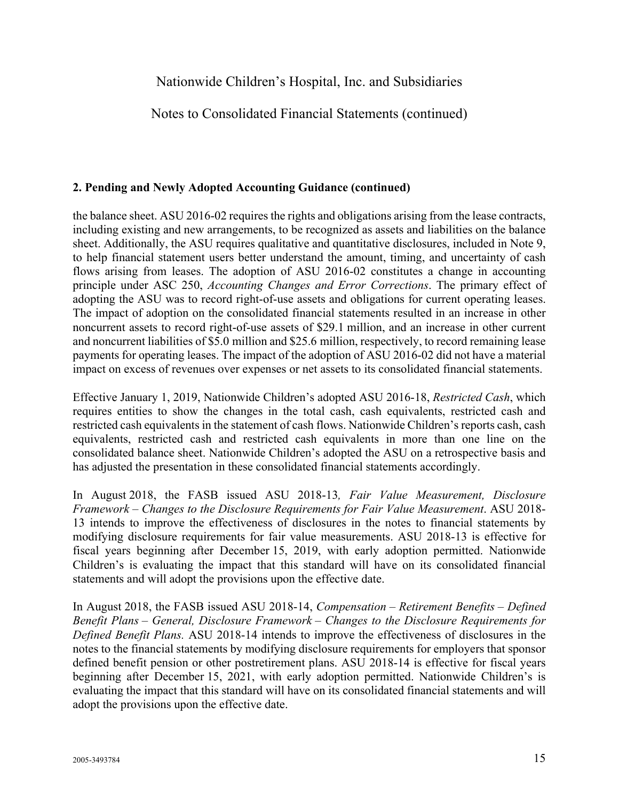Notes to Consolidated Financial Statements (continued)

### **2. Pending and Newly Adopted Accounting Guidance (continued)**

the balance sheet. ASU 2016-02 requires the rights and obligations arising from the lease contracts, including existing and new arrangements, to be recognized as assets and liabilities on the balance sheet. Additionally, the ASU requires qualitative and quantitative disclosures, included in Note 9, to help financial statement users better understand the amount, timing, and uncertainty of cash flows arising from leases. The adoption of ASU 2016-02 constitutes a change in accounting principle under ASC 250, *Accounting Changes and Error Corrections*. The primary effect of adopting the ASU was to record right-of-use assets and obligations for current operating leases. The impact of adoption on the consolidated financial statements resulted in an increase in other noncurrent assets to record right-of-use assets of \$29.1 million, and an increase in other current and noncurrent liabilities of \$5.0 million and \$25.6 million, respectively, to record remaining lease payments for operating leases. The impact of the adoption of ASU 2016-02 did not have a material impact on excess of revenues over expenses or net assets to its consolidated financial statements.

Effective January 1, 2019, Nationwide Children's adopted ASU 2016-18, *Restricted Cash*, which requires entities to show the changes in the total cash, cash equivalents, restricted cash and restricted cash equivalents in the statement of cash flows. Nationwide Children's reports cash, cash equivalents, restricted cash and restricted cash equivalents in more than one line on the consolidated balance sheet. Nationwide Children's adopted the ASU on a retrospective basis and has adjusted the presentation in these consolidated financial statements accordingly.

In August 2018, the FASB issued ASU 2018-13*, Fair Value Measurement, Disclosure Framework – Changes to the Disclosure Requirements for Fair Value Measurement*. ASU 2018- 13 intends to improve the effectiveness of disclosures in the notes to financial statements by modifying disclosure requirements for fair value measurements. ASU 2018-13 is effective for fiscal years beginning after December 15, 2019, with early adoption permitted. Nationwide Children's is evaluating the impact that this standard will have on its consolidated financial statements and will adopt the provisions upon the effective date.

In August 2018, the FASB issued ASU 2018-14, *Compensation – Retirement Benefits – Defined Benefit Plans – General, Disclosure Framework – Changes to the Disclosure Requirements for Defined Benefit Plans.* ASU 2018-14 intends to improve the effectiveness of disclosures in the notes to the financial statements by modifying disclosure requirements for employers that sponsor defined benefit pension or other postretirement plans. ASU 2018-14 is effective for fiscal years beginning after December 15, 2021, with early adoption permitted. Nationwide Children's is evaluating the impact that this standard will have on its consolidated financial statements and will adopt the provisions upon the effective date.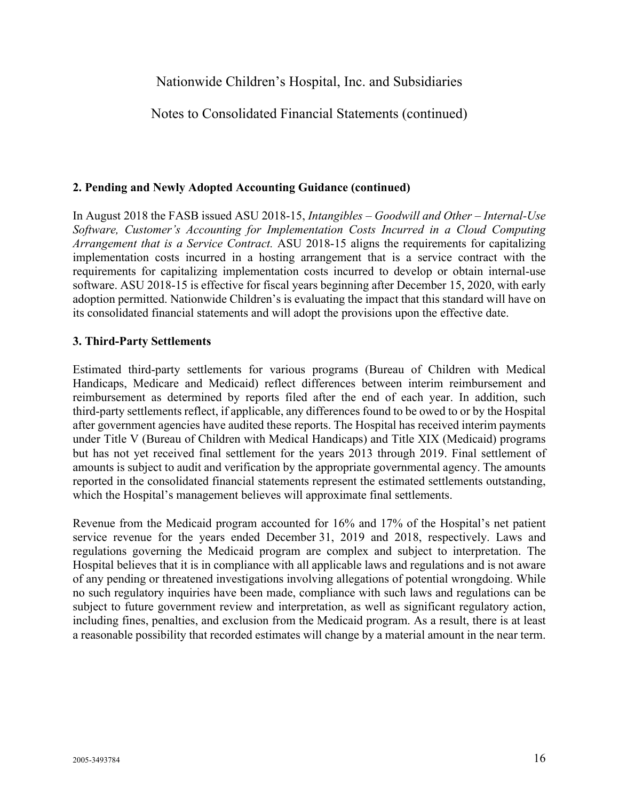## Notes to Consolidated Financial Statements (continued)

#### **2. Pending and Newly Adopted Accounting Guidance (continued)**

In August 2018 the FASB issued ASU 2018-15, *Intangibles – Goodwill and Other – Internal-Use Software, Customer's Accounting for Implementation Costs Incurred in a Cloud Computing Arrangement that is a Service Contract.* ASU 2018-15 aligns the requirements for capitalizing implementation costs incurred in a hosting arrangement that is a service contract with the requirements for capitalizing implementation costs incurred to develop or obtain internal-use software. ASU 2018-15 is effective for fiscal years beginning after December 15, 2020, with early adoption permitted. Nationwide Children's is evaluating the impact that this standard will have on its consolidated financial statements and will adopt the provisions upon the effective date.

#### **3. Third-Party Settlements**

Estimated third-party settlements for various programs (Bureau of Children with Medical Handicaps, Medicare and Medicaid) reflect differences between interim reimbursement and reimbursement as determined by reports filed after the end of each year. In addition, such third-party settlements reflect, if applicable, any differences found to be owed to or by the Hospital after government agencies have audited these reports. The Hospital has received interim payments under Title V (Bureau of Children with Medical Handicaps) and Title XIX (Medicaid) programs but has not yet received final settlement for the years 2013 through 2019. Final settlement of amounts is subject to audit and verification by the appropriate governmental agency. The amounts reported in the consolidated financial statements represent the estimated settlements outstanding, which the Hospital's management believes will approximate final settlements.

Revenue from the Medicaid program accounted for 16% and 17% of the Hospital's net patient service revenue for the years ended December 31, 2019 and 2018, respectively. Laws and regulations governing the Medicaid program are complex and subject to interpretation. The Hospital believes that it is in compliance with all applicable laws and regulations and is not aware of any pending or threatened investigations involving allegations of potential wrongdoing. While no such regulatory inquiries have been made, compliance with such laws and regulations can be subject to future government review and interpretation, as well as significant regulatory action, including fines, penalties, and exclusion from the Medicaid program. As a result, there is at least a reasonable possibility that recorded estimates will change by a material amount in the near term.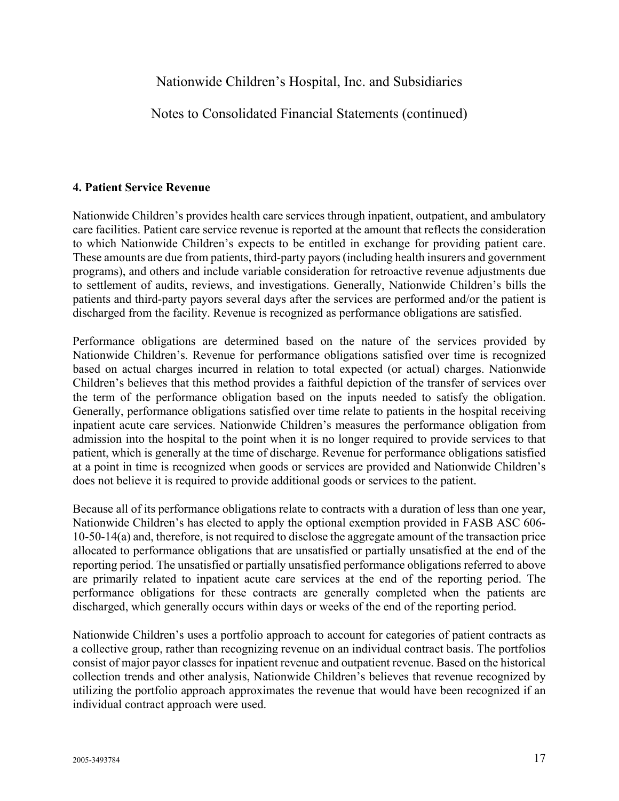Notes to Consolidated Financial Statements (continued)

#### **4. Patient Service Revenue**

Nationwide Children's provides health care services through inpatient, outpatient, and ambulatory care facilities. Patient care service revenue is reported at the amount that reflects the consideration to which Nationwide Children's expects to be entitled in exchange for providing patient care. These amounts are due from patients, third-party payors (including health insurers and government programs), and others and include variable consideration for retroactive revenue adjustments due to settlement of audits, reviews, and investigations. Generally, Nationwide Children's bills the patients and third-party payors several days after the services are performed and/or the patient is discharged from the facility. Revenue is recognized as performance obligations are satisfied.

Performance obligations are determined based on the nature of the services provided by Nationwide Children's. Revenue for performance obligations satisfied over time is recognized based on actual charges incurred in relation to total expected (or actual) charges. Nationwide Children's believes that this method provides a faithful depiction of the transfer of services over the term of the performance obligation based on the inputs needed to satisfy the obligation. Generally, performance obligations satisfied over time relate to patients in the hospital receiving inpatient acute care services. Nationwide Children's measures the performance obligation from admission into the hospital to the point when it is no longer required to provide services to that patient, which is generally at the time of discharge. Revenue for performance obligations satisfied at a point in time is recognized when goods or services are provided and Nationwide Children's does not believe it is required to provide additional goods or services to the patient.

Because all of its performance obligations relate to contracts with a duration of less than one year, Nationwide Children's has elected to apply the optional exemption provided in FASB ASC 606- 10-50-14(a) and, therefore, is not required to disclose the aggregate amount of the transaction price allocated to performance obligations that are unsatisfied or partially unsatisfied at the end of the reporting period. The unsatisfied or partially unsatisfied performance obligations referred to above are primarily related to inpatient acute care services at the end of the reporting period. The performance obligations for these contracts are generally completed when the patients are discharged, which generally occurs within days or weeks of the end of the reporting period.

Nationwide Children's uses a portfolio approach to account for categories of patient contracts as a collective group, rather than recognizing revenue on an individual contract basis. The portfolios consist of major payor classes for inpatient revenue and outpatient revenue. Based on the historical collection trends and other analysis, Nationwide Children's believes that revenue recognized by utilizing the portfolio approach approximates the revenue that would have been recognized if an individual contract approach were used.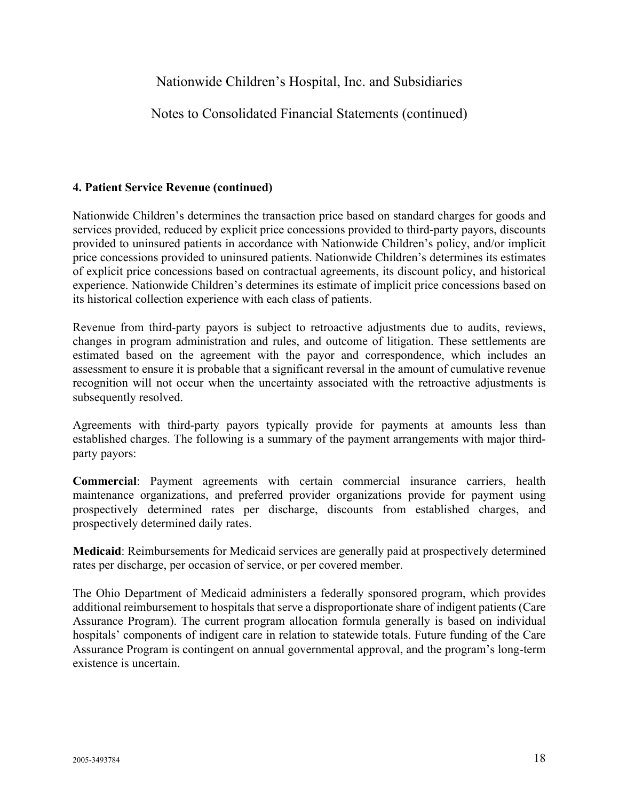Notes to Consolidated Financial Statements (continued)

### **4. Patient Service Revenue (continued)**

Nationwide Children's determines the transaction price based on standard charges for goods and services provided, reduced by explicit price concessions provided to third-party payors, discounts provided to uninsured patients in accordance with Nationwide Children's policy, and/or implicit price concessions provided to uninsured patients. Nationwide Children's determines its estimates of explicit price concessions based on contractual agreements, its discount policy, and historical experience. Nationwide Children's determines its estimate of implicit price concessions based on its historical collection experience with each class of patients.

Revenue from third-party payors is subject to retroactive adjustments due to audits, reviews, changes in program administration and rules, and outcome of litigation. These settlements are estimated based on the agreement with the payor and correspondence, which includes an assessment to ensure it is probable that a significant reversal in the amount of cumulative revenue recognition will not occur when the uncertainty associated with the retroactive adjustments is subsequently resolved.

Agreements with third-party payors typically provide for payments at amounts less than established charges. The following is a summary of the payment arrangements with major thirdparty payors:

**Commercial**: Payment agreements with certain commercial insurance carriers, health maintenance organizations, and preferred provider organizations provide for payment using prospectively determined rates per discharge, discounts from established charges, and prospectively determined daily rates.

**Medicaid**: Reimbursements for Medicaid services are generally paid at prospectively determined rates per discharge, per occasion of service, or per covered member.

The Ohio Department of Medicaid administers a federally sponsored program, which provides additional reimbursement to hospitals that serve a disproportionate share of indigent patients (Care Assurance Program). The current program allocation formula generally is based on individual hospitals' components of indigent care in relation to statewide totals. Future funding of the Care Assurance Program is contingent on annual governmental approval, and the program's long-term existence is uncertain.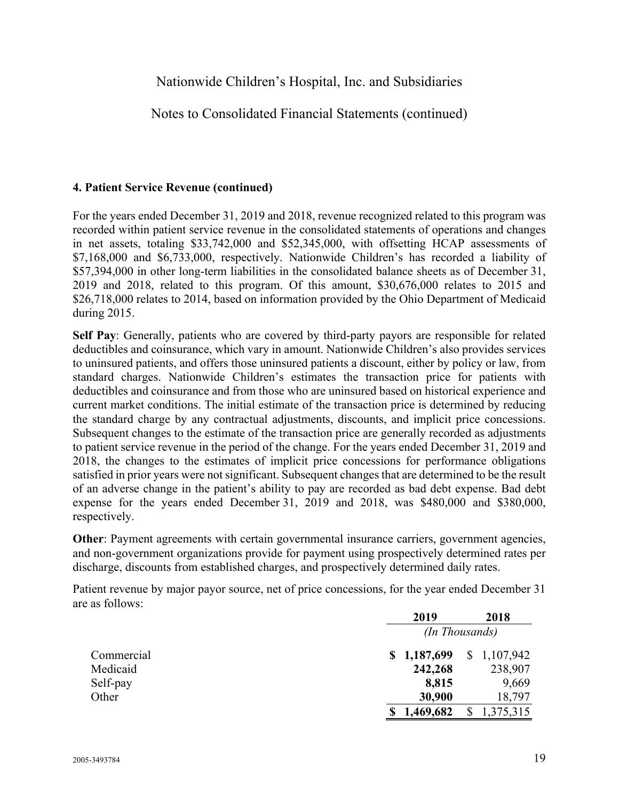Notes to Consolidated Financial Statements (continued)

### **4. Patient Service Revenue (continued)**

For the years ended December 31, 2019 and 2018, revenue recognized related to this program was recorded within patient service revenue in the consolidated statements of operations and changes in net assets, totaling \$33,742,000 and \$52,345,000, with offsetting HCAP assessments of \$7,168,000 and \$6,733,000, respectively. Nationwide Children's has recorded a liability of \$57,394,000 in other long-term liabilities in the consolidated balance sheets as of December 31, 2019 and 2018, related to this program. Of this amount, \$30,676,000 relates to 2015 and \$26,718,000 relates to 2014, based on information provided by the Ohio Department of Medicaid during 2015.

**Self Pay**: Generally, patients who are covered by third-party payors are responsible for related deductibles and coinsurance, which vary in amount. Nationwide Children's also provides services to uninsured patients, and offers those uninsured patients a discount, either by policy or law, from standard charges. Nationwide Children's estimates the transaction price for patients with deductibles and coinsurance and from those who are uninsured based on historical experience and current market conditions. The initial estimate of the transaction price is determined by reducing the standard charge by any contractual adjustments, discounts, and implicit price concessions. Subsequent changes to the estimate of the transaction price are generally recorded as adjustments to patient service revenue in the period of the change. For the years ended December 31, 2019 and 2018, the changes to the estimates of implicit price concessions for performance obligations satisfied in prior years were not significant. Subsequent changes that are determined to be the result of an adverse change in the patient's ability to pay are recorded as bad debt expense. Bad debt expense for the years ended December 31, 2019 and 2018, was \$480,000 and \$380,000, respectively.

**Other**: Payment agreements with certain governmental insurance carriers, government agencies, and non-government organizations provide for payment using prospectively determined rates per discharge, discounts from established charges, and prospectively determined daily rates.

Patient revenue by major payor source, net of price concessions, for the year ended December 31 are as follows:

|            | 2019           |  | 2018        |  |
|------------|----------------|--|-------------|--|
|            | (In Thousands) |  |             |  |
| Commercial | \$1,187,699    |  | \$1,107,942 |  |
| Medicaid   | 242,268        |  | 238,907     |  |
| Self-pay   | 8,815          |  | 9,669       |  |
| Other      | 30,900         |  | 18,797      |  |
|            | 1,469,682      |  | 1,375,315   |  |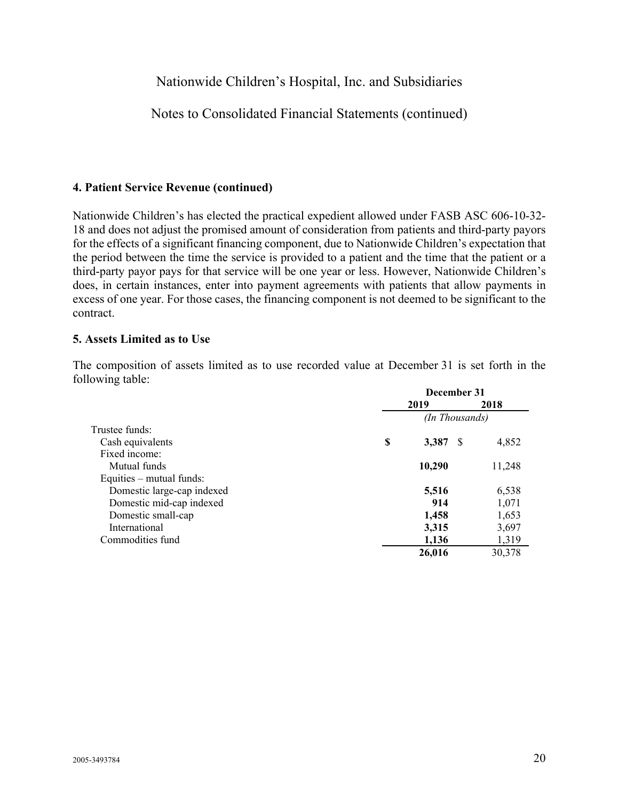### Notes to Consolidated Financial Statements (continued)

#### **4. Patient Service Revenue (continued)**

Nationwide Children's has elected the practical expedient allowed under FASB ASC 606-10-32- 18 and does not adjust the promised amount of consideration from patients and third-party payors for the effects of a significant financing component, due to Nationwide Children's expectation that the period between the time the service is provided to a patient and the time that the patient or a third-party payor pays for that service will be one year or less. However, Nationwide Children's does, in certain instances, enter into payment agreements with patients that allow payments in excess of one year. For those cases, the financing component is not deemed to be significant to the contract.

#### **5. Assets Limited as to Use**

The composition of assets limited as to use recorded value at December 31 is set forth in the following table: **December 31** 

|                            | December 31 |                |        |
|----------------------------|-------------|----------------|--------|
|                            |             | 2019           | 2018   |
|                            |             | (In Thousands) |        |
| Trustee funds:             |             |                |        |
| Cash equivalents           | \$          | 3,387<br>- S   | 4,852  |
| Fixed income:              |             |                |        |
| Mutual funds               |             | 10,290         | 11,248 |
| Equities $-$ mutual funds: |             |                |        |
| Domestic large-cap indexed |             | 5,516          | 6,538  |
| Domestic mid-cap indexed   |             | 914            | 1,071  |
| Domestic small-cap         |             | 1,458          | 1,653  |
| International              |             | 3,315          | 3,697  |
| Commodities fund           |             | 1,136          | 1,319  |
|                            |             | 26,016         | 30,378 |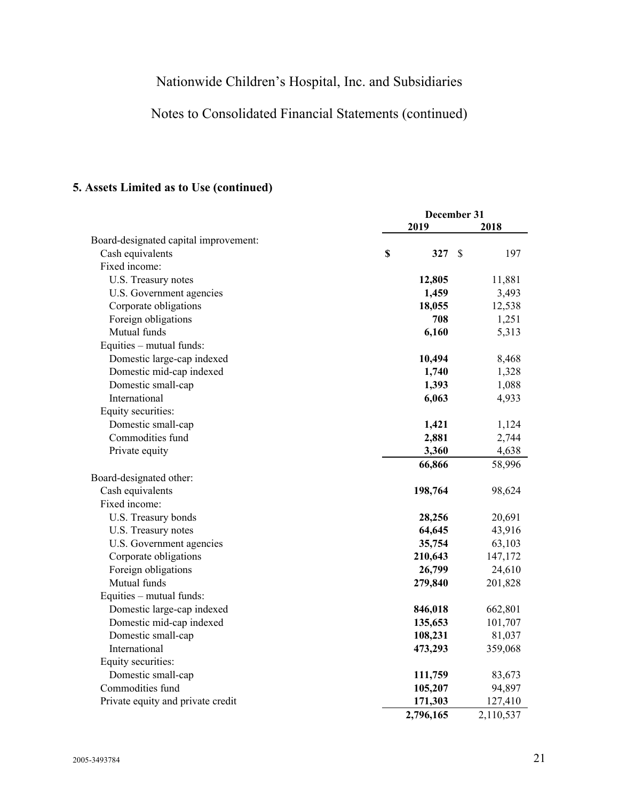# Notes to Consolidated Financial Statements (continued)

## **5. Assets Limited as to Use (continued)**

|                                       | December 31 |    |           |
|---------------------------------------|-------------|----|-----------|
|                                       | 2019        |    | 2018      |
| Board-designated capital improvement: |             |    |           |
| Cash equivalents                      | \$<br>327   | \$ | 197       |
| Fixed income:                         |             |    |           |
| U.S. Treasury notes                   | 12,805      |    | 11,881    |
| U.S. Government agencies              | 1,459       |    | 3,493     |
| Corporate obligations                 | 18,055      |    | 12,538    |
| Foreign obligations                   | 708         |    | 1,251     |
| Mutual funds                          | 6,160       |    | 5,313     |
| Equities - mutual funds:              |             |    |           |
| Domestic large-cap indexed            | 10,494      |    | 8,468     |
| Domestic mid-cap indexed              | 1,740       |    | 1,328     |
| Domestic small-cap                    | 1,393       |    | 1,088     |
| International                         | 6,063       |    | 4,933     |
| Equity securities:                    |             |    |           |
| Domestic small-cap                    | 1,421       |    | 1,124     |
| Commodities fund                      | 2,881       |    | 2,744     |
| Private equity                        | 3,360       |    | 4,638     |
|                                       | 66,866      |    | 58,996    |
| Board-designated other:               |             |    |           |
| Cash equivalents                      | 198,764     |    | 98,624    |
| Fixed income:                         |             |    |           |
| U.S. Treasury bonds                   | 28,256      |    | 20,691    |
| U.S. Treasury notes                   | 64,645      |    | 43,916    |
| U.S. Government agencies              | 35,754      |    | 63,103    |
| Corporate obligations                 | 210,643     |    | 147,172   |
| Foreign obligations                   | 26,799      |    | 24,610    |
| Mutual funds                          | 279,840     |    | 201,828   |
| Equities - mutual funds:              |             |    |           |
| Domestic large-cap indexed            | 846,018     |    | 662,801   |
| Domestic mid-cap indexed              | 135,653     |    | 101,707   |
| Domestic small-cap                    | 108,231     |    | 81,037    |
| International                         | 473,293     |    | 359,068   |
| Equity securities:                    |             |    |           |
| Domestic small-cap                    | 111,759     |    | 83,673    |
| Commodities fund                      | 105,207     |    | 94,897    |
| Private equity and private credit     | 171,303     |    | 127,410   |
|                                       | 2,796,165   |    | 2,110,537 |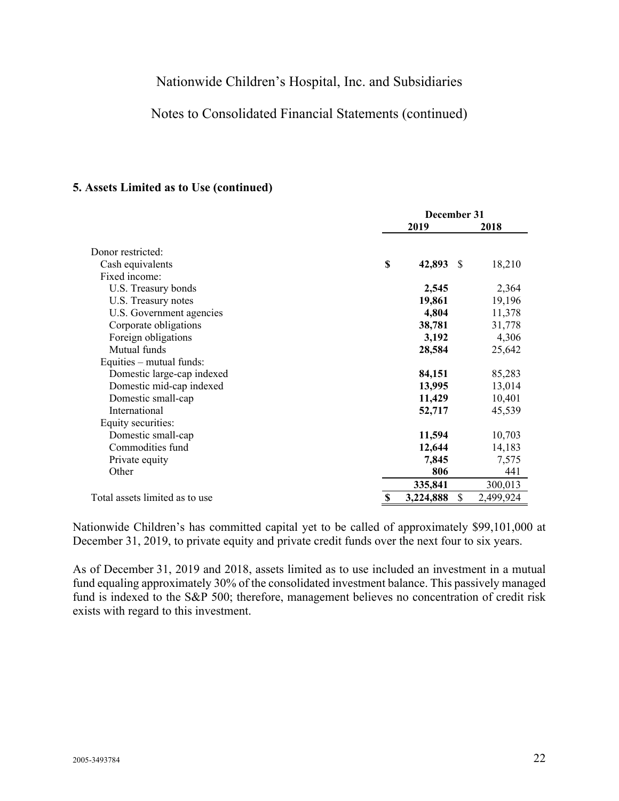## Notes to Consolidated Financial Statements (continued)

#### **5. Assets Limited as to Use (continued)**

|                                |    | December 31 |              |           |  |
|--------------------------------|----|-------------|--------------|-----------|--|
|                                |    | 2019        |              | 2018      |  |
| Donor restricted:              |    |             |              |           |  |
| Cash equivalents               | \$ | 42,893      | <sup>S</sup> | 18,210    |  |
| Fixed income:                  |    |             |              |           |  |
| U.S. Treasury bonds            |    | 2,545       |              | 2,364     |  |
| U.S. Treasury notes            |    | 19,861      |              | 19,196    |  |
| U.S. Government agencies       |    | 4,804       |              | 11,378    |  |
| Corporate obligations          |    | 38,781      |              | 31,778    |  |
| Foreign obligations            |    | 3,192       |              | 4,306     |  |
| Mutual funds                   |    | 28,584      |              | 25,642    |  |
| Equities – mutual funds:       |    |             |              |           |  |
| Domestic large-cap indexed     |    | 84,151      |              | 85,283    |  |
| Domestic mid-cap indexed       |    | 13,995      |              | 13,014    |  |
| Domestic small-cap             |    | 11,429      |              | 10,401    |  |
| International                  |    | 52,717      |              | 45,539    |  |
| Equity securities:             |    |             |              |           |  |
| Domestic small-cap             |    | 11,594      |              | 10,703    |  |
| Commodities fund               |    | 12,644      |              | 14,183    |  |
| Private equity                 |    | 7,845       |              | 7,575     |  |
| Other                          |    | 806         |              | 441       |  |
|                                |    | 335,841     |              | 300,013   |  |
| Total assets limited as to use | S  | 3,224,888   | S.           | 2,499,924 |  |

Nationwide Children's has committed capital yet to be called of approximately \$99,101,000 at December 31, 2019, to private equity and private credit funds over the next four to six years.

As of December 31, 2019 and 2018, assets limited as to use included an investment in a mutual fund equaling approximately 30% of the consolidated investment balance. This passively managed fund is indexed to the S&P 500; therefore, management believes no concentration of credit risk exists with regard to this investment.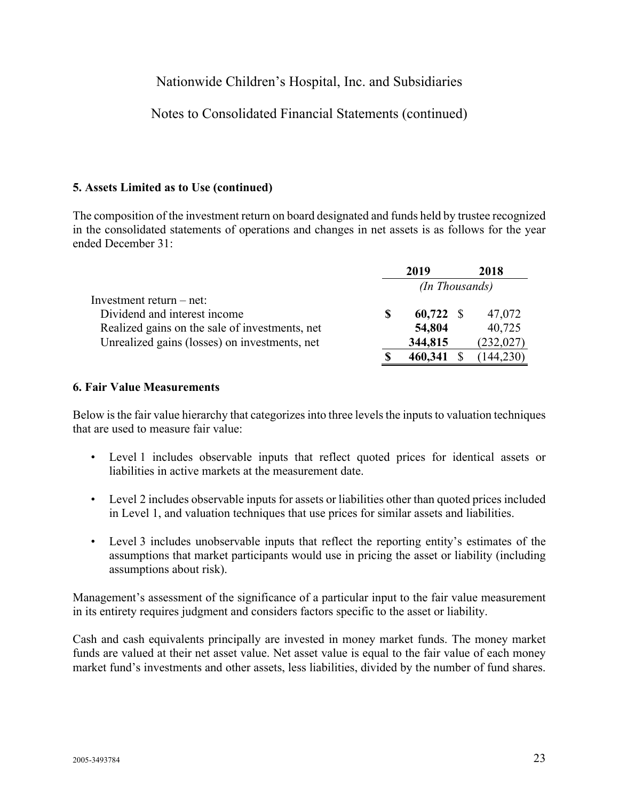## Notes to Consolidated Financial Statements (continued)

#### **5. Assets Limited as to Use (continued)**

The composition of the investment return on board designated and funds held by trustee recognized in the consolidated statements of operations and changes in net assets is as follows for the year ended December 31:

|                                                |    | 2019                  |  | 2018       |  |  |
|------------------------------------------------|----|-----------------------|--|------------|--|--|
|                                                |    | <i>(In Thousands)</i> |  |            |  |  |
| Investment return – net:                       |    |                       |  |            |  |  |
| Dividend and interest income                   | S  | $60,722$ \$           |  | 47,072     |  |  |
| Realized gains on the sale of investments, net |    | 54,804                |  | 40,725     |  |  |
| Unrealized gains (losses) on investments, net  |    | 344,815               |  | (232, 027) |  |  |
|                                                | -S | 460,341               |  | (144, 230) |  |  |

#### **6. Fair Value Measurements**

Below is the fair value hierarchy that categorizes into three levels the inputs to valuation techniques that are used to measure fair value:

- Level 1 includes observable inputs that reflect quoted prices for identical assets or liabilities in active markets at the measurement date.
- Level 2 includes observable inputs for assets or liabilities other than quoted prices included in Level 1, and valuation techniques that use prices for similar assets and liabilities.
- Level 3 includes unobservable inputs that reflect the reporting entity's estimates of the assumptions that market participants would use in pricing the asset or liability (including assumptions about risk).

Management's assessment of the significance of a particular input to the fair value measurement in its entirety requires judgment and considers factors specific to the asset or liability.

Cash and cash equivalents principally are invested in money market funds. The money market funds are valued at their net asset value. Net asset value is equal to the fair value of each money market fund's investments and other assets, less liabilities, divided by the number of fund shares.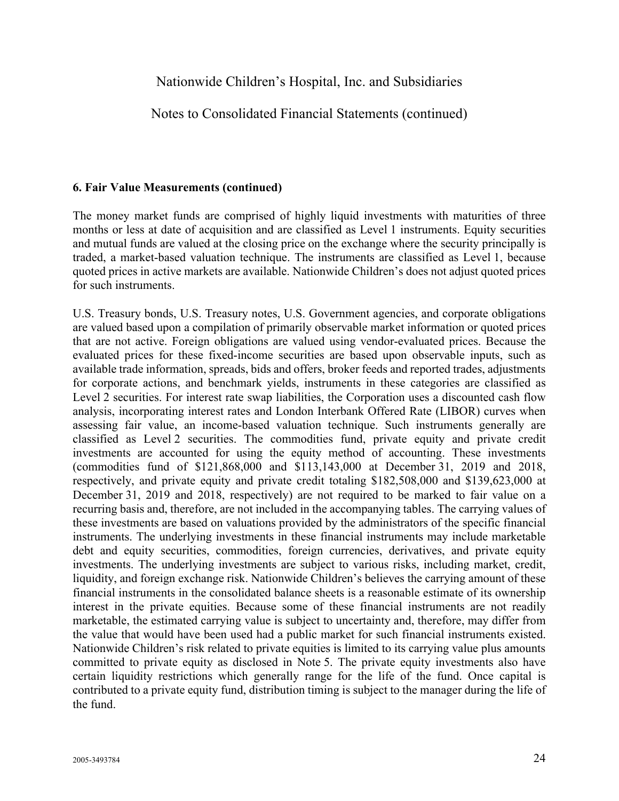### Notes to Consolidated Financial Statements (continued)

#### **6. Fair Value Measurements (continued)**

The money market funds are comprised of highly liquid investments with maturities of three months or less at date of acquisition and are classified as Level 1 instruments. Equity securities and mutual funds are valued at the closing price on the exchange where the security principally is traded, a market-based valuation technique. The instruments are classified as Level 1, because quoted prices in active markets are available. Nationwide Children's does not adjust quoted prices for such instruments.

U.S. Treasury bonds, U.S. Treasury notes, U.S. Government agencies, and corporate obligations are valued based upon a compilation of primarily observable market information or quoted prices that are not active. Foreign obligations are valued using vendor-evaluated prices. Because the evaluated prices for these fixed-income securities are based upon observable inputs, such as available trade information, spreads, bids and offers, broker feeds and reported trades, adjustments for corporate actions, and benchmark yields, instruments in these categories are classified as Level 2 securities. For interest rate swap liabilities, the Corporation uses a discounted cash flow analysis, incorporating interest rates and London Interbank Offered Rate (LIBOR) curves when assessing fair value, an income-based valuation technique. Such instruments generally are classified as Level 2 securities. The commodities fund, private equity and private credit investments are accounted for using the equity method of accounting. These investments (commodities fund of \$121,868,000 and \$113,143,000 at December 31, 2019 and 2018, respectively, and private equity and private credit totaling \$182,508,000 and \$139,623,000 at December 31, 2019 and 2018, respectively) are not required to be marked to fair value on a recurring basis and, therefore, are not included in the accompanying tables. The carrying values of these investments are based on valuations provided by the administrators of the specific financial instruments. The underlying investments in these financial instruments may include marketable debt and equity securities, commodities, foreign currencies, derivatives, and private equity investments. The underlying investments are subject to various risks, including market, credit, liquidity, and foreign exchange risk. Nationwide Children's believes the carrying amount of these financial instruments in the consolidated balance sheets is a reasonable estimate of its ownership interest in the private equities. Because some of these financial instruments are not readily marketable, the estimated carrying value is subject to uncertainty and, therefore, may differ from the value that would have been used had a public market for such financial instruments existed. Nationwide Children's risk related to private equities is limited to its carrying value plus amounts committed to private equity as disclosed in Note 5. The private equity investments also have certain liquidity restrictions which generally range for the life of the fund. Once capital is contributed to a private equity fund, distribution timing is subject to the manager during the life of the fund.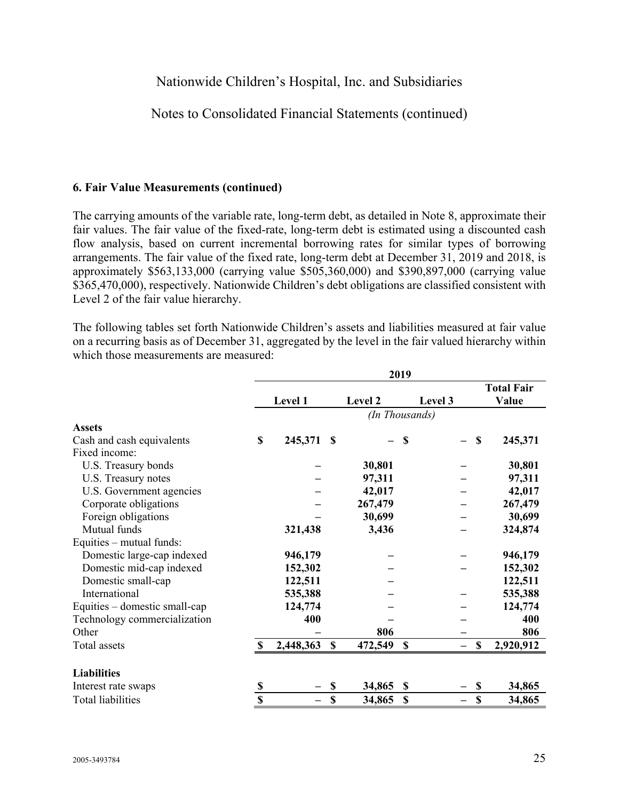### Notes to Consolidated Financial Statements (continued)

#### **6. Fair Value Measurements (continued)**

The carrying amounts of the variable rate, long-term debt, as detailed in Note 8, approximate their fair values. The fair value of the fixed-rate, long-term debt is estimated using a discounted cash flow analysis, based on current incremental borrowing rates for similar types of borrowing arrangements. The fair value of the fixed rate, long-term debt at December 31, 2019 and 2018, is approximately \$563,133,000 (carrying value \$505,360,000) and \$390,897,000 (carrying value \$365,470,000), respectively. Nationwide Children's debt obligations are classified consistent with Level 2 of the fair value hierarchy.

The following tables set forth Nationwide Children's assets and liabilities measured at fair value on a recurring basis as of December 31, aggregated by the level in the fair valued hierarchy within which those measurements are measured:

|                               | 2019        |           |             |         |                |             |                   |
|-------------------------------|-------------|-----------|-------------|---------|----------------|-------------|-------------------|
|                               |             |           |             |         |                |             | <b>Total Fair</b> |
|                               |             | Level 1   |             | Level 2 | Level 3        |             | Value             |
|                               |             |           |             |         | (In Thousands) |             |                   |
| <b>Assets</b>                 |             |           |             |         |                |             |                   |
| Cash and cash equivalents     | \$          | 245,371   | -S          |         | \$             | \$          | 245,371           |
| Fixed income:                 |             |           |             |         |                |             |                   |
| U.S. Treasury bonds           |             |           |             | 30,801  |                |             | 30,801            |
| U.S. Treasury notes           |             |           |             | 97,311  |                |             | 97,311            |
| U.S. Government agencies      |             |           |             | 42,017  |                |             | 42,017            |
| Corporate obligations         |             |           |             | 267,479 |                |             | 267,479           |
| Foreign obligations           |             |           |             | 30,699  |                |             | 30,699            |
| Mutual funds                  |             | 321,438   |             | 3,436   |                |             | 324,874           |
| Equities - mutual funds:      |             |           |             |         |                |             |                   |
| Domestic large-cap indexed    |             | 946,179   |             |         |                |             | 946,179           |
| Domestic mid-cap indexed      |             | 152,302   |             |         |                |             | 152,302           |
| Domestic small-cap            |             | 122,511   |             |         |                |             | 122,511           |
| International                 |             | 535,388   |             |         |                |             | 535,388           |
| Equities – domestic small-cap |             | 124,774   |             |         |                |             | 124,774           |
| Technology commercialization  |             | 400       |             |         |                |             | 400               |
| Other                         |             |           |             | 806     |                |             | 806               |
| Total assets                  |             | 2,448,363 | $\mathbf S$ | 472,549 | S              | \$          | 2,920,912         |
| <b>Liabilities</b>            |             |           |             |         |                |             |                   |
| Interest rate swaps           | \$          |           | \$          | 34,865  | \$             | \$          | 34,865            |
| <b>Total liabilities</b>      | $\mathbf S$ |           | $\mathbf S$ | 34,865  | $\mathbf S$    | $\mathbf S$ | 34,865            |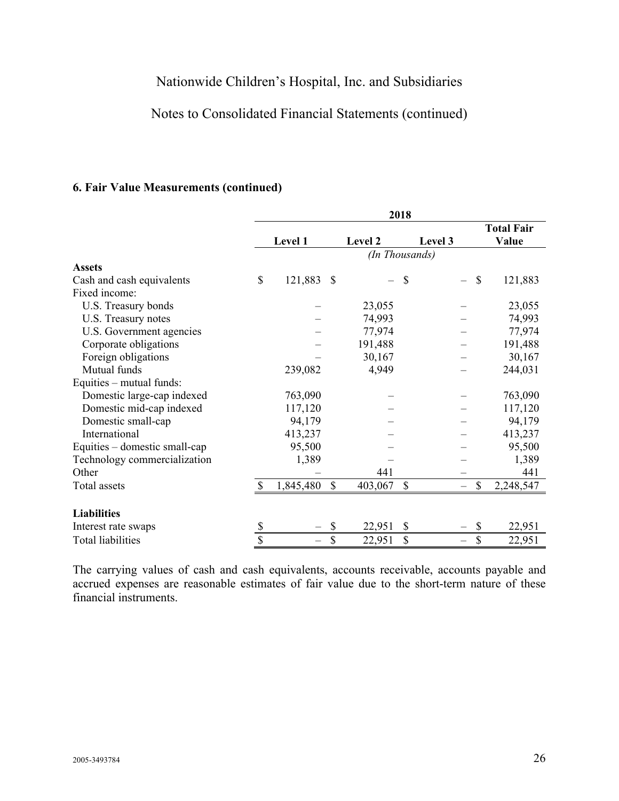## Notes to Consolidated Financial Statements (continued)

### **6. Fair Value Measurements (continued)**

|                               |              | 2018      |      |         |                |                          |
|-------------------------------|--------------|-----------|------|---------|----------------|--------------------------|
|                               |              |           |      |         |                | <b>Total Fair</b>        |
|                               |              | Level 1   |      | Level 2 | Level 3        | Value                    |
|                               |              |           |      |         | (In Thousands) |                          |
| <b>Assets</b>                 |              |           |      |         |                |                          |
| Cash and cash equivalents     | $\mathbb{S}$ | 121,883   | - \$ |         | \$             | $\mathcal{S}$<br>121,883 |
| Fixed income:                 |              |           |      |         |                |                          |
| U.S. Treasury bonds           |              |           |      | 23,055  |                | 23,055                   |
| U.S. Treasury notes           |              |           |      | 74,993  |                | 74,993                   |
| U.S. Government agencies      |              |           |      | 77,974  |                | 77,974                   |
| Corporate obligations         |              |           |      | 191,488 |                | 191,488                  |
| Foreign obligations           |              |           |      | 30,167  |                | 30,167                   |
| Mutual funds                  |              | 239,082   |      | 4,949   |                | 244,031                  |
| Equities – mutual funds:      |              |           |      |         |                |                          |
| Domestic large-cap indexed    |              | 763,090   |      |         |                | 763,090                  |
| Domestic mid-cap indexed      |              | 117,120   |      |         |                | 117,120                  |
| Domestic small-cap            |              | 94,179    |      |         |                | 94,179                   |
| International                 |              | 413,237   |      |         |                | 413,237                  |
| Equities – domestic small-cap |              | 95,500    |      |         |                | 95,500                   |
| Technology commercialization  |              | 1,389     |      |         |                | 1,389                    |
| Other                         |              |           |      | 441     |                | 441                      |
| Total assets                  |              | 1,845,480 | \$   | 403,067 | \$             | \$<br>2,248,547          |
|                               |              |           |      |         |                |                          |
| <b>Liabilities</b>            |              |           |      |         |                |                          |
| Interest rate swaps           | \$           |           | \$   | 22,951  | \$             | \$<br>22,951             |
| Total liabilities             | \$           |           | \$   | 22,951  | \$             | \$<br>22,951             |

The carrying values of cash and cash equivalents, accounts receivable, accounts payable and accrued expenses are reasonable estimates of fair value due to the short-term nature of these financial instruments.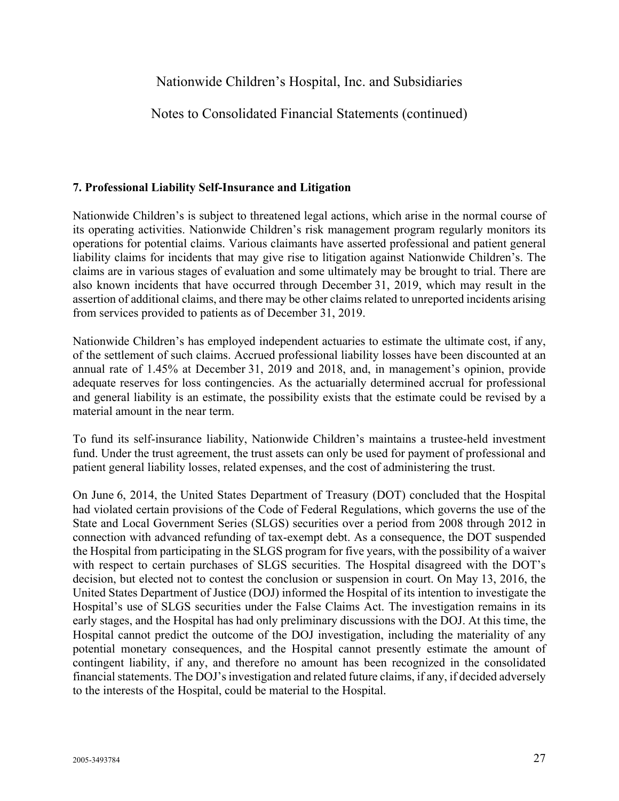## Notes to Consolidated Financial Statements (continued)

#### **7. Professional Liability Self-Insurance and Litigation**

Nationwide Children's is subject to threatened legal actions, which arise in the normal course of its operating activities. Nationwide Children's risk management program regularly monitors its operations for potential claims. Various claimants have asserted professional and patient general liability claims for incidents that may give rise to litigation against Nationwide Children's. The claims are in various stages of evaluation and some ultimately may be brought to trial. There are also known incidents that have occurred through December 31, 2019, which may result in the assertion of additional claims, and there may be other claims related to unreported incidents arising from services provided to patients as of December 31, 2019.

Nationwide Children's has employed independent actuaries to estimate the ultimate cost, if any, of the settlement of such claims. Accrued professional liability losses have been discounted at an annual rate of 1.45% at December 31, 2019 and 2018, and, in management's opinion, provide adequate reserves for loss contingencies. As the actuarially determined accrual for professional and general liability is an estimate, the possibility exists that the estimate could be revised by a material amount in the near term.

To fund its self-insurance liability, Nationwide Children's maintains a trustee-held investment fund. Under the trust agreement, the trust assets can only be used for payment of professional and patient general liability losses, related expenses, and the cost of administering the trust.

On June 6, 2014, the United States Department of Treasury (DOT) concluded that the Hospital had violated certain provisions of the Code of Federal Regulations, which governs the use of the State and Local Government Series (SLGS) securities over a period from 2008 through 2012 in connection with advanced refunding of tax-exempt debt. As a consequence, the DOT suspended the Hospital from participating in the SLGS program for five years, with the possibility of a waiver with respect to certain purchases of SLGS securities. The Hospital disagreed with the DOT's decision, but elected not to contest the conclusion or suspension in court. On May 13, 2016, the United States Department of Justice (DOJ) informed the Hospital of its intention to investigate the Hospital's use of SLGS securities under the False Claims Act. The investigation remains in its early stages, and the Hospital has had only preliminary discussions with the DOJ. At this time, the Hospital cannot predict the outcome of the DOJ investigation, including the materiality of any potential monetary consequences, and the Hospital cannot presently estimate the amount of contingent liability, if any, and therefore no amount has been recognized in the consolidated financial statements. The DOJ's investigation and related future claims, if any, if decided adversely to the interests of the Hospital, could be material to the Hospital.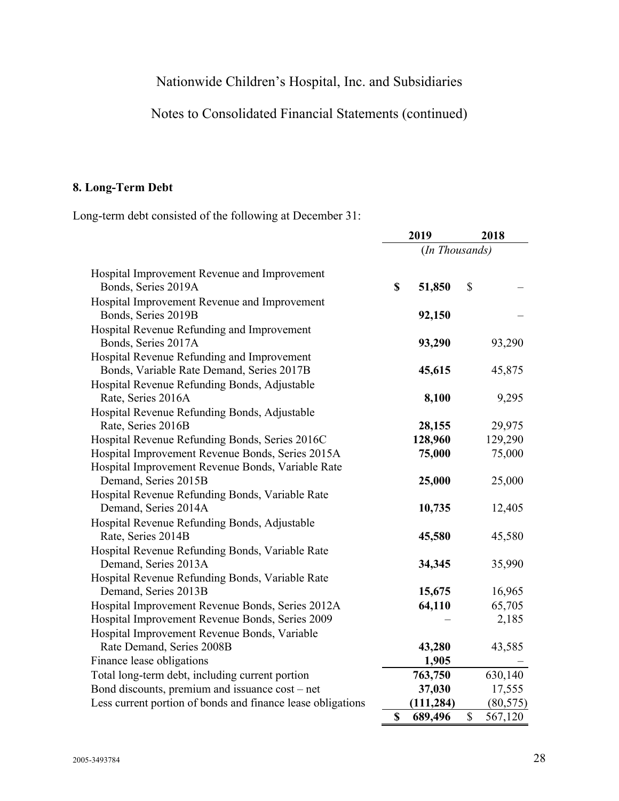# Notes to Consolidated Financial Statements (continued)

## **8. Long-Term Debt**

Long-term debt consisted of the following at December 31:

|                                                                     |             | 2019           | 2018          |  |
|---------------------------------------------------------------------|-------------|----------------|---------------|--|
|                                                                     |             | (In Thousands) |               |  |
| Hospital Improvement Revenue and Improvement<br>Bonds, Series 2019A | \$          | 51,850         | \$            |  |
| Hospital Improvement Revenue and Improvement<br>Bonds, Series 2019B |             | 92,150         |               |  |
| Hospital Revenue Refunding and Improvement                          |             |                |               |  |
| Bonds, Series 2017A                                                 |             | 93,290         | 93,290        |  |
| Hospital Revenue Refunding and Improvement                          |             |                |               |  |
| Bonds, Variable Rate Demand, Series 2017B                           |             | 45,615         | 45,875        |  |
| Hospital Revenue Refunding Bonds, Adjustable                        |             |                |               |  |
| Rate, Series 2016A                                                  |             | 8,100          | 9,295         |  |
| Hospital Revenue Refunding Bonds, Adjustable                        |             |                |               |  |
| Rate, Series 2016B                                                  |             | 28,155         | 29,975        |  |
| Hospital Revenue Refunding Bonds, Series 2016C                      |             | 128,960        | 129,290       |  |
| Hospital Improvement Revenue Bonds, Series 2015A                    |             | 75,000         | 75,000        |  |
| Hospital Improvement Revenue Bonds, Variable Rate                   |             |                |               |  |
| Demand, Series 2015B                                                |             | 25,000         | 25,000        |  |
| Hospital Revenue Refunding Bonds, Variable Rate                     |             |                |               |  |
| Demand, Series 2014A                                                |             | 10,735         | 12,405        |  |
| Hospital Revenue Refunding Bonds, Adjustable                        |             |                |               |  |
| Rate, Series 2014B                                                  |             | 45,580         | 45,580        |  |
| Hospital Revenue Refunding Bonds, Variable Rate                     |             |                |               |  |
| Demand, Series 2013A                                                |             | 34,345         | 35,990        |  |
| Hospital Revenue Refunding Bonds, Variable Rate                     |             |                |               |  |
| Demand, Series 2013B                                                |             | 15,675         | 16,965        |  |
| Hospital Improvement Revenue Bonds, Series 2012A                    |             | 64,110         | 65,705        |  |
| Hospital Improvement Revenue Bonds, Series 2009                     |             |                | 2,185         |  |
| Hospital Improvement Revenue Bonds, Variable                        |             |                |               |  |
| Rate Demand, Series 2008B                                           |             | 43,280         | 43,585        |  |
| Finance lease obligations                                           |             | 1,905          |               |  |
| Total long-term debt, including current portion                     |             | 763,750        | 630,140       |  |
| Bond discounts, premium and issuance cost – net                     |             | 37,030         | 17,555        |  |
| Less current portion of bonds and finance lease obligations         |             | (111, 284)     | (80, 575)     |  |
|                                                                     | $\mathbf S$ | 689,496        | \$<br>567,120 |  |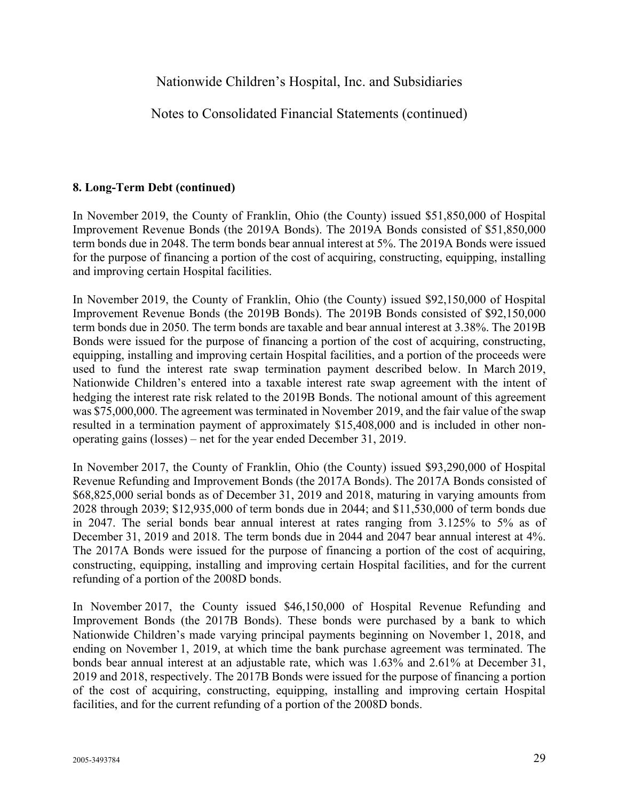Notes to Consolidated Financial Statements (continued)

### **8. Long-Term Debt (continued)**

In November 2019, the County of Franklin, Ohio (the County) issued \$51,850,000 of Hospital Improvement Revenue Bonds (the 2019A Bonds). The 2019A Bonds consisted of \$51,850,000 term bonds due in 2048. The term bonds bear annual interest at 5%. The 2019A Bonds were issued for the purpose of financing a portion of the cost of acquiring, constructing, equipping, installing and improving certain Hospital facilities.

In November 2019, the County of Franklin, Ohio (the County) issued \$92,150,000 of Hospital Improvement Revenue Bonds (the 2019B Bonds). The 2019B Bonds consisted of \$92,150,000 term bonds due in 2050. The term bonds are taxable and bear annual interest at 3.38%. The 2019B Bonds were issued for the purpose of financing a portion of the cost of acquiring, constructing, equipping, installing and improving certain Hospital facilities, and a portion of the proceeds were used to fund the interest rate swap termination payment described below. In March 2019, Nationwide Children's entered into a taxable interest rate swap agreement with the intent of hedging the interest rate risk related to the 2019B Bonds. The notional amount of this agreement was \$75,000,000. The agreement was terminated in November 2019, and the fair value of the swap resulted in a termination payment of approximately \$15,408,000 and is included in other nonoperating gains (losses) – net for the year ended December 31, 2019.

In November 2017, the County of Franklin, Ohio (the County) issued \$93,290,000 of Hospital Revenue Refunding and Improvement Bonds (the 2017A Bonds). The 2017A Bonds consisted of \$68,825,000 serial bonds as of December 31, 2019 and 2018, maturing in varying amounts from 2028 through 2039; \$12,935,000 of term bonds due in 2044; and \$11,530,000 of term bonds due in 2047. The serial bonds bear annual interest at rates ranging from 3.125% to 5% as of December 31, 2019 and 2018. The term bonds due in 2044 and 2047 bear annual interest at 4%. The 2017A Bonds were issued for the purpose of financing a portion of the cost of acquiring, constructing, equipping, installing and improving certain Hospital facilities, and for the current refunding of a portion of the 2008D bonds.

In November 2017, the County issued \$46,150,000 of Hospital Revenue Refunding and Improvement Bonds (the 2017B Bonds). These bonds were purchased by a bank to which Nationwide Children's made varying principal payments beginning on November 1, 2018, and ending on November 1, 2019, at which time the bank purchase agreement was terminated. The bonds bear annual interest at an adjustable rate, which was 1.63% and 2.61% at December 31, 2019 and 2018, respectively. The 2017B Bonds were issued for the purpose of financing a portion of the cost of acquiring, constructing, equipping, installing and improving certain Hospital facilities, and for the current refunding of a portion of the 2008D bonds.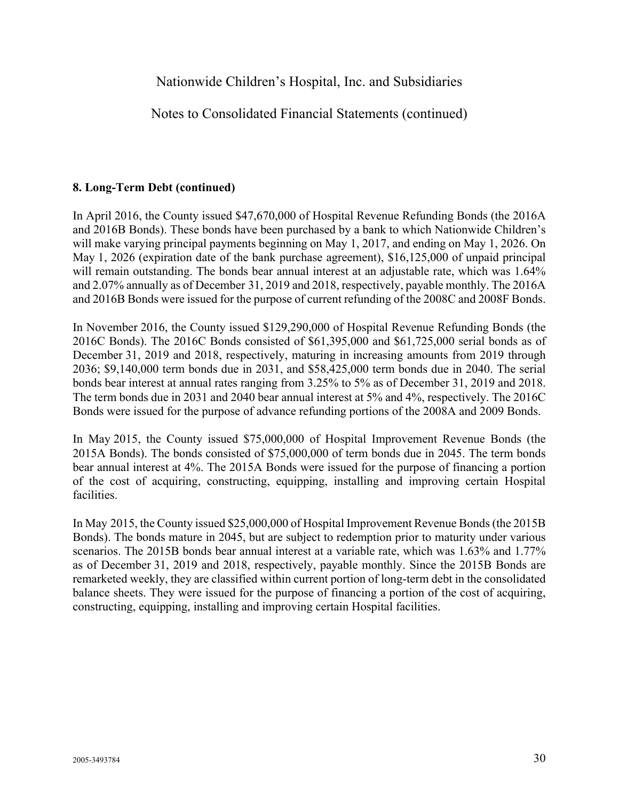Notes to Consolidated Financial Statements (continued)

#### **8. Long-Term Debt (continued)**

In April 2016, the County issued \$47,670,000 of Hospital Revenue Refunding Bonds (the 2016A and 2016B Bonds). These bonds have been purchased by a bank to which Nationwide Children's will make varying principal payments beginning on May 1, 2017, and ending on May 1, 2026. On May 1, 2026 (expiration date of the bank purchase agreement), \$16,125,000 of unpaid principal will remain outstanding. The bonds bear annual interest at an adjustable rate, which was 1.64% and 2.07% annually as of December 31, 2019 and 2018, respectively, payable monthly. The 2016A and 2016B Bonds were issued for the purpose of current refunding of the 2008C and 2008F Bonds.

In November 2016, the County issued \$129,290,000 of Hospital Revenue Refunding Bonds (the 2016C Bonds). The 2016C Bonds consisted of \$61,395,000 and \$61,725,000 serial bonds as of December 31, 2019 and 2018, respectively, maturing in increasing amounts from 2019 through 2036; \$9,140,000 term bonds due in 2031, and \$58,425,000 term bonds due in 2040. The serial bonds bear interest at annual rates ranging from 3.25% to 5% as of December 31, 2019 and 2018. The term bonds due in 2031 and 2040 bear annual interest at 5% and 4%, respectively. The 2016C Bonds were issued for the purpose of advance refunding portions of the 2008A and 2009 Bonds.

In May 2015, the County issued \$75,000,000 of Hospital Improvement Revenue Bonds (the 2015A Bonds). The bonds consisted of \$75,000,000 of term bonds due in 2045. The term bonds bear annual interest at 4%. The 2015A Bonds were issued for the purpose of financing a portion of the cost of acquiring, constructing, equipping, installing and improving certain Hospital facilities.

In May 2015, the County issued \$25,000,000 of Hospital Improvement Revenue Bonds (the 2015B Bonds). The bonds mature in 2045, but are subject to redemption prior to maturity under various scenarios. The 2015B bonds bear annual interest at a variable rate, which was 1.63% and 1.77% as of December 31, 2019 and 2018, respectively, payable monthly. Since the 2015B Bonds are remarketed weekly, they are classified within current portion of long-term debt in the consolidated balance sheets. They were issued for the purpose of financing a portion of the cost of acquiring, constructing, equipping, installing and improving certain Hospital facilities.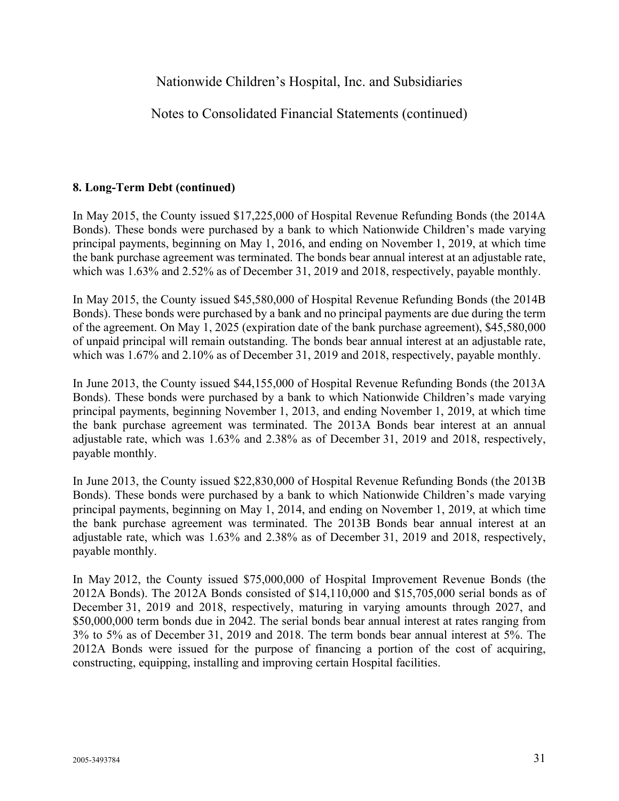Notes to Consolidated Financial Statements (continued)

### **8. Long-Term Debt (continued)**

In May 2015, the County issued \$17,225,000 of Hospital Revenue Refunding Bonds (the 2014A Bonds). These bonds were purchased by a bank to which Nationwide Children's made varying principal payments, beginning on May 1, 2016, and ending on November 1, 2019, at which time the bank purchase agreement was terminated. The bonds bear annual interest at an adjustable rate, which was 1.63% and 2.52% as of December 31, 2019 and 2018, respectively, payable monthly.

In May 2015, the County issued \$45,580,000 of Hospital Revenue Refunding Bonds (the 2014B Bonds). These bonds were purchased by a bank and no principal payments are due during the term of the agreement. On May 1, 2025 (expiration date of the bank purchase agreement), \$45,580,000 of unpaid principal will remain outstanding. The bonds bear annual interest at an adjustable rate, which was 1.67% and 2.10% as of December 31, 2019 and 2018, respectively, payable monthly.

In June 2013, the County issued \$44,155,000 of Hospital Revenue Refunding Bonds (the 2013A Bonds). These bonds were purchased by a bank to which Nationwide Children's made varying principal payments, beginning November 1, 2013, and ending November 1, 2019, at which time the bank purchase agreement was terminated. The 2013A Bonds bear interest at an annual adjustable rate, which was 1.63% and 2.38% as of December 31, 2019 and 2018, respectively, payable monthly.

In June 2013, the County issued \$22,830,000 of Hospital Revenue Refunding Bonds (the 2013B Bonds). These bonds were purchased by a bank to which Nationwide Children's made varying principal payments, beginning on May 1, 2014, and ending on November 1, 2019, at which time the bank purchase agreement was terminated. The 2013B Bonds bear annual interest at an adjustable rate, which was 1.63% and 2.38% as of December 31, 2019 and 2018, respectively, payable monthly.

In May 2012, the County issued \$75,000,000 of Hospital Improvement Revenue Bonds (the 2012A Bonds). The 2012A Bonds consisted of \$14,110,000 and \$15,705,000 serial bonds as of December 31, 2019 and 2018, respectively, maturing in varying amounts through 2027, and \$50,000,000 term bonds due in 2042. The serial bonds bear annual interest at rates ranging from 3% to 5% as of December 31, 2019 and 2018. The term bonds bear annual interest at 5%. The 2012A Bonds were issued for the purpose of financing a portion of the cost of acquiring, constructing, equipping, installing and improving certain Hospital facilities.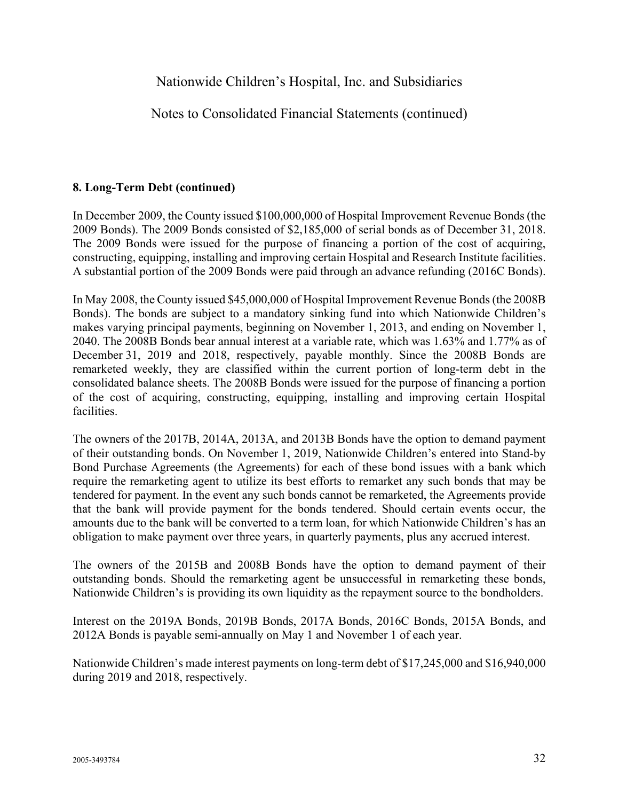Notes to Consolidated Financial Statements (continued)

### **8. Long-Term Debt (continued)**

In December 2009, the County issued \$100,000,000 of Hospital Improvement Revenue Bonds (the 2009 Bonds). The 2009 Bonds consisted of \$2,185,000 of serial bonds as of December 31, 2018. The 2009 Bonds were issued for the purpose of financing a portion of the cost of acquiring, constructing, equipping, installing and improving certain Hospital and Research Institute facilities. A substantial portion of the 2009 Bonds were paid through an advance refunding (2016C Bonds).

In May 2008, the County issued \$45,000,000 of Hospital Improvement Revenue Bonds (the 2008B Bonds). The bonds are subject to a mandatory sinking fund into which Nationwide Children's makes varying principal payments, beginning on November 1, 2013, and ending on November 1, 2040. The 2008B Bonds bear annual interest at a variable rate, which was 1.63% and 1.77% as of December 31, 2019 and 2018, respectively, payable monthly. Since the 2008B Bonds are remarketed weekly, they are classified within the current portion of long-term debt in the consolidated balance sheets. The 2008B Bonds were issued for the purpose of financing a portion of the cost of acquiring, constructing, equipping, installing and improving certain Hospital facilities.

The owners of the 2017B, 2014A, 2013A, and 2013B Bonds have the option to demand payment of their outstanding bonds. On November 1, 2019, Nationwide Children's entered into Stand-by Bond Purchase Agreements (the Agreements) for each of these bond issues with a bank which require the remarketing agent to utilize its best efforts to remarket any such bonds that may be tendered for payment. In the event any such bonds cannot be remarketed, the Agreements provide that the bank will provide payment for the bonds tendered. Should certain events occur, the amounts due to the bank will be converted to a term loan, for which Nationwide Children's has an obligation to make payment over three years, in quarterly payments, plus any accrued interest.

The owners of the 2015B and 2008B Bonds have the option to demand payment of their outstanding bonds. Should the remarketing agent be unsuccessful in remarketing these bonds, Nationwide Children's is providing its own liquidity as the repayment source to the bondholders.

Interest on the 2019A Bonds, 2019B Bonds, 2017A Bonds, 2016C Bonds, 2015A Bonds, and 2012A Bonds is payable semi-annually on May 1 and November 1 of each year.

Nationwide Children's made interest payments on long-term debt of \$17,245,000 and \$16,940,000 during 2019 and 2018, respectively.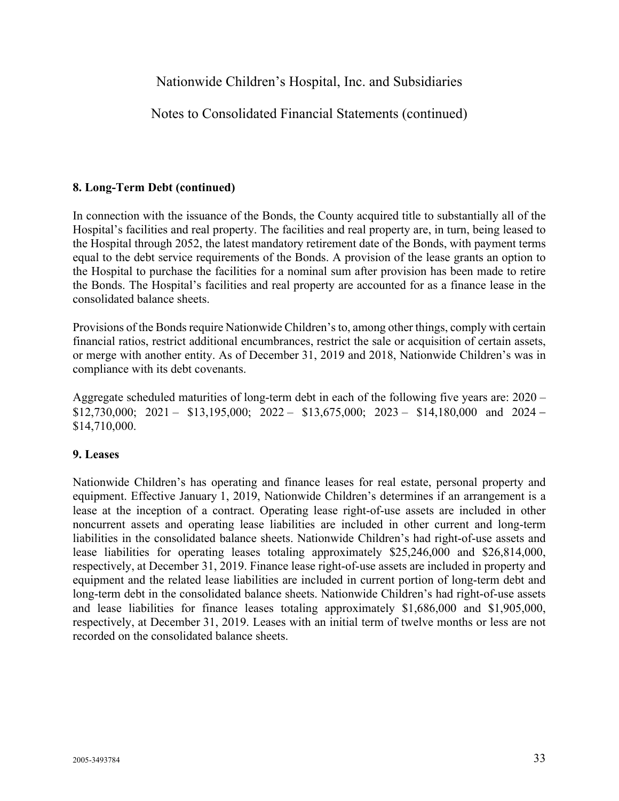Notes to Consolidated Financial Statements (continued)

### **8. Long-Term Debt (continued)**

In connection with the issuance of the Bonds, the County acquired title to substantially all of the Hospital's facilities and real property. The facilities and real property are, in turn, being leased to the Hospital through 2052, the latest mandatory retirement date of the Bonds, with payment terms equal to the debt service requirements of the Bonds. A provision of the lease grants an option to the Hospital to purchase the facilities for a nominal sum after provision has been made to retire the Bonds. The Hospital's facilities and real property are accounted for as a finance lease in the consolidated balance sheets.

Provisions of the Bonds require Nationwide Children's to, among other things, comply with certain financial ratios, restrict additional encumbrances, restrict the sale or acquisition of certain assets, or merge with another entity. As of December 31, 2019 and 2018, Nationwide Children's was in compliance with its debt covenants.

Aggregate scheduled maturities of long-term debt in each of the following five years are: 2020 –  $$12,730,000; 2021 - $13,195,000; 2022 - $13,675,000; 2023 - $14,180,000 \text{ and } 2024 -$ \$14,710,000.

### **9. Leases**

Nationwide Children's has operating and finance leases for real estate, personal property and equipment. Effective January 1, 2019, Nationwide Children's determines if an arrangement is a lease at the inception of a contract. Operating lease right-of-use assets are included in other noncurrent assets and operating lease liabilities are included in other current and long-term liabilities in the consolidated balance sheets. Nationwide Children's had right-of-use assets and lease liabilities for operating leases totaling approximately \$25,246,000 and \$26,814,000, respectively, at December 31, 2019. Finance lease right-of-use assets are included in property and equipment and the related lease liabilities are included in current portion of long-term debt and long-term debt in the consolidated balance sheets. Nationwide Children's had right-of-use assets and lease liabilities for finance leases totaling approximately \$1,686,000 and \$1,905,000, respectively, at December 31, 2019. Leases with an initial term of twelve months or less are not recorded on the consolidated balance sheets.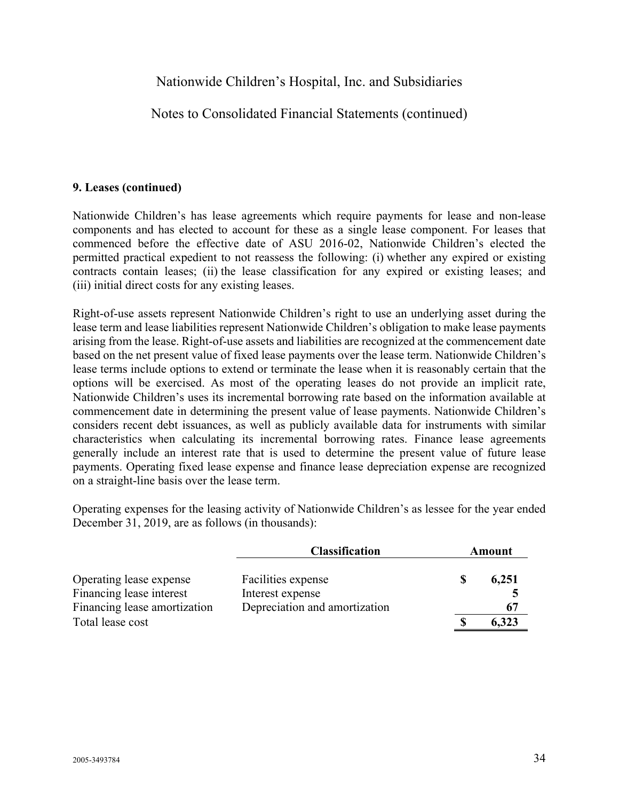Notes to Consolidated Financial Statements (continued)

#### **9. Leases (continued)**

Nationwide Children's has lease agreements which require payments for lease and non-lease components and has elected to account for these as a single lease component. For leases that commenced before the effective date of ASU 2016-02, Nationwide Children's elected the permitted practical expedient to not reassess the following: (i) whether any expired or existing contracts contain leases; (ii) the lease classification for any expired or existing leases; and (iii) initial direct costs for any existing leases.

Right-of-use assets represent Nationwide Children's right to use an underlying asset during the lease term and lease liabilities represent Nationwide Children's obligation to make lease payments arising from the lease. Right-of-use assets and liabilities are recognized at the commencement date based on the net present value of fixed lease payments over the lease term. Nationwide Children's lease terms include options to extend or terminate the lease when it is reasonably certain that the options will be exercised. As most of the operating leases do not provide an implicit rate, Nationwide Children's uses its incremental borrowing rate based on the information available at commencement date in determining the present value of lease payments. Nationwide Children's considers recent debt issuances, as well as publicly available data for instruments with similar characteristics when calculating its incremental borrowing rates. Finance lease agreements generally include an interest rate that is used to determine the present value of future lease payments. Operating fixed lease expense and finance lease depreciation expense are recognized on a straight-line basis over the lease term.

Operating expenses for the leasing activity of Nationwide Children's as lessee for the year ended December 31, 2019, are as follows (in thousands):

|                              | <b>Classification</b>         | Amount |       |  |  |
|------------------------------|-------------------------------|--------|-------|--|--|
| Operating lease expense      | Facilities expense            | S      | 6,251 |  |  |
| Financing lease interest     | Interest expense              |        |       |  |  |
| Financing lease amortization | Depreciation and amortization |        | 67    |  |  |
| Total lease cost             |                               | S      | 6,323 |  |  |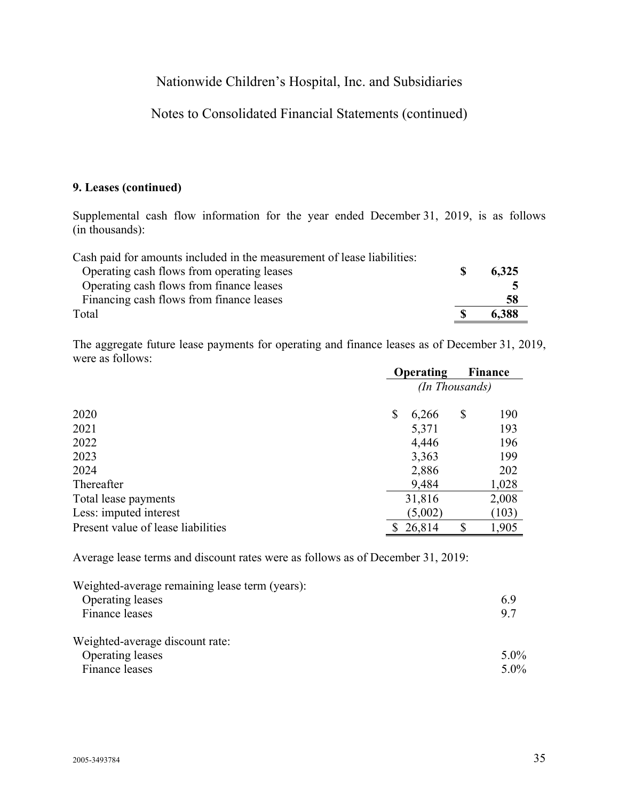## Notes to Consolidated Financial Statements (continued)

### **9. Leases (continued)**

Supplemental cash flow information for the year ended December 31, 2019, is as follows (in thousands):

| Cash paid for amounts included in the measurement of lease liabilities: |       |
|-------------------------------------------------------------------------|-------|
| Operating cash flows from operating leases                              | 6,325 |
| Operating cash flows from finance leases                                |       |
| Financing cash flows from finance leases                                | 58    |
| Total                                                                   | 6.388 |

The aggregate future lease payments for operating and finance leases as of December 31, 2019, were as follows:

|                                    | <b>Operating</b> |         |    | <b>Finance</b> |  |
|------------------------------------|------------------|---------|----|----------------|--|
|                                    | (In Thousands)   |         |    |                |  |
| 2020                               | \$               | 6,266   | \$ | 190            |  |
| 2021                               |                  | 5,371   |    | 193            |  |
| 2022                               |                  | 4,446   |    | 196            |  |
| 2023                               |                  | 3,363   |    | 199            |  |
| 2024                               |                  | 2,886   |    | 202            |  |
| Thereafter                         |                  | 9,484   |    | 1,028          |  |
| Total lease payments               |                  | 31,816  |    | 2,008          |  |
| Less: imputed interest             |                  | (5,002) |    | (103)          |  |
| Present value of lease liabilities |                  | 26,814  | \$ | 1,905          |  |

Average lease terms and discount rates were as follows as of December 31, 2019:

| Weighted-average remaining lease term (years): |         |
|------------------------------------------------|---------|
| Operating leases                               | 6.9     |
| Finance leases                                 | 9.7     |
| Weighted-average discount rate:                |         |
| Operating leases                               | $5.0\%$ |
| Finance leases                                 | $5.0\%$ |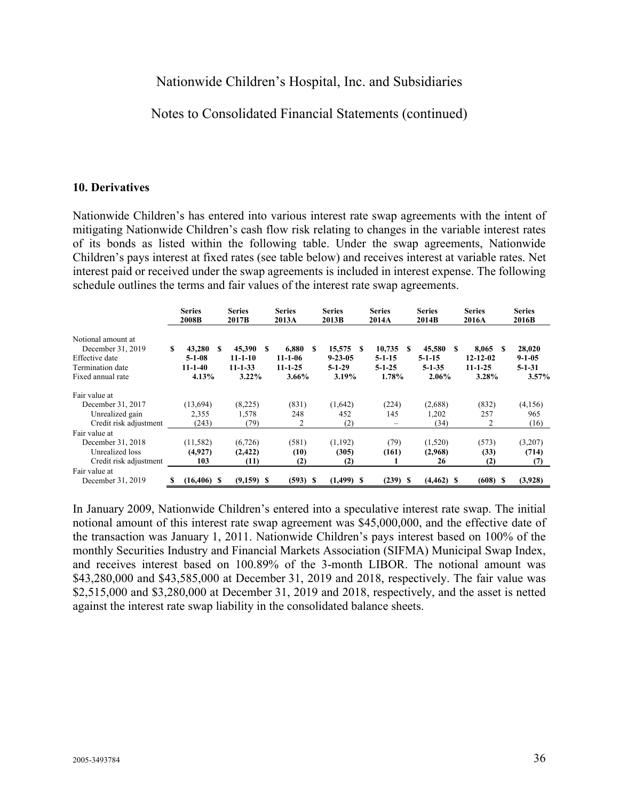## Notes to Consolidated Financial Statements (continued)

#### **10. Derivatives**

Nationwide Children's has entered into various interest rate swap agreements with the intent of mitigating Nationwide Children's cash flow risk relating to changes in the variable interest rates of its bonds as listed within the following table. Under the swap agreements, Nationwide Children's pays interest at fixed rates (see table below) and receives interest at variable rates. Net interest paid or received under the swap agreements is included in interest expense. The following schedule outlines the terms and fair values of the interest rate swap agreements.

|                                                                                                    |    | <b>Series</b><br>2008B                           |   | <b>Series</b><br>2017B                               |     | <b>Series</b><br>2013A                                   | <b>Series</b><br>2013B                       |    | <b>Series</b><br>2014A                          |      | <b>Series</b><br>2014B                          |     | <b>Series</b><br>2016A                                  | <b>Series</b><br>2016B                          |
|----------------------------------------------------------------------------------------------------|----|--------------------------------------------------|---|------------------------------------------------------|-----|----------------------------------------------------------|----------------------------------------------|----|-------------------------------------------------|------|-------------------------------------------------|-----|---------------------------------------------------------|-------------------------------------------------|
| Notional amount at<br>December 31, 2019<br>Effective date<br>Termination date<br>Fixed annual rate | S  | 43,280<br>$5 - 1 - 08$<br>$11 - 1 - 40$<br>4.13% | S | 45,390<br>$11 - 1 - 10$<br>$11 - 1 - 33$<br>$3.22\%$ | \$. | 6.880<br>- \$<br>$11 - 1 - 06$<br>$11 - 1 - 25$<br>3.66% | 15,575<br>$9 - 23 - 05$<br>$5-1-29$<br>3.19% | -S | 10,735<br>$5 - 1 - 15$<br>$5 - 1 - 25$<br>1.78% | -S   | 45,580<br>$5 - 1 - 15$<br>$5 - 1 - 35$<br>2.06% | -SS | 8,065<br>-8<br>$12 - 12 - 02$<br>$11 - 1 - 25$<br>3.28% | 28,020<br>$9 - 1 - 05$<br>$5 - 1 - 31$<br>3.57% |
| Fair value at                                                                                      |    |                                                  |   |                                                      |     |                                                          |                                              |    |                                                 |      |                                                 |     |                                                         |                                                 |
| December 31, 2017                                                                                  |    | (13, 694)                                        |   | (8,225)                                              |     | (831)                                                    | (1,642)                                      |    | (224)                                           |      | (2,688)                                         |     | (832)                                                   | (4,156)                                         |
| Unrealized gain                                                                                    |    | 2,355                                            |   | 1,578                                                |     | 248                                                      | 452                                          |    | 145                                             |      | 1,202                                           |     | 257                                                     | 965                                             |
| Credit risk adjustment                                                                             |    | (243)                                            |   | (79)                                                 |     | 2                                                        | (2)                                          |    | $\overline{\phantom{0}}$                        |      | (34)                                            |     | 2                                                       | (16)                                            |
| Fair value at                                                                                      |    |                                                  |   |                                                      |     |                                                          |                                              |    |                                                 |      |                                                 |     |                                                         |                                                 |
| December 31, 2018                                                                                  |    | (11, 582)                                        |   | (6, 726)                                             |     | (581)                                                    | (1,192)                                      |    | (79)                                            |      | (1,520)                                         |     | (573)                                                   | (3,207)                                         |
| Unrealized loss                                                                                    |    | (4,927)                                          |   | (2, 422)                                             |     | (10)                                                     | (305)                                        |    | (161)                                           |      | (2,968)                                         |     | (33)                                                    | (714)                                           |
| Credit risk adjustment                                                                             |    | 103                                              |   | (11)                                                 |     | (2)                                                      | (2)                                          |    |                                                 |      | 26                                              |     | (2)                                                     | (7)                                             |
| Fair value at                                                                                      |    |                                                  |   |                                                      |     |                                                          |                                              |    |                                                 |      |                                                 |     |                                                         |                                                 |
| December 31, 2019                                                                                  | 'S | $(16, 406)$ \$                                   |   | $(9,159)$ \$                                         |     | (593) S                                                  | $(1,499)$ \$                                 |    | (239)                                           | - \$ | $(4, 462)$ \$                                   |     | $(608)$ \$                                              | (3,928)                                         |

In January 2009, Nationwide Children's entered into a speculative interest rate swap. The initial notional amount of this interest rate swap agreement was \$45,000,000, and the effective date of the transaction was January 1, 2011. Nationwide Children's pays interest based on 100% of the monthly Securities Industry and Financial Markets Association (SIFMA) Municipal Swap Index, and receives interest based on 100.89% of the 3-month LIBOR. The notional amount was \$43,280,000 and \$43,585,000 at December 31, 2019 and 2018, respectively. The fair value was \$2,515,000 and \$3,280,000 at December 31, 2019 and 2018, respectively, and the asset is netted against the interest rate swap liability in the consolidated balance sheets.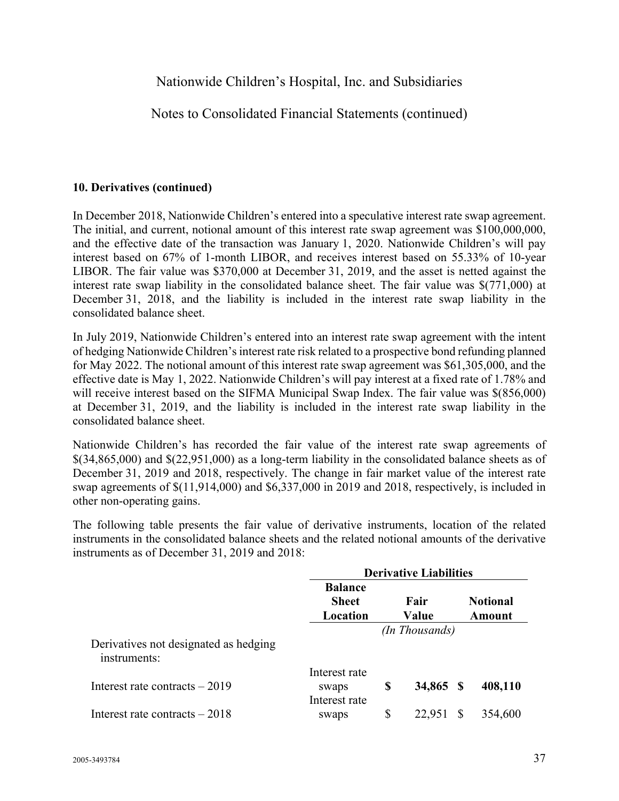Notes to Consolidated Financial Statements (continued)

#### **10. Derivatives (continued)**

In December 2018, Nationwide Children's entered into a speculative interest rate swap agreement. The initial, and current, notional amount of this interest rate swap agreement was \$100,000,000, and the effective date of the transaction was January 1, 2020. Nationwide Children's will pay interest based on 67% of 1-month LIBOR, and receives interest based on 55.33% of 10-year LIBOR. The fair value was \$370,000 at December 31, 2019, and the asset is netted against the interest rate swap liability in the consolidated balance sheet. The fair value was \$(771,000) at December 31, 2018, and the liability is included in the interest rate swap liability in the consolidated balance sheet.

In July 2019, Nationwide Children's entered into an interest rate swap agreement with the intent of hedging Nationwide Children's interest rate risk related to a prospective bond refunding planned for May 2022. The notional amount of this interest rate swap agreement was \$61,305,000, and the effective date is May 1, 2022. Nationwide Children's will pay interest at a fixed rate of 1.78% and will receive interest based on the SIFMA Municipal Swap Index. The fair value was  $\$(856,000)$ at December 31, 2019, and the liability is included in the interest rate swap liability in the consolidated balance sheet.

Nationwide Children's has recorded the fair value of the interest rate swap agreements of \$(34,865,000) and \$(22,951,000) as a long-term liability in the consolidated balance sheets as of December 31, 2019 and 2018, respectively. The change in fair market value of the interest rate swap agreements of \$(11,914,000) and \$6,337,000 in 2019 and 2018, respectively, is included in other non-operating gains.

The following table presents the fair value of derivative instruments, location of the related instruments in the consolidated balance sheets and the related notional amounts of the derivative instruments as of December 31, 2019 and 2018:

|                                                       | <b>Derivative Liabilities</b>              |    |                |   |                           |  |  |  |  |
|-------------------------------------------------------|--------------------------------------------|----|----------------|---|---------------------------|--|--|--|--|
|                                                       | <b>Balance</b><br><b>Sheet</b><br>Location |    | Fair<br>Value  |   | <b>Notional</b><br>Amount |  |  |  |  |
|                                                       |                                            |    | (In Thousands) |   |                           |  |  |  |  |
| Derivatives not designated as hedging<br>instruments: |                                            |    |                |   |                           |  |  |  |  |
| Interest rate contracts $-2019$                       | Interest rate<br>swaps                     | S  | 34,865 \$      |   | 408,110                   |  |  |  |  |
| Interest rate contracts $-2018$                       | Interest rate<br>swaps                     | \$ | 22,951         | S | 354,600                   |  |  |  |  |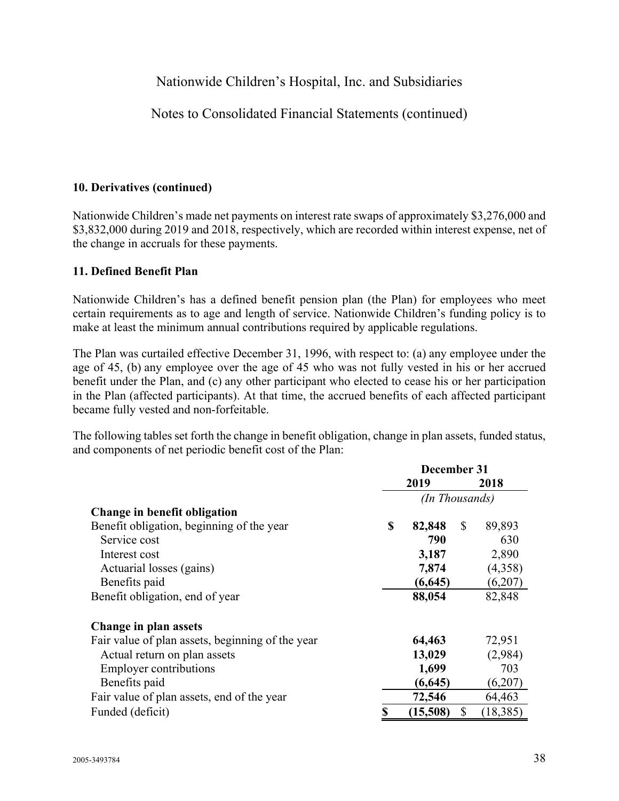Notes to Consolidated Financial Statements (continued)

## **10. Derivatives (continued)**

Nationwide Children's made net payments on interest rate swaps of approximately \$3,276,000 and \$3,832,000 during 2019 and 2018, respectively, which are recorded within interest expense, net of the change in accruals for these payments.

## **11. Defined Benefit Plan**

Nationwide Children's has a defined benefit pension plan (the Plan) for employees who meet certain requirements as to age and length of service. Nationwide Children's funding policy is to make at least the minimum annual contributions required by applicable regulations.

The Plan was curtailed effective December 31, 1996, with respect to: (a) any employee under the age of 45, (b) any employee over the age of 45 who was not fully vested in his or her accrued benefit under the Plan, and (c) any other participant who elected to cease his or her participation in the Plan (affected participants). At that time, the accrued benefits of each affected participant became fully vested and non-forfeitable.

The following tables set forth the change in benefit obligation, change in plan assets, funded status, and components of net periodic benefit cost of the Plan:

|                                                  | December 31 |                |    |           |  |  |
|--------------------------------------------------|-------------|----------------|----|-----------|--|--|
|                                                  | 2019        |                |    | 2018      |  |  |
|                                                  |             | (In Thousands) |    |           |  |  |
| Change in benefit obligation                     |             |                |    |           |  |  |
| Benefit obligation, beginning of the year        | \$          | 82,848         | \$ | 89,893    |  |  |
| Service cost                                     |             | 790            |    | 630       |  |  |
| Interest cost                                    |             | 3,187          |    | 2,890     |  |  |
| Actuarial losses (gains)                         |             | 7,874          |    | (4,358)   |  |  |
| Benefits paid                                    |             | (6, 645)       |    | (6,207)   |  |  |
| Benefit obligation, end of year                  |             | 88,054         |    | 82,848    |  |  |
| Change in plan assets                            |             |                |    |           |  |  |
| Fair value of plan assets, beginning of the year |             | 64,463         |    | 72,951    |  |  |
| Actual return on plan assets                     |             | 13,029         |    | (2,984)   |  |  |
| <b>Employer contributions</b>                    |             | 1,699          |    | 703       |  |  |
| Benefits paid                                    |             | (6, 645)       |    | (6,207)   |  |  |
| Fair value of plan assets, end of the year       |             | 72,546         |    | 64,463    |  |  |
| Funded (deficit)                                 |             | (15,508)       | \$ | (18, 385) |  |  |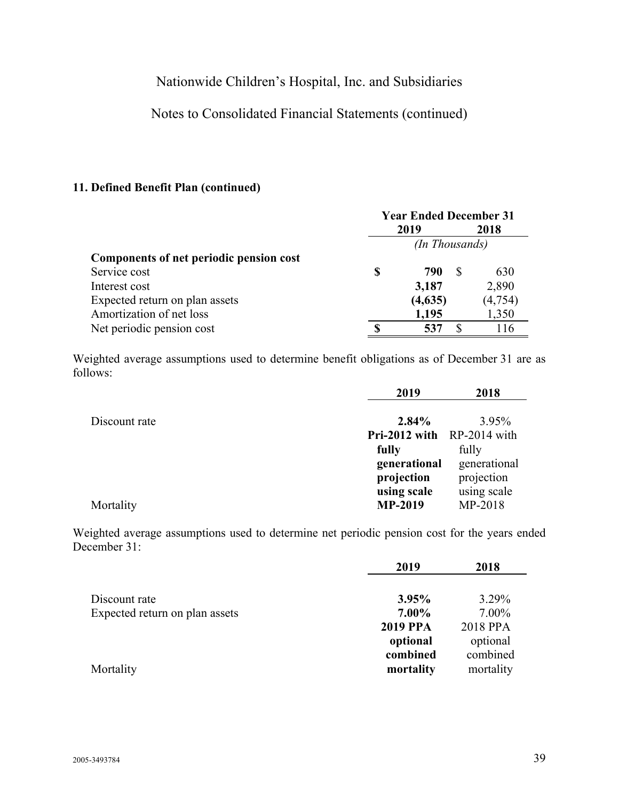## Notes to Consolidated Financial Statements (continued)

### **11. Defined Benefit Plan (continued)**

|                                         | <b>Year Ended December 31</b> |                |   |          |  |  |  |
|-----------------------------------------|-------------------------------|----------------|---|----------|--|--|--|
|                                         | 2019                          |                |   | 2018     |  |  |  |
|                                         |                               | (In Thousands) |   |          |  |  |  |
| Components of net periodic pension cost |                               |                |   |          |  |  |  |
| Service cost                            | S                             | 790            | S | 630      |  |  |  |
| Interest cost                           |                               | 3,187          |   | 2,890    |  |  |  |
| Expected return on plan assets          |                               | (4,635)        |   | (4, 754) |  |  |  |
| Amortization of net loss                |                               | 1,195          |   | 1,350    |  |  |  |
| Net periodic pension cost               |                               | 537            |   | 116      |  |  |  |

Weighted average assumptions used to determine benefit obligations as of December 31 are as follows:

|               | 2019                       | 2018         |
|---------------|----------------------------|--------------|
| Discount rate | $2.84\%$                   | 3.95%        |
|               | Pri-2012 with RP-2014 with |              |
|               | fully                      | fully        |
|               | generational               | generational |
|               | projection                 | projection   |
|               | using scale                | using scale  |
| Mortality     | <b>MP-2019</b>             | MP-2018      |

Weighted average assumptions used to determine net periodic pension cost for the years ended December 31:

|                                | 2019            | 2018      |
|--------------------------------|-----------------|-----------|
| Discount rate                  | 3.95%           | 3.29%     |
| Expected return on plan assets | 7.00%           | 7.00%     |
|                                | <b>2019 PPA</b> | 2018 PPA  |
|                                | optional        | optional  |
|                                | combined        | combined  |
| Mortality                      | mortality       | mortality |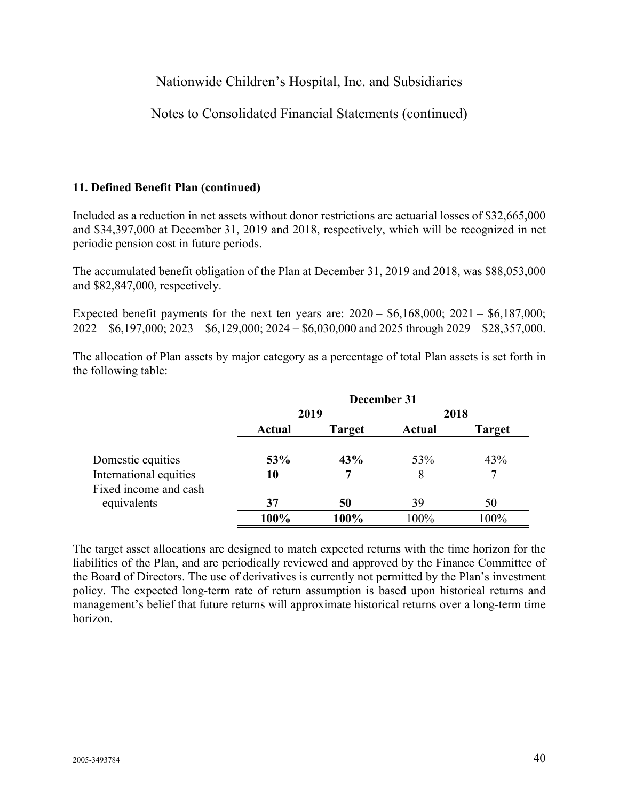## Notes to Consolidated Financial Statements (continued)

### **11. Defined Benefit Plan (continued)**

Included as a reduction in net assets without donor restrictions are actuarial losses of \$32,665,000 and \$34,397,000 at December 31, 2019 and 2018, respectively, which will be recognized in net periodic pension cost in future periods.

The accumulated benefit obligation of the Plan at December 31, 2019 and 2018, was \$88,053,000 and \$82,847,000, respectively.

Expected benefit payments for the next ten years are:  $2020 - $6,168,000; 2021 - $6,187,000;$  $2022 - $6,197,000; 2023 - $6,129,000; 2024 - $6,030,000$  and  $2025$  through  $2029 - $28,357,000$ .

The allocation of Plan assets by major category as a percentage of total Plan assets is set forth in the following table:

|                        | December 31 |               |        |               |  |  |  |  |  |
|------------------------|-------------|---------------|--------|---------------|--|--|--|--|--|
|                        | 2019        |               |        | 2018          |  |  |  |  |  |
|                        | Actual      | <b>Target</b> | Actual | <b>Target</b> |  |  |  |  |  |
| Domestic equities      | 53%         | 43%           | 53%    | 43%           |  |  |  |  |  |
| International equities | 10          | 7             | 8      | 7             |  |  |  |  |  |
| Fixed income and cash  |             |               |        |               |  |  |  |  |  |
| equivalents            | 37          | 50            | 39     | 50            |  |  |  |  |  |
|                        | 100%        | 100%          | 100%   | 100%          |  |  |  |  |  |

The target asset allocations are designed to match expected returns with the time horizon for the liabilities of the Plan, and are periodically reviewed and approved by the Finance Committee of the Board of Directors. The use of derivatives is currently not permitted by the Plan's investment policy. The expected long-term rate of return assumption is based upon historical returns and management's belief that future returns will approximate historical returns over a long-term time horizon.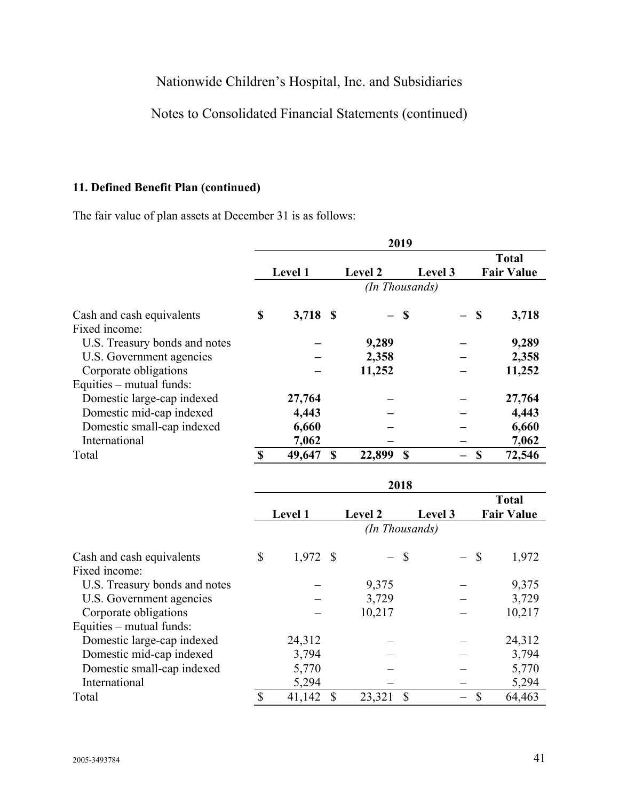# Notes to Consolidated Financial Statements (continued)

## **11. Defined Benefit Plan (continued)**

The fair value of plan assets at December 31 is as follows:

|                               | 2019 |                |    |                |                |      |                                   |  |  |  |  |
|-------------------------------|------|----------------|----|----------------|----------------|------|-----------------------------------|--|--|--|--|
|                               |      | <b>Level 1</b> |    | <b>Level 2</b> | Level 3        |      | <b>Total</b><br><b>Fair Value</b> |  |  |  |  |
|                               |      |                |    |                | (In Thousands) |      |                                   |  |  |  |  |
| Cash and cash equivalents     | \$   | 3,718 \$       |    | — S            |                | - \$ | 3,718                             |  |  |  |  |
| Fixed income:                 |      |                |    |                |                |      |                                   |  |  |  |  |
| U.S. Treasury bonds and notes |      |                |    | 9,289          |                |      | 9,289                             |  |  |  |  |
| U.S. Government agencies      |      |                |    | 2,358          |                |      | 2,358                             |  |  |  |  |
| Corporate obligations         |      |                |    | 11,252         |                |      | 11,252                            |  |  |  |  |
| Equities – mutual funds:      |      |                |    |                |                |      |                                   |  |  |  |  |
| Domestic large-cap indexed    |      | 27,764         |    |                |                |      | 27,764                            |  |  |  |  |
| Domestic mid-cap indexed      |      | 4,443          |    |                |                |      | 4,443                             |  |  |  |  |
| Domestic small-cap indexed    |      | 6,660          |    |                |                |      | 6,660                             |  |  |  |  |
| International                 |      | 7,062          |    |                |                |      | 7,062                             |  |  |  |  |
| Total                         |      | 49,647         | \$ | 22,899         | $\mathbf S$    | \$   | 72,546                            |  |  |  |  |

|                               | 2018 |                |  |                |                |        |                                   |  |  |
|-------------------------------|------|----------------|--|----------------|----------------|--------|-----------------------------------|--|--|
|                               |      | <b>Level 1</b> |  | <b>Level 2</b> | Level 3        |        | <b>Total</b><br><b>Fair Value</b> |  |  |
|                               |      |                |  |                | (In Thousands) |        |                                   |  |  |
| Cash and cash equivalents     | \$   | $1,972$ \$     |  | $-$ \$         |                | $-$ \$ | 1,972                             |  |  |
| Fixed income:                 |      |                |  |                |                |        |                                   |  |  |
| U.S. Treasury bonds and notes |      |                |  | 9,375          |                |        | 9,375                             |  |  |
| U.S. Government agencies      |      |                |  | 3,729          |                |        | 3,729                             |  |  |
| Corporate obligations         |      |                |  | 10,217         |                |        | 10,217                            |  |  |
| Equities – mutual funds:      |      |                |  |                |                |        |                                   |  |  |
| Domestic large-cap indexed    |      | 24,312         |  |                |                |        | 24,312                            |  |  |
| Domestic mid-cap indexed      |      | 3,794          |  |                |                |        | 3,794                             |  |  |
| Domestic small-cap indexed    |      | 5,770          |  |                |                |        | 5,770                             |  |  |
| International                 |      | 5,294          |  |                |                |        | 5,294                             |  |  |
| Total                         | \$   | 41,142         |  | 23,321         |                | \$     | 64,463                            |  |  |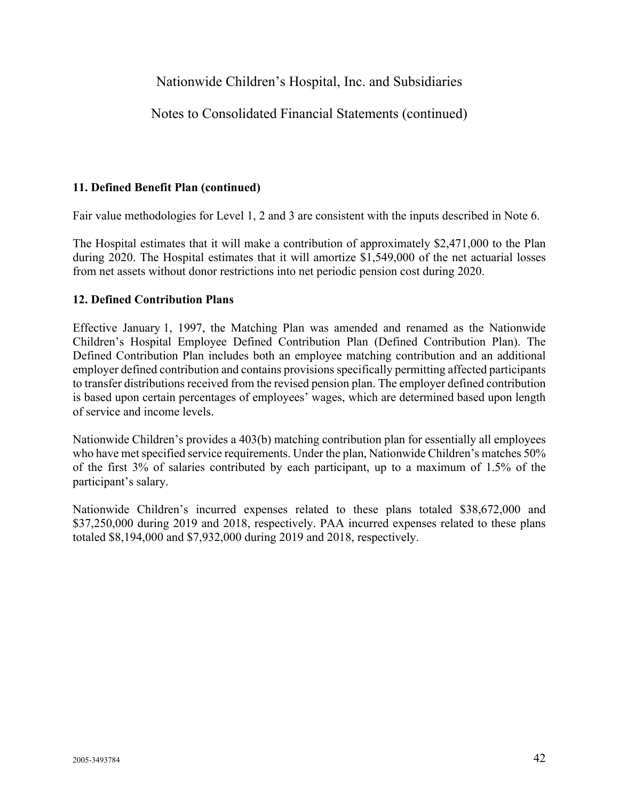## Notes to Consolidated Financial Statements (continued)

#### **11. Defined Benefit Plan (continued)**

Fair value methodologies for Level 1, 2 and 3 are consistent with the inputs described in Note 6.

The Hospital estimates that it will make a contribution of approximately \$2,471,000 to the Plan during 2020. The Hospital estimates that it will amortize \$1,549,000 of the net actuarial losses from net assets without donor restrictions into net periodic pension cost during 2020.

#### **12. Defined Contribution Plans**

Effective January 1, 1997, the Matching Plan was amended and renamed as the Nationwide Children's Hospital Employee Defined Contribution Plan (Defined Contribution Plan). The Defined Contribution Plan includes both an employee matching contribution and an additional employer defined contribution and contains provisions specifically permitting affected participants to transfer distributions received from the revised pension plan. The employer defined contribution is based upon certain percentages of employees' wages, which are determined based upon length of service and income levels.

Nationwide Children's provides a 403(b) matching contribution plan for essentially all employees who have met specified service requirements. Under the plan, Nationwide Children's matches 50% of the first 3% of salaries contributed by each participant, up to a maximum of 1.5% of the participant's salary.

Nationwide Children's incurred expenses related to these plans totaled \$38,672,000 and \$37,250,000 during 2019 and 2018, respectively. PAA incurred expenses related to these plans totaled \$8,194,000 and \$7,932,000 during 2019 and 2018, respectively.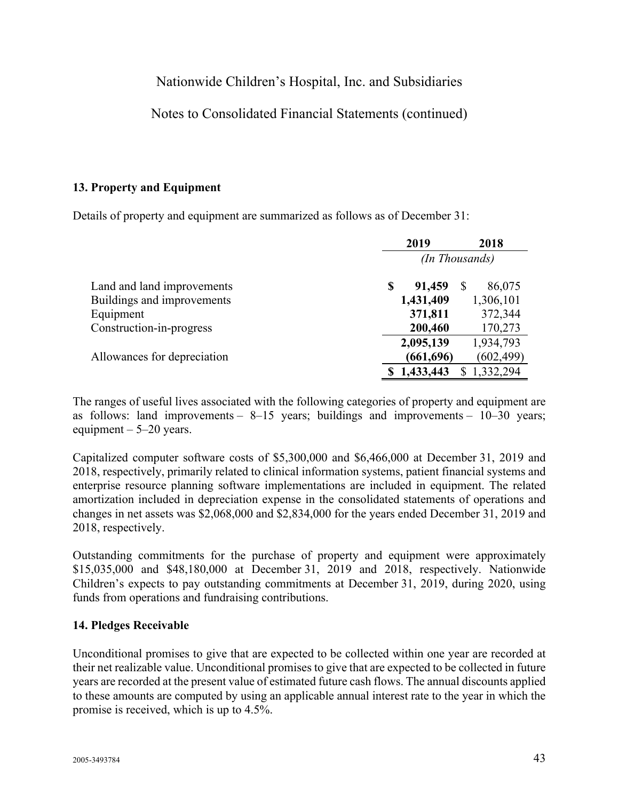## Notes to Consolidated Financial Statements (continued)

### **13. Property and Equipment**

Details of property and equipment are summarized as follows as of December 31:

|                             |   | 2018       |                |  |  |
|-----------------------------|---|------------|----------------|--|--|
|                             |   |            | (In Thousands) |  |  |
| Land and land improvements  | S | 91,459     | 86,075<br>S    |  |  |
| Buildings and improvements  |   | 1,431,409  | 1,306,101      |  |  |
| Equipment                   |   | 371,811    | 372,344        |  |  |
| Construction-in-progress    |   | 200,460    | 170,273        |  |  |
|                             |   | 2,095,139  | 1,934,793      |  |  |
| Allowances for depreciation |   | (661, 696) | (602, 499)     |  |  |
|                             |   | 1,433,443  | 1,332,294      |  |  |

The ranges of useful lives associated with the following categories of property and equipment are as follows: land improvements –  $8-15$  years; buildings and improvements –  $10-30$  years; equipment  $-5-20$  years.

Capitalized computer software costs of \$5,300,000 and \$6,466,000 at December 31, 2019 and 2018, respectively, primarily related to clinical information systems, patient financial systems and enterprise resource planning software implementations are included in equipment. The related amortization included in depreciation expense in the consolidated statements of operations and changes in net assets was \$2,068,000 and \$2,834,000 for the years ended December 31, 2019 and 2018, respectively.

Outstanding commitments for the purchase of property and equipment were approximately \$15,035,000 and \$48,180,000 at December 31, 2019 and 2018, respectively. Nationwide Children's expects to pay outstanding commitments at December 31, 2019, during 2020, using funds from operations and fundraising contributions.

#### **14. Pledges Receivable**

Unconditional promises to give that are expected to be collected within one year are recorded at their net realizable value. Unconditional promises to give that are expected to be collected in future years are recorded at the present value of estimated future cash flows. The annual discounts applied to these amounts are computed by using an applicable annual interest rate to the year in which the promise is received, which is up to 4.5%.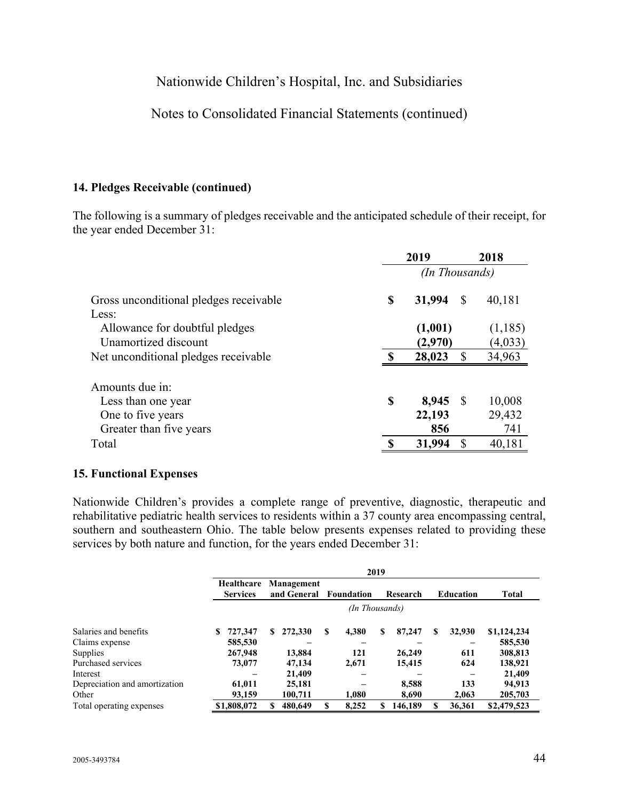## Notes to Consolidated Financial Statements (continued)

#### **14. Pledges Receivable (continued)**

The following is a summary of pledges receivable and the anticipated schedule of their receipt, for the year ended December 31:

|                                                                 | 2019           |                    |              | 2018               |  |  |
|-----------------------------------------------------------------|----------------|--------------------|--------------|--------------------|--|--|
|                                                                 | (In Thousands) |                    |              |                    |  |  |
| Gross unconditional pledges receivable                          | \$             | 31,994             | S            | 40,181             |  |  |
| Less:<br>Allowance for doubtful pledges<br>Unamortized discount |                | (1,001)<br>(2,970) |              | (1,185)<br>(4,033) |  |  |
| Net unconditional pledges receivable.                           | $\mathbf$      | 28,023             | $\mathbb{S}$ | 34,963             |  |  |
| Amounts due in:                                                 |                |                    |              |                    |  |  |
| Less than one year                                              | \$             | 8,945              | -S           | 10,008             |  |  |
| One to five years                                               |                | 22,193             |              | 29,432             |  |  |
| Greater than five years                                         |                | 856                |              | 741                |  |  |
| Total                                                           | ◐              | 31,994             | \$           | 40,181             |  |  |

#### **15. Functional Expenses**

Nationwide Children's provides a complete range of preventive, diagnostic, therapeutic and rehabilitative pediatric health services to residents within a 37 county area encompassing central, southern and southeastern Ohio. The table below presents expenses related to providing these services by both nature and function, for the years ended December 31:

|                               | 2019                                 |                |                           |    |            |    |          |    |                  |              |  |
|-------------------------------|--------------------------------------|----------------|---------------------------|----|------------|----|----------|----|------------------|--------------|--|
|                               | <b>Healthcare</b><br><b>Services</b> |                | Management<br>and General |    | Foundation |    | Research |    | <b>Education</b> | <b>Total</b> |  |
|                               |                                      | (In Thousands) |                           |    |            |    |          |    |                  |              |  |
| Salaries and benefits         | 727,347<br>S                         | S.             | 272,330                   | S  | 4,380      | S  | 87,247   | \$ | 32,930           | \$1,124,234  |  |
| Claims expense                | 585,530                              |                |                           |    |            |    |          |    |                  | 585,530      |  |
| <b>Supplies</b>               | 267,948                              |                | 13,884                    |    | 121        |    | 26,249   |    | 611              | 308,813      |  |
| Purchased services            | 73,077                               |                | 47,134                    |    | 2,671      |    | 15,415   |    | 624              | 138,921      |  |
| Interest                      |                                      |                | 21,409                    |    |            |    |          |    |                  | 21,409       |  |
| Depreciation and amortization | 61,011                               |                | 25,181                    |    |            |    | 8,588    |    | 133              | 94,913       |  |
| Other                         | 93,159                               |                | 100,711                   |    | 1.080      |    | 8.690    |    | 2.063            | 205,703      |  |
| Total operating expenses      | \$1,808,072                          |                | 480,649                   | \$ | 8,252      | \$ | 146.189  | \$ | 36.361           | \$2,479,523  |  |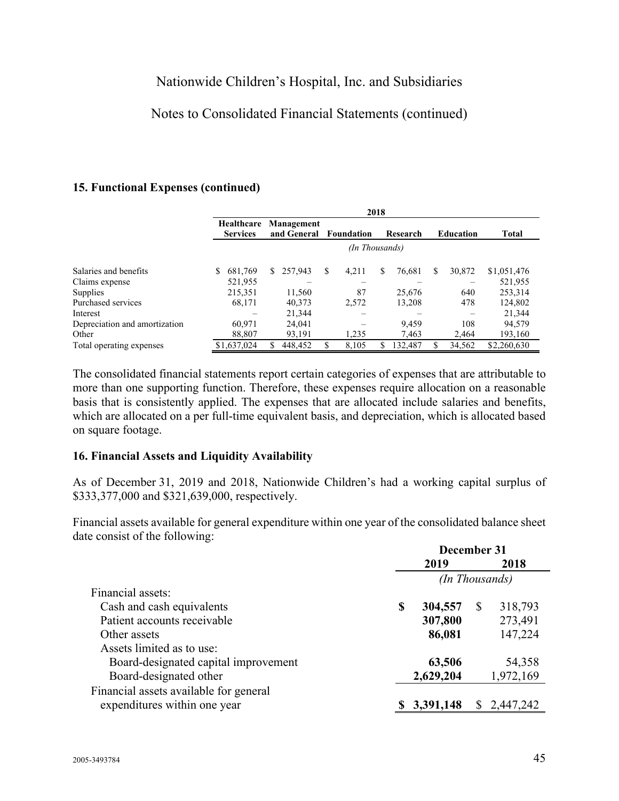## Notes to Consolidated Financial Statements (continued)

#### **15. Functional Expenses (continued)**

|                               | 2018                          |                           |            |             |                  |              |  |  |  |  |  |  |  |
|-------------------------------|-------------------------------|---------------------------|------------|-------------|------------------|--------------|--|--|--|--|--|--|--|
|                               | Healthcare<br><b>Services</b> | Management<br>and General | Foundation | Research    | <b>Education</b> | <b>Total</b> |  |  |  |  |  |  |  |
|                               | (In Thousands)                |                           |            |             |                  |              |  |  |  |  |  |  |  |
| Salaries and benefits         | 681,769<br>S                  | 257,943<br>S.             | S<br>4,211 | S<br>76,681 | 30,872<br>S      | \$1,051,476  |  |  |  |  |  |  |  |
| Claims expense                | 521,955                       |                           |            |             |                  | 521,955      |  |  |  |  |  |  |  |
| Supplies                      | 215,351                       | 11,560                    | 87         | 25,676      | 640              | 253,314      |  |  |  |  |  |  |  |
| Purchased services            | 68,171                        | 40,373                    | 2,572      | 13,208      | 478              | 124,802      |  |  |  |  |  |  |  |
| Interest                      |                               | 21,344                    |            |             |                  | 21,344       |  |  |  |  |  |  |  |
| Depreciation and amortization | 60.971                        | 24,041                    |            | 9.459       | 108              | 94.579       |  |  |  |  |  |  |  |
| Other                         | 88,807                        | 93,191                    | 1,235      | 7,463       | 2,464            | 193,160      |  |  |  |  |  |  |  |
| Total operating expenses      | \$1,637,024                   | 448,452                   | 8,105      | 132,487     | 34,562           | \$2,260,630  |  |  |  |  |  |  |  |

The consolidated financial statements report certain categories of expenses that are attributable to more than one supporting function. Therefore, these expenses require allocation on a reasonable basis that is consistently applied. The expenses that are allocated include salaries and benefits, which are allocated on a per full-time equivalent basis, and depreciation, which is allocated based on square footage.

#### **16. Financial Assets and Liquidity Availability**

As of December 31, 2019 and 2018, Nationwide Children's had a working capital surplus of \$333,377,000 and \$321,639,000, respectively.

Financial assets available for general expenditure within one year of the consolidated balance sheet date consist of the following:

|                                        | December 31    |             |          |           |  |  |  |
|----------------------------------------|----------------|-------------|----------|-----------|--|--|--|
|                                        |                | 2019        |          | 2018      |  |  |  |
|                                        | (In Thousands) |             |          |           |  |  |  |
| Financial assets:                      |                |             |          |           |  |  |  |
| Cash and cash equivalents              | S              | 304,557     | <b>S</b> | 318,793   |  |  |  |
| Patient accounts receivable            |                | 307,800     |          | 273,491   |  |  |  |
| Other assets                           |                | 86,081      |          | 147,224   |  |  |  |
| Assets limited as to use:              |                |             |          |           |  |  |  |
| Board-designated capital improvement   |                | 63,506      |          | 54,358    |  |  |  |
| Board-designated other                 |                | 2,629,204   |          | 1,972,169 |  |  |  |
| Financial assets available for general |                |             |          |           |  |  |  |
| expenditures within one year           |                | \$3,391,148 | S.       | 2,447,242 |  |  |  |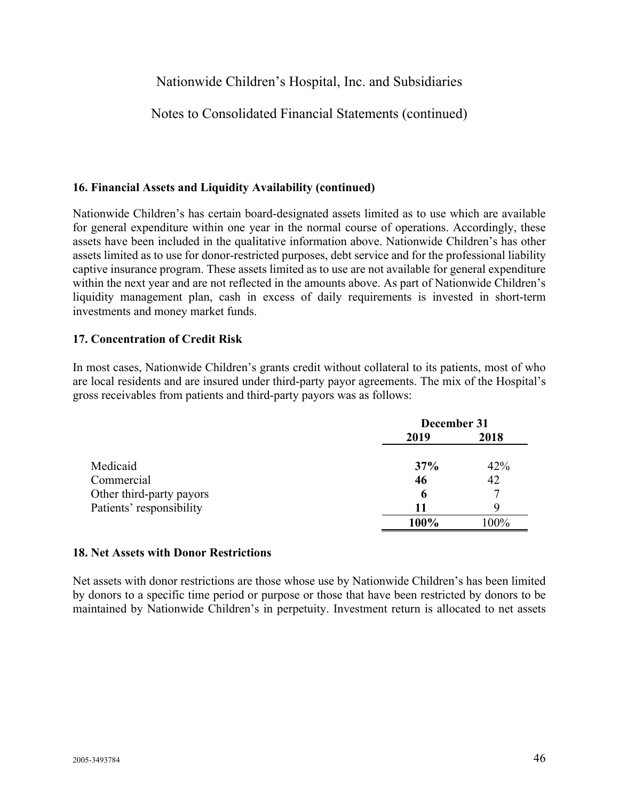## Notes to Consolidated Financial Statements (continued)

#### **16. Financial Assets and Liquidity Availability (continued)**

Nationwide Children's has certain board-designated assets limited as to use which are available for general expenditure within one year in the normal course of operations. Accordingly, these assets have been included in the qualitative information above. Nationwide Children's has other assets limited as to use for donor-restricted purposes, debt service and for the professional liability captive insurance program. These assets limited as to use are not available for general expenditure within the next year and are not reflected in the amounts above. As part of Nationwide Children's liquidity management plan, cash in excess of daily requirements is invested in short-term investments and money market funds.

#### **17. Concentration of Credit Risk**

In most cases, Nationwide Children's grants credit without collateral to its patients, most of who are local residents and are insured under third-party payor agreements. The mix of the Hospital's gross receivables from patients and third-party payors was as follows:

|                          | December 31 |      |  |  |  |
|--------------------------|-------------|------|--|--|--|
|                          | 2019        | 2018 |  |  |  |
| Medicaid                 | 37%         | 42%  |  |  |  |
| Commercial               | 46          | 42   |  |  |  |
| Other third-party payors | 6           |      |  |  |  |
| Patients' responsibility | 11          | Q    |  |  |  |
|                          | 100%        | 100% |  |  |  |

#### **18. Net Assets with Donor Restrictions**

Net assets with donor restrictions are those whose use by Nationwide Children's has been limited by donors to a specific time period or purpose or those that have been restricted by donors to be maintained by Nationwide Children's in perpetuity. Investment return is allocated to net assets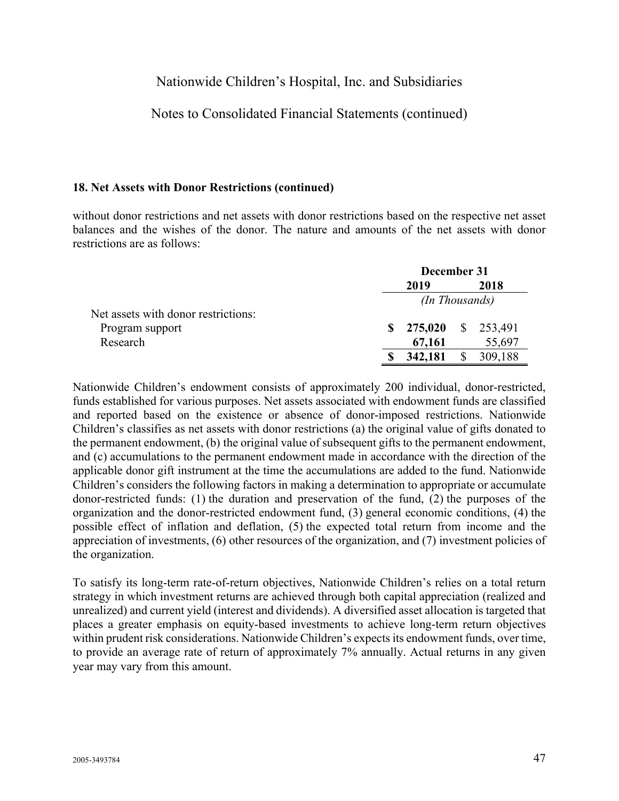## Notes to Consolidated Financial Statements (continued)

#### **18. Net Assets with Donor Restrictions (continued)**

without donor restrictions and net assets with donor restrictions based on the respective net asset balances and the wishes of the donor. The nature and amounts of the net assets with donor restrictions are as follows:

|                                     |   | December 31           |  |         |  |  |  |
|-------------------------------------|---|-----------------------|--|---------|--|--|--|
|                                     |   | 2019                  |  | 2018    |  |  |  |
|                                     |   | <i>(In Thousands)</i> |  |         |  |  |  |
| Net assets with donor restrictions: |   |                       |  |         |  |  |  |
| Program support                     | S | 275,020 \$ 253,491    |  |         |  |  |  |
| Research                            |   | 67,161                |  | 55,697  |  |  |  |
|                                     |   | 342,181               |  | 309,188 |  |  |  |

Nationwide Children's endowment consists of approximately 200 individual, donor-restricted, funds established for various purposes. Net assets associated with endowment funds are classified and reported based on the existence or absence of donor-imposed restrictions. Nationwide Children's classifies as net assets with donor restrictions (a) the original value of gifts donated to the permanent endowment, (b) the original value of subsequent gifts to the permanent endowment, and (c) accumulations to the permanent endowment made in accordance with the direction of the applicable donor gift instrument at the time the accumulations are added to the fund. Nationwide Children's considers the following factors in making a determination to appropriate or accumulate donor-restricted funds: (1) the duration and preservation of the fund, (2) the purposes of the organization and the donor-restricted endowment fund, (3) general economic conditions, (4) the possible effect of inflation and deflation, (5) the expected total return from income and the appreciation of investments, (6) other resources of the organization, and (7) investment policies of the organization.

To satisfy its long-term rate-of-return objectives, Nationwide Children's relies on a total return strategy in which investment returns are achieved through both capital appreciation (realized and unrealized) and current yield (interest and dividends). A diversified asset allocation is targeted that places a greater emphasis on equity-based investments to achieve long-term return objectives within prudent risk considerations. Nationwide Children's expects its endowment funds, over time, to provide an average rate of return of approximately 7% annually. Actual returns in any given year may vary from this amount.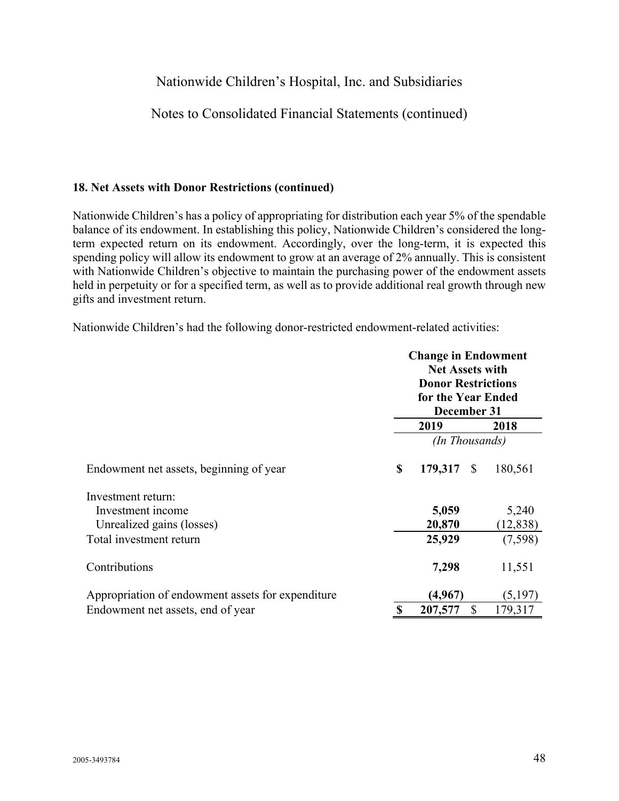## Notes to Consolidated Financial Statements (continued)

#### **18. Net Assets with Donor Restrictions (continued)**

Nationwide Children's has a policy of appropriating for distribution each year 5% of the spendable balance of its endowment. In establishing this policy, Nationwide Children's considered the longterm expected return on its endowment. Accordingly, over the long-term, it is expected this spending policy will allow its endowment to grow at an average of 2% annually. This is consistent with Nationwide Children's objective to maintain the purchasing power of the endowment assets held in perpetuity or for a specified term, as well as to provide additional real growth through new gifts and investment return.

Nationwide Children's had the following donor-restricted endowment-related activities:

|                                                   |          | <b>Change in Endowment</b><br><b>Net Assets with</b><br><b>Donor Restrictions</b><br>for the Year Ended<br>December 31 |              |           |  |
|---------------------------------------------------|----------|------------------------------------------------------------------------------------------------------------------------|--------------|-----------|--|
|                                                   |          | 2019                                                                                                                   |              | 2018      |  |
|                                                   |          | (In Thousands)                                                                                                         |              |           |  |
| Endowment net assets, beginning of year           | \$       | 179,317                                                                                                                | - S          | 180,561   |  |
| Investment return:                                |          |                                                                                                                        |              |           |  |
| Investment income                                 |          | 5,059                                                                                                                  |              | 5,240     |  |
| Unrealized gains (losses)                         |          | 20,870                                                                                                                 |              | (12, 838) |  |
| Total investment return                           |          | 25,929                                                                                                                 |              | (7,598)   |  |
| Contributions                                     |          | 7,298                                                                                                                  |              | 11,551    |  |
| Appropriation of endowment assets for expenditure |          | (4,967)                                                                                                                |              | (5,197)   |  |
| Endowment net assets, end of year                 | <b>S</b> | 207,577                                                                                                                | $\mathbb{S}$ | 179,317   |  |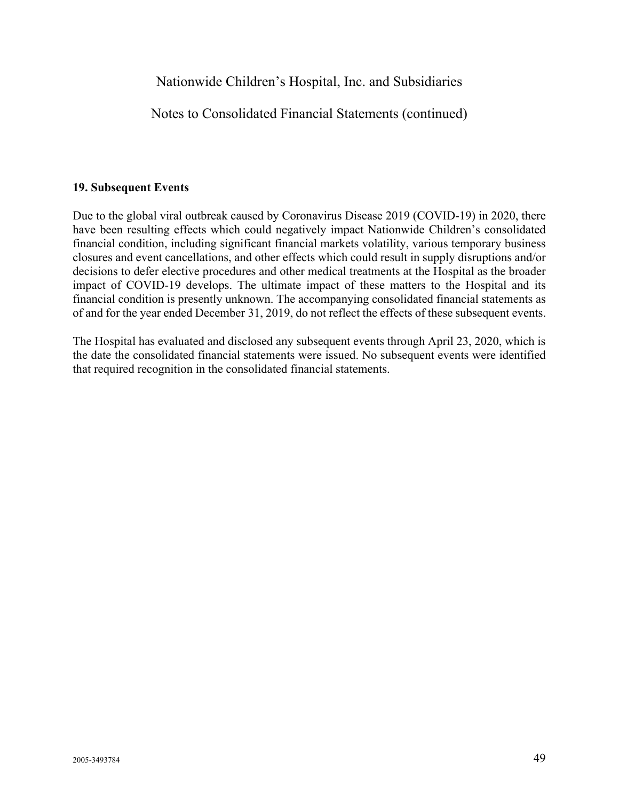Notes to Consolidated Financial Statements (continued)

## **19. Subsequent Events**

Due to the global viral outbreak caused by Coronavirus Disease 2019 (COVID-19) in 2020, there have been resulting effects which could negatively impact Nationwide Children's consolidated financial condition, including significant financial markets volatility, various temporary business closures and event cancellations, and other effects which could result in supply disruptions and/or decisions to defer elective procedures and other medical treatments at the Hospital as the broader impact of COVID-19 develops. The ultimate impact of these matters to the Hospital and its financial condition is presently unknown. The accompanying consolidated financial statements as of and for the year ended December 31, 2019, do not reflect the effects of these subsequent events.

The Hospital has evaluated and disclosed any subsequent events through April 23, 2020, which is the date the consolidated financial statements were issued. No subsequent events were identified that required recognition in the consolidated financial statements.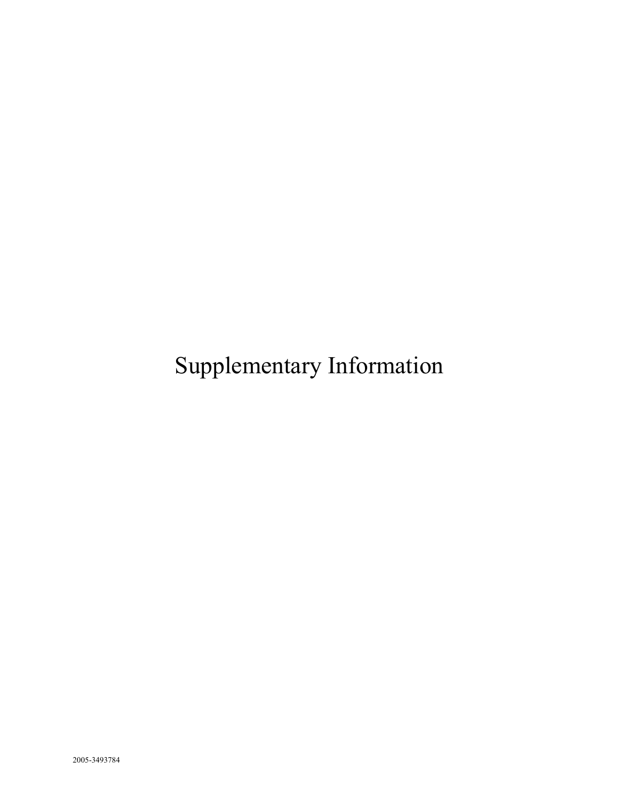Supplementary Information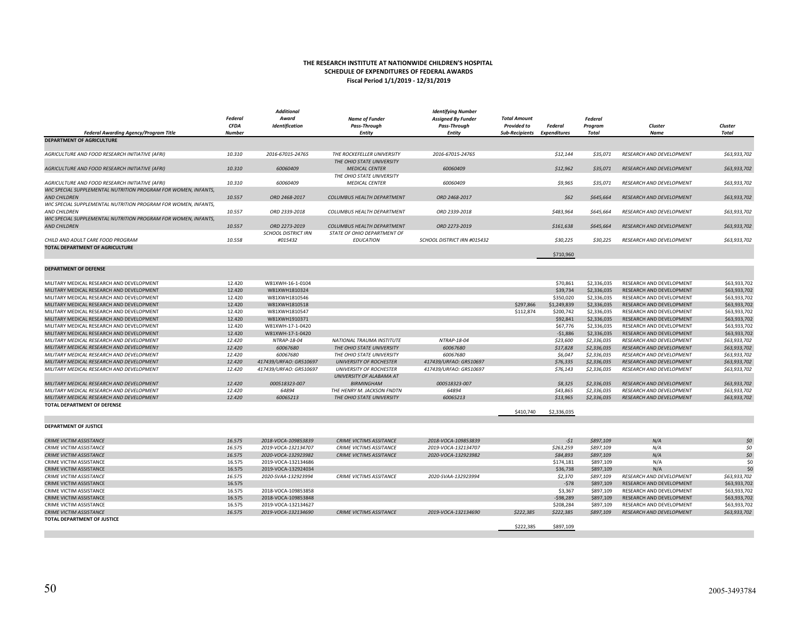#### $50$  2005-3493784

#### **THE RESEARCH INSTITUTE AT NATIONWIDE CHILDREN'S HOSPITAL SCHEDULE OF EXPENDITURES OF FEDERAL AWARDS Fiscal Period 1/1/2019 ‐ 12/31/2019**

*Additional*

|                                                                           |                        | Additional                 |                                      | <b>Identifying Number</b>            |                                             |                                |                  |                                 |                  |
|---------------------------------------------------------------------------|------------------------|----------------------------|--------------------------------------|--------------------------------------|---------------------------------------------|--------------------------------|------------------|---------------------------------|------------------|
|                                                                           | Federal<br><b>CFDA</b> | Award                      | <b>Name of Funder</b>                | <b>Assigned By Funder</b>            | <b>Total Amount</b>                         |                                | Federal          |                                 |                  |
|                                                                           | <b>Number</b>          | Identification             | <b>Pass-Through</b><br><b>Entity</b> | <b>Pass-Through</b><br><b>Entity</b> | <b>Provided to</b><br><b>Sub-Recipients</b> | Federal<br><b>Expenditures</b> | Program<br>Total | Cluster<br>Name                 | Cluster<br>Total |
| Federal Awarding Agency/Program Title<br><b>DEPARTMENT OF AGRICULTURE</b> |                        |                            |                                      |                                      |                                             |                                |                  |                                 |                  |
|                                                                           |                        |                            |                                      |                                      |                                             |                                |                  |                                 |                  |
| AGRICULTURE AND FOOD RESEARCH INITIATIVE (AFRI)                           | 10.310                 | 2016-67015-24765           | THE ROCKEFELLER UNIVERSITY           | 2016-67015-24765                     |                                             | \$12,144                       | \$35,071         | <b>RESEARCH AND DEVELOPMENT</b> | \$63,933,702     |
|                                                                           |                        |                            | THE OHIO STATE UNIVERSITY            |                                      |                                             |                                |                  |                                 |                  |
| AGRICULTURE AND FOOD RESEARCH INITIATIVE (AFRI)                           | 10.310                 | 60060409                   | <b>MEDICAL CENTER</b>                | 60060409                             |                                             | \$12,962                       | \$35,071         | <b>RESEARCH AND DEVELOPMENT</b> | \$63,933,702     |
|                                                                           |                        |                            | THE OHIO STATE UNIVERSITY            |                                      |                                             |                                |                  |                                 |                  |
| AGRICULTURE AND FOOD RESEARCH INITIATIVE (AFRI)                           | 10.310                 | 60060409                   | <b>MEDICAL CENTER</b>                | 60060409                             |                                             | \$9,965                        | \$35,071         | RESEARCH AND DEVELOPMENT        | \$63,933,702     |
| WIC SPECIAL SUPPLEMENTAL NUTRITION PROGRAM FOR WOMEN, INFANTS,            |                        |                            |                                      |                                      |                                             |                                |                  |                                 |                  |
| <b>AND CHILDREN</b>                                                       | 10.557                 | ORD 2468-2017              | COLUMBUS HEALTH DEPARTMENT           | ORD 2468-2017                        |                                             | \$62                           | \$645,664        | RESEARCH AND DEVELOPMENT        | \$63,933,702     |
| WIC SPECIAL SUPPLEMENTAL NUTRITION PROGRAM FOR WOMEN, INFANTS,            |                        |                            |                                      |                                      |                                             |                                |                  |                                 |                  |
| <b>AND CHILDREN</b>                                                       | 10.557                 | ORD 2339-2018              | COLUMBUS HEALTH DEPARTMENT           | ORD 2339-2018                        |                                             | \$483,964                      | \$645,664        | <b>RESEARCH AND DEVELOPMENT</b> | \$63,933,702     |
| WIC SPECIAL SUPPLEMENTAL NUTRITION PROGRAM FOR WOMEN, INFANTS,            |                        |                            |                                      |                                      |                                             |                                |                  |                                 |                  |
| <b>AND CHILDREN</b>                                                       | 10.557                 | ORD 2273-2019              | COLUMBUS HEALTH DEPARTMENT           | ORD 2273-2019                        |                                             | \$161,638                      | \$645,664        | <b>RESEARCH AND DEVELOPMENT</b> | \$63,933,702     |
|                                                                           |                        | <b>SCHOOL DISTRICT IRN</b> | STATE OF OHIO DEPARTMENT OF          |                                      |                                             |                                |                  |                                 |                  |
| CHILD AND ADULT CARE FOOD PROGRAM                                         | 10.558                 | #015432                    | <b>EDUCATION</b>                     | SCHOOL DISTRICT IRN #015432          |                                             | \$30,225                       | \$30,225         | RESEARCH AND DEVELOPMENT        | \$63,933,702     |
| TOTAL DEPARTMENT OF AGRICULTURE                                           |                        |                            |                                      |                                      |                                             |                                |                  |                                 |                  |
|                                                                           |                        |                            |                                      |                                      |                                             | \$710,960                      |                  |                                 |                  |
|                                                                           |                        |                            |                                      |                                      |                                             |                                |                  |                                 |                  |
| <b>DEPARTMENT OF DEFENSE</b>                                              |                        |                            |                                      |                                      |                                             |                                |                  |                                 |                  |
|                                                                           |                        |                            |                                      |                                      |                                             |                                |                  |                                 |                  |
| MILITARY MEDICAL RESEARCH AND DEVELOPMENT                                 | 12,420                 | W81XWH-16-1-0104           |                                      |                                      |                                             | \$70,861                       | \$2.336.035      | RESEARCH AND DEVELOPMENT        | \$63.933.702     |
| MILITARY MEDICAL RESEARCH AND DEVELOPMENT                                 | 12.420                 | W81XWH1810324              |                                      |                                      |                                             | \$39,734                       | \$2,336,035      | RESEARCH AND DEVELOPMENT        | \$63,933,702     |
| MILITARY MEDICAL RESEARCH AND DEVELOPMENT                                 | 12.420                 | W81XWH1810546              |                                      |                                      |                                             | \$350,020                      | \$2,336,035      | RESEARCH AND DEVELOPMENT        | \$63,933,702     |
| MILITARY MEDICAL RESEARCH AND DEVELOPMENT                                 | 12.420                 | W81XWH1810518              |                                      |                                      | \$297,866                                   | \$1,249,839                    | \$2,336,035      | RESEARCH AND DEVELOPMENT        | \$63,933,702     |
| MILITARY MEDICAL RESEARCH AND DEVELOPMENT                                 | 12.420                 | W81XWH1810547              |                                      |                                      | \$112,874                                   | \$200,742                      | \$2,336,035      | RESEARCH AND DEVELOPMENT        | \$63,933,702     |
| MILITARY MEDICAL RESEARCH AND DEVELOPMENT                                 | 12.420                 | W81XWH1910371              |                                      |                                      |                                             | \$92,841                       | \$2,336,035      | RESEARCH AND DEVELOPMENT        | \$63,933,702     |
| MILITARY MEDICAL RESEARCH AND DEVELOPMENT                                 | 12.420                 | W81XWH-17-1-0420           |                                      |                                      |                                             | \$67,776                       | \$2,336,035      | RESEARCH AND DEVELOPMENT        | \$63,933,702     |
| MILITARY MEDICAL RESEARCH AND DEVELOPMENT                                 | 12.420                 | W81XWH-17-1-0420           |                                      |                                      |                                             | $-$1,886$                      | \$2,336,035      | RESEARCH AND DEVELOPMENT        | \$63,933,702     |
| MILITARY MEDICAL RESEARCH AND DEVELOPMENT                                 | 12.420                 | NTRAP-18-04                | NATIONAL TRAUMA INSTITUTE            | NTRAP-18-04                          |                                             | \$23,600                       | \$2,336,035      | RESEARCH AND DEVELOPMENT        | \$63,933,702     |
| MILITARY MEDICAL RESEARCH AND DEVELOPMENT                                 | 12.420                 | 60067680                   | THE OHIO STATE UNIVERSITY            | 60067680                             |                                             | \$17,828                       | \$2,336,035      | RESEARCH AND DEVELOPMENT        | \$63,933,702     |
| MILITARY MEDICAL RESEARCH AND DEVELOPMENT                                 | 12.420                 | 60067680                   | THE OHIO STATE UNIVERSITY            | 60067680                             |                                             | \$6,047                        | \$2,336,035      | RESEARCH AND DEVELOPMENT        | \$63,933,702     |
| MILITARY MEDICAL RESEARCH AND DEVELOPMENT                                 | 12.420                 | 417439/URFAO: GR510697     | <b>UNIVERSITY OF ROCHESTER</b>       | 417439/URFAO: GR510697               |                                             | \$76,335                       | \$2,336,035      | RESEARCH AND DEVELOPMENT        | \$63,933,702     |
| MILITARY MEDICAL RESEARCH AND DEVELOPMENT                                 | 12.420                 | 417439/URFAO: GR510697     | <b>UNIVERSITY OF ROCHESTER</b>       | 417439/URFAO: GR510697               |                                             | \$76,143                       | \$2,336,035      | RESEARCH AND DEVELOPMENT        | \$63,933,702     |
|                                                                           |                        |                            | UNIVERSITY OF ALABAMA AT             |                                      |                                             |                                |                  |                                 |                  |
| MILITARY MEDICAL RESEARCH AND DEVELOPMENT                                 | 12.420                 | 000518323-007              | <b>BIRMINGHAM</b>                    | 000518323-007                        |                                             | \$8,325                        | \$2,336,035      | RESEARCH AND DEVELOPMENT        | \$63,933,702     |
| MILITARY MEDICAL RESEARCH AND DEVELOPMENT                                 | 12.420                 | 64894                      | THE HENRY M. JACKSON FNDTN           | 64894                                |                                             | \$43,865                       | \$2,336,035      | RESEARCH AND DEVELOPMENT        | \$63,933,702     |
| MILITARY MEDICAL RESEARCH AND DEVELOPMENT                                 | 12.420                 | 60065213                   | THE OHIO STATE UNIVERSITY            | 60065213                             |                                             | \$13,965                       | \$2,336,035      | RESEARCH AND DEVELOPMENT        | \$63,933,702     |
| TOTAL DEPARTMENT OF DEFENSE                                               |                        |                            |                                      |                                      |                                             |                                |                  |                                 |                  |
|                                                                           |                        |                            |                                      |                                      | \$410,740                                   | \$2,336,035                    |                  |                                 |                  |
|                                                                           |                        |                            |                                      |                                      |                                             |                                |                  |                                 |                  |
| <b>DEPARTMENT OF JUSTICE</b>                                              |                        |                            |                                      |                                      |                                             |                                |                  |                                 |                  |
|                                                                           |                        |                            |                                      |                                      |                                             |                                |                  |                                 |                  |
| <b>CRIME VICTIM ASSISTANCE</b>                                            | 16.575                 | 2018-VOCA-109853839        | CRIME VICTIMS ASSITANCE              | 2018-VOCA-109853839                  |                                             | $-51$                          | \$897,109        | N/A                             | \$0              |
| CRIME VICTIM ASSISTANCE                                                   | 16.575                 | 2019-VOCA-132134707        | <b>CRIME VICTIMS ASSITANCE</b>       | 2019-VOCA-132134707                  |                                             | \$263,259                      | \$897,109        | N/A                             | \$0              |
| <b>CRIME VICTIM ASSISTANCE</b>                                            | 16.575                 | 2020-VOCA-132923982        | <b>CRIME VICTIMS ASSITANCE</b>       | 2020-VOCA-132923982                  |                                             | \$84,893                       | \$897,109        | N/A                             | \$0              |
| CRIME VICTIM ASSISTANCE                                                   | 16.575                 | 2019-VOCA-132134686        |                                      |                                      |                                             | \$174,181                      | \$897,109        | N/A                             | \$0              |
| CRIME VICTIM ASSISTANCE                                                   | 16.575                 | 2019-VOCA-132924034        |                                      |                                      |                                             | \$36,738                       | \$897,109        | N/A                             | \$0              |
| CRIME VICTIM ASSISTANCE                                                   | 16.575                 | 2020-SVAA-132923994        | <b>CRIME VICTIMS ASSITANCE</b>       | 2020-SVAA-132923994                  |                                             | \$2,370                        | \$897,109        | RESEARCH AND DEVELOPMENT        | \$63,933,702     |
| CRIME VICTIM ASSISTANCE                                                   | 16.575                 |                            |                                      |                                      |                                             | $-578$                         | \$897,109        | RESEARCH AND DEVELOPMENT        | \$63,933,702     |
| CRIME VICTIM ASSISTANCE                                                   | 16.575                 | 2018-VOCA-109853858        |                                      |                                      |                                             | \$3,367                        | \$897,109        | RESEARCH AND DEVELOPMENT        | \$63,933,702     |
| CRIME VICTIM ASSISTANCE                                                   | 16.575                 | 2018-VOCA-109853848        |                                      |                                      |                                             | $-598,289$                     | \$897,109        | RESEARCH AND DEVELOPMENT        | \$63,933,702     |
| CRIME VICTIM ASSISTANCE                                                   | 16.575                 | 2019-VOCA-132134627        |                                      |                                      |                                             | \$208,284                      | \$897,109        | RESEARCH AND DEVELOPMENT        | \$63,933,702     |
| <b>CRIME VICTIM ASSISTANCE</b>                                            | 16.575                 | 2019-VOCA-132134690        | <b>CRIME VICTIMS ASSITANCE</b>       | 2019-VOCA-132134690                  | \$222,385                                   | \$222,385                      | \$897,109        | RESEARCH AND DEVELOPMENT        | \$63,933,702     |
| TOTAL DEPARTMENT OF JUSTICE                                               |                        |                            |                                      |                                      |                                             |                                |                  |                                 |                  |
|                                                                           |                        |                            |                                      |                                      | \$222,385                                   | \$897,109                      |                  |                                 |                  |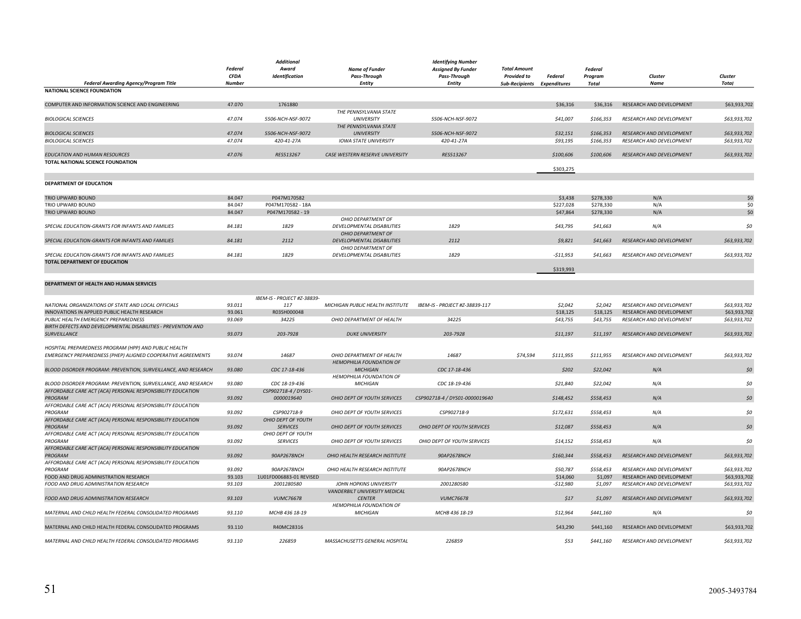|                                                                               |                        | <b>Additional</b>                     |                                                          | <b>Identifying Number</b>                 |                                           |            |                    |                                 |              |
|-------------------------------------------------------------------------------|------------------------|---------------------------------------|----------------------------------------------------------|-------------------------------------------|-------------------------------------------|------------|--------------------|---------------------------------|--------------|
|                                                                               | Federal<br><b>CFDA</b> | Award<br><b>Identification</b>        | <b>Name of Funder</b><br>Pass-Through                    | <b>Assigned By Funder</b><br>Pass-Through | <b>Total Amount</b><br><b>Provided to</b> | Federal    | Federal<br>Program | Cluster                         | Cluster      |
| Federal Awarding Agency/Program Title                                         | <b>Number</b>          |                                       | <b>Entity</b>                                            | <b>Entity</b>                             | Sub-Recipients Expenditures               |            | Total              | Name                            | <b>Total</b> |
| <b>NATIONAL SCIENCE FOUNDATION</b>                                            |                        |                                       |                                                          |                                           |                                           |            |                    |                                 |              |
| COMPUTER AND INFORMATION SCIENCE AND ENGINEERING                              | 47.070                 | 1761880                               |                                                          |                                           |                                           | \$36,316   | \$36,316           | RESEARCH AND DEVELOPMENT        | \$63,933,702 |
| <b>BIOLOGICAL SCIENCES</b>                                                    | 47.074                 | 5506-NCH-NSF-9072                     | THE PENNSYLVANIA STATE<br><b>UNIVERSITY</b>              | 5506-NCH-NSF-9072                         |                                           | \$41,007   | \$166,353          | RESEARCH AND DEVELOPMENT        | \$63,933,702 |
|                                                                               |                        |                                       | THE PENNSYLVANIA STATE                                   |                                           |                                           |            |                    |                                 |              |
| <b>BIOLOGICAL SCIENCES</b>                                                    | 47.074                 | 5506-NCH-NSF-9072                     | <b>UNIVERSITY</b>                                        | 5506-NCH-NSF-9072                         |                                           | \$32,151   | \$166,353          | RESEARCH AND DEVELOPMENT        | \$63,933,702 |
| <b>BIOLOGICAL SCIENCES</b>                                                    | 47.074                 | 420-41-27A                            | <b>IOWA STATE UNIVERSITY</b>                             | 420-41-27A                                |                                           | \$93,195   | \$166,353          | RESEARCH AND DEVELOPMENT        | \$63,933,702 |
| EDUCATION AND HUMAN RESOURCES                                                 | 47.076                 | RES513267                             | CASE WESTERN RESERVE UNIVERSITY                          | RES513267                                 |                                           | \$100,606  | \$100,606          | RESEARCH AND DEVELOPMENT        | \$63,933,702 |
| TOTAL NATIONAL SCIENCE FOUNDATION                                             |                        |                                       |                                                          |                                           |                                           | \$303,275  |                    |                                 |              |
|                                                                               |                        |                                       |                                                          |                                           |                                           |            |                    |                                 |              |
| DEPARTMENT OF EDUCATION                                                       |                        |                                       |                                                          |                                           |                                           |            |                    |                                 |              |
| TRIO UPWARD BOUND                                                             | 84.047                 | P047M170582                           |                                                          |                                           |                                           | \$3,438    | \$278,330          | N/A                             | \$C          |
| TRIO UPWARD BOUND                                                             | 84.047                 | P047M170582 - 18A                     |                                                          |                                           |                                           | \$227,028  | \$278,330          | N/A                             | \$C          |
| TRIO UPWARD BOUND                                                             | 84.047                 | P047M170582 - 19                      |                                                          |                                           |                                           | \$47,864   | \$278,330          | N/A                             | \$C          |
| SPECIAL EDUCATION-GRANTS FOR INFANTS AND FAMILIES                             | 84.181                 | 1829                                  | OHIO DEPARTMENT OF<br>DEVELOPMENTAL DISABILITIES         | 1829                                      |                                           | \$43,795   | \$41,663           | N/A                             | 50           |
|                                                                               |                        |                                       | OHIO DEPARTMENT OF                                       |                                           |                                           |            |                    |                                 |              |
| SPECIAL EDUCATION-GRANTS FOR INFANTS AND FAMILIES                             | 84.181                 | 2112                                  | DEVELOPMENTAL DISABILITIES<br>OHIO DEPARTMENT OF         | 2112                                      |                                           | \$9,821    | \$41,663           | RESEARCH AND DEVELOPMENT        | \$63,933,702 |
| SPECIAL EDUCATION-GRANTS FOR INFANTS AND FAMILIES                             | 84.181                 | 1829                                  | DEVELOPMENTAL DISABILITIES                               | 1829                                      |                                           | $-511,953$ | \$41,663           | RESEARCH AND DEVELOPMENT        | \$63,933,702 |
| <b>TOTAL DEPARTMENT OF EDUCATION</b>                                          |                        |                                       |                                                          |                                           |                                           |            |                    |                                 |              |
|                                                                               |                        |                                       |                                                          |                                           |                                           | \$319,993  |                    |                                 |              |
| DEPARTMENT OF HEALTH AND HUMAN SERVICES                                       |                        |                                       |                                                          |                                           |                                           |            |                    |                                 |              |
|                                                                               |                        | IBEM-IS - PROJECT #Z-38839-           |                                                          |                                           |                                           |            |                    |                                 |              |
| NATIONAL ORGANIZATIONS OF STATE AND LOCAL OFFICIALS                           | 93.011                 | 117                                   | MICHIGAN PUBLIC HEALTH INSTITUTE                         | IBEM-IS - PROJECT #Z-38839-117            |                                           | \$2,042    | \$2,042            | RESEARCH AND DEVELOPMENT        | \$63,933,702 |
| INNOVATIONS IN APPLIED PUBLIC HEALTH RESEARCH                                 | 93.061                 | R03SH000048                           |                                                          |                                           |                                           | \$18,125   | \$18,125           | RESEARCH AND DEVELOPMENT        | \$63,933,702 |
| PUBLIC HEALTH EMERGENCY PREPAREDNESS                                          | 93.069                 | 34225                                 | OHIO DEPARTMENT OF HEALTH                                | 34225                                     |                                           | \$43,755   | \$43,755           | RESEARCH AND DEVELOPMENT        | \$63,933,702 |
| BIRTH DEFECTS AND DEVELOPMENTAL DISABILITIES - PREVENTION AND                 |                        |                                       |                                                          |                                           |                                           |            |                    |                                 |              |
| SURVEILLANCE                                                                  | 93.073                 | 203-7928                              | <b>DUKE UNIVERSITY</b>                                   | 203-7928                                  |                                           | \$11,197   | \$11,197           | RESEARCH AND DEVELOPMENT        | \$63,933,702 |
| HOSPITAL PREPAREDNESS PROGRAM (HPP) AND PUBLIC HEALTH                         |                        |                                       |                                                          |                                           |                                           |            |                    |                                 |              |
| EMERGENCY PREPAREDNESS (PHEP) ALIGNED COOPERATIVE AGREEMENTS                  | 93.074                 | 14687                                 | OHIO DEPARTMENT OF HEALTH                                | 14687                                     | \$74,594                                  | \$111,955  | \$111,955          | RESEARCH AND DEVELOPMENT        | \$63,933,702 |
|                                                                               |                        |                                       | HEMOPHILIA FOUNDATION OF                                 |                                           |                                           |            |                    |                                 |              |
| BLOOD DISORDER PROGRAM: PREVENTION, SURVEILLANCE, AND RESEARCH                | 93.080                 | CDC 17-18-436                         | <b>MICHIGAN</b>                                          | CDC 17-18-436                             |                                           | \$202      | \$22,042           | N/A                             | \$0          |
|                                                                               |                        |                                       | HEMOPHILIA FOUNDATION OF                                 |                                           |                                           |            |                    |                                 |              |
| BLOOD DISORDER PROGRAM: PREVENTION, SURVEILLANCE, AND RESEARCH                | 93.080                 | CDC 18-19-436                         | <b>MICHIGAN</b>                                          | CDC 18-19-436                             |                                           | \$21,840   | \$22,042           | N/A                             | 50           |
| AFFORDABLE CARE ACT (ACA) PERSONAL RESPONSIBILITY EDUCATION<br><b>PROGRAM</b> | 93.092                 | CSP902718-4 / DYS01-<br>0000019640    | OHIO DEPT OF YOUTH SERVICES                              | CSP902718-4 / DYS01-0000019640            |                                           | \$148,452  | \$558,453          | N/A                             | \$0          |
| AFFORDABLE CARE ACT (ACA) PERSONAL RESPONSIBILITY EDUCATION                   |                        |                                       |                                                          |                                           |                                           |            |                    |                                 |              |
| PROGRAM                                                                       | 93.092                 | CSP902718-9                           | OHIO DEPT OF YOUTH SERVICES                              | CSP902718-9                               |                                           | \$172,631  | \$558,453          | N/A                             | \$0          |
| AFFORDABLE CARE ACT (ACA) PERSONAL RESPONSIBILITY EDUCATION                   |                        | OHIO DEPT OF YOUTH                    |                                                          |                                           |                                           |            |                    |                                 |              |
| PROGRAM<br>AFFORDABLE CARE ACT (ACA) PERSONAL RESPONSIBILITY EDUCATION        | 93.092                 | <b>SERVICES</b><br>OHIO DEPT OF YOUTH | OHIO DEPT OF YOUTH SERVICES                              | OHIO DEPT OF YOUTH SERVICES               |                                           | \$12,087   | \$558,453          | N/A                             | 50           |
| PROGRAM                                                                       | 93.092                 | <b>SERVICES</b>                       | OHIO DEPT OF YOUTH SERVICES                              | OHIO DEPT OF YOUTH SERVICES               |                                           | \$14,152   | \$558,453          | N/A                             | \$0          |
| AFFORDABLE CARE ACT (ACA) PERSONAL RESPONSIBILITY EDUCATION                   |                        |                                       |                                                          |                                           |                                           |            |                    |                                 |              |
| PROGRAM                                                                       | 93.092                 | 90AP2678NCH                           | OHIO HEALTH RESEARCH INSTITUTE                           | 90AP2678NCH                               |                                           | \$160,344  | \$558,453          | RESEARCH AND DEVELOPMENT        | \$63,933,702 |
| AFFORDABLE CARE ACT (ACA) PERSONAL RESPONSIBILITY EDUCATION                   |                        |                                       |                                                          |                                           |                                           |            |                    |                                 |              |
| PROGRAM                                                                       | 93.092                 | 90AP2678NCH                           | OHIO HEALTH RESEARCH INSTITUTE                           | 90AP2678NCH                               |                                           | \$50,787   | \$558,453          | RESEARCH AND DEVELOPMENT        | \$63.933.702 |
| FOOD AND DRUG ADMINISTRATION RESEARCH                                         | 93.103                 | 1U01FD006883-01 REVISED               |                                                          |                                           |                                           | \$14,060   | \$1,097            | RESEARCH AND DEVELOPMENT        | \$63,933,702 |
| FOOD AND DRUG ADMINISTRATION RESEARCH                                         | 93.103                 | 2001280580                            | JOHN HOPKINS UNIVERSITY<br>VANDERBILT UNIVERSITY MEDICAL | 2001280580                                |                                           | $-$12,980$ | \$1,097            | RESEARCH AND DEVELOPMENT        | \$63,933,702 |
| FOOD AND DRUG ADMINISTRATION RESEARCH                                         | 93.103                 | <b>VUMC76678</b>                      | <b>CENTER</b>                                            | <b>VUMC76678</b>                          |                                           | \$17       | \$1,097            | RESEARCH AND DEVELOPMENT        | \$63,933,702 |
|                                                                               |                        |                                       | HEMOPHILIA FOUNDATION OF                                 |                                           |                                           |            |                    |                                 |              |
| MATERNAL AND CHILD HEALTH FEDERAL CONSOLIDATED PROGRAMS                       | 93.110                 | MCHB 436 18-19                        | <b>MICHIGAN</b>                                          | MCHB 436 18-19                            |                                           | \$12,964   | \$441,160          | N/A                             | \$0          |
| MATERNAL AND CHILD HEALTH FEDERAL CONSOLIDATED PROGRAMS                       | 93.110                 | R40MC28316                            |                                                          |                                           |                                           | \$43,290   | \$441,160          | RESEARCH AND DEVELOPMENT        | \$63,933,702 |
|                                                                               |                        |                                       |                                                          |                                           |                                           |            |                    |                                 |              |
| MATERNAL AND CHILD HEALTH FEDERAL CONSOLIDATED PROGRAMS                       | 93.110                 | 226859                                | MASSACHUSETTS GENERAL HOSPITAL                           | 226859                                    |                                           | \$53       | \$441.160          | <b>RESEARCH AND DEVELOPMENT</b> | \$63.933.702 |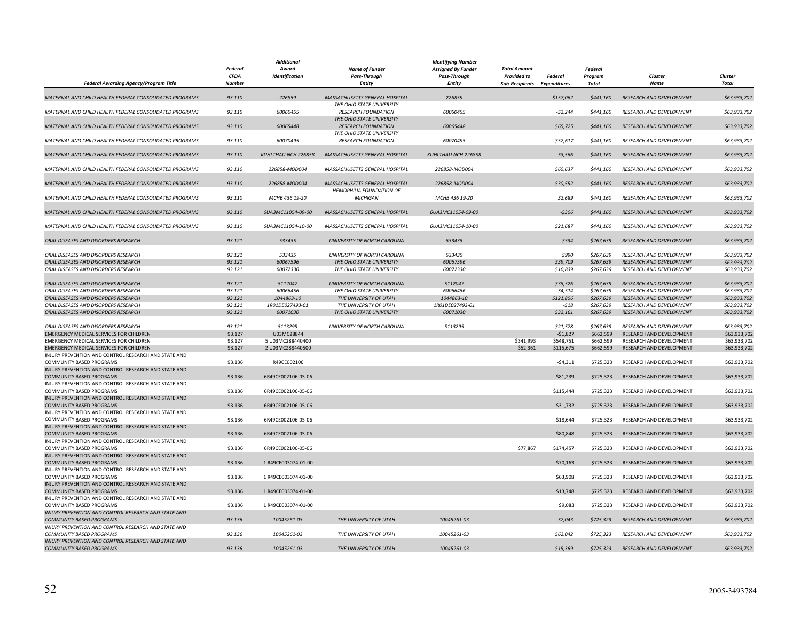|                                                                                         |               | <b>Additional</b>   |                                                            | <b>Identifying Number</b> |                             |           |                |                                 |              |
|-----------------------------------------------------------------------------------------|---------------|---------------------|------------------------------------------------------------|---------------------------|-----------------------------|-----------|----------------|---------------------------------|--------------|
|                                                                                         | Federal       | Award               | <b>Name of Funder</b>                                      | <b>Assigned By Funder</b> | <b>Total Amount</b>         |           | <b>Federal</b> |                                 |              |
|                                                                                         | <b>CFDA</b>   | Identification      | <b>Pass-Through</b>                                        | <b>Pass-Through</b>       | <b>Provided to</b>          | Federal   | Program        | Cluster                         | Cluster      |
| Federal Awarding Agency/Program Title                                                   | <b>Number</b> |                     | <b>Entity</b>                                              | <b>Entity</b>             | Sub-Recipients Expenditures |           | Total          | Name                            | <b>Total</b> |
| MATERNAL AND CHILD HEALTH FEDERAL CONSOLIDATED PROGRAMS                                 | 93.110        | 226859              | MASSACHUSETTS GENERAL HOSPITAL                             | 226859                    |                             | \$157,062 | \$441,160      | RESEARCH AND DEVELOPMENT        | \$63,933,702 |
| MATERNAL AND CHILD HEALTH FEDERAL CONSOLIDATED PROGRAMS                                 | 93.110        | 60060455            | THE OHIO STATE UNIVERSITY<br><b>RESEARCH FOUNDATION</b>    | 60060455                  |                             | $-52,244$ | \$441.160      | <b>RESEARCH AND DEVELOPMENT</b> | \$63,933,702 |
| MATERNAL AND CHILD HEALTH FEDERAL CONSOLIDATED PROGRAMS                                 | 93.110        | 60065448            | THE OHIO STATE UNIVERSITY<br><b>RESEARCH FOUNDATION</b>    | 60065448                  |                             | \$65,725  | \$441,160      | RESEARCH AND DEVELOPMENT        | \$63,933,702 |
| MATERNAL AND CHILD HEALTH FEDERAL CONSOLIDATED PROGRAMS                                 | 93.110        | 60070495            | THE OHIO STATE UNIVERSITY<br><b>RESEARCH FOUNDATION</b>    | 60070495                  |                             | \$52,617  | \$441,160      | RESEARCH AND DEVELOPMENT        | \$63,933,702 |
| MATERNAL AND CHILD HEALTH FEDERAL CONSOLIDATED PROGRAMS                                 | 93.110        | KUHLTHAU NCH 226858 | MASSACHUSETTS GENERAL HOSPITAL                             | KUHLTHAU NCH 226858       |                             | $-53,566$ | \$441,160      | RESEARCH AND DEVELOPMENT        | \$63,933,702 |
| MATERNAL AND CHILD HEALTH FEDERAL CONSOLIDATED PROGRAMS                                 | 93.110        | 226858-MOD004       | MASSACHUSETTS GENERAL HOSPITAL                             | 226858-MOD004             |                             | \$60,637  | \$441,160      | RESEARCH AND DEVELOPMENT        | \$63,933,702 |
| MATERNAL AND CHILD HEALTH FEDERAL CONSOLIDATED PROGRAMS                                 | 93.110        | 226858-MOD004       | MASSACHUSETTS GENERAL HOSPITAL<br>HEMOPHILIA FOUNDATION OF | 226858-MOD004             |                             | \$30,552  | \$441,160      | RESEARCH AND DEVELOPMENT        | \$63,933,702 |
| MATERNAL AND CHILD HEALTH FEDERAL CONSOLIDATED PROGRAMS                                 | 93.110        | MCHB 436 19-20      | <b>MICHIGAN</b>                                            | MCHB 436 19-20            |                             | \$2,689   | \$441,160      | RESEARCH AND DEVELOPMENT        | \$63,933,702 |
| MATERNAL AND CHILD HEALTH FEDERAL CONSOLIDATED PROGRAMS                                 | 93.110        | 6UA3MC11054-09-00   | MASSACHUSETTS GENERAL HOSPITAL                             | 6UA3MC11054-09-00         |                             | $-5306$   | \$441,160      | RESEARCH AND DEVELOPMENT        | \$63,933,702 |
| MATERNAL AND CHILD HEALTH FEDERAL CONSOLIDATED PROGRAMS                                 | 93.110        | 6UA3MC11054-10-00   | MASSACHUSETTS GENERAL HOSPITAL                             | 6UA3MC11054-10-00         |                             | \$21,687  | \$441,160      | RESEARCH AND DEVELOPMENT        | \$63,933,702 |
| ORAL DISEASES AND DISORDERS RESEARCH                                                    | 93.121        | 533435              | UNIVERSITY OF NORTH CAROLINA                               | 533435                    |                             | \$534     | \$267,639      | RESEARCH AND DEVELOPMENT        | \$63,933,702 |
| ORAL DISEASES AND DISORDERS RESEARCH                                                    | 93.121        | 533435              | UNIVERSITY OF NORTH CAROLINA                               | 533435                    |                             | \$990     | \$267,639      | RESEARCH AND DEVELOPMENT        | \$63,933,702 |
| ORAL DISEASES AND DISORDERS RESEARCH                                                    | 93.121        | 60067596            | THE OHIO STATE UNIVERSITY                                  | 60067596                  |                             | \$39,709  | \$267,639      | RESEARCH AND DEVELOPMENT        | \$63,933,702 |
| ORAL DISEASES AND DISORDERS RESEARCH                                                    | 93.121        | 60072330            | THE OHIO STATE UNIVERSITY                                  | 60072330                  |                             | \$10,839  | \$267,639      | RESEARCH AND DEVELOPMENT        | \$63,933,702 |
| ORAL DISEASES AND DISORDERS RESEARCH                                                    | 93.121        | 5112047             | UNIVERSITY OF NORTH CAROLINA                               | 5112047                   |                             | \$35,526  | \$267,639      | RESEARCH AND DEVELOPMENT        | \$63,933,702 |
| ORAL DISEASES AND DISORDERS RESEARCH                                                    | 93.121        | 60066456            | THE OHIO STATE UNIVERSITY                                  | 60066456                  |                             | \$4,514   | \$267,639      | RESEARCH AND DEVELOPMENT        | \$63,933,702 |
| ORAL DISEASES AND DISORDERS RESEARCH                                                    | 93.121        | 1044863-10          | THE UNIVERSITY OF UTAH                                     | 1044863-10                |                             | \$121,806 | \$267,639      | RESEARCH AND DEVELOPMENT        | \$63,933,702 |
| ORAL DISEASES AND DISORDERS RESEARCH                                                    | 93.121        | 1R01DE027493-01     | THE UNIVERSITY OF UTAH                                     | 1R01DE027493-01           |                             | $-518$    | \$267,639      | RESEARCH AND DEVELOPMENT        | \$63,933,702 |
| ORAL DISEASES AND DISORDERS RESEARCH                                                    | 93.121        | 60071030            | THE OHIO STATE UNIVERSITY                                  | 60071030                  |                             | \$32,161  | \$267,639      | RESEARCH AND DEVELOPMENT        | \$63,933,702 |
| ORAL DISEASES AND DISORDERS RESEARCH                                                    | 93.121        | 5113295             | UNIVERSITY OF NORTH CAROLINA                               | 5113295                   |                             | \$21,578  | \$267,639      | RESEARCH AND DEVELOPMENT        | \$63,933,702 |
| EMERGENCY MEDICAL SERVICES FOR CHILDREN                                                 | 93.127        | U03MC28844          |                                                            |                           |                             | $-$1,827$ | \$662,599      | RESEARCH AND DEVELOPMENT        | \$63,933,702 |
| <b>EMERGENCY MEDICAL SERVICES FOR CHILDREN</b>                                          | 93.127        | 5 U03MC288440400    |                                                            |                           | \$341,993                   | \$548,751 | \$662,599      | RESEARCH AND DEVELOPMENT        | \$63,933,702 |
| EMERGENCY MEDICAL SERVICES FOR CHILDREN                                                 | 93.127        | 2 U03MC288440500    |                                                            |                           | \$52,361                    | \$115,675 | \$662,599      | RESEARCH AND DEVELOPMENT        | \$63,933,702 |
| INJURY PREVENTION AND CONTROL RESEARCH AND STATE AND                                    |               |                     |                                                            |                           |                             |           |                |                                 |              |
| COMMUNITY BASED PROGRAMS                                                                | 93.136        | R49CE002106         |                                                            |                           |                             | $-54,311$ | \$725,323      | RESEARCH AND DEVELOPMENT        | \$63,933,702 |
| INJURY PREVENTION AND CONTROL RESEARCH AND STATE AND<br><b>COMMUNITY BASED PROGRAMS</b> | 93.136        | 6R49CE002106-05-06  |                                                            |                           |                             | \$81,239  | \$725,323      | RESEARCH AND DEVELOPMENT        | \$63,933,702 |
| INJURY PREVENTION AND CONTROL RESEARCH AND STATE AND                                    |               |                     |                                                            |                           |                             |           |                |                                 |              |
| COMMUNITY BASED PROGRAMS<br>INJURY PREVENTION AND CONTROL RESEARCH AND STATE AND        | 93.136        | 6R49CE002106-05-06  |                                                            |                           |                             | \$115,444 | \$725,323      | RESEARCH AND DEVELOPMENT        | \$63,933,702 |
| <b>COMMUNITY BASED PROGRAMS</b><br>INJURY PREVENTION AND CONTROL RESEARCH AND STATE AND | 93.136        | 6R49CE002106-05-06  |                                                            |                           |                             | \$31,732  | \$725,323      | RESEARCH AND DEVELOPMENT        | \$63,933,702 |
| COMMUNITY BASED PROGRAMS                                                                | 93.136        | 6R49CE002106-05-06  |                                                            |                           |                             | \$18,644  | \$725,323      | RESEARCH AND DEVELOPMENT        | \$63,933,702 |
| INJURY PREVENTION AND CONTROL RESEARCH AND STATE AND<br><b>COMMUNITY BASED PROGRAMS</b> | 93.136        | 6R49CE002106-05-06  |                                                            |                           |                             | \$80,848  | \$725,323      | RESEARCH AND DEVELOPMENT        | \$63,933,702 |
| INJURY PREVENTION AND CONTROL RESEARCH AND STATE AND<br>COMMUNITY BASED PROGRAMS        | 93.136        | 6R49CE002106-05-06  |                                                            |                           | \$77,867                    | \$174,457 | \$725.323      | RESEARCH AND DEVELOPMENT        | \$63,933,702 |
| INJURY PREVENTION AND CONTROL RESEARCH AND STATE AND<br>COMMUNITY BASED PROGRAMS        | 93.136        | 1 R49CE003074-01-00 |                                                            |                           |                             | \$70,163  | \$725,323      | RESEARCH AND DEVELOPMENT        | \$63,933,702 |
| INJURY PREVENTION AND CONTROL RESEARCH AND STATE AND<br>COMMUNITY BASED PROGRAMS        | 93.136        | 1 R49CE003074-01-00 |                                                            |                           |                             | \$63,908  | \$725,323      | RESEARCH AND DEVELOPMENT        | \$63,933,702 |
| INJURY PREVENTION AND CONTROL RESEARCH AND STATE AND<br><b>COMMUNITY BASED PROGRAMS</b> | 93.136        | 1 R49CE003074-01-00 |                                                            |                           |                             | \$13,748  | \$725,323      | RESEARCH AND DEVELOPMENT        | \$63,933,702 |
| INJURY PREVENTION AND CONTROL RESEARCH AND STATE AND                                    |               |                     |                                                            |                           |                             |           |                |                                 |              |
| COMMUNITY BASED PROGRAMS<br>INJURY PREVENTION AND CONTROL RESEARCH AND STATE AND        | 93.136        | 1 R49CE003074-01-00 |                                                            |                           |                             | \$9,083   | \$725,323      | RESEARCH AND DEVELOPMENT        | \$63,933,702 |
| COMMUNITY BASED PROGRAMS<br>INJURY PREVENTION AND CONTROL RESEARCH AND STATE AND        | 93.136        | 10045261-03         | THE UNIVERSITY OF UTAH                                     | 10045261-03               |                             | $-57,043$ | \$725,323      | RESEARCH AND DEVELOPMENT        | \$63,933,702 |
| <b>COMMUNITY BASED PROGRAMS</b><br>INJURY PREVENTION AND CONTROL RESEARCH AND STATE AND | 93.136        | 10045261-03         | THE UNIVERSITY OF UTAH                                     | 10045261-03               |                             | \$62,042  | \$725,323      | RESEARCH AND DEVELOPMENT        | \$63,933,702 |
| <b>COMMUNITY BASED PROGRAMS</b>                                                         | 93.136        | 10045261-03         | THE UNIVERSITY OF UTAH                                     | 10045261-03               |                             | \$15,369  | \$725,323      | RESEARCH AND DEVELOPMENT        | \$63,933,702 |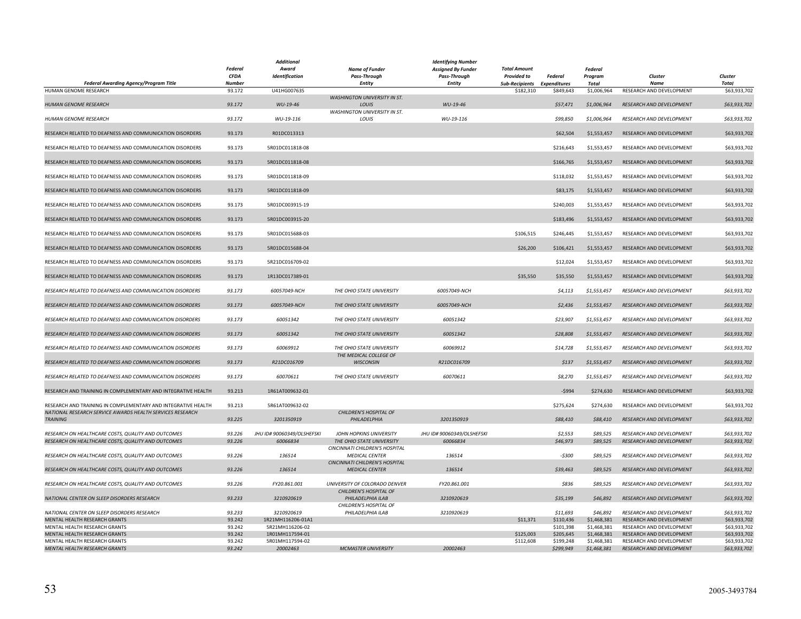|                                                                              | <b>Federal</b><br><b>CFDA</b> | Additional<br>Award<br>Identification | <b>Name of Funder</b><br><b>Pass-Through</b>            | <b>Identifying Number</b><br><b>Assigned By Funder</b><br><b>Pass-Through</b> | <b>Total Amount</b><br><b>Provided to</b> | Federal                | Federal<br>Program         | Cluster                                              | Cluster                      |
|------------------------------------------------------------------------------|-------------------------------|---------------------------------------|---------------------------------------------------------|-------------------------------------------------------------------------------|-------------------------------------------|------------------------|----------------------------|------------------------------------------------------|------------------------------|
| Federal Awarding Agency/Program Title<br>HUMAN GENOME RESEARCH               | <b>Number</b><br>93.172       | U41HG007635                           | <b>Entity</b>                                           | <b>Entity</b>                                                                 | Sub-Recipients Expenditures<br>\$182,310  | \$849,643              | Total<br>\$1,006,964       | <b>Name</b><br>RESEARCH AND DEVELOPMENT              | <b>Total</b><br>\$63,933,702 |
|                                                                              |                               |                                       | <b>WASHINGTON UNIVERSITY IN ST.</b>                     |                                                                               |                                           |                        |                            |                                                      |                              |
| <b>HUMAN GENOME RESEARCH</b>                                                 | 93.172                        | WU-19-46                              | LOUIS                                                   | WU-19-46                                                                      |                                           | \$57,471               | \$1,006,964                | RESEARCH AND DEVELOPMENT                             | \$63,933,702                 |
|                                                                              |                               |                                       | <b>WASHINGTON UNIVERSITY IN ST.</b>                     |                                                                               |                                           |                        |                            |                                                      |                              |
| HUMAN GENOME RESEARCH                                                        | 93.172                        | WU-19-116                             | LOUIS                                                   | WU-19-116                                                                     |                                           | \$99,850               | \$1,006,964                | RESEARCH AND DEVELOPMENT                             | \$63,933,702                 |
| RESEARCH RELATED TO DEAFNESS AND COMMUNICATION DISORDERS                     | 93.173                        | R01DC013313                           |                                                         |                                                                               |                                           | \$62,504               | \$1,553,457                | <b>RESEARCH AND DEVELOPMENT</b>                      | \$63,933,702                 |
|                                                                              |                               |                                       |                                                         |                                                                               |                                           |                        |                            |                                                      |                              |
| RESEARCH RELATED TO DEAFNESS AND COMMUNICATION DISORDERS                     | 93.173                        | 5R01DC011818-08                       |                                                         |                                                                               |                                           | \$216,643              | \$1,553,457                | RESEARCH AND DEVELOPMENT                             | \$63,933,702                 |
| RESEARCH RELATED TO DEAFNESS AND COMMUNICATION DISORDERS                     | 93.173                        | 5R01DC011818-08                       |                                                         |                                                                               |                                           | \$166,765              | \$1,553,457                | RESEARCH AND DEVELOPMENT                             | \$63,933,702                 |
|                                                                              |                               |                                       |                                                         |                                                                               |                                           |                        |                            |                                                      |                              |
| RESEARCH RELATED TO DEAFNESS AND COMMUNICATION DISORDERS                     | 93.173                        | 5R01DC011818-09                       |                                                         |                                                                               |                                           | \$118,032              | \$1,553,457                | RESEARCH AND DEVELOPMENT                             | \$63,933,702                 |
|                                                                              |                               |                                       |                                                         |                                                                               |                                           |                        |                            |                                                      |                              |
| RESEARCH RELATED TO DEAFNESS AND COMMUNICATION DISORDERS                     | 93.173                        | 5R01DC011818-09                       |                                                         |                                                                               |                                           | \$83,175               | \$1,553,457                | RESEARCH AND DEVELOPMENT                             | \$63,933,702                 |
| RESEARCH RELATED TO DEAFNESS AND COMMUNICATION DISORDERS                     | 93.173                        | 5R01DC003915-19                       |                                                         |                                                                               |                                           | \$240,003              | \$1,553,457                | RESEARCH AND DEVELOPMENT                             | \$63,933,702                 |
|                                                                              |                               |                                       |                                                         |                                                                               |                                           |                        |                            |                                                      |                              |
| RESEARCH RELATED TO DEAFNESS AND COMMUNICATION DISORDERS                     | 93.173                        | 5R01DC003915-20                       |                                                         |                                                                               |                                           | \$183,496              | \$1,553,457                | RESEARCH AND DEVELOPMENT                             | \$63,933,702                 |
| RESEARCH RELATED TO DEAFNESS AND COMMUNICATION DISORDERS                     | 93.173                        | 5R01DC015688-03                       |                                                         |                                                                               | \$106,515                                 | \$246,445              | \$1,553,457                | RESEARCH AND DEVELOPMENT                             | \$63,933,702                 |
|                                                                              |                               |                                       |                                                         |                                                                               |                                           |                        |                            |                                                      |                              |
| RESEARCH RELATED TO DEAFNESS AND COMMUNICATION DISORDERS                     | 93.173                        | 5R01DC015688-04                       |                                                         |                                                                               | \$26,200                                  | \$106,421              | \$1,553,457                | RESEARCH AND DEVELOPMENT                             | \$63,933,702                 |
|                                                                              |                               |                                       |                                                         |                                                                               |                                           |                        |                            |                                                      |                              |
| RESEARCH RELATED TO DEAFNESS AND COMMUNICATION DISORDERS                     | 93.173                        | 5R21DC016709-02                       |                                                         |                                                                               |                                           | \$12,024               | \$1,553,457                | RESEARCH AND DEVELOPMENT                             | \$63,933,702                 |
| RESEARCH RELATED TO DEAFNESS AND COMMUNICATION DISORDERS                     | 93.173                        | 1R13DC017389-01                       |                                                         |                                                                               | \$35,550                                  | \$35,550               | \$1,553,457                | RESEARCH AND DEVELOPMENT                             | \$63,933,702                 |
|                                                                              |                               |                                       |                                                         |                                                                               |                                           |                        |                            |                                                      |                              |
| RESEARCH RELATED TO DEAFNESS AND COMMUNICATION DISORDERS                     | 93.173                        | 60057049-NCH                          | THE OHIO STATE UNIVERSITY                               | 60057049-NCH                                                                  |                                           | \$4,113                | \$1,553,457                | RESEARCH AND DEVELOPMENT                             | \$63,933,702                 |
|                                                                              |                               |                                       |                                                         |                                                                               |                                           |                        |                            |                                                      |                              |
| RESEARCH RELATED TO DEAFNESS AND COMMUNICATION DISORDERS                     | 93.173                        | 60057049-NCH                          | THE OHIO STATE UNIVERSITY                               | 60057049-NCH                                                                  |                                           | \$2,436                | \$1,553,457                | RESEARCH AND DEVELOPMENT                             | \$63,933,702                 |
| RESEARCH RELATED TO DEAFNESS AND COMMUNICATION DISORDERS                     | 93.173                        | 60051342                              | THE OHIO STATE UNIVERSITY                               | 60051342                                                                      |                                           | \$23,907               | \$1,553,457                | RESEARCH AND DEVELOPMENT                             | \$63,933,702                 |
|                                                                              |                               |                                       |                                                         |                                                                               |                                           |                        |                            |                                                      |                              |
| RESEARCH RELATED TO DEAFNESS AND COMMUNICATION DISORDERS                     | 93.173                        | 60051342                              | THE OHIO STATE UNIVERSITY                               | 60051342                                                                      |                                           | \$28,808               | \$1,553,457                | <b>RESEARCH AND DEVELOPMENT</b>                      | \$63,933,702                 |
| RESEARCH RELATED TO DEAFNESS AND COMMUNICATION DISORDERS                     | 93.173                        | 60069912                              | THE OHIO STATE UNIVERSITY                               | 60069912                                                                      |                                           | \$14,728               | \$1,553,457                | RESEARCH AND DEVELOPMENT                             | \$63,933,702                 |
|                                                                              |                               |                                       | THE MEDICAL COLLEGE OF                                  |                                                                               |                                           |                        |                            |                                                      |                              |
| RESEARCH RELATED TO DEAFNESS AND COMMUNICATION DISORDERS                     | 93.173                        | R21DC016709                           | <b>WISCONSIN</b>                                        | R21DC016709                                                                   |                                           | \$137                  | \$1,553,457                | RESEARCH AND DEVELOPMENT                             | \$63,933,702                 |
|                                                                              |                               |                                       |                                                         |                                                                               |                                           |                        |                            |                                                      |                              |
| RESEARCH RELATED TO DEAFNESS AND COMMUNICATION DISORDERS                     | 93.173                        | 60070611                              | THE OHIO STATE UNIVERSITY                               | 60070611                                                                      |                                           | \$8,270                | \$1,553,457                | RESEARCH AND DEVELOPMENT                             | \$63,933,702                 |
| RESEARCH AND TRAINING IN COMPLEMENTARY AND INTEGRATIVE HEALTH                | 93.213                        | 1R61AT009632-01                       |                                                         |                                                                               |                                           | $-5994$                | \$274,630                  | RESEARCH AND DEVELOPMENT                             | \$63,933,702                 |
|                                                                              |                               |                                       |                                                         |                                                                               |                                           |                        |                            |                                                      |                              |
| RESEARCH AND TRAINING IN COMPLEMENTARY AND INTEGRATIVE HEALTH                | 93.213                        | 5R61AT009632-02                       |                                                         |                                                                               |                                           | \$275,624              | \$274,630                  | RESEARCH AND DEVELOPMENT                             | \$63,933,702                 |
| NATIONAL RESEARCH SERVICE AWARDS HEALTH SERVICES RESEARCH<br><b>TRAINING</b> | 93.225                        | 3201350919                            | CHILDREN'S HOSPITAL OF<br>PHILADELPHIA                  | 3201350919                                                                    |                                           | \$88,410               | \$88,410                   | RESEARCH AND DEVELOPMENT                             | \$63,933,702                 |
|                                                                              |                               |                                       |                                                         |                                                                               |                                           |                        |                            |                                                      |                              |
| RESEARCH ON HEALTHCARE COSTS, QUALITY AND OUTCOMES                           | 93.226                        | JHU ID# 90060349/OLSHEFSKI            | JOHN HOPKINS UNIVERSITY                                 | JHU ID# 90060349/OLSHEFSKI                                                    |                                           | \$2,553                | \$89,525                   | RESEARCH AND DEVELOPMENT                             | \$63,933,702                 |
| RESEARCH ON HEALTHCARE COSTS, QUALITY AND OUTCOMES                           | 93.226                        | 60066834                              | THE OHIO STATE UNIVERSITY                               | 60066834                                                                      |                                           | \$46,973               | \$89,525                   | RESEARCH AND DEVELOPMENT                             | \$63,933,702                 |
| RESEARCH ON HEALTHCARE COSTS, QUALITY AND OUTCOMES                           | 93.226                        | 136514                                | CINCINNATI CHILDREN'S HOSPITAL<br><b>MEDICAL CENTER</b> | 136514                                                                        |                                           | $-5300$                | \$89,525                   | RESEARCH AND DEVELOPMENT                             | \$63,933,702                 |
|                                                                              |                               |                                       | CINCINNATI CHILDREN'S HOSPITAL                          |                                                                               |                                           |                        |                            |                                                      |                              |
| RESEARCH ON HEALTHCARE COSTS, QUALITY AND OUTCOMES                           | 93.226                        | 136514                                | <b>MEDICAL CENTER</b>                                   | 136514                                                                        |                                           | \$39,463               | \$89,525                   | RESEARCH AND DEVELOPMENT                             | \$63,933,702                 |
|                                                                              |                               |                                       |                                                         |                                                                               |                                           |                        |                            |                                                      |                              |
| RESEARCH ON HEALTHCARE COSTS, QUALITY AND OUTCOMES                           | 93.226                        | FY20.861.001                          | UNIVERSITY OF COLORADO DENVER<br>CHILDREN'S HOSPITAL OF | FY20.861.001                                                                  |                                           | \$836                  | \$89,525                   | RESEARCH AND DEVELOPMENT                             | \$63,933,702                 |
| NATIONAL CENTER ON SLEEP DISORDERS RESEARCH                                  | 93.233                        | 3210920619                            | PHILADELPHIA ILAB                                       | 3210920619                                                                    |                                           | \$35,199               | \$46,892                   | <b>RESEARCH AND DEVELOPMENT</b>                      | \$63,933,702                 |
|                                                                              |                               |                                       | CHILDREN'S HOSPITAL OF                                  |                                                                               |                                           |                        |                            |                                                      |                              |
| NATIONAL CENTER ON SLEEP DISORDERS RESEARCH                                  | 93.233                        | 3210920619                            | PHILADELPHIA ILAB                                       | 3210920619                                                                    |                                           | \$11,693               | \$46,892                   | RESEARCH AND DEVELOPMENT                             | \$63,933,702                 |
| MENTAL HEALTH RESEARCH GRANTS                                                | 93.242                        | 1R21MH116206-01A1                     |                                                         |                                                                               | \$11,371                                  | \$110,436              | \$1,468,381                | RESEARCH AND DEVELOPMENT                             | \$63,933,702                 |
| MENTAL HEALTH RESEARCH GRANTS<br>MENTAL HEALTH RESEARCH GRANTS               | 93.242<br>93.242              | 5R21MH116206-02<br>1R01MH117594-01    |                                                         |                                                                               | \$125,003                                 | \$101,398<br>\$205,645 | \$1,468,381<br>\$1,468,381 | RESEARCH AND DEVELOPMENT<br>RESEARCH AND DEVELOPMENT | \$63,933,702<br>\$63,933,702 |
| MENTAL HEALTH RESEARCH GRANTS                                                | 93.242                        | 5R01MH117594-02                       |                                                         |                                                                               | \$112,608                                 | \$199,248              | \$1,468,381                | RESEARCH AND DEVELOPMENT                             | \$63,933,702                 |
| MENTAL HEALTH RESEARCH GRANTS                                                | 93.242                        | 20002463                              | <b>MCMASTER UNIVERSITY</b>                              | 20002463                                                                      |                                           | \$299,949              | \$1,468,381                | RESEARCH AND DEVELOPMENT                             | \$63,933,702                 |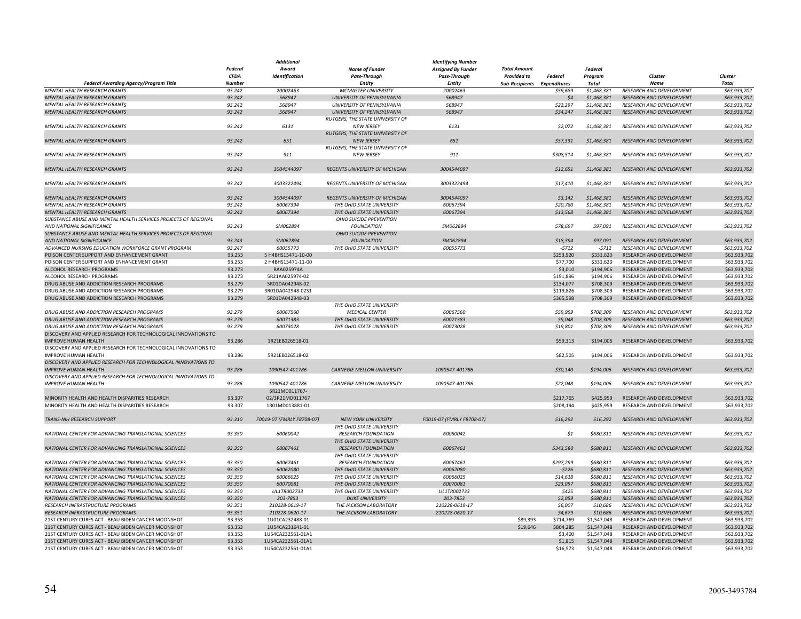|                                                                 |               | <b>Additional</b>         |                                       | Identifying Number        |                             |           |              |                                 |              |
|-----------------------------------------------------------------|---------------|---------------------------|---------------------------------------|---------------------------|-----------------------------|-----------|--------------|---------------------------------|--------------|
|                                                                 | Federal       | Award                     | <b>Name of Funder</b>                 | <b>Assigned By Funder</b> | <b>Total Amount</b>         |           | Federal      |                                 |              |
|                                                                 | <b>CFDA</b>   | Identification            | <b>Pass-Through</b>                   | <b>Pass-Through</b>       | <b>Provided to</b>          | Federal   | Program      | Cluster                         | Cluster      |
| Federal Awarding Agency/Program Title                           | <b>Number</b> |                           | Entity                                | Entity                    | Sub-Recipients Expenditures |           | <b>Total</b> | <b>Name</b>                     | <b>Total</b> |
| <b>MENTAL HEALTH RESEARCH GRANTS</b>                            | 93.242        | 20002463                  | <b>MCMASTER UNIVERSITY</b>            | 20002463                  |                             | \$59,689  | \$1,468,381  | RESEARCH AND DEVELOPMENT        | \$63,933,702 |
| MENTAL HEALTH RESEARCH GRANTS                                   | 93.242        | 568947                    | UNIVERSITY OF PENNSYLVANIA            | 568947                    |                             | $\zeta$ 4 | \$1,468,381  | RESEARCH AND DEVELOPMENT        | \$63,933,702 |
| MENTAL HEALTH RESEARCH GRANTS                                   | 93.242        | 568947                    | UNIVERSITY OF PENNSYLVANIA            | 568947                    |                             | \$22,297  | \$1,468,381  | RESEARCH AND DEVELOPMENT        | \$63,933,702 |
| MENTAL HEALTH RESEARCH GRANTS                                   | 93.242        | 568947                    | UNIVERSITY OF PENNSYLVANIA            | 568947                    |                             | \$34,247  | \$1,468,381  | RESEARCH AND DEVELOPMENT        | \$63,933,702 |
|                                                                 |               |                           | RUTGERS, THE STATE UNIVERSITY OF      |                           |                             |           |              |                                 |              |
|                                                                 |               |                           |                                       |                           |                             |           |              |                                 |              |
| MENTAL HEALTH RESEARCH GRANTS                                   | 93.242        | 6131                      | <b>NEW JERSEY</b>                     | 6131                      |                             | \$2,072   | \$1,468,381  | RESEARCH AND DEVELOPMENT        | \$63,933,702 |
|                                                                 |               |                           | RUTGERS. THE STATE UNIVERSITY OF      |                           |                             |           |              |                                 |              |
| MENTAL HEALTH RESEARCH GRANTS                                   | 93.242        | 651                       | <b>NEW JERSEY</b>                     | 651                       |                             | \$57,331  | \$1,468,381  | RESEARCH AND DEVELOPMENT        | \$63,933,702 |
|                                                                 |               |                           | RUTGERS, THE STATE UNIVERSITY OF      |                           |                             |           |              |                                 |              |
| <b>MENTAL HEALTH RESEARCH GRANTS</b>                            | 93.242        | 911                       | <b>NEW JERSEY</b>                     | 911                       |                             | \$308,514 | \$1,468,381  | <b>RESEARCH AND DEVELOPMENT</b> | \$63,933,702 |
|                                                                 |               |                           |                                       |                           |                             |           |              |                                 |              |
| MENTAL HEALTH RESEARCH GRANTS                                   | 93.242        | 3004544097                | <b>REGENTS UNIVERSITY OF MICHIGAN</b> | 3004544097                |                             | \$12,651  | \$1,468,381  | RESEARCH AND DEVELOPMENT        | \$63,933,702 |
|                                                                 |               |                           |                                       |                           |                             |           |              |                                 |              |
| MENTAL HEALTH RESEARCH GRANTS                                   | 93.242        | 3003322494                | REGENTS UNIVERSITY OF MICHIGAN        | 3003322494                |                             | \$17,410  | \$1,468,381  | RESEARCH AND DEVELOPMENT        | \$63,933,702 |
|                                                                 |               |                           |                                       |                           |                             |           |              |                                 |              |
| MENTAL HEALTH RESEARCH GRANTS                                   | 93.242        | 3004544097                | REGENTS UNIVERSITY OF MICHIGAN        | 3004544097                |                             | \$3,142   | \$1,468,381  | RESEARCH AND DEVELOPMENT        | \$63,933,702 |
| MENTAL HEALTH RESEARCH GRANTS                                   | 93.242        | 60067394                  | THE OHIO STATE UNIVERSITY             | 60067394                  |                             | \$20,780  | \$1,468,381  | RESEARCH AND DEVELOPMENT        | \$63,933,702 |
| MENTAL HEALTH RESEARCH GRANTS                                   | 93.242        | 60067394                  | THE OHIO STATE UNIVERSITY             | 60067394                  |                             | \$13,568  | \$1,468,381  | RESEARCH AND DEVELOPMENT        | \$63,933,702 |
| SUBSTANCE ABUSE AND MENTAL HEALTH SERVICES PROJECTS OF REGIONAL |               |                           | OHIO SUICIDE PREVENTION               |                           |                             |           |              |                                 |              |
|                                                                 |               |                           |                                       |                           |                             |           |              |                                 |              |
| AND NATIONAL SIGNIFICANCE                                       | 93.243        | SM062894                  | <b>FOUNDATION</b>                     | SM062894                  |                             | \$78,697  | \$97,091     | RESEARCH AND DEVELOPMENT        | \$63,933,702 |
| SUBSTANCE ABUSE AND MENTAL HEALTH SERVICES PROJECTS OF REGIONAL |               |                           | OHIO SUICIDE PREVENTION               |                           |                             |           |              |                                 |              |
| <b>AND NATIONAL SIGNIFICANCE</b>                                | 93.243        | SM062894                  | <b>FOUNDATION</b>                     | SM062894                  |                             | \$18,394  | \$97,091     | RESEARCH AND DEVELOPMENT        | \$63,933,702 |
| ADVANCED NURSING EDUCATION WORKFORCE GRANT PROGRAM              | 93.247        | 60055773                  | THE OHIO STATE UNIVERSITY             | 60055773                  |                             | $-5712$   | $-5712$      | RESEARCH AND DEVELOPMENT        | \$63,933,702 |
| POISON CENTER SUPPORT AND ENHANCEMENT GRANT                     | 93.253        | 5 H4BHS15471-10-00        |                                       |                           |                             | \$253,920 | \$331,620    | RESEARCH AND DEVELOPMENT        | \$63,933,702 |
| POISON CENTER SUPPORT AND ENHANCEMENT GRANT                     | 93.253        | 2 H4BHS15471-11-00        |                                       |                           |                             | \$77,700  | \$331,620    | RESEARCH AND DEVELOPMENT        | \$63,933,702 |
| ALCOHOL RESEARCH PROGRAMS                                       | 93.273        | RAA025974A                |                                       |                           |                             | \$3,010   | \$194,906    | RESEARCH AND DEVELOPMENT        | \$63,933,702 |
| ALCOHOL RESEARCH PROGRAMS                                       | 93.273        | 5R21AA025974-02           |                                       |                           |                             | \$191,896 | \$194,906    | RESEARCH AND DEVELOPMENT        | \$63,933,702 |
| DRUG ABUSE AND ADDICTION RESEARCH PROGRAMS                      | 93.279        | 5R01DA042948-02           |                                       |                           |                             | \$134,077 | \$708,309    | RESEARCH AND DEVELOPMENT        | \$63,933,702 |
| DRUG ABUSE AND ADDICTION RESEARCH PROGRAMS                      | 93.279        | 3R01DA042948-02S1         |                                       |                           |                             | \$119,826 | \$708,309    | RESEARCH AND DEVELOPMENT        | \$63,933,702 |
| DRUG ABUSE AND ADDICTION RESEARCH PROGRAMS                      | 93.279        | 5R01DA042948-03           |                                       |                           |                             | \$365,598 | \$708,309    | RESEARCH AND DEVELOPMENT        | \$63,933,702 |
|                                                                 |               |                           | THE OHIO STATE UNIVERSITY             |                           |                             |           |              |                                 |              |
| DRUG ABUSE AND ADDICTION RESEARCH PROGRAMS                      | 93.279        | 60067560                  | <b>MEDICAL CENTER</b>                 | 60067560                  |                             | \$59,959  | \$708,309    | RESEARCH AND DEVELOPMENT        | \$63,933,702 |
| DRUG ABUSE AND ADDICTION RESEARCH PROGRAMS                      | 93.279        | 60071383                  | THE OHIO STATE UNIVERSITY             | 60071383                  |                             | \$9,048   | \$708,309    | <b>RESEARCH AND DEVELOPMENT</b> | \$63,933,702 |
| DRUG ABUSE AND ADDICTION RESEARCH PROGRAMS                      | 93.279        | 60073028                  | THE OHIO STATE UNIVERSITY             | 60073028                  |                             | \$19,801  | \$708,309    | RESEARCH AND DEVELOPMENT        | \$63,933,702 |
| DISCOVERY AND APPLIED RESEARCH FOR TECHNOLOGICAL INNOVATIONS TO |               |                           |                                       |                           |                             |           |              |                                 |              |
|                                                                 |               |                           |                                       |                           |                             |           |              |                                 |              |
| <b>IMPROVE HUMAN HEALTH</b>                                     | 93.286        | 1R21EB026518-01           |                                       |                           |                             | \$59,313  | \$194,006    | <b>RESEARCH AND DEVELOPMENT</b> | \$63,933,702 |
| DISCOVERY AND APPLIED RESEARCH FOR TECHNOLOGICAL INNOVATIONS TO |               |                           |                                       |                           |                             |           |              |                                 |              |
| <b>IMPROVE HUMAN HEALTH</b>                                     | 93.286        | 5R21EB026518-02           |                                       |                           |                             | \$82,505  | \$194,006    | RESEARCH AND DEVELOPMENT        | \$63,933,702 |
| DISCOVERY AND APPLIED RESEARCH FOR TECHNOLOGICAL INNOVATIONS TO |               |                           |                                       |                           |                             |           |              |                                 |              |
| <b>IMPROVE HUMAN HEALTH</b>                                     | 93.286        | 1090547-401786            | <b>CARNEGIE MELLON UNIVERSITY</b>     | 1090547-401786            |                             | \$30,140  | \$194,006    | RESEARCH AND DEVELOPMENT        | \$63,933,702 |
| DISCOVERY AND APPLIED RESEARCH FOR TECHNOLOGICAL INNOVATIONS TO |               |                           |                                       |                           |                             |           |              |                                 |              |
| <b>IMPROVE HUMAN HEALTH</b>                                     | 93.286        | 1090547-401786            | <b>CARNEGIE MELLON UNIVERSITY</b>     | 1090547-401786            |                             | \$22,048  | \$194,006    | RESEARCH AND DEVELOPMENT        | \$63,933,702 |
|                                                                 |               | 5R21MD011767-             |                                       |                           |                             |           |              |                                 |              |
| MINORITY HEALTH AND HEALTH DISPARITIES RESEARCH                 | 93.307        | 02/3R21MD011767           |                                       |                           |                             | \$217,765 | \$425,959    | RESEARCH AND DEVELOPMENT        | \$63,933,702 |
| MINORITY HEALTH AND HEALTH DISPARITIES RESEARCH                 | 93.307        | 1R01MD013881-01           |                                       |                           |                             | \$208,194 | \$425,959    | RESEARCH AND DEVELOPMENT        | \$63,933,702 |
|                                                                 |               |                           |                                       |                           |                             |           |              |                                 |              |
| TRANS-NIH RESEARCH SUPPORT                                      | 93.310        | F0019-07 (FMRLY F8708-07) | <b>NEW YORK UNIVERSITY</b>            | F0019-07 (FMRLY F8708-07) |                             | \$16,292  | \$16,292     | <b>RESEARCH AND DEVELOPMENT</b> | \$63,933,702 |
|                                                                 |               |                           | THE OHIO STATE UNIVERSITY             |                           |                             |           |              |                                 |              |
| NATIONAL CENTER FOR ADVANCING TRANSLATIONAL SCIENCES            | 93.350        | 60060042                  | <b>RESEARCH FOUNDATION</b>            | 60060042                  |                             | $-51$     | \$680,811    | RESEARCH AND DEVELOPMENT        | \$63,933,702 |
|                                                                 |               |                           | THE OHIO STATE UNIVERSITY             |                           |                             |           |              |                                 |              |
| NATIONAL CENTER FOR ADVANCING TRANSLATIONAL SCIENCES            | 93.350        |                           | <b>RESEARCH FOUNDATION</b>            |                           |                             | \$343,580 | \$680,811    | RESEARCH AND DEVELOPMENT        |              |
|                                                                 |               | 60067461                  |                                       | 60067461                  |                             |           |              |                                 | \$63,933,702 |
|                                                                 |               |                           | THE OHIO STATE UNIVERSITY             |                           |                             |           |              |                                 |              |
| NATIONAL CENTER FOR ADVANCING TRANSLATIONAL SCIENCES            | 93.350        | 60067461                  | <b>RESEARCH FOUNDATION</b>            | 60067461                  |                             | \$297,299 | \$680,811    | RESEARCH AND DEVELOPMENT        | \$63,933,702 |
| NATIONAL CENTER FOR ADVANCING TRANSLATIONAL SCIENCES            | 93.350        | 60062080                  | THE OHIO STATE UNIVERSITY             | 60062080                  |                             | $-5226$   | \$680.811    | RESEARCH AND DEVELOPMENT        | \$63,933,702 |
| NATIONAL CENTER FOR ADVANCING TRANSLATIONAL SCIENCES            | 93.350        | 60066025                  | THE OHIO STATE UNIVERSITY             | 60066025                  |                             | \$14,618  | \$680,811    | RESEARCH AND DEVELOPMENT        | \$63,933,702 |
| NATIONAL CENTER FOR ADVANCING TRANSLATIONAL SCIENCES            | 93.350        | 60070081                  | THE OHIO STATE UNIVERSITY             | 60070081                  |                             | \$23,057  | \$680,811    | RESEARCH AND DEVELOPMENT        | \$63,933,702 |
| NATIONAL CENTER FOR ADVANCING TRANSLATIONAL SCIENCES            | 93.350        | UL1TR002733               | THE OHIO STATE UNIVERSITY             | UL1TR002733               |                             | \$425     | \$680,811    | RESEARCH AND DEVELOPMENT        | \$63,933,702 |
| NATIONAL CENTER FOR ADVANCING TRANSLATIONAL SCIENCES            | 93.350        | 203-7853                  | <b>DUKE UNIVERSITY</b>                | 203-7853                  |                             | \$2,059   | \$680,811    | RESEARCH AND DEVELOPMENT        | \$63,933,702 |
| RESEARCH INFRASTRUCTURE PROGRAMS                                | 93.351        | 210228-0619-17            | THE JACKSON LABORATORY                | 210228-0619-17            |                             | \$6,007   | \$10,686     | RESEARCH AND DEVELOPMENT        | \$63,933,702 |
| RESEARCH INFRASTRUCTURE PROGRAMS                                | 93.351        | 210228-0620-17            | THE JACKSON LABORATORY                | 210228-0620-17            |                             | \$4,679   | \$10,686     | RESEARCH AND DEVELOPMENT        | \$63,933,702 |
| 21ST CENTURY CURES ACT - BEAU BIDEN CANCER MOONSHOT             | 93.353        | 1U01CA232488-01           |                                       |                           | \$89,393                    | \$714,769 | \$1,547,048  | RESEARCH AND DEVELOPMENT        | \$63,933,702 |
| 21ST CENTURY CURES ACT - BEAU BIDEN CANCER MOONSHOT             | 93.353        | 1U54CA231641-01           |                                       |                           | \$19,646                    | \$804,285 | \$1,547,048  | <b>RESEARCH AND DEVELOPMENT</b> | \$63,933,702 |
| 21ST CENTURY CURES ACT - BEAU BIDEN CANCER MOONSHOT             | 93.353        | 1U54CA232561-01A1         |                                       |                           |                             | \$3,400   | \$1,547,048  | RESEARCH AND DEVELOPMENT        | \$63,933,702 |
| 21ST CENTURY CURES ACT - BEAU BIDEN CANCER MOONSHOT             | 93.353        | 1U54CA232561-01A1         |                                       |                           |                             | \$1,815   | \$1,547,048  | RESEARCH AND DEVELOPMENT        | \$63,933,702 |
| 21ST CENTURY CURES ACT - BEAU BIDEN CANCER MOONSHOT             | 93.353        | 1U54CA232561-01A1         |                                       |                           |                             | \$16,573  | \$1,547,048  | RESEARCH AND DEVELOPMENT        | \$63,933,702 |
|                                                                 |               |                           |                                       |                           |                             |           |              |                                 |              |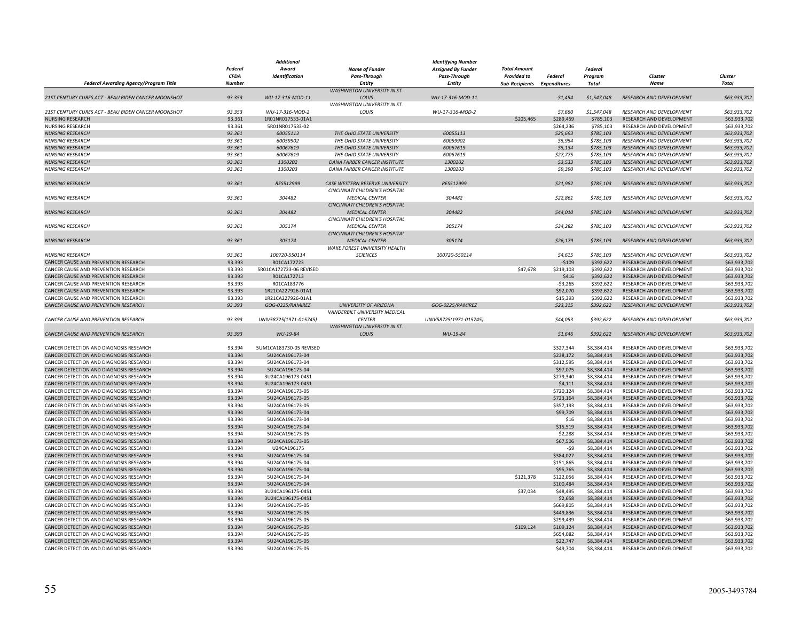|                                                     |                | <b>Additional</b>       |                                     | <b>Identifying Number</b> |                             |                |             |                                 |              |
|-----------------------------------------------------|----------------|-------------------------|-------------------------------------|---------------------------|-----------------------------|----------------|-------------|---------------------------------|--------------|
|                                                     | <b>Federal</b> | Award                   | <b>Name of Funder</b>               | <b>Assigned By Funder</b> | <b>Total Amount</b>         |                | Federal     |                                 |              |
|                                                     | <b>CFDA</b>    | Identification          | Pass-Through                        | Pass-Through              | Provided to                 | <b>Federal</b> | Program     | Cluster                         | Cluster      |
| <b>Federal Awarding Agency/Program Title</b>        | <b>Number</b>  |                         | Entity                              | Entity                    | Sub-Recipients Expenditures |                | Total       | <b>Name</b>                     | <b>Total</b> |
|                                                     |                |                         |                                     |                           |                             |                |             |                                 |              |
|                                                     |                |                         | <b>WASHINGTON UNIVERSITY IN ST.</b> |                           |                             |                |             |                                 |              |
| 21ST CENTURY CURES ACT - BEAU BIDEN CANCER MOONSHOT | 93.353         | WU-17-316-MOD-11        | LOUIS                               | WU-17-316-MOD-11          |                             | $-51,454$      | \$1,547,048 | RESEARCH AND DEVELOPMENT        | \$63,933,702 |
|                                                     |                |                         | WASHINGTON UNIVERSITY IN ST.        |                           |                             |                |             |                                 |              |
| 21ST CENTURY CURES ACT - BEAU BIDEN CANCER MOONSHOT | 93.353         | WU-17-316-MOD-2         | LOUIS                               | WU-17-316-MOD-2           |                             | \$7,660        | \$1,547,048 | <b>RESEARCH AND DEVELOPMENT</b> | \$63,933,702 |
| <b>NURSING RESEARCH</b>                             | 93.361         | 1R01NR017533-01A1       |                                     |                           | \$205,465                   | \$289,459      | \$785,103   | RESEARCH AND DEVELOPMENT        | \$63,933,702 |
| <b>NURSING RESEARCH</b>                             | 93.361         | 5R01NR017533-02         |                                     |                           |                             | \$264,236      | \$785.103   | RESEARCH AND DEVELOPMENT        | \$63,933,702 |
| <b>NURSING RESEARCH</b>                             | 93.361         | 60055113                | THE OHIO STATE UNIVERSITY           | 60055113                  |                             | \$25,693       | \$785,103   | RESEARCH AND DEVELOPMENT        | \$63,933,702 |
| <b>NURSING RESEARCH</b>                             | 93.361         | 60059902                | THE OHIO STATE UNIVERSITY           | 60059902                  |                             | \$5,954        | \$785,103   | RESEARCH AND DEVELOPMENT        | \$63,933,702 |
| <b>NURSING RESEARCH</b>                             | 93.361         | 60067619                | THE OHIO STATE UNIVERSITY           | 60067619                  |                             | \$5,134        | \$785,103   | RESEARCH AND DEVELOPMENT        | \$63,933,702 |
|                                                     |                |                         |                                     |                           |                             |                |             |                                 |              |
| <b>NURSING RESEARCH</b>                             | 93.361         | 60067619                | THE OHIO STATE UNIVERSITY           | 60067619                  |                             | \$27,775       | \$785,103   | RESEARCH AND DEVELOPMENT        | \$63,933,702 |
| <b>NURSING RESEARCH</b>                             | 93.361         | 1300202                 | <b>DANA FARBER CANCER INSTITUTE</b> | 1300202                   |                             | \$3,533        | \$785,103   | <b>RESEARCH AND DEVELOPMENT</b> | \$63,933,702 |
| <b>NURSING RESEARCH</b>                             | 93.361         | 1300203                 | DANA FARBER CANCER INSTITUTE        | 1300203                   |                             | \$9,390        | \$785,103   | RESEARCH AND DEVELOPMENT        | \$63,933,702 |
|                                                     |                |                         |                                     |                           |                             |                |             |                                 |              |
| <b>NURSING RESEARCH</b>                             | 93.361         | RES512999               | CASE WESTERN RESERVE UNIVERSITY     | RES512999                 |                             | \$21,982       | \$785,103   | RESEARCH AND DEVELOPMENT        | \$63,933,702 |
|                                                     |                |                         | CINCINNATI CHILDREN'S HOSPITAL      |                           |                             |                |             |                                 |              |
| <b>NURSING RESEARCH</b>                             | 93.361         | 304482                  | <b>MEDICAL CENTER</b>               | 304482                    |                             | \$22,861       | \$785,103   | RESEARCH AND DEVELOPMENT        | \$63,933,702 |
|                                                     |                |                         | CINCINNATI CHILDREN'S HOSPITAL      |                           |                             |                |             |                                 |              |
| <b>NURSING RESEARCH</b>                             | 93.361         | 304482                  | <b>MEDICAL CENTER</b>               | 304482                    |                             | \$44,010       | \$785,103   | RESEARCH AND DEVELOPMENT        | \$63,933,702 |
|                                                     |                |                         |                                     |                           |                             |                |             |                                 |              |
|                                                     |                |                         | CINCINNATI CHILDREN'S HOSPITAL      |                           |                             |                |             |                                 |              |
| <b>NURSING RESEARCH</b>                             | 93.361         | 305174                  | <b>MEDICAL CENTER</b>               | 305174                    |                             | \$34,282       | \$785,103   | RESEARCH AND DEVELOPMENT        | \$63,933,702 |
|                                                     |                |                         | CINCINNATI CHILDREN'S HOSPITAL      |                           |                             |                |             |                                 |              |
| <b>NURSING RESEARCH</b>                             | 93.361         | 305174                  | <b>MEDICAL CENTER</b>               | 305174                    |                             | \$26,179       | \$785,103   | RESEARCH AND DEVELOPMENT        | \$63,933,702 |
|                                                     |                |                         | WAKE FOREST UNIVERSITY HEALTH       |                           |                             |                |             |                                 |              |
| <b>NURSING RESEARCH</b>                             | 93.361         | 100720-550114           | <b>SCIENCES</b>                     | 100720-550114             |                             | \$4,615        | \$785,103   | RESEARCH AND DEVELOPMENT        | \$63,933,702 |
| CANCER CAUSE AND PREVENTION RESEARCH                | 93.393         | R01CA172723             |                                     |                           |                             | $-5109$        | \$392,622   | RESEARCH AND DEVELOPMENT        | \$63,933,702 |
| CANCER CAUSE AND PREVENTION RESEARCH                | 93.393         | 5R01CA172723-06 REVISED |                                     |                           | \$47,678                    | \$219,103      | \$392,622   | RESEARCH AND DEVELOPMENT        | \$63,933,702 |
|                                                     |                |                         |                                     |                           |                             |                |             |                                 |              |
| CANCER CAUSE AND PREVENTION RESEARCH                | 93.393         | R01CA172713             |                                     |                           |                             | \$416          | \$392,622   | RESEARCH AND DEVELOPMENT        | \$63,933,702 |
| CANCER CAUSE AND PREVENTION RESEARCH                | 93.393         | R01CA183776             |                                     |                           |                             | $-53,265$      | \$392,622   | RESEARCH AND DEVELOPMENT        | \$63,933,702 |
| CANCER CAUSE AND PREVENTION RESEARCH                | 93.393         | 1R21CA227926-01A1       |                                     |                           |                             | \$92,070       | \$392,622   | RESEARCH AND DEVELOPMENT        | \$63,933,702 |
| CANCER CAUSE AND PREVENTION RESEARCH                | 93.393         | 1R21CA227926-01A1       |                                     |                           |                             | \$15,393       | \$392,622   | RESEARCH AND DEVELOPMENT        | \$63,933,702 |
| CANCER CAUSE AND PREVENTION RESEARCH                | 93.393         | GOG-0225/RAMIREZ        | <b>UNIVERSITY OF ARIZONA</b>        | GOG-0225/RAMIREZ          |                             | \$23,315       | \$392,622   | RESEARCH AND DEVELOPMENT        | \$63,933,702 |
|                                                     |                |                         | VANDERBILT UNIVERSITY MEDICAL       |                           |                             |                |             |                                 |              |
| CANCER CAUSE AND PREVENTION RESEARCH                | 93.393         | UNIV58725(1971-015745)  | <b>CENTER</b>                       | UNIV58725(1971-015745)    |                             | \$44,053       | \$392,622   | <b>RESEARCH AND DEVELOPMENT</b> | \$63,933,702 |
|                                                     |                |                         | WASHINGTON UNIVERSITY IN ST.        |                           |                             |                |             |                                 |              |
| CANCER CAUSE AND PREVENTION RESEARCH                | 93.393         | WU-19-84                | LOUIS                               | WU-19-84                  |                             | \$1.646        | \$392.622   | <b>RESEARCH AND DEVELOPMENT</b> |              |
|                                                     |                |                         |                                     |                           |                             |                |             |                                 | \$63,933,702 |
|                                                     |                |                         |                                     |                           |                             |                |             |                                 |              |
| CANCER DETECTION AND DIAGNOSIS RESEARCH             | 93.394         | 5UM1CA183730-05 REVISED |                                     |                           |                             | \$327,344      | \$8,384,414 | RESEARCH AND DEVELOPMENT        | \$63,933,702 |
| CANCER DETECTION AND DIAGNOSIS RESEARCH             | 93.394         | 5U24CA196173-04         |                                     |                           |                             | \$238,172      | \$8,384,414 | RESEARCH AND DEVELOPMENT        | \$63,933,702 |
| CANCER DETECTION AND DIAGNOSIS RESEARCH             | 93.394         | 5U24CA196173-04         |                                     |                           |                             | \$312,595      | \$8,384,414 | RESEARCH AND DEVELOPMENT        | \$63,933,702 |
| CANCER DETECTION AND DIAGNOSIS RESEARCH             | 93.394         | 5U24CA196173-04         |                                     |                           |                             | \$97,075       | \$8,384,414 | RESEARCH AND DEVELOPMENT        | \$63,933,702 |
| CANCER DETECTION AND DIAGNOSIS RESEARCH             | 93.394         | 3U24CA196173-04S1       |                                     |                           |                             | \$279,340      | \$8,384,414 | RESEARCH AND DEVELOPMENT        | \$63,933,702 |
| CANCER DETECTION AND DIAGNOSIS RESEARCH             | 93.394         | 3U24CA196173-04S1       |                                     |                           |                             | \$4,111        | \$8,384,414 | RESEARCH AND DEVELOPMENT        | \$63,933,702 |
| CANCER DETECTION AND DIAGNOSIS RESEARCH             | 93.394         | 5U24CA196173-05         |                                     |                           |                             | \$720,124      | \$8,384,414 | RESEARCH AND DEVELOPMENT        | \$63,933,702 |
| CANCER DETECTION AND DIAGNOSIS RESEARCH             | 93.394         | 5U24CA196173-05         |                                     |                           |                             | \$723,164      | \$8,384,414 | RESEARCH AND DEVELOPMENT        | \$63,933,702 |
|                                                     |                |                         |                                     |                           |                             |                |             |                                 |              |
| CANCER DETECTION AND DIAGNOSIS RESEARCH             | 93.394         | 5U24CA196173-05         |                                     |                           |                             | \$357,193      | \$8,384,414 | RESEARCH AND DEVELOPMENT        | \$63,933,702 |
| CANCER DETECTION AND DIAGNOSIS RESEARCH             | 93.394         | 5U24CA196173-04         |                                     |                           |                             | \$99,709       | \$8,384,414 | RESEARCH AND DEVELOPMENT        | \$63,933,702 |
| CANCER DETECTION AND DIAGNOSIS RESEARCH             | 93.394         | 5U24CA196173-04         |                                     |                           |                             | \$16           | \$8,384,414 | RESEARCH AND DEVELOPMENT        | \$63,933,702 |
| CANCER DETECTION AND DIAGNOSIS RESEARCH             | 93.394         | 5U24CA196173-04         |                                     |                           |                             | \$15,519       | \$8,384,414 | RESEARCH AND DEVELOPMENT        | \$63,933,702 |
| CANCER DETECTION AND DIAGNOSIS RESEARCH             | 93.394         | 5U24CA196173-05         |                                     |                           |                             | \$2,288        | \$8,384,414 | RESEARCH AND DEVELOPMENT        | \$63,933,702 |
| CANCER DETECTION AND DIAGNOSIS RESEARCH             | 93.394         | 5U24CA196173-05         |                                     |                           |                             | \$67,506       | \$8,384,414 | RESEARCH AND DEVELOPMENT        | \$63,933,702 |
| CANCER DETECTION AND DIAGNOSIS RESEARCH             | 93.394         | U24CA196175             |                                     |                           |                             | -\$9           | \$8,384,414 | RESEARCH AND DEVELOPMENT        | \$63,933,702 |
| CANCER DETECTION AND DIAGNOSIS RESEARCH             | 93.394         | 5U24CA196175-04         |                                     |                           |                             | \$384,027      | \$8,384,414 | RESEARCH AND DEVELOPMENT        | \$63,933,702 |
|                                                     |                |                         |                                     |                           |                             |                | \$8,384,414 | RESEARCH AND DEVELOPMENT        |              |
| CANCER DETECTION AND DIAGNOSIS RESEARCH             | 93.394         | 5U24CA196175-04         |                                     |                           |                             | \$151,865      |             |                                 | \$63,933,702 |
| CANCER DETECTION AND DIAGNOSIS RESEARCH             | 93.394         | 5U24CA196175-04         |                                     |                           |                             | \$95,765       | \$8,384,414 | RESEARCH AND DEVELOPMENT        | \$63,933,702 |
| CANCER DETECTION AND DIAGNOSIS RESEARCH             | 93.394         | 5U24CA196175-04         |                                     |                           | \$121,378                   | \$122,056      | \$8,384,414 | RESEARCH AND DEVELOPMENT        | \$63,933,702 |
| CANCER DETECTION AND DIAGNOSIS RESEARCH             | 93.394         | 5U24CA196175-04         |                                     |                           |                             | \$100,484      | \$8,384,414 | RESEARCH AND DEVELOPMENT        | \$63,933,702 |
| CANCER DETECTION AND DIAGNOSIS RESEARCH             | 93.394         | 3U24CA196175-04S1       |                                     |                           | \$37,034                    | \$48,495       | \$8,384,414 | RESEARCH AND DEVELOPMENT        | \$63,933,702 |
| CANCER DETECTION AND DIAGNOSIS RESEARCH             | 93.394         | 3U24CA196175-04S1       |                                     |                           |                             | \$2,658        | \$8,384,414 | RESEARCH AND DEVELOPMENT        | \$63,933,702 |
| CANCER DETECTION AND DIAGNOSIS RESEARCH             | 93.394         | 5U24CA196175-05         |                                     |                           |                             | \$669,805      | \$8,384,414 | RESEARCH AND DEVELOPMENT        | \$63,933,702 |
| CANCER DETECTION AND DIAGNOSIS RESEARCH             | 93.394         | 5U24CA196175-05         |                                     |                           |                             | \$449,836      | \$8,384,414 | RESEARCH AND DEVELOPMENT        | \$63,933,702 |
| CANCER DETECTION AND DIAGNOSIS RESEARCH             | 93.394         | 5U24CA196175-05         |                                     |                           |                             | \$299,439      | \$8,384,414 | RESEARCH AND DEVELOPMENT        | \$63,933,702 |
|                                                     |                |                         |                                     |                           |                             |                |             |                                 |              |
| CANCER DETECTION AND DIAGNOSIS RESEARCH             | 93.394         | 5U24CA196175-05         |                                     |                           | \$109,124                   | \$109,124      | \$8,384,414 | RESEARCH AND DEVELOPMENT        | \$63,933,702 |
| CANCER DETECTION AND DIAGNOSIS RESEARCH             | 93.394         | 5U24CA196175-05         |                                     |                           |                             | \$654,082      | \$8,384,414 | RESEARCH AND DEVELOPMENT        | \$63,933,702 |
| CANCER DETECTION AND DIAGNOSIS RESEARCH             | 93.394         | 5U24CA196175-05         |                                     |                           |                             | \$22,747       | \$8,384,414 | RESEARCH AND DEVELOPMENT        | \$63,933,702 |
| CANCER DETECTION AND DIAGNOSIS RESEARCH             | 93.394         | 5U24CA196175-05         |                                     |                           |                             | \$49,704       | \$8,384,414 | RESEARCH AND DEVELOPMENT        | \$63,933,702 |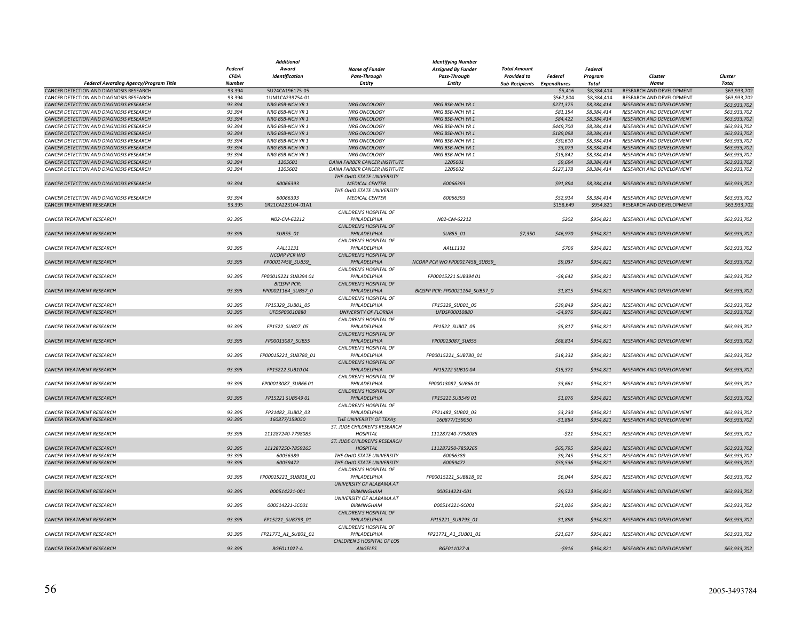|                                              |               | Additional           |                              | <b>Identifying Number</b>      |                             |                |                |                                 |              |
|----------------------------------------------|---------------|----------------------|------------------------------|--------------------------------|-----------------------------|----------------|----------------|---------------------------------|--------------|
|                                              | Federal       | Award                | <b>Name of Funder</b>        | <b>Assigned By Funder</b>      | <b>Total Amount</b>         |                | <b>Federal</b> |                                 |              |
|                                              | <b>CFDA</b>   | Identification       | Pass-Through                 | Pass-Through                   | <b>Provided to</b>          | <b>Federal</b> | Program        | Cluster                         | Cluster      |
| <b>Federal Awarding Agency/Program Title</b> | <b>Number</b> |                      | <b>Entity</b>                | Entity                         | Sub-Recipients Expenditures |                | <b>Total</b>   | <b>Name</b>                     | Total        |
| CANCER DETECTION AND DIAGNOSIS RESEARCH      | 93.394        | 5U24CA196175-05      |                              |                                |                             | \$5,416        | \$8,384,414    | RESEARCH AND DEVELOPMENT        | \$63,933,702 |
| CANCER DETECTION AND DIAGNOSIS RESEARCH      | 93.394        | 1UM1CA239754-01      |                              |                                |                             | \$567,804      | \$8,384,414    | RESEARCH AND DEVELOPMENT        | \$63,933,702 |
| CANCER DETECTION AND DIAGNOSIS RESEARCH      | 93.394        | NRG BSB-NCH YR 1     | <b>NRG ONCOLOGY</b>          | NRG BSB-NCH YR 1               |                             | \$271,375      | \$8,384,414    | RESEARCH AND DEVELOPMENT        | \$63,933,702 |
| CANCER DETECTION AND DIAGNOSIS RESEARCH      | 93.394        | NRG BSB-NCH YR 1     | NRG ONCOLOGY                 | NRG BSB-NCH YR 1               |                             | \$81,154       | \$8,384,414    | RESEARCH AND DEVELOPMENT        | \$63,933,702 |
| CANCER DETECTION AND DIAGNOSIS RESEARCH      | 93.394        | NRG BSB-NCH YR 1     | <b>NRG ONCOLOGY</b>          | NRG BSB-NCH YR 1               |                             | \$84,422       | \$8,384,414    | RESEARCH AND DEVELOPMENT        | \$63,933,702 |
| CANCER DETECTION AND DIAGNOSIS RESEARCH      | 93.394        |                      |                              |                                |                             | \$449,700      | \$8,384,414    | RESEARCH AND DEVELOPMENT        | \$63,933,702 |
|                                              |               | NRG BSB-NCH YR 1     | <b>NRG ONCOLOGY</b>          | NRG BSB-NCH YR 1               |                             |                |                |                                 |              |
| CANCER DETECTION AND DIAGNOSIS RESEARCH      | 93.394        | NRG BSB-NCH YR 1     | <b>NRG ONCOLOGY</b>          | NRG BSB-NCH YR 1               |                             | \$189,098      | \$8,384,414    | <b>RESEARCH AND DEVELOPMENT</b> | \$63,933,702 |
| CANCER DETECTION AND DIAGNOSIS RESEARCH      | 93.394        | NRG BSB-NCH YR 1     | NRG ONCOLOGY                 | NRG BSB-NCH YR 1               |                             | \$30,610       | \$8,384,414    | RESEARCH AND DEVELOPMENT        | \$63,933,702 |
| CANCER DETECTION AND DIAGNOSIS RESEARCH      | 93.394        | NRG BSB-NCH YR 1     | NRG ONCOLOGY                 | NRG BSB-NCH YR 1               |                             | \$3,079        | \$8,384,414    | RESEARCH AND DEVELOPMENT        | \$63,933,702 |
| CANCER DETECTION AND DIAGNOSIS RESEARCH      | 93.394        | NRG BSB-NCH YR 1     | NRG ONCOLOGY                 | NRG BSB-NCH YR 1               |                             | \$15,842       | \$8,384,414    | RESEARCH AND DEVELOPMENT        | \$63,933,702 |
| CANCER DETECTION AND DIAGNOSIS RESEARCH      | 93.394        | 1205601              | DANA FARBER CANCER INSTITUTE | 1205601                        |                             | \$9,694        | \$8,384,414    | RESEARCH AND DEVELOPMENT        | \$63,933,702 |
| CANCER DETECTION AND DIAGNOSIS RESEARCH      | 93.394        | 1205602              | DANA FARBER CANCER INSTITUTE | 1205602                        |                             | \$127,178      | \$8,384,414    | RESEARCH AND DEVELOPMENT        | \$63,933,702 |
|                                              |               |                      | THE OHIO STATE UNIVERSITY    |                                |                             |                |                |                                 |              |
| CANCER DETECTION AND DIAGNOSIS RESEARCH      | 93.394        | 60066393             | <b>MEDICAL CENTER</b>        | 60066393                       |                             | \$91,894       | \$8,384,414    | <b>RESEARCH AND DEVELOPMENT</b> | \$63,933,702 |
|                                              |               |                      | THE OHIO STATE UNIVERSITY    |                                |                             |                |                |                                 |              |
| CANCER DETECTION AND DIAGNOSIS RESEARCH      | 93.394        | 60066393             | <b>MEDICAL CENTER</b>        | 60066393                       |                             | \$52,914       | \$8,384,414    | <b>RESEARCH AND DEVELOPMENT</b> | \$63,933,702 |
| CANCER TREATMENT RESEARCH                    | 93.395        | 1R21CA223104-01A1    |                              |                                |                             | \$158,649      | \$954,821      | RESEARCH AND DEVELOPMENT        | \$63,933,702 |
|                                              |               |                      | CHILDREN'S HOSPITAL OF       |                                |                             |                |                |                                 |              |
| CANCER TREATMENT RESEARCH                    | 93.395        | N02-CM-62212         | PHILADELPHIA                 | N02-CM-62212                   |                             | \$202          | \$954,821      | RESEARCH AND DEVELOPMENT        | \$63,933,702 |
|                                              |               |                      | CHILDREN'S HOSPITAL OF       |                                |                             |                |                |                                 |              |
| CANCER TREATMENT RESEARCH                    | 93.395        | SUB55_01             | PHILADELPHIA                 | SUB55_01                       | \$7,350                     | \$46,970       | \$954,821      | RESEARCH AND DEVELOPMENT        | \$63,933,702 |
|                                              |               |                      | CHILDREN'S HOSPITAL OF       |                                |                             |                |                |                                 |              |
| CANCER TREATMENT RESEARCH                    | 93.395        | AALL1131             | PHILADELPHIA                 | AALL1131                       |                             | \$706          | \$954,821      | RESEARCH AND DEVELOPMENT        | \$63,933,702 |
|                                              |               | <b>NCORP PCR WO</b>  | CHILDREN'S HOSPITAL OF       |                                |                             |                |                |                                 |              |
|                                              |               |                      |                              |                                |                             |                |                |                                 |              |
| <b>CANCER TREATMENT RESEARCH</b>             | 93.395        | FP00017458_SUB59_    | PHILADELPHIA                 | NCORP PCR WO FP00017458_SUB59  |                             | \$9,037        | \$954,821      | <b>RESEARCH AND DEVELOPMENT</b> | \$63,933,702 |
|                                              |               |                      | CHILDREN'S HOSPITAL OF       |                                |                             |                |                |                                 |              |
| <b>CANCER TREATMENT RESEARCH</b>             | 93.395        | FP00015221 SUB394 01 | PHILADELPHIA                 | FP00015221 SUB394 01           |                             | $-58,642$      | \$954.821      | <b>RESEARCH AND DEVELOPMENT</b> | \$63,933,702 |
|                                              |               | <b>BIQSFP PCR:</b>   | CHILDREN'S HOSPITAL OF       |                                |                             |                |                |                                 |              |
| CANCER TREATMENT RESEARCH                    | 93.395        | FP00021164_SUB57_0   | PHILADELPHIA                 | BIQSFP PCR: FP00021164_SUB57_0 |                             | \$1,815        | \$954,821      | RESEARCH AND DEVELOPMENT        | \$63,933,702 |
|                                              |               |                      | CHILDREN'S HOSPITAL OF       |                                |                             |                |                |                                 |              |
| CANCER TREATMENT RESEARCH                    | 93.395        | FP15329_SUB01_05     | PHILADELPHIA                 | FP15329_SUB01_05               |                             | \$39,849       | \$954,821      | RESEARCH AND DEVELOPMENT        | \$63,933,702 |
| CANCER TREATMENT RESEARCH                    | 93.395        | UFDSP00010880        | <b>UNIVERSITY OF FLORIDA</b> | UFDSP00010880                  |                             | $-54,976$      | \$954,821      | RESEARCH AND DEVELOPMENT        | \$63,933,702 |
|                                              |               |                      | CHILDREN'S HOSPITAL OF       |                                |                             |                |                |                                 |              |
| CANCER TREATMENT RESEARCH                    | 93.395        | FP1522_SUB07_05      | PHILADELPHIA                 | FP1522_SUB07_05                |                             | \$5,817        | \$954,821      | RESEARCH AND DEVELOPMENT        | \$63,933,702 |
|                                              |               |                      | CHILDREN'S HOSPITAL OF       |                                |                             |                |                |                                 |              |
| <b>CANCER TREATMENT RESEARCH</b>             | 93.395        | FP00013087_SUB55     | PHILADELPHIA                 | FP00013087_SUB55               |                             | \$68,814       | \$954,821      | RESEARCH AND DEVELOPMENT        | \$63,933,702 |
|                                              |               |                      | CHILDREN'S HOSPITAL OF       |                                |                             |                |                |                                 |              |
| CANCER TREATMENT RESEARCH                    | 93.395        | FP00015221_SUB780_01 | PHILADELPHIA                 | FP00015221_SUB780_01           |                             | \$18,332       | \$954,821      | RESEARCH AND DEVELOPMENT        | \$63,933,702 |
|                                              |               |                      | CHILDREN'S HOSPITAL OF       |                                |                             |                |                |                                 |              |
| CANCER TREATMENT RESEARCH                    | 93.395        | FP15222 SUB10 04     | PHILADELPHIA                 | FP15222 SUB10 04               |                             | \$15,371       | \$954,821      | RESEARCH AND DEVELOPMENT        | \$63,933,702 |
|                                              |               |                      | CHILDREN'S HOSPITAL OF       |                                |                             |                |                |                                 |              |
|                                              |               |                      |                              |                                |                             |                |                |                                 |              |
| <b>CANCER TREATMENT RESEARCH</b>             | 93.395        | FP00013087_SUB66 01  | PHILADELPHIA                 | FP00013087_SUB6601             |                             | \$3,661        | \$954,821      | RESEARCH AND DEVELOPMENT        | \$63,933,702 |
|                                              |               |                      | CHILDREN'S HOSPITAL OF       |                                |                             |                |                |                                 |              |
| <b>CANCER TREATMENT RESEARCH</b>             | 93.395        | FP15221 SUB549 01    | PHILADELPHIA                 | FP15221 SUB549 01              |                             | \$1,076        | \$954,821      | <b>RESEARCH AND DEVELOPMENT</b> | \$63,933,702 |
|                                              |               |                      | CHILDREN'S HOSPITAL OF       |                                |                             |                |                |                                 |              |
| CANCER TREATMENT RESEARCH                    | 93.395        | FP21482_SUB02_03     | PHILADELPHIA                 | FP21482_SUB02_03               |                             | \$3,230        | \$954,821      | RESEARCH AND DEVELOPMENT        | \$63,933,702 |
| <b>CANCER TREATMENT RESEARCH</b>             | 93.395        | 160877/159050        | THE UNIVERSITY OF TEXAS      | 160877/159050                  |                             | $-51,884$      | \$954,821      | RESEARCH AND DEVELOPMENT        | \$63,933,702 |
|                                              |               |                      | ST. JUDE CHILDREN'S RESEARCH |                                |                             |                |                |                                 |              |
| CANCER TREATMENT RESEARCH                    | 93.395        | 111287240-7798085    | <b>HOSPITAL</b>              | 111287240-7798085              |                             | $-521$         | \$954,821      | RESEARCH AND DEVELOPMENT        | \$63,933,702 |
|                                              |               |                      | ST. JUDE CHILDREN'S RESEARCH |                                |                             |                |                |                                 |              |
| CANCER TREATMENT RESEARCH                    | 93.395        | 111287250-7859265    | <b>HOSPITAL</b>              | 111287250-7859265              |                             | \$65,795       | \$954,821      | RESEARCH AND DEVELOPMENT        | \$63,933,702 |
| CANCER TREATMENT RESEARCH                    | 93.395        | 60056389             | THE OHIO STATE UNIVERSITY    | 60056389                       |                             | \$9,745        | \$954,821      | RESEARCH AND DEVELOPMENT        | \$63,933,702 |
| CANCER TREATMENT RESEARCH                    | 93.395        | 60059472             | THE OHIO STATE UNIVERSITY    | 60059472                       |                             | \$58,536       | \$954,821      | RESEARCH AND DEVELOPMENT        | \$63,933,702 |
|                                              |               |                      | CHILDREN'S HOSPITAL OF       |                                |                             |                |                |                                 |              |
| CANCER TREATMENT RESEARCH                    | 93.395        | FP00015221_SUB818_01 | PHILADELPHIA                 | FP00015221_SUB818_01           |                             | \$6,044        | \$954,821      | RESEARCH AND DEVELOPMENT        | \$63,933,702 |
|                                              |               |                      | UNIVERSITY OF ALABAMA AT     |                                |                             |                |                |                                 |              |
| CANCER TREATMENT RESEARCH                    | 93.395        | 000514221-001        | BIRMINGHAM                   | 000514221-001                  |                             | \$9,523        | \$954,821      | RESEARCH AND DEVELOPMENT        | \$63,933,702 |
|                                              |               |                      | UNIVERSITY OF ALABAMA AT     |                                |                             |                |                |                                 |              |
|                                              |               |                      |                              |                                |                             |                |                |                                 |              |
| <b>CANCER TREATMENT RESEARCH</b>             | 93.395        | 000514221-SC001      | <b>BIRMINGHAM</b>            | 000514221-SC001                |                             | \$21,026       | \$954,821      | RESEARCH AND DEVELOPMENT        | \$63,933,702 |
|                                              |               |                      | CHILDREN'S HOSPITAL OF       |                                |                             |                |                |                                 |              |
| <b>CANCER TREATMENT RESEARCH</b>             | 93.395        | FP15221 SUB793 01    | PHILADELPHIA                 | FP15221 SUB793 01              |                             | \$1,898        | \$954,821      | <b>RESEARCH AND DEVELOPMENT</b> | \$63,933,702 |
|                                              |               |                      | CHILDREN'S HOSPITAL OF       |                                |                             |                |                |                                 |              |
| CANCER TREATMENT RESEARCH                    | 93.395        | FP21771_A1_SUB01_01  | PHILADELPHIA                 | FP21771_A1_SUB01_01            |                             | \$21,627       | \$954,821      | RESEARCH AND DEVELOPMENT        | \$63,933,702 |
|                                              |               |                      | CHILDREN'S HOSPITAL OF LOS   |                                |                             |                |                |                                 |              |
| <b>CANCER TREATMENT RESEARCH</b>             | 93.395        | RGF011027-A          | <b>ANGELES</b>               | RGF011027-A                    |                             | $-5916$        | \$954,821      | RESEARCH AND DEVELOPMENT        | \$63,933,702 |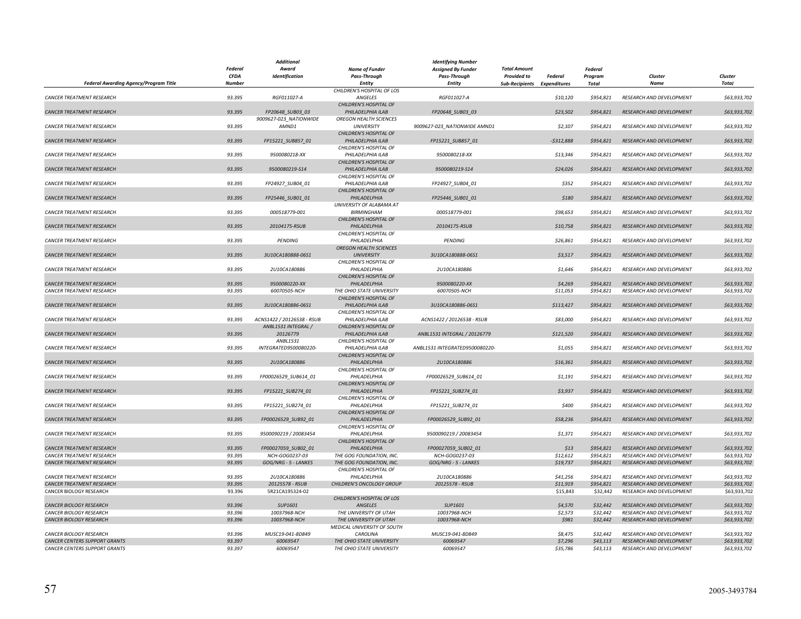|                                              |                | <b>Additional</b>          |                               | <b>Identifying Number</b>      |                             |             |           |                                 |              |
|----------------------------------------------|----------------|----------------------------|-------------------------------|--------------------------------|-----------------------------|-------------|-----------|---------------------------------|--------------|
|                                              | <b>Federal</b> | Award                      | <b>Name of Funder</b>         | <b>Assigned By Funder</b>      | <b>Total Amount</b>         |             | Federal   |                                 |              |
|                                              | CFDA           | Identification             | <b>Pass-Through</b>           | Pass-Through                   | <b>Provided to</b>          | Federal     | Program   | Cluster                         | Cluster      |
| <b>Federal Awarding Agency/Program Title</b> | <b>Number</b>  |                            | Entity                        | Entity                         | Sub-Recipients Expenditures |             | Total     | <b>Name</b>                     | <b>Total</b> |
|                                              |                |                            | CHILDREN'S HOSPITAL OF LOS    |                                |                             |             |           |                                 |              |
| <b>CANCER TREATMENT RESEARCH</b>             | 93.395         | RGF011027-A                | ANGELES                       | RGF011027-A                    |                             | \$10,120    | \$954,821 | RESEARCH AND DEVELOPMENT        | \$63,933,702 |
|                                              |                |                            | CHILDREN'S HOSPITAL OF        |                                |                             |             |           |                                 |              |
| <b>CANCER TREATMENT RESEARCH</b>             | 93.395         | FP20648_SUB03_03           | PHILADELPHIA ILAB             | FP20648 SUB03 03               |                             | \$23,502    | \$954,821 | <b>RESEARCH AND DEVELOPMENT</b> | \$63,933,702 |
|                                              |                | 9009627-023_NATIONWIDE     | OREGON HEALTH SCIENCES        |                                |                             |             |           |                                 |              |
| CANCER TREATMENT RESEARCH                    | 93.395         | AMND1                      | <b>UNIVERSITY</b>             | 9009627-023 NATIONWIDE AMND1   |                             | \$2,107     | \$954,821 | RESEARCH AND DEVELOPMENT        | \$63,933,702 |
|                                              |                |                            | CHILDREN'S HOSPITAL OF        |                                |                             |             |           |                                 |              |
| CANCER TREATMENT RESEARCH                    | 93.395         | FP15221_SUB857_01          | PHILADELPHIA ILAB             | FP15221_SUB857_01              |                             | $-5312,888$ | \$954,821 | RESEARCH AND DEVELOPMENT        | \$63,933,702 |
|                                              |                |                            |                               |                                |                             |             |           |                                 |              |
|                                              |                |                            | CHILDREN'S HOSPITAL OF        |                                |                             |             |           |                                 |              |
| CANCER TREATMENT RESEARCH                    | 93.395         | 9500080218-XX              | PHILADELPHIA ILAB             | 9500080218-XX                  |                             | \$13,346    | \$954,821 | RESEARCH AND DEVELOPMENT        | \$63,933,702 |
|                                              |                |                            | CHILDREN'S HOSPITAL OF        |                                |                             |             |           |                                 |              |
| <b>CANCER TREATMENT RESEARCH</b>             | 93.395         | 9500080219-S14             | PHILADELPHIA ILAB             | 9500080219-S14                 |                             | \$24,026    | \$954.821 | <b>RESEARCH AND DEVELOPMENT</b> | \$63,933,702 |
|                                              |                |                            | CHILDREN'S HOSPITAL OF        |                                |                             |             |           |                                 |              |
| <b>CANCER TREATMENT RESEARCH</b>             | 93.395         | FP24927_SUB04_01           | PHILADELPHIA ILAB             | FP24927_SUB04_01               |                             | \$352       | \$954,821 | RESEARCH AND DEVELOPMENT        | \$63,933,702 |
|                                              |                |                            | CHILDREN'S HOSPITAL OF        |                                |                             |             |           |                                 |              |
| CANCER TREATMENT RESEARCH                    | 93.395         | FP25446_SUB01_01           | PHILADELPHIA                  | FP25446_SUB01_01               |                             | \$180       | \$954,821 | RESEARCH AND DEVELOPMENT        | \$63,933,702 |
|                                              |                |                            | UNIVERSITY OF ALABAMA AT      |                                |                             |             |           |                                 |              |
| <b>CANCER TREATMENT RESEARCH</b>             | 93.395         | 000518779-001              | <b>BIRMINGHAM</b>             | 000518779-001                  |                             | \$98,653    | \$954,821 | RESEARCH AND DEVELOPMENT        | \$63,933,702 |
|                                              |                |                            | CHILDREN'S HOSPITAL OF        |                                |                             |             |           |                                 |              |
| CANCER TREATMENT RESEARCH                    | 93.395         | 20104175-RSUB              | PHILADELPHIA                  | 20104175-RSUB                  |                             | \$10,758    | \$954,821 | RESEARCH AND DEVELOPMENT        | \$63,933,702 |
|                                              |                |                            | CHILDREN'S HOSPITAL OF        |                                |                             |             |           |                                 |              |
|                                              |                |                            |                               | PENDING                        |                             |             |           |                                 |              |
| <b>CANCER TREATMENT RESEARCH</b>             | 93.395         | PENDING                    | PHILADELPHIA                  |                                |                             | \$26,861    | \$954,821 | RESEARCH AND DEVELOPMENT        | \$63,933,702 |
|                                              |                |                            | <b>OREGON HEALTH SCIENCES</b> |                                |                             |             |           |                                 |              |
| <b>CANCER TREATMENT RESEARCH</b>             | 93.395         | 3U10CA180888-06S1          | <b>UNIVERSITY</b>             | 3U10CA180888-06S1              |                             | 53.517      | \$954.821 | <b>RESEARCH AND DEVELOPMENT</b> | \$63,933,702 |
|                                              |                |                            | CHILDREN'S HOSPITAL OF        |                                |                             |             |           |                                 |              |
| <b>CANCER TREATMENT RESEARCH</b>             | 93.395         | 2U10CA180886               | PHILADELPHIA                  | 2U10CA180886                   |                             | \$1,646     | \$954,821 | RESEARCH AND DEVELOPMENT        | \$63,933,702 |
|                                              |                |                            | CHILDREN'S HOSPITAL OF        |                                |                             |             |           |                                 |              |
| CANCER TREATMENT RESEARCH                    | 93.395         | 9500080220-XX              | PHILADELPHIA                  | 9500080220-XX                  |                             | \$4,269     | \$954,821 | RESEARCH AND DEVELOPMENT        | \$63,933,702 |
| CANCER TREATMENT RESEARCH                    | 93.395         | 60070505-NCH               | THE OHIO STATE UNIVERSITY     | 60070505-NCH                   |                             | \$11,053    | \$954,821 | RESEARCH AND DEVELOPMENT        | \$63,933,702 |
|                                              |                |                            | CHILDREN'S HOSPITAL OF        |                                |                             |             |           |                                 |              |
| CANCER TREATMENT RESEARCH                    | 93.395         | 3U10CA180886-06S1          | PHILADELPHIA ILAB             | 3U10CA180886-06S1              |                             | \$113,427   | \$954,821 | RESEARCH AND DEVELOPMENT        | \$63,933,702 |
|                                              |                |                            | CHILDREN'S HOSPITAL OF        |                                |                             |             |           |                                 |              |
| <b>CANCER TREATMENT RESEARCH</b>             | 93.395         | ACNS1422 / 20126538 - RSUB | PHILADELPHIA ILAB             | ACNS1422 / 20126538 - RSUB     |                             | \$83,000    | \$954,821 | RESEARCH AND DEVELOPMENT        | \$63,933,702 |
|                                              |                | ANBL1531 INTEGRAL /        | CHILDREN'S HOSPITAL OF        |                                |                             |             |           |                                 |              |
|                                              |                |                            |                               |                                |                             |             |           |                                 |              |
| <b>CANCER TREATMENT RESEARCH</b>             | 93.395         | 20126779                   | PHILADELPHIA ILAB             | ANBL1531 INTEGRAL / 20126779   |                             | \$121,520   | \$954,821 | RESEARCH AND DEVELOPMENT        | \$63,933,702 |
|                                              |                | ANBL1531                   | CHILDREN'S HOSPITAL OF        |                                |                             |             |           |                                 |              |
| CANCER TREATMENT RESEARCH                    | 93.395         | INTEGRATED9500080220-      | PHILADELPHIA ILAB             | ANBL1531 INTEGRATED9500080220- |                             | \$1,055     | \$954,821 | RESEARCH AND DEVELOPMENT        | \$63,933,702 |
|                                              |                |                            | CHILDREN'S HOSPITAL OF        |                                |                             |             |           |                                 |              |
| CANCER TREATMENT RESEARCH                    | 93.395         | 2U10CA180886               | PHILADELPHIA                  | 2U10CA180886                   |                             | \$16,361    | \$954,821 | RESEARCH AND DEVELOPMENT        | \$63,933,702 |
|                                              |                |                            | CHILDREN'S HOSPITAL OF        |                                |                             |             |           |                                 |              |
| <b>CANCER TREATMENT RESEARCH</b>             | 93.395         | FP00026529_SUB614_01       | PHILADELPHIA                  | FP00026529_SUB614_01           |                             | \$1,191     | \$954,821 | RESEARCH AND DEVELOPMENT        | \$63,933,702 |
|                                              |                |                            | CHILDREN'S HOSPITAL OF        |                                |                             |             |           |                                 |              |
| CANCER TREATMENT RESEARCH                    | 93.395         | FP15221_SUB274_01          | PHILADELPHIA                  | FP15221_SUB274_01              |                             | \$3,937     | \$954,821 | RESEARCH AND DEVELOPMENT        | \$63,933,702 |
|                                              |                |                            | CHILDREN'S HOSPITAL OF        |                                |                             |             |           |                                 |              |
| CANCER TREATMENT RESEARCH                    | 93.395         | FP15221_SUB274_01          | PHILADELPHIA                  | FP15221_SUB274_01              |                             | \$400       | \$954,821 | RESEARCH AND DEVELOPMENT        | \$63,933,702 |
|                                              |                |                            | CHILDREN'S HOSPITAL OF        |                                |                             |             |           |                                 |              |
| CANCER TREATMENT RESEARCH                    | 93.395         | FP00026529 SUB92 01        | PHILADELPHIA                  | FP00026529 SUB92 01            |                             | \$58,236    | \$954,821 | RESEARCH AND DEVELOPMENT        | \$63,933,702 |
|                                              |                |                            |                               |                                |                             |             |           |                                 |              |
|                                              |                |                            | CHILDREN'S HOSPITAL OF        |                                |                             |             |           |                                 |              |
| CANCER TREATMENT RESEARCH                    | 93.395         | 9500090219 / 20083454      | PHILADELPHIA                  | 9500090219 / 20083454          |                             | \$1,371     | \$954,821 | RESEARCH AND DEVELOPMENT        | \$63,933,702 |
|                                              |                |                            | CHILDREN'S HOSPITAL OF        |                                |                             |             |           |                                 |              |
| CANCER TREATMENT RESEARCH                    | 93.395         | FP00027059_SUB02_01        | PHILADELPHIA                  | FP00027059_SUB02_01            |                             | \$13        | \$954,821 | RESEARCH AND DEVELOPMENT        | \$63,933,702 |
| CANCER TREATMENT RESEARCH                    | 93.395         | NCH-GOG0237-03             | THE GOG FOUNDATION, INC.      | NCH-GOG0237-03                 |                             | \$12,612    | \$954,821 | RESEARCH AND DEVELOPMENT        | \$63,933,702 |
| <b>CANCER TREATMENT RESEARCH</b>             | 93.395         | GOG/NRG - 5 - LANKES       | THE GOG FOUNDATION, INC.      | GOG/NRG - 5 - LANKES           |                             | \$19,737    | \$954,821 | RESEARCH AND DEVELOPMENT        | \$63,933,702 |
|                                              |                |                            | CHILDREN'S HOSPITAL OF        |                                |                             |             |           |                                 |              |
| CANCER TREATMENT RESEARCH                    | 93.395         | 2U10CA180886               | PHILADELPHIA                  | 2U10CA180886                   |                             | \$41,256    | \$954,821 | RESEARCH AND DEVELOPMENT        | \$63,933,702 |
| <b>CANCER TREATMENT RESEARCH</b>             | 93.395         | 20125578 - RSUB            | CHILDREN'S ONCOLOGY GROUP     | 20125578 - RSUB                |                             | \$11,919    | \$954.821 | <b>RESEARCH AND DEVELOPMENT</b> | \$63,933,702 |
| CANCER BIOLOGY RESEARCH                      | 93.396         | 5R21CA195324-02            |                               |                                |                             | \$15,843    | \$32,442  | RESEARCH AND DEVELOPMENT        | \$63,933,702 |
|                                              |                |                            | CHILDREN'S HOSPITAL OF LOS    |                                |                             |             |           |                                 |              |
| <b>CANCER BIOLOGY RESEARCH</b>               | 93.396         | SUP1601                    | <b>ANGELES</b>                | SUP1601                        |                             | \$4,570     | \$32,442  | <b>RESEARCH AND DEVELOPMENT</b> | \$63,933,702 |
|                                              |                |                            |                               |                                |                             |             |           |                                 |              |
| CANCER BIOLOGY RESEARCH                      | 93.396         | 10037968-NCH               | THE UNIVERSITY OF UTAH        | 10037968-NCH                   |                             | \$2,573     | \$32,442  | RESEARCH AND DEVELOPMENT        | \$63,933,702 |
| CANCER BIOLOGY RESEARCH                      | 93.396         | 10037968-NCH               | THE UNIVERSITY OF UTAH        | 10037968-NCH                   |                             | \$981       | \$32,442  | RESEARCH AND DEVELOPMENT        | \$63,933,702 |
|                                              |                |                            | MEDICAL UNIVERSITY OF SOUTH   |                                |                             |             |           |                                 |              |
| CANCER BIOLOGY RESEARCH                      | 93.396         | MUSC19-041-8D849           | CAROLINA                      | MUSC19-041-8D849               |                             | \$8,475     | \$32,442  | RESEARCH AND DEVELOPMENT        | \$63,933,702 |
| CANCER CENTERS SUPPORT GRANTS                | 93.397         | 60069547                   | THE OHIO STATE UNIVERSITY     | 60069547                       |                             | \$7,296     | \$43,113  | RESEARCH AND DEVELOPMENT        | \$63,933,702 |
| <b>CANCER CENTERS SUPPORT GRANTS</b>         | 93.397         | 60069547                   | THE OHIO STATE UNIVERSITY     | 60069547                       |                             | \$35,786    | \$43,113  | RESEARCH AND DEVELOPMENT        | \$63,933,702 |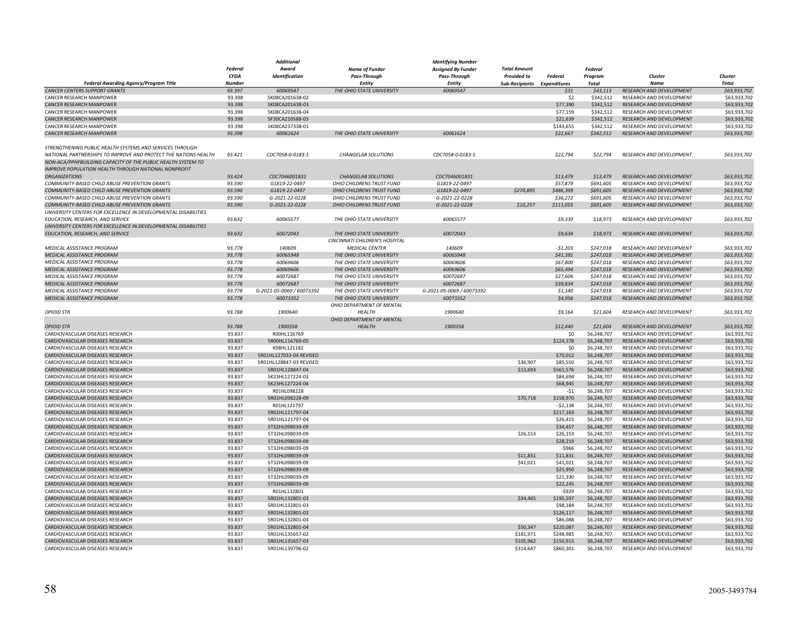|                                                                                                                             |                  | <b>Additional</b>                  | <b>Identifying Number</b>        |                           |                             |                        |                            |                                                      |                              |
|-----------------------------------------------------------------------------------------------------------------------------|------------------|------------------------------------|----------------------------------|---------------------------|-----------------------------|------------------------|----------------------------|------------------------------------------------------|------------------------------|
|                                                                                                                             | <b>Federal</b>   | Award                              | <b>Name of Funder</b>            | <b>Assigned By Funder</b> | <b>Total Amount</b>         |                        | Federal                    |                                                      |                              |
|                                                                                                                             | <b>CFDA</b>      | Identification                     | Pass-Through                     | Pass-Through              | <b>Provided to</b>          | Federal                | Program                    | Cluster                                              | Cluster                      |
| Federal Awarding Agency/Program Title                                                                                       | <b>Number</b>    |                                    | <b>Entity</b>                    | <b>Entity</b>             | Sub-Recipients Expenditures |                        | Total                      | Name                                                 | <b>Total</b>                 |
| <b>CANCER CENTERS SUPPORT GRANTS</b>                                                                                        | 93.397           | 60069547                           | THE OHIO STATE UNIVERSITY        | 60069547                  |                             | \$31                   | \$43,113                   | RESEARCH AND DEVELOPMENT                             | \$63,933,702                 |
| CANCER RESEARCH MANPOWER                                                                                                    | 93.398           | 5K08CA201638-02                    |                                  |                           |                             | \$2                    | \$342.512                  | RESEARCH AND DEVELOPMENT                             | \$63,933,702                 |
| CANCER RESEARCH MANPOWER                                                                                                    | 93.398           | 5K08CA201638-03                    |                                  |                           |                             | \$77,390               | \$342,512                  | RESEARCH AND DEVELOPMENT                             | \$63,933,702                 |
| CANCER RESEARCH MANPOWER                                                                                                    | 93.398           | 5K08CA201638-04                    |                                  |                           |                             | \$77,159               | \$342,512                  | RESEARCH AND DEVELOPMENT                             | \$63,933,702                 |
| CANCER RESEARCH MANPOWER                                                                                                    | 93.398           | 5F30CA210588-03                    |                                  |                           |                             | \$21,639               | \$342,512                  | RESEARCH AND DEVELOPMENT                             | \$63,933,702                 |
| CANCER RESEARCH MANPOWER                                                                                                    | 93.398           | 1K08CA237338-01                    |                                  |                           |                             | \$143,655              | \$342,512                  | RESEARCH AND DEVELOPMENT                             | \$63,933,702                 |
| <b>CANCER RESEARCH MANPOWER</b>                                                                                             | 93.398           | 60061624                           | THE OHIO STATE UNIVERSITY        | 60061624                  |                             | \$22,667               | \$342,512                  | RESEARCH AND DEVELOPMENT                             | \$63,933,702                 |
| STRENGTHENING PUBLIC HEALTH SYSTEMS AND SERVICES THROUGH<br>NATIONAL PARTNERSHIPS TO IMPROVE AND PROTECT THE NATIONS HEALTH | 93.421           | CDC7058-0-0183-1                   | <b>CHANGELAB SOLUTIONS</b>       | CDC7058-0-0183-1          |                             | \$22,794               | \$22,794                   | RESEARCH AND DEVELOPMENT                             | \$63,933,702                 |
| NON-ACA/PPHFBUILDING CAPACITY OF THE PUBLIC HEALTH SYSTEM TO<br>IMPROVE POPULATION HEALTH THROUGH NATIONAL NONPROFIT        |                  |                                    |                                  |                           |                             |                        |                            |                                                      |                              |
| <b>ORGANIZATIONS</b>                                                                                                        | 93.424           | CDC7046001831                      | <b>CHANGELAB SOLUTIONS</b>       | CDC7046001831             |                             | \$13,479               | \$13,479                   | RESEARCH AND DEVELOPMENT                             | \$63,933,702                 |
| COMMUNITY-BASED CHILD ABUSE PREVENTION GRANTS                                                                               | 93.590           | G1819-22-0497                      | OHIO CHILDRENS TRUST FUND        | G1819-22-0497             |                             | \$57,879               | \$691,605                  | RESEARCH AND DEVELOPMENT                             | \$63,933,702                 |
| COMMUNITY-BASED CHILD ABUSE PREVENTION GRANTS                                                                               | 93.590           | G1819-22-0497                      | OHIO CHILDRENS TRUST FUND        | G1819-22-0497             | \$270,895                   | \$486,399              | \$691,605                  | RESEARCH AND DEVELOPMENT                             | \$63,933,702                 |
| COMMUNITY-BASED CHILD ABUSE PREVENTION GRANTS                                                                               | 93.590           | G-2021-22-0228                     | OHIO CHILDRENS TRUST FUND        | G-2021-22-0228            |                             | \$36,272               | \$691,605                  | RESEARCH AND DEVELOPMENT                             | \$63,933,702                 |
| COMMUNITY-BASED CHILD ABUSE PREVENTION GRANTS                                                                               | 93.590           | G-2021-22-0228                     | <b>OHIO CHILDRENS TRUST FUND</b> | G-2021-22-0228            | \$10,257                    | \$111,055              | \$691,605                  | <b>RESEARCH AND DEVELOPMENT</b>                      | \$63,933,702                 |
| UNIVERSITY CENTERS FOR EXCELLENCE IN DEVELOPMENTAL DISABILITIES                                                             |                  |                                    |                                  |                           |                             |                        |                            |                                                      |                              |
| EDUCATION, RESEARCH, AND SERVICE<br>UNIVERSITY CENTERS FOR EXCELLENCE IN DEVELOPMENTAL DISABILITIES                         | 93.632           | 60065577                           | THE OHIO STATE UNIVERSITY        | 60065577                  |                             | \$9,339                | \$18,973                   | RESEARCH AND DEVELOPMENT                             | \$63,933,702                 |
| EDUCATION, RESEARCH, AND SERVICE                                                                                            | 93.632           | 60072043                           | THE OHIO STATE UNIVERSITY        | 60072043                  |                             | \$9,634                | \$18,973                   | RESEARCH AND DEVELOPMENT                             | \$63,933,702                 |
|                                                                                                                             |                  |                                    | CINCINNATI CHILDREN'S HOSPITAL   |                           |                             |                        |                            |                                                      |                              |
| <b>MEDICAL ASSISTANCE PROGRAM</b>                                                                                           | 93.778           | 140609                             | <b>MEDICAL CENTER</b>            | 140609                    |                             | $-51.203$              | \$247.018                  | RESEARCH AND DEVELOPMENT                             | \$63,933,702                 |
| MEDICAL ASSISTANCE PROGRAM                                                                                                  | 93.778           | 60065948                           | THE OHIO STATE UNIVERSITY        | 60065948                  |                             | \$41,391               | \$247,018                  | RESEARCH AND DEVELOPMENT                             | \$63,933,702                 |
| MEDICAL ASSISTANCE PROGRAM                                                                                                  | 93.778           | 60069606                           | THE OHIO STATE UNIVERSITY        | 60069606                  |                             | \$67,800               | \$247,018                  | RESEARCH AND DEVELOPMENT                             | \$63,933,702                 |
| MEDICAL ASSISTANCE PROGRAM                                                                                                  | 93.778           | 60069606                           | THE OHIO STATE UNIVERSITY        | 60069606                  |                             | \$65,494               | \$247,018                  | RESEARCH AND DEVELOPMENT                             | \$63,933,702                 |
| MEDICAL ASSISTANCE PROGRAM                                                                                                  | 93.778           | 60072687                           | THE OHIO STATE UNIVERSITY        | 60072687                  |                             | \$27,606               | \$247,018                  | RESEARCH AND DEVELOPMENT                             | \$63,933,702                 |
| MEDICAL ASSISTANCE PROGRAM                                                                                                  | 93.778           | 60072687                           | THE OHIO STATE UNIVERSITY        | 60072687                  |                             | \$39,834               | \$247,018                  | RESEARCH AND DEVELOPMENT                             | \$63,933,702                 |
| <b>MEDICAL ASSISTANCE PROGRAM</b>                                                                                           | 93.778           | G-2021-05-0069 / 60073392          | THE OHIO STATE UNIVERSITY        | G-2021-05-0069 / 60073392 |                             | \$1,140                | \$247.018                  | <b>RESEARCH AND DEVELOPMENT</b>                      | \$63,933,702                 |
| MEDICAL ASSISTANCE PROGRAM                                                                                                  | 93.778           | 60073352                           | THE OHIO STATE UNIVERSITY        | 60073352                  |                             | \$4,956                | \$247,018                  | RESEARCH AND DEVELOPMENT                             | \$63,933,702                 |
|                                                                                                                             |                  |                                    | OHIO DEPARTMENT OF MENTAL        |                           |                             |                        |                            |                                                      |                              |
| <b>OPIOID STR</b>                                                                                                           | 93.788           | 1900640                            | <b>HEALTH</b>                    | 1900640                   |                             | \$9,164                | \$21,604                   | <b>RESEARCH AND DEVELOPMENT</b>                      | \$63,933,702                 |
|                                                                                                                             |                  |                                    | OHIO DEPARTMENT OF MENTAL        |                           |                             |                        |                            |                                                      |                              |
| <b>OPIOID STR</b>                                                                                                           | 93.788           | 1900358                            | <b>HEALTH</b>                    | 1900358                   |                             | \$12,440               | \$21,604                   | RESEARCH AND DEVELOPMENT                             | \$63,933,702                 |
| CARDIOVASCULAR DISEASES RESEARCH                                                                                            | 93.837           | R00HL116769                        |                                  |                           |                             | \$0                    | \$6,248,707                | RESEARCH AND DEVELOPMENT                             | \$63,933,702                 |
| CARDIOVASCULAR DISEASES RESEARCH                                                                                            | 93.837           | 5R00HL116769-05                    |                                  |                           |                             | \$124,378              | \$6,248,707                | RESEARCH AND DEVELOPMENT                             | \$63,933,702                 |
| CARDIOVASCULAR DISEASES RESEARCH                                                                                            | 93.837           | K08HL121182                        |                                  |                           |                             | \$0                    | \$6,248,707                | RESEARCH AND DEVELOPMENT                             | \$63,933,702                 |
| CARDIOVASCULAR DISEASES RESEARCH                                                                                            | 93.837           | 5R01HL127033-04 REVISED            |                                  |                           |                             | \$70,012               | \$6,248,707                | RESEARCH AND DEVELOPMENT                             | \$63,933,702                 |
| CARDIOVASCULAR DISEASES RESEARCH                                                                                            | 93.837           | 5R01HL128847-03 REVISED            |                                  |                           | \$36,907                    | \$85,550               | \$6,248,707                | RESEARCH AND DEVELOPMENT                             | \$63,933,702                 |
| CARDIOVASCULAR DISEASES RESEARCH                                                                                            | 93.837           | 5R01HL128847-04                    |                                  |                           | \$13,693                    | \$561,576              | \$6,248,707                | RESEARCH AND DEVELOPMENT                             | \$63,933,702                 |
| CARDIOVASCULAR DISEASES RESEARCH                                                                                            | 93.837           | 5K23HL127224-03                    |                                  |                           |                             | \$84,694               | \$6,248,707                | RESEARCH AND DEVELOPMENT                             | \$63,933,702                 |
| CARDIOVASCULAR DISEASES RESEARCH                                                                                            | 93.837           | 5K23HL127224-04                    |                                  |                           |                             | \$68,945               | \$6,248,707                | RESEARCH AND DEVELOPMENT                             | \$63,933,702                 |
| CARDIOVASCULAR DISEASES RESEARCH                                                                                            | 93.837           | R01HL098228                        |                                  |                           |                             | $-51$                  | \$6,248,707                | RESEARCH AND DEVELOPMENT                             | \$63,933,702                 |
| CARDIOVASCULAR DISEASES RESEARCH                                                                                            | 93.837           | 5R01HL098228-09                    |                                  |                           | \$70,718                    | \$158,970              | \$6,248,707                | RESEARCH AND DEVELOPMENT                             | \$63,933,702                 |
| CARDIOVASCULAR DISEASES RESEARCH<br>CARDIOVASCULAR DISEASES RESEARCH                                                        | 93.837<br>93.837 | R01HL121797<br>5R01HL121797-04     |                                  |                           |                             | $-52,138$<br>\$217,163 | \$6,248,707<br>\$6,248,707 | RESEARCH AND DEVELOPMENT<br>RESEARCH AND DEVELOPMENT | \$63,933,702<br>\$63,933,702 |
| CARDIOVASCULAR DISEASES RESEARCH                                                                                            | 93.837           | 5R01HL121797-04                    |                                  |                           |                             | \$26,415               | \$6,248,707                | RESEARCH AND DEVELOPMENT                             | \$63,933,702                 |
| CARDIOVASCULAR DISEASES RESEARCH                                                                                            | 93.837           | 5T32HL098039-09                    |                                  |                           |                             | \$34,457               | \$6,248,707                | RESEARCH AND DEVELOPMENT                             | \$63,933,702                 |
| CARDIOVASCULAR DISEASES RESEARCH                                                                                            | 93.837           | 5T32HL098039-09                    |                                  |                           | \$26,153                    | \$26,153               | \$6,248,707                | RESEARCH AND DEVELOPMENT                             | \$63,933,702                 |
| CARDIOVASCULAR DISEASES RESEARCH                                                                                            | 93.837           | 5T32HL098039-09                    |                                  |                           |                             | \$28,219               | \$6,248,707                | RESEARCH AND DEVELOPMENT                             | \$63,933,702                 |
| CARDIOVASCULAR DISEASES RESEARCH                                                                                            | 93.837           | 5T32HL098039-09                    |                                  |                           |                             | $-5966$                | \$6,248,707                | RESEARCH AND DEVELOPMENT                             | \$63,933,702                 |
| CARDIOVASCULAR DISEASES RESEARCH                                                                                            | 93.837           | 5T32HL098039-09                    |                                  |                           | \$11,831                    | \$11,831               | \$6,248,707                | RESEARCH AND DEVELOPMENT                             | \$63,933,702                 |
| CARDIOVASCULAR DISEASES RESEARCH                                                                                            | 93.837           | 5T32HL098039-09                    |                                  |                           | \$41,021                    | \$41,021               | \$6,248,707                | RESEARCH AND DEVELOPMENT                             | \$63,933,702                 |
| CARDIOVASCULAR DISEASES RESEARCH                                                                                            | 93.837           | 5T32HL098039-09                    |                                  |                           |                             | \$25,950               | \$6,248,707                | RESEARCH AND DEVELOPMENT                             | \$63,933,702                 |
| CARDIOVASCULAR DISEASES RESEARCH                                                                                            | 93.837           | 5T32HL098039-09                    |                                  |                           |                             | \$21,330               | \$6,248,707                | RESEARCH AND DEVELOPMENT                             | \$63,933,702                 |
| CARDIOVASCULAR DISEASES RESEARCH                                                                                            | 93.837           | 5T32HL098039-09                    |                                  |                           |                             | \$22,245               | \$6,248,707                | RESEARCH AND DEVELOPMENT                             | \$63,933,702                 |
| CARDIOVASCULAR DISEASES RESEARCH                                                                                            | 93.837           | R01HL132801                        |                                  |                           |                             | $-$ \$929              | \$6,248,707                | RESEARCH AND DEVELOPMENT                             | \$63,933,702                 |
| CARDIOVASCULAR DISEASES RESEARCH                                                                                            | 93.837           | 5R01HL132801-03                    |                                  |                           | \$34,465                    | \$195.597              | \$6,248,707                | RESEARCH AND DEVELOPMENT                             | \$63,933,702                 |
| CARDIOVASCULAR DISEASES RESEARCH                                                                                            | 93.837           | 5R01HL132801-03                    |                                  |                           |                             | \$98,184               | \$6,248,707                | RESEARCH AND DEVELOPMENT                             | \$63,933,702                 |
| CARDIOVASCULAR DISEASES RESEARCH                                                                                            | 93.837           | 5R01HL132801-03                    |                                  |                           |                             | \$126,117              | \$6,248,707                |                                                      | \$63,933,702                 |
| CARDIOVASCULAR DISEASES RESEARCH                                                                                            | 93.837           | 5R01HL132801-04                    |                                  |                           |                             | \$86,088               | \$6,248,707                | RESEARCH AND DEVELOPMENT<br>RESEARCH AND DEVELOPMENT | \$63,933,702                 |
|                                                                                                                             |                  |                                    |                                  |                           |                             |                        |                            |                                                      |                              |
| CARDIOVASCULAR DISEASES RESEARCH<br>CARDIOVASCULAR DISEASES RESEARCH                                                        | 93.837<br>93.837 | 5R01HL132801-04<br>5R01HL135657-02 |                                  |                           | \$50,347                    | \$220,087<br>\$248,985 | \$6,248,707<br>\$6,248,707 | RESEARCH AND DEVELOPMENT<br>RESEARCH AND DEVELOPMENT | \$63,933,702                 |
| CARDIOVASCULAR DISEASES RESEARCH                                                                                            | 93.837           | 5R01HL135657-03                    |                                  |                           | \$181,971<br>\$105,962      | \$150,915              | \$6,248,707                | RESEARCH AND DEVELOPMENT                             | \$63,933,702<br>\$63,933,702 |
| CARDIOVASCULAR DISEASES RESEARCH                                                                                            | 93.837           | 5R01HL139796-02                    |                                  |                           | \$314,647                   | \$860,301              | \$6,248,707                | RESEARCH AND DEVELOPMENT                             | \$63,933,702                 |
|                                                                                                                             |                  |                                    |                                  |                           |                             |                        |                            |                                                      |                              |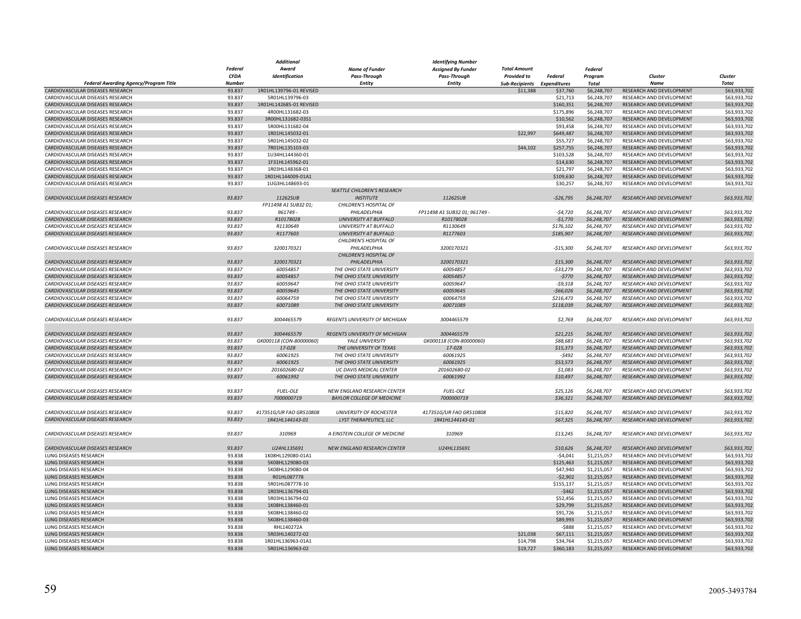|                                         |               | Additional              |                                       | <b>Identifying Number</b>     |                             |                |             |                                 |              |
|-----------------------------------------|---------------|-------------------------|---------------------------------------|-------------------------------|-----------------------------|----------------|-------------|---------------------------------|--------------|
|                                         | Federal       | Award                   | <b>Name of Funder</b>                 | <b>Assigned By Funder</b>     | <b>Total Amount</b>         |                | Federal     |                                 |              |
|                                         | <b>CFDA</b>   | Identification          | Pass-Through                          | Pass-Through                  | <b>Provided to</b>          | <b>Federal</b> | Program     | Cluster                         | Cluster      |
| Federal Awarding Agency/Program Title   | <b>Number</b> |                         | <b>Entity</b>                         | Entity                        | Sub-Recipients Expenditures |                | Total       | <b>Name</b>                     | Total        |
| CARDIOVASCULAR DISEASES RESEARCH        | 93.837        | 1R01HL139796-01 REVISED |                                       |                               | \$11,388                    | \$37,760       | \$6,248,707 | RESEARCH AND DEVELOPMENT        | \$63,933,702 |
|                                         |               |                         |                                       |                               |                             |                |             |                                 |              |
| CARDIOVASCULAR DISEASES RESEARCH        | 93.837        | 5R01HL139796-03         |                                       |                               |                             | \$21,713       | \$6,248,707 | RESEARCH AND DEVELOPMENT        | \$63,933,702 |
| CARDIOVASCULAR DISEASES RESEARCH        | 93.837        | 1R01HL142685-01 REVISED |                                       |                               |                             | \$160,351      | \$6,248,707 | RESEARCH AND DEVELOPMENT        | \$63,933,702 |
| CARDIOVASCULAR DISEASES RESEARCH        | 93.837        | 4R00HL131682-03         |                                       |                               |                             | \$175,896      | \$6,248,707 | RESEARCH AND DEVELOPMENT        | \$63,933,702 |
| CARDIOVASCULAR DISEASES RESEARCH        | 93.837        | 3R00HL131682-03S1       |                                       |                               |                             | \$10,562       | \$6,248,707 | RESEARCH AND DEVELOPMENT        | \$63,933,702 |
| CARDIOVASCULAR DISEASES RESEARCH        | 93.837        | 5R00HL131682-04         |                                       |                               |                             | \$93,458       | \$6,248,707 | RESEARCH AND DEVELOPMENT        | \$63,933,702 |
| CARDIOVASCULAR DISEASES RESEARCH        | 93.837        | 1R01HL145032-01         |                                       |                               | \$22,997                    | \$649,487      | \$6,248,707 | RESEARCH AND DEVELOPMENT        | \$63,933,702 |
| CARDIOVASCULAR DISEASES RESEARCH        | 93.837        | 5R01HL145032-02         |                                       |                               |                             | \$55,727       | \$6,248,707 | RESEARCH AND DEVELOPMENT        | \$63,933,702 |
| CARDIOVASCULAR DISEASES RESEARCH        | 93.837        | 7R01HL135103-03         |                                       |                               | \$44,102                    | \$257,755      | \$6,248,707 | RESEARCH AND DEVELOPMENT        | \$63,933,702 |
|                                         |               |                         |                                       |                               |                             |                |             |                                 |              |
| CARDIOVASCULAR DISEASES RESEARCH        | 93.837        | 1U34HL144360-01         |                                       |                               |                             | \$103,528      | \$6,248,707 | RESEARCH AND DEVELOPMENT        | \$63,933,702 |
| CARDIOVASCULAR DISEASES RESEARCH        | 93.837        | 1F31HL145962-01         |                                       |                               |                             | \$14,630       | \$6,248,707 | RESEARCH AND DEVELOPMENT        | \$63,933,702 |
| CARDIOVASCULAR DISEASES RESEARCH        | 93.837        | 1R03HL148368-01         |                                       |                               |                             | \$21,797       | \$6,248,707 | RESEARCH AND DEVELOPMENT        | \$63,933,702 |
| CARDIOVASCULAR DISEASES RESEARCH        | 93.837        | 1R01HL144009-01A1       |                                       |                               |                             | \$109,630      | \$6,248,707 | RESEARCH AND DEVELOPMENT        | \$63,933,702 |
| CARDIOVASCULAR DISEASES RESEARCH        | 93.837        | 1UG3HL148693-01         |                                       |                               |                             | \$30,257       | \$6,248,707 | RESEARCH AND DEVELOPMENT        | \$63,933,702 |
|                                         |               |                         | SEATTLE CHILDREN'S RESEARCH           |                               |                             |                |             |                                 |              |
| CARDIOVASCULAR DISEASES RESEARCH        | 93.837        | 11262SUB                | <b>INSTITUTE</b>                      | 11262SUB                      |                             | $-526,795$     | \$6,248,707 | <b>RESEARCH AND DEVELOPMENT</b> | \$63,933,702 |
|                                         |               | FP11498 A1 SUB32 01;    | CHILDREN'S HOSPITAL OF                |                               |                             |                |             |                                 |              |
|                                         |               |                         |                                       |                               |                             |                |             |                                 |              |
| CARDIOVASCULAR DISEASES RESEARCH        | 93.837        | 961749                  | PHILADELPHIA                          | FP11498 A1 SUB32 01; 961749 - |                             | $-54,720$      | \$6,248,707 | RESEARCH AND DEVELOPMENT        | \$63,933,702 |
| CARDIOVASCULAR DISEASES RESEARCH        | 93.837        | R10178028               | <b>UNIVERSITY AT BUFFALO</b>          | R10178028                     |                             | $-51,770$      | \$6,248,707 | RESEARCH AND DEVELOPMENT        | \$63,933,702 |
| CARDIOVASCULAR DISEASES RESEARCH        | 93.837        | R1130649                | <b>UNIVERSITY AT BUFFALO</b>          | R1130649                      |                             | \$176,102      | \$6,248,707 | RESEARCH AND DEVELOPMENT        | \$63,933,702 |
| CARDIOVASCULAR DISEASES RESEARCH        | 93.837        | R1177603                | UNIVERSITY AT BUFFALO                 | R1177603                      |                             | \$185,907      | \$6,248,707 | RESEARCH AND DEVELOPMENT        | \$63,933,702 |
|                                         |               |                         | CHILDREN'S HOSPITAL OF                |                               |                             |                |             |                                 |              |
| CARDIOVASCULAR DISEASES RESEARCH        | 93.837        | 3200170321              | PHILADELPHIA                          | 3200170321                    |                             | $-$15,300$     | \$6,248,707 | RESEARCH AND DEVELOPMENT        | \$63,933,702 |
|                                         |               |                         | CHILDREN'S HOSPITAL OF                |                               |                             |                |             |                                 |              |
|                                         |               |                         |                                       |                               |                             |                |             |                                 |              |
| CARDIOVASCULAR DISEASES RESEARCH        | 93.837        | 3200170321              | PHILADELPHIA                          | 3200170321                    |                             | \$15,300       | \$6,248,707 | <b>RESEARCH AND DEVELOPMENT</b> | \$63,933,702 |
| CARDIOVASCULAR DISEASES RESEARCH        | 93.837        | 60054857                | THE OHIO STATE UNIVERSITY             | 60054857                      |                             | -\$33,279      | \$6,248,707 | RESEARCH AND DEVELOPMENT        | \$63,933,702 |
| CARDIOVASCULAR DISEASES RESEARCH        | 93.837        | 60054857                | THE OHIO STATE UNIVERSITY             | 60054857                      |                             | $-5770$        | \$6,248,707 | <b>RESEARCH AND DEVELOPMENT</b> | \$63,933,702 |
| CARDIOVASCULAR DISEASES RESEARCH        | 93.837        | 60059647                | THE OHIO STATE UNIVERSITY             | 60059647                      |                             | $-59,318$      | \$6,248,707 | RESEARCH AND DEVELOPMENT        | \$63,933,702 |
| CARDIOVASCULAR DISEASES RESEARCH        | 93.837        | 60059645                | THE OHIO STATE UNIVERSITY             | 60059645                      |                             | $-$66,026$     | \$6,248,707 | RESEARCH AND DEVELOPMENT        | \$63,933,702 |
| CARDIOVASCULAR DISEASES RESEARCH        | 93.837        | 60064759                | THE OHIO STATE UNIVERSITY             | 60064759                      |                             | \$216,473      | \$6,248,707 | RESEARCH AND DEVELOPMENT        | \$63,933,702 |
| CARDIOVASCULAR DISEASES RESEARCH        | 93.837        | 60071089                | THE OHIO STATE UNIVERSITY             | 60071089                      |                             | \$118,039      | \$6,248,707 | RESEARCH AND DEVELOPMENT        | \$63,933,702 |
|                                         |               |                         |                                       |                               |                             |                |             |                                 |              |
|                                         |               |                         |                                       |                               |                             |                |             |                                 |              |
| <b>CARDIOVASCULAR DISEASES RESEARCH</b> | 93.837        | 3004465579              | <b>REGENTS UNIVERSITY OF MICHIGAN</b> | 3004465579                    |                             | \$2,769        | \$6,248,707 | <b>RESEARCH AND DEVELOPMENT</b> | \$63,933,702 |
|                                         |               |                         |                                       |                               |                             |                |             |                                 |              |
| CARDIOVASCULAR DISEASES RESEARCH        | 93.837        | 3004465579              | REGENTS UNIVERSITY OF MICHIGAN        | 3004465579                    |                             | \$21,215       | \$6,248,707 | <b>RESEARCH AND DEVELOPMENT</b> | \$63,933,702 |
| CARDIOVASCULAR DISEASES RESEARCH        | 93.837        | GK000118 (CON-80000060) | YALE UNIVERSITY                       | GK000118 (CON-80000060)       |                             | \$88,683       | \$6,248,707 | RESEARCH AND DEVELOPMENT        | \$63,933,702 |
| CARDIOVASCULAR DISEASES RESEARCH        | 93.837        | 17-028                  | THE UNIVERSITY OF TEXAS               | 17-028                        |                             | \$15,373       | \$6,248,707 | RESEARCH AND DEVELOPMENT        | \$63,933,702 |
| CARDIOVASCULAR DISEASES RESEARCH        | 93.837        | 60061925                | THE OHIO STATE UNIVERSITY             | 60061925                      |                             | $-5492$        | \$6,248,707 | RESEARCH AND DEVELOPMENT        | \$63,933,702 |
| CARDIOVASCULAR DISEASES RESEARCH        | 93.837        | 60061925                | THE OHIO STATE UNIVERSITY             | 60061925                      |                             | \$53,573       | \$6,248,707 | RESEARCH AND DEVELOPMENT        | \$63,933,702 |
|                                         |               |                         |                                       |                               |                             |                |             |                                 |              |
| CARDIOVASCULAR DISEASES RESEARCH        | 93.837        | 201602680-02            | UC DAVIS MEDICAL CENTER               | 201602680-02                  |                             | \$1,083        | \$6,248,707 | RESEARCH AND DEVELOPMENT        | \$63,933,702 |
| CARDIOVASCULAR DISEASES RESEARCH        | 93.837        | 60061992                | THE OHIO STATE UNIVERSITY             | 60061992                      |                             | \$10,497       | \$6,248,707 | <b>RESEARCH AND DEVELOPMENT</b> | \$63,933,702 |
|                                         |               |                         |                                       |                               |                             |                |             |                                 |              |
| CARDIOVASCULAR DISEASES RESEARCH        | 93.837        | <b>FUEL-OLE</b>         | NEW ENGLAND RESEARCH CENTER           | <b>FUEL-OLE</b>               |                             | \$25,126       | \$6,248,707 | RESEARCH AND DEVELOPMENT        | \$63,933,702 |
| CARDIOVASCULAR DISEASES RESEARCH        | 93.837        | 7000000719              | <b>BAYLOR COLLEGE OF MEDICINE</b>     | 7000000719                    |                             | \$36,321       | \$6,248,707 | RESEARCH AND DEVELOPMENT        | \$63,933,702 |
|                                         |               |                         |                                       |                               |                             |                |             |                                 |              |
| CARDIOVASCULAR DISEASES RESEARCH        | 93.837        | 417351G/UR FAO GR510808 | <b>UNIVERSITY OF ROCHESTER</b>        | 417351G/UR FAO GR510808       |                             | \$15,820       | \$6,248,707 | RESEARCH AND DEVELOPMENT        | \$63,933,702 |
|                                         | 93.837        | 1R41HL144143-01         |                                       | 1R41HL144143-01               |                             | \$67,325       | \$6,248,707 |                                 |              |
| CARDIOVASCULAR DISEASES RESEARCH        |               |                         | LYST THERAPEUTICS, LLC                |                               |                             |                |             | RESEARCH AND DEVELOPMENT        | \$63,933,702 |
|                                         |               |                         |                                       |                               |                             |                |             |                                 |              |
| CARDIOVASCULAR DISEASES RESEARCH        | 93.837        | 310969                  | A EINSTEIN COLLEGE OF MEDICINE        | 310969                        |                             | \$13,245       | \$6,248,707 | RESEARCH AND DEVELOPMENT        | \$63,933,702 |
|                                         |               |                         |                                       |                               |                             |                |             |                                 |              |
| CARDIOVASCULAR DISEASES RESEARCH        | 93.837        | U24HL135691             | NEW ENGLAND RESEARCH CENTER           | U24HL135691                   |                             | \$10,626       | \$6,248,707 | RESEARCH AND DEVELOPMENT        | \$63,933,702 |
| LUNG DISEASES RESEARCH                  | 93.838        | 1K08HL129080-01A1       |                                       |                               |                             | $-54,041$      | \$1,215,057 | RESEARCH AND DEVELOPMENT        | \$63,933,702 |
| LUNG DISEASES RESEARCH                  | 93.838        | 5K08HL129080-03         |                                       |                               |                             | \$125,463      | \$1,215,057 | RESEARCH AND DEVELOPMENT        | \$63,933,702 |
|                                         |               |                         |                                       |                               |                             |                |             |                                 |              |
| LUNG DISEASES RESEARCH                  | 93.838        | 5K08HL129080-04         |                                       |                               |                             | \$47,940       | \$1,215,057 | RESEARCH AND DEVELOPMENT        | \$63,933,702 |
| LUNG DISEASES RESEARCH                  | 93.838        | R01HL087778             |                                       |                               |                             | $-52,902$      | \$1,215,057 | RESEARCH AND DEVELOPMENT        | \$63,933,702 |
| LUNG DISEASES RESEARCH                  | 93.838        | 5R01HL087778-10         |                                       |                               |                             | \$155,137      | \$1,215,057 | RESEARCH AND DEVELOPMENT        | \$63,933,702 |
| LUNG DISEASES RESEARCH                  | 93.838        | 1R03HL136794-01         |                                       |                               |                             | $-$462$        | \$1,215,057 | RESEARCH AND DEVELOPMENT        | \$63,933,702 |
| LUNG DISEASES RESEARCH                  | 93.838        | 5R03HL136794-02         |                                       |                               |                             | \$52,456       | \$1,215,057 | RESEARCH AND DEVELOPMENT        | \$63,933,702 |
| LUNG DISEASES RESEARCH                  | 93.838        | 1K08HL138460-01         |                                       |                               |                             | \$29,799       | \$1,215,057 | RESEARCH AND DEVELOPMENT        | \$63,933,702 |
| LUNG DISEASES RESEARCH                  | 93.838        | 5K08HL138460-02         |                                       |                               |                             | \$91,726       | \$1,215,057 | RESEARCH AND DEVELOPMENT        | \$63,933,702 |
|                                         |               |                         |                                       |                               |                             |                |             |                                 |              |
| LUNG DISEASES RESEARCH                  | 93.838        | 5K08HL138460-03         |                                       |                               |                             | \$89,993       | \$1,215,057 | RESEARCH AND DEVELOPMENT        | \$63,933,702 |
| LUNG DISEASES RESEARCH                  | 93.838        | RHL140272A              |                                       |                               |                             | $-5888$        | \$1,215,057 | RESEARCH AND DEVELOPMENT        | \$63,933,702 |
| LUNG DISEASES RESEARCH                  | 93.838        | 5R03HL140272-02         |                                       |                               | \$21,038                    | \$67,111       | \$1,215,057 | RESEARCH AND DEVELOPMENT        | \$63,933,702 |
| LUNG DISEASES RESEARCH                  | 93.838        | 1R01HL136963-01A1       |                                       |                               | \$14,798                    | \$34,764       | \$1,215,057 | RESEARCH AND DEVELOPMENT        | \$63,933,702 |
| <b>LUNG DISEASES RESEARCH</b>           | 93.838        | 5R01HL136963-02         |                                       |                               | \$19,727                    | \$360,183      | \$1,215,057 | RESEARCH AND DEVELOPMENT        | \$63,933,702 |
|                                         |               |                         |                                       |                               |                             |                |             |                                 |              |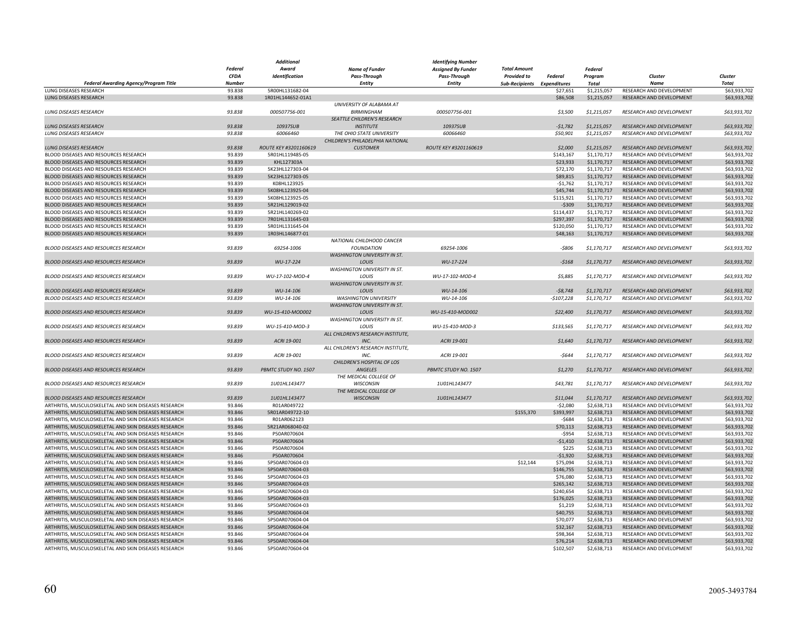|                                                       |               | Additional            |                                     | Identifying Number        |                             |             |                |                                 |              |
|-------------------------------------------------------|---------------|-----------------------|-------------------------------------|---------------------------|-----------------------------|-------------|----------------|---------------------------------|--------------|
|                                                       | Federal       | Award                 | <b>Name of Funder</b>               | <b>Assigned By Funder</b> | <b>Total Amount</b>         |             | <b>Federal</b> |                                 | Cluster      |
|                                                       | <b>CFDA</b>   | Identification        | Pass-Through                        | <b>Pass-Through</b>       | <b>Provided to</b>          | Federal     | Program        | Cluster                         |              |
| Federal Awarding Agency/Program Title                 | <b>Number</b> |                       | <b>Entity</b>                       | <b>Entity</b>             | Sub-Recipients Expenditures |             | Total          | <b>Name</b>                     | <b>Total</b> |
| <b>LUNG DISEASES RESEARCH</b>                         | 93.838        | 5R00HL131682-04       |                                     |                           |                             | \$27,651    | \$1,215,057    | RESEARCH AND DEVELOPMENT        | \$63,933,702 |
|                                                       |               |                       |                                     |                           |                             |             |                |                                 |              |
| LUNG DISEASES RESEARCH                                | 93.838        | 1R01HL144652-01A1     |                                     |                           |                             | \$86,508    | \$1,215,057    | RESEARCH AND DEVELOPMENT        | \$63,933,702 |
|                                                       |               |                       | UNIVERSITY OF ALABAMA AT            |                           |                             |             |                |                                 |              |
| <b>LUNG DISEASES RESEARCH</b>                         | 93.838        | 000507756-001         | <b>BIRMINGHAM</b>                   | 000507756-001             |                             | \$3,500     | \$1,215,057    | RESEARCH AND DEVELOPMENT        | \$63,933,702 |
|                                                       |               |                       | SEATTLE CHILDREN'S RESEARCH         |                           |                             |             |                |                                 |              |
| <b>LUNG DISEASES RESEARCH</b>                         | 93.838        | 10937SUB              | <b>INSTITUTE</b>                    | 10937SUB                  |                             | $-51,782$   | \$1,215,057    | RESEARCH AND DEVELOPMENT        | \$63,933,702 |
| <b>LUNG DISEASES RESEARCH</b>                         | 93.838        | 60066460              | THE OHIO STATE UNIVERSITY           | 60066460                  |                             | \$50,901    | \$1,215,057    | <b>RESEARCH AND DEVELOPMENT</b> | \$63,933,702 |
|                                                       |               |                       | CHILDREN'S PHILADELPHIA NATIONAL    |                           |                             |             |                |                                 |              |
| <b>LUNG DISEASES RESEARCH</b>                         | 93.838        | ROUTE KEY #3201160619 | <b>CUSTOMER</b>                     | ROUTE KEY #3201160619     |                             | \$2,000     | \$1,215,057    | RESEARCH AND DEVELOPMENT        | \$63,933,702 |
|                                                       |               |                       |                                     |                           |                             |             |                |                                 |              |
| BLOOD DISEASES AND RESOURCES RESEARCH                 | 93.839        | 5R01HL119485-05       |                                     |                           |                             | \$143,167   | \$1,170,717    | RESEARCH AND DEVELOPMENT        | \$63,933,702 |
| BLOOD DISEASES AND RESOURCES RESEARCH                 | 93.839        | KHL127303A            |                                     |                           |                             | \$23,933    | \$1,170,717    | RESEARCH AND DEVELOPMENT        | \$63,933,702 |
| BLOOD DISEASES AND RESOURCES RESEARCH                 | 93.839        | 5K23HL127303-04       |                                     |                           |                             | \$72,170    | \$1,170,717    | RESEARCH AND DEVELOPMENT        | \$63,933,702 |
| BLOOD DISEASES AND RESOURCES RESEARCH                 | 93.839        | 5K23HL127303-05       |                                     |                           |                             | \$89,815    | \$1,170,717    | RESEARCH AND DEVELOPMENT        | \$63,933,702 |
| BLOOD DISEASES AND RESOURCES RESEARCH                 | 93.839        | K08HL123925           |                                     |                           |                             | $-$1,762$   | \$1,170,717    | RESEARCH AND DEVELOPMENT        | \$63,933,702 |
| BLOOD DISEASES AND RESOURCES RESEARCH                 | 93.839        | 5K08HL123925-04       |                                     |                           |                             | \$45,744    | \$1,170,717    | RESEARCH AND DEVELOPMENT        | \$63,933,702 |
| BLOOD DISEASES AND RESOURCES RESEARCH                 | 93.839        | 5K08HL123925-05       |                                     |                           |                             | \$115,921   | \$1,170,717    | RESEARCH AND DEVELOPMENT        | \$63,933,702 |
| BLOOD DISEASES AND RESOURCES RESEARCH                 | 93.839        | 5R21HL129019-02       |                                     |                           |                             | -\$309      | \$1,170,717    | RESEARCH AND DEVELOPMENT        | \$63,933,702 |
|                                                       |               |                       |                                     |                           |                             |             |                |                                 |              |
| BLOOD DISEASES AND RESOURCES RESEARCH                 | 93.839        | 5R21HL140269-02       |                                     |                           |                             | \$114,437   | \$1,170,717    | RESEARCH AND DEVELOPMENT        | \$63,933,702 |
| BLOOD DISEASES AND RESOURCES RESEARCH                 | 93.839        | 7R01HL131645-03       |                                     |                           |                             | \$297,397   | \$1,170,717    | RESEARCH AND DEVELOPMENT        | \$63,933,702 |
| BLOOD DISEASES AND RESOURCES RESEARCH                 | 93.839        | 5R01HL131645-04       |                                     |                           |                             | \$120,050   | \$1,170,717    | RESEARCH AND DEVELOPMENT        | \$63,933,702 |
| BLOOD DISEASES AND RESOURCES RESEARCH                 | 93.839        | 1R03HL146877-01       |                                     |                           |                             | \$48,163    | \$1,170,717    | RESEARCH AND DEVELOPMENT        | \$63,933,702 |
|                                                       |               |                       | NATIONAL CHILDHOOD CANCER           |                           |                             |             |                |                                 |              |
| BLOOD DISEASES AND RESOURCES RESEARCH                 | 93.839        | 69254-1006            | <b>FOUNDATION</b>                   | 69254-1006                |                             | $-5806$     | \$1,170,717    | RESEARCH AND DEVELOPMENT        | \$63,933,702 |
|                                                       |               |                       | <b>WASHINGTON UNIVERSITY IN ST.</b> |                           |                             |             |                |                                 |              |
|                                                       | 93.839        |                       |                                     |                           |                             |             | \$1,170,717    |                                 |              |
| BLOOD DISEASES AND RESOURCES RESEARCH                 |               | WU-17-224             | LOUIS                               | WU-17-224                 |                             | $-5168$     |                | RESEARCH AND DEVELOPMENT        | \$63,933,702 |
|                                                       |               |                       | WASHINGTON UNIVERSITY IN ST.        |                           |                             |             |                |                                 |              |
| <b>BLOOD DISEASES AND RESOURCES RESEARCH</b>          | 93.839        | WU-17-102-MOD-4       | <b>LOUIS</b>                        | WU-17-102-MOD-4           |                             | \$5,885     | \$1,170,717    | <b>RESEARCH AND DEVELOPMENT</b> | \$63,933,702 |
|                                                       |               |                       | <b>WASHINGTON UNIVERSITY IN ST.</b> |                           |                             |             |                |                                 |              |
| BLOOD DISEASES AND RESOURCES RESEARCH                 | 93.839        | WU-14-106             | LOUIS                               | WU-14-106                 |                             | $-58,748$   | \$1,170,717    | RESEARCH AND DEVELOPMENT        | \$63,933,702 |
| <b>BLOOD DISEASES AND RESOURCES RESEARCH</b>          | 93.839        | WU-14-106             | <b>WASHINGTON UNIVERSITY</b>        | WU-14-106                 |                             | $-$107,228$ | \$1,170,717    | <b>RESEARCH AND DEVELOPMENT</b> | \$63,933,702 |
|                                                       |               |                       | <b>WASHINGTON UNIVERSITY IN ST.</b> |                           |                             |             |                |                                 |              |
| BLOOD DISEASES AND RESOURCES RESEARCH                 | 93.839        | WU-15-410-MOD002      | LOUIS                               | WU-15-410-MOD002          |                             | \$22,400    | \$1,170,717    | RESEARCH AND DEVELOPMENT        | \$63,933,702 |
|                                                       |               |                       |                                     |                           |                             |             |                |                                 |              |
|                                                       |               |                       | WASHINGTON UNIVERSITY IN ST.        |                           |                             |             |                |                                 |              |
| BLOOD DISEASES AND RESOURCES RESEARCH                 | 93.839        | WU-15-410-MOD-3       | LOUIS                               | WU-15-410-MOD-3           |                             | \$133,565   | \$1,170,717    | RESEARCH AND DEVELOPMENT        | \$63,933,702 |
|                                                       |               |                       | ALL CHILDREN'S RESEARCH INSTITUTE,  |                           |                             |             |                |                                 |              |
| BLOOD DISEASES AND RESOURCES RESEARCH                 | 93.839        | ACRI 19-001           | INC.                                | ACRI 19-001               |                             | \$1,640     | \$1,170,717    | <b>RESEARCH AND DEVELOPMENT</b> | \$63,933,702 |
|                                                       |               |                       | ALL CHILDREN'S RESEARCH INSTITUTE,  |                           |                             |             |                |                                 |              |
| BLOOD DISEASES AND RESOURCES RESEARCH                 | 93.839        | ACRI 19-001           | INC.                                | ACRI 19-001               |                             | $-5644$     | \$1,170,717    | RESEARCH AND DEVELOPMENT        | \$63,933,702 |
|                                                       |               |                       | CHILDREN'S HOSPITAL OF LOS          |                           |                             |             |                |                                 |              |
|                                                       |               |                       |                                     |                           |                             |             |                |                                 |              |
| BLOOD DISEASES AND RESOURCES RESEARCH                 | 93.839        | PBMTC STUDY NO. 1507  | <b>ANGELES</b>                      | PBMTC STUDY NO. 1507      |                             | \$1,270     | \$1,170,717    | RESEARCH AND DEVELOPMENT        | \$63,933,702 |
|                                                       |               |                       | THE MEDICAL COLLEGE OF              |                           |                             |             |                |                                 |              |
| BLOOD DISEASES AND RESOURCES RESEARCH                 | 93.839        | 1U01HL143477          | <b>WISCONSIN</b>                    | 1U01HL143477              |                             | \$43,781    | \$1,170,717    | RESEARCH AND DEVELOPMENT        | \$63,933,702 |
|                                                       |               |                       | THE MEDICAL COLLEGE OF              |                           |                             |             |                |                                 |              |
| BLOOD DISEASES AND RESOURCES RESEARCH                 | 93.839        | 1U01HL143477          | <b>WISCONSIN</b>                    | 1U01HL143477              |                             | \$11,044    | \$1,170,717    | <b>RESEARCH AND DEVELOPMENT</b> | \$63,933,702 |
| ARTHRITIS, MUSCULOSKELETAL AND SKIN DISEASES RESEARCH | 93.846        | R01AR049722           |                                     |                           |                             | $-$2,080$   | \$2,638,713    | RESEARCH AND DEVELOPMENT        | \$63,933,702 |
| ARTHRITIS, MUSCULOSKELETAL AND SKIN DISEASES RESEARCH | 93.846        | 5R01AR049722-10       |                                     |                           | \$155,370                   | \$393,997   | \$2,638,713    | RESEARCH AND DEVELOPMENT        | \$63,933,702 |
|                                                       |               |                       |                                     |                           |                             |             |                |                                 |              |
| ARTHRITIS, MUSCULOSKELETAL AND SKIN DISEASES RESEARCH | 93.846        | R01AR062123           |                                     |                           |                             | $-5684$     | \$2,638,713    | RESEARCH AND DEVELOPMENT        | \$63,933,702 |
| ARTHRITIS, MUSCULOSKELETAL AND SKIN DISEASES RESEARCH | 93.846        | 5R21AR068040-02       |                                     |                           |                             | \$70,113    | \$2,638,713    | RESEARCH AND DEVELOPMENT        | \$63,933,702 |
| ARTHRITIS, MUSCULOSKELETAL AND SKIN DISEASES RESEARCH | 93.846        | P50AR070604           |                                     |                           |                             | $-$ \$954   | \$2,638,713    | RESEARCH AND DEVELOPMENT        | \$63,933,702 |
| ARTHRITIS, MUSCULOSKELETAL AND SKIN DISEASES RESEARCH | 93.846        | P50AR070604           |                                     |                           |                             | $-$1,410$   | \$2,638,713    | RESEARCH AND DEVELOPMENT        | \$63,933,702 |
| ARTHRITIS, MUSCULOSKELETAL AND SKIN DISEASES RESEARCH | 93.846        | P50AR070604           |                                     |                           |                             | \$225       | \$2,638,713    | RESEARCH AND DEVELOPMENT        | \$63,933,702 |
| ARTHRITIS, MUSCULOSKELETAL AND SKIN DISEASES RESEARCH | 93.846        | P50AR070604           |                                     |                           |                             | $-$1,920$   | \$2,638,713    | RESEARCH AND DEVELOPMENT        | \$63,933,702 |
| ARTHRITIS, MUSCULOSKELETAL AND SKIN DISEASES RESEARCH | 93.846        | 5P50AR070604-03       |                                     |                           | \$12,144                    | \$75,094    | \$2,638,713    | RESEARCH AND DEVELOPMENT        | \$63,933,702 |
|                                                       |               |                       |                                     |                           |                             |             |                |                                 |              |
| ARTHRITIS, MUSCULOSKELETAL AND SKIN DISEASES RESEARCH | 93.846        | 5P50AR070604-03       |                                     |                           |                             | \$146,755   | \$2,638,713    | RESEARCH AND DEVELOPMENT        | \$63,933,702 |
| ARTHRITIS, MUSCULOSKELETAL AND SKIN DISEASES RESEARCH | 93.846        | 5P50AR070604-03       |                                     |                           |                             | \$76,080    | \$2,638,713    | RESEARCH AND DEVELOPMENT        | \$63,933,702 |
| ARTHRITIS, MUSCULOSKELETAL AND SKIN DISEASES RESEARCH | 93.846        | 5P50AR070604-03       |                                     |                           |                             | \$265,142   | \$2,638,713    | RESEARCH AND DEVELOPMENT        | \$63,933,702 |
| ARTHRITIS, MUSCULOSKELETAL AND SKIN DISEASES RESEARCH | 93.846        | 5P50AR070604-03       |                                     |                           |                             | \$240,654   | \$2,638,713    | RESEARCH AND DEVELOPMENT        | \$63,933,702 |
| ARTHRITIS, MUSCULOSKELETAL AND SKIN DISEASES RESEARCH | 93.846        | 5P50AR070604-03       |                                     |                           |                             | \$176,025   | \$2,638,713    | RESEARCH AND DEVELOPMENT        | \$63,933,702 |
| ARTHRITIS, MUSCULOSKELETAL AND SKIN DISEASES RESEARCH | 93.846        | 5P50AR070604-03       |                                     |                           |                             | \$1,219     | \$2,638,713    | RESEARCH AND DEVELOPMENT        | \$63,933,702 |
| ARTHRITIS, MUSCULOSKELETAL AND SKIN DISEASES RESEARCH | 93.846        | 5P50AR070604-04       |                                     |                           |                             | \$40,755    | \$2,638,713    | RESEARCH AND DEVELOPMENT        | \$63,933,702 |
|                                                       |               |                       |                                     |                           |                             |             |                |                                 |              |
| ARTHRITIS, MUSCULOSKELETAL AND SKIN DISEASES RESEARCH | 93.846        | 5P50AR070604-04       |                                     |                           |                             | \$70,077    | \$2,638,713    | RESEARCH AND DEVELOPMENT        | \$63,933,702 |
| ARTHRITIS, MUSCULOSKELETAL AND SKIN DISEASES RESEARCH | 93.846        | 5P50AR070604-04       |                                     |                           |                             | \$32,167    | \$2,638,713    | RESEARCH AND DEVELOPMENT        | \$63,933,702 |
| ARTHRITIS, MUSCULOSKELETAL AND SKIN DISEASES RESEARCH | 93.846        | 5P50AR070604-04       |                                     |                           |                             | \$98,364    | \$2,638,713    | RESEARCH AND DEVELOPMENT        | \$63,933,702 |
| ARTHRITIS, MUSCULOSKELETAL AND SKIN DISEASES RESEARCH | 93.846        | 5P50AR070604-04       |                                     |                           |                             | \$76,214    | \$2,638,713    | RESEARCH AND DEVELOPMENT        | \$63,933,702 |
| ARTHRITIS, MUSCULOSKELETAL AND SKIN DISEASES RESEARCH | 93.846        | 5P50AR070604-04       |                                     |                           |                             | \$102,507   | \$2,638,713    | RESEARCH AND DEVELOPMENT        | \$63,933,702 |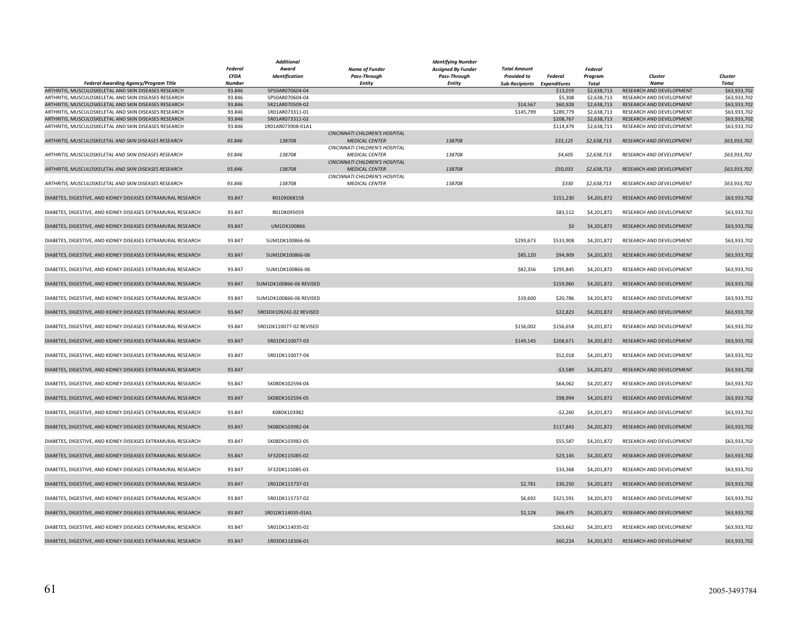|                                                                                                                |                  | <b>Additional</b>                    |                                | Identifying Number        |                             |                        |                            |                                                      |                              |
|----------------------------------------------------------------------------------------------------------------|------------------|--------------------------------------|--------------------------------|---------------------------|-----------------------------|------------------------|----------------------------|------------------------------------------------------|------------------------------|
|                                                                                                                | <b>Federal</b>   | Award                                | <b>Name of Funder</b>          | <b>Assigned By Funder</b> | <b>Total Amount</b>         |                        | Federal                    |                                                      |                              |
|                                                                                                                | <b>CFDA</b>      | Identification                       | <b>Pass-Through</b>            | <b>Pass-Through</b>       | <b>Provided to</b>          | Federal                | Program                    | Cluster                                              | Cluster                      |
| <b>Federal Awarding Agency/Program Title</b>                                                                   | <b>Number</b>    |                                      | Entity                         | <b>Entity</b>             | Sub-Recipients Expenditures |                        | Total                      | <b>Name</b>                                          | <b>Total</b>                 |
| ARTHRITIS, MUSCULOSKELETAL AND SKIN DISEASES RESEARCH                                                          | 93.846           | 5P50AR070604-04                      |                                |                           |                             | \$13,019               | \$2,638,713                | RESEARCH AND DEVELOPMENT                             | \$63,933,702                 |
| ARTHRITIS, MUSCULOSKELETAL AND SKIN DISEASES RESEARCH                                                          | 93.846           | 5P50AR070604-04                      |                                |                           |                             | \$5,308                | \$2,638,713                | RESEARCH AND DEVELOPMENT                             | \$63,933,702                 |
| ARTHRITIS, MUSCULOSKELETAL AND SKIN DISEASES RESEARCH                                                          | 93.846           | 5R21AR070509-02                      |                                |                           | \$14,567                    | \$60,928               | \$2,638,713                | RESEARCH AND DEVELOPMENT                             | \$63,933,702                 |
| ARTHRITIS, MUSCULOSKELETAL AND SKIN DISEASES RESEARCH                                                          | 93.846           | 1R01AR073311-01                      |                                |                           | \$145,799                   | \$289,779              | \$2,638,713                | RESEARCH AND DEVELOPMENT                             | \$63,933,702                 |
| ARTHRITIS, MUSCULOSKELETAL AND SKIN DISEASES RESEARCH<br>ARTHRITIS, MUSCULOSKELETAL AND SKIN DISEASES RESEARCH | 93.846<br>93.846 | 5R01AR073311-02<br>1R01AR073908-01A1 |                                |                           |                             | \$208,767<br>\$114,479 | \$2,638,713<br>\$2,638,713 | RESEARCH AND DEVELOPMENT<br>RESEARCH AND DEVELOPMENT | \$63,933,702<br>\$63,933,702 |
|                                                                                                                |                  |                                      | CINCINNATI CHILDREN'S HOSPITAL |                           |                             |                        |                            |                                                      |                              |
| ARTHRITIS, MUSCULOSKELETAL AND SKIN DISEASES RESEARCH                                                          | 93.846           | 138708                               | <b>MEDICAL CENTER</b>          | 138708                    |                             | \$33,125               | \$2,638,713                | <b>RESEARCH AND DEVELOPMENT</b>                      | \$63,933,702                 |
|                                                                                                                |                  |                                      | CINCINNATI CHILDREN'S HOSPITAL |                           |                             |                        |                            |                                                      |                              |
| ARTHRITIS, MUSCULOSKELETAL AND SKIN DISEASES RESEARCH                                                          | 93.846           | 138708                               | <b>MEDICAL CENTER</b>          | 138708                    |                             | \$4,605                | \$2,638,713                | RESEARCH AND DEVELOPMENT                             | \$63,933,702                 |
|                                                                                                                |                  |                                      | CINCINNATI CHILDREN'S HOSPITAL |                           |                             |                        |                            |                                                      |                              |
| ARTHRITIS, MUSCULOSKELETAL AND SKIN DISEASES RESEARCH                                                          | 93.846           | 138708                               | <b>MEDICAL CENTER</b>          | 138708                    |                             | \$50,033               | \$2,638,713                | RESEARCH AND DEVELOPMENT                             | \$63,933,702                 |
|                                                                                                                |                  |                                      | CINCINNATI CHILDREN'S HOSPITAL |                           |                             |                        |                            |                                                      |                              |
| ARTHRITIS, MUSCULOSKELETAL AND SKIN DISEASES RESEARCH                                                          | 93.846           | 138708                               | <b>MEDICAL CENTER</b>          | 138708                    |                             | \$330                  | \$2,638,713                | RESEARCH AND DEVELOPMENT                             | \$63,933,702                 |
|                                                                                                                |                  |                                      |                                |                           |                             | \$151,230              |                            | RESEARCH AND DEVELOPMENT                             |                              |
| DIABETES, DIGESTIVE, AND KIDNEY DISEASES EXTRAMURAL RESEARCH                                                   | 93.847           | R01DK068158                          |                                |                           |                             |                        | \$4,201,872                |                                                      | \$63,933,702                 |
| DIABETES, DIGESTIVE, AND KIDNEY DISEASES EXTRAMURAL RESEARCH                                                   | 93.847           | R01DK095059                          |                                |                           |                             | \$83,512               | \$4,201,872                | RESEARCH AND DEVELOPMENT                             | \$63,933,702                 |
|                                                                                                                |                  |                                      |                                |                           |                             |                        |                            |                                                      |                              |
| DIABETES, DIGESTIVE, AND KIDNEY DISEASES EXTRAMURAL RESEARCH                                                   | 93.847           | UM1DK100866                          |                                |                           |                             | \$0                    | \$4,201,872                | RESEARCH AND DEVELOPMENT                             | \$63,933,702                 |
|                                                                                                                |                  |                                      |                                |                           |                             |                        |                            |                                                      |                              |
| DIABETES, DIGESTIVE, AND KIDNEY DISEASES EXTRAMURAL RESEARCH                                                   | 93.847           | 5UM1DK100866-06                      |                                |                           | \$293,673                   | \$533,908              | \$4,201,872                | RESEARCH AND DEVELOPMENT                             | \$63,933,702                 |
|                                                                                                                |                  |                                      |                                |                           |                             |                        |                            |                                                      |                              |
| DIABETES, DIGESTIVE, AND KIDNEY DISEASES EXTRAMURAL RESEARCH                                                   | 93.847           | 5UM1DK100866-06                      |                                |                           | \$85,120                    | \$94,909               | \$4,201,872                | RESEARCH AND DEVELOPMENT                             | \$63,933,702                 |
|                                                                                                                |                  |                                      |                                |                           |                             |                        |                            |                                                      |                              |
| DIABETES, DIGESTIVE, AND KIDNEY DISEASES EXTRAMURAL RESEARCH                                                   | 93.847           | 5UM1DK100866-06                      |                                |                           | \$82,356                    | \$295,845              | \$4,201,872                | RESEARCH AND DEVELOPMENT                             | \$63,933,702                 |
| DIABETES, DIGESTIVE, AND KIDNEY DISEASES EXTRAMURAL RESEARCH                                                   | 93.847           | 5UM1DK100866-06 REVISED              |                                |                           |                             | \$159,960              | \$4,201,872                | RESEARCH AND DEVELOPMENT                             | \$63,933,702                 |
|                                                                                                                |                  |                                      |                                |                           |                             |                        |                            |                                                      |                              |
| DIABETES, DIGESTIVE, AND KIDNEY DISEASES EXTRAMURAL RESEARCH                                                   | 93.847           | 5UM1DK100866-06 REVISED              |                                |                           | \$19,600                    | \$20,786               | \$4,201,872                | RESEARCH AND DEVELOPMENT                             | \$63,933,702                 |
|                                                                                                                |                  |                                      |                                |                           |                             |                        |                            |                                                      |                              |
| DIABETES, DIGESTIVE, AND KIDNEY DISEASES EXTRAMURAL RESEARCH                                                   | 93.847           | 5R03DK109242-02 REVISED              |                                |                           |                             | \$22,823               | \$4,201,872                | RESEARCH AND DEVELOPMENT                             | \$63,933,702                 |
|                                                                                                                |                  |                                      |                                |                           |                             |                        |                            |                                                      |                              |
| DIABETES, DIGESTIVE, AND KIDNEY DISEASES EXTRAMURAL RESEARCH                                                   | 93.847           | 5R01DK110077-02 REVISED              |                                |                           | \$156,002                   | \$156,658              | \$4,201,872                | RESEARCH AND DEVELOPMENT                             | \$63,933,702                 |
|                                                                                                                |                  |                                      |                                |                           |                             |                        |                            |                                                      |                              |
| DIABETES, DIGESTIVE, AND KIDNEY DISEASES EXTRAMURAL RESEARCH                                                   | 93.847           | 5R01DK110077-03                      |                                |                           | \$149,145                   | \$208,671              | \$4,201,872                | RESEARCH AND DEVELOPMENT                             | \$63,933,702                 |
| DIABETES, DIGESTIVE, AND KIDNEY DISEASES EXTRAMURAL RESEARCH                                                   | 93.847           | 5R01DK110077-04                      |                                |                           |                             | \$52,018               | \$4,201,872                | RESEARCH AND DEVELOPMENT                             | \$63,933,702                 |
|                                                                                                                |                  |                                      |                                |                           |                             |                        |                            |                                                      |                              |
| DIABETES, DIGESTIVE, AND KIDNEY DISEASES EXTRAMURAL RESEARCH                                                   | 93.847           |                                      |                                |                           |                             | $-53,589$              | \$4,201,872                | RESEARCH AND DEVELOPMENT                             | \$63,933,702                 |
|                                                                                                                |                  |                                      |                                |                           |                             |                        |                            |                                                      |                              |
| DIABETES, DIGESTIVE, AND KIDNEY DISEASES EXTRAMURAL RESEARCH                                                   | 93.847           | 5K08DK102594-04                      |                                |                           |                             | \$64,062               | \$4,201,872                | RESEARCH AND DEVELOPMENT                             | \$63,933,702                 |
|                                                                                                                |                  |                                      |                                |                           |                             |                        |                            |                                                      |                              |
| DIABETES, DIGESTIVE, AND KIDNEY DISEASES EXTRAMURAL RESEARCH                                                   | 93.847           | 5K08DK102594-05                      |                                |                           |                             | \$98,994               | \$4,201,872                | RESEARCH AND DEVELOPMENT                             | \$63,933,702                 |
|                                                                                                                |                  |                                      |                                |                           |                             |                        |                            |                                                      |                              |
| DIABETES, DIGESTIVE, AND KIDNEY DISEASES EXTRAMURAL RESEARCH                                                   | 93.847           | K08DK103982                          |                                |                           |                             | $-$2,260$              | \$4,201,872                | RESEARCH AND DEVELOPMENT                             | \$63,933,702                 |
| DIABETES, DIGESTIVE, AND KIDNEY DISEASES EXTRAMURAL RESEARCH                                                   |                  | 5K08DK103982-04                      |                                |                           |                             | \$117,843              |                            | RESEARCH AND DEVELOPMENT                             | \$63,933,702                 |
|                                                                                                                | 93.847           |                                      |                                |                           |                             |                        | \$4,201,872                |                                                      |                              |
| DIABETES, DIGESTIVE, AND KIDNEY DISEASES EXTRAMURAL RESEARCH                                                   | 93.847           | 5K08DK103982-05                      |                                |                           |                             | \$55,587               | \$4,201,872                | RESEARCH AND DEVELOPMENT                             | \$63,933,702                 |
|                                                                                                                |                  |                                      |                                |                           |                             |                        |                            |                                                      |                              |
| DIABETES, DIGESTIVE, AND KIDNEY DISEASES EXTRAMURAL RESEARCH                                                   | 93.847           | 5F32DK115085-02                      |                                |                           |                             | \$23,145               | \$4,201,872                | RESEARCH AND DEVELOPMENT                             | \$63,933,702                 |
|                                                                                                                |                  |                                      |                                |                           |                             |                        |                            |                                                      |                              |
| DIABETES, DIGESTIVE, AND KIDNEY DISEASES EXTRAMURAL RESEARCH                                                   | 93.847           | 5F32DK115085-03                      |                                |                           |                             | \$33,368               | \$4,201,872                | RESEARCH AND DEVELOPMENT                             | \$63,933,702                 |
|                                                                                                                |                  |                                      |                                |                           |                             |                        |                            |                                                      |                              |
| DIABETES, DIGESTIVE, AND KIDNEY DISEASES EXTRAMURAL RESEARCH                                                   | 93.847           | 1R01DK115737-01                      |                                |                           | \$2,781                     | \$30,250               | \$4,201,872                | RESEARCH AND DEVELOPMENT                             | \$63,933,702                 |
| DIABETES, DIGESTIVE, AND KIDNEY DISEASES EXTRAMURAL RESEARCH                                                   | 93.847           | 5R01DK115737-02                      |                                |                           |                             |                        |                            | RESEARCH AND DEVELOPMENT                             |                              |
|                                                                                                                |                  |                                      |                                |                           | \$6,692                     | \$321,591              | \$4,201,872                |                                                      | \$63,933,702                 |
| DIABETES, DIGESTIVE, AND KIDNEY DISEASES EXTRAMURAL RESEARCH                                                   | 93.847           | 1R01DK114035-01A1                    |                                |                           | \$2,128                     | \$66,475               | \$4,201,872                | RESEARCH AND DEVELOPMENT                             | \$63,933,702                 |
|                                                                                                                |                  |                                      |                                |                           |                             |                        |                            |                                                      |                              |
| DIABETES, DIGESTIVE, AND KIDNEY DISEASES EXTRAMURAL RESEARCH                                                   | 93.847           | 5R01DK114035-02                      |                                |                           |                             | \$263,662              | \$4,201,872                | RESEARCH AND DEVELOPMENT                             | \$63,933,702                 |
|                                                                                                                |                  |                                      |                                |                           |                             |                        |                            |                                                      |                              |
| DIABETES, DIGESTIVE, AND KIDNEY DISEASES EXTRAMURAL RESEARCH                                                   | 93.847           | 1R03DK118306-01                      |                                |                           |                             | \$60,224               | \$4,201,872                | RESEARCH AND DEVELOPMENT                             | \$63,933,702                 |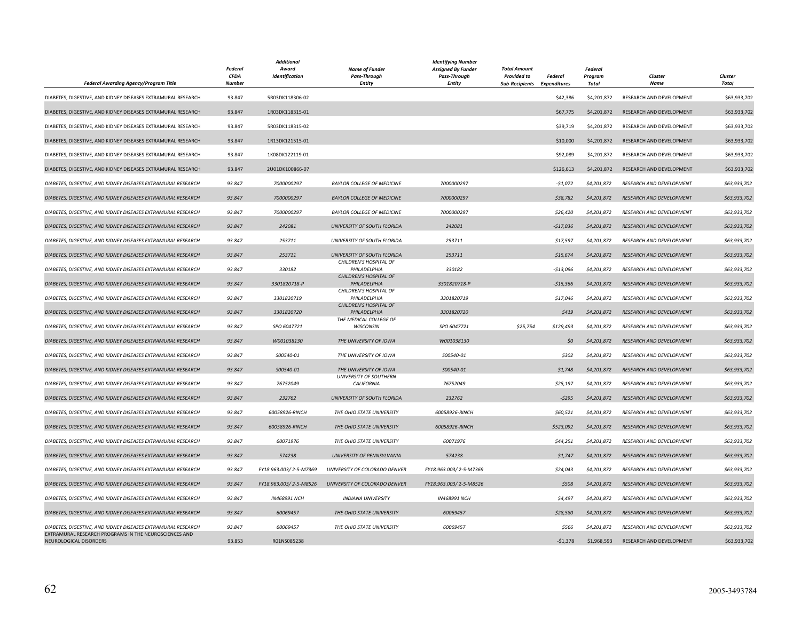| Federal Awarding Agency/Program Title                                           | <b>Federal</b><br><b>CFDA</b><br><b>Number</b> | <b>Additional</b><br>Award<br>Identification | <b>Name of Funder</b><br><b>Pass-Through</b><br><b>Entity</b> | <b>Identifying Number</b><br><b>Assigned By Funder</b><br>Pass-Through<br>Entity | <b>Total Amount</b><br><b>Provided to</b><br><b>Sub-Recipients Expenditures</b> | <b>Federal</b> | Federal<br>Program<br>Total | Cluster<br>Name          | Cluster<br>Total |
|---------------------------------------------------------------------------------|------------------------------------------------|----------------------------------------------|---------------------------------------------------------------|----------------------------------------------------------------------------------|---------------------------------------------------------------------------------|----------------|-----------------------------|--------------------------|------------------|
| DIABETES, DIGESTIVE, AND KIDNEY DISEASES EXTRAMURAL RESEARCH                    | 93.847                                         | 5R03DK118306-02                              |                                                               |                                                                                  |                                                                                 | \$42,386       | \$4,201,872                 | RESEARCH AND DEVELOPMENT | \$63,933,702     |
| DIABETES, DIGESTIVE, AND KIDNEY DISEASES EXTRAMURAL RESEARCH                    | 93.847                                         | 1R03DK118315-01                              |                                                               |                                                                                  |                                                                                 | \$67,775       | \$4,201,872                 | RESEARCH AND DEVELOPMENT | \$63,933,702     |
| DIABETES, DIGESTIVE, AND KIDNEY DISEASES EXTRAMURAL RESEARCH                    | 93.847                                         | 5R03DK118315-02                              |                                                               |                                                                                  |                                                                                 | \$39,719       | \$4,201,872                 | RESEARCH AND DEVELOPMENT | \$63,933,702     |
| DIABETES, DIGESTIVE, AND KIDNEY DISEASES EXTRAMURAL RESEARCH                    | 93.847                                         | 1R13DK121515-01                              |                                                               |                                                                                  |                                                                                 | \$10,000       | \$4,201,872                 | RESEARCH AND DEVELOPMENT | \$63,933,702     |
| DIABETES, DIGESTIVE, AND KIDNEY DISEASES EXTRAMURAL RESEARCH                    | 93.847                                         | 1K08DK122119-01                              |                                                               |                                                                                  |                                                                                 | \$92,089       | \$4,201,872                 | RESEARCH AND DEVELOPMENT | \$63,933,702     |
| DIABETES, DIGESTIVE, AND KIDNEY DISEASES EXTRAMURAL RESEARCH                    | 93.847                                         | 2U01DK100866-07                              |                                                               |                                                                                  |                                                                                 | \$126,613      | \$4,201,872                 | RESEARCH AND DEVELOPMENT | \$63,933,702     |
| DIABETES, DIGESTIVE, AND KIDNEY DISEASES EXTRAMURAL RESEARCH                    | 93.847                                         | 7000000297                                   | <b>BAYLOR COLLEGE OF MEDICINE</b>                             | 7000000297                                                                       |                                                                                 | $-51,072$      | \$4,201,872                 | RESEARCH AND DEVELOPMENT | \$63,933,702     |
| DIABETES, DIGESTIVE, AND KIDNEY DISEASES EXTRAMURAL RESEARCH                    | 93.847                                         | 7000000297                                   | <b>BAYLOR COLLEGE OF MEDICINE</b>                             | 7000000297                                                                       |                                                                                 | \$38,782       | \$4,201,872                 | RESEARCH AND DEVELOPMENT | \$63,933,702     |
| DIABETES, DIGESTIVE, AND KIDNEY DISEASES EXTRAMURAL RESEARCH                    | 93.847                                         | 7000000297                                   | <b>BAYLOR COLLEGE OF MEDICINE</b>                             | 7000000297                                                                       |                                                                                 | \$26,420       | \$4,201,872                 | RESEARCH AND DEVELOPMENT | \$63,933,702     |
| DIABETES, DIGESTIVE, AND KIDNEY DISEASES EXTRAMURAL RESEARCH                    | 93.847                                         | 242081                                       | UNIVERSITY OF SOUTH FLORIDA                                   | 242081                                                                           |                                                                                 | $-$17,036$     | \$4,201,872                 | RESEARCH AND DEVELOPMENT | \$63,933,702     |
| DIABETES, DIGESTIVE, AND KIDNEY DISEASES EXTRAMURAL RESEARCH                    | 93.847                                         | 253711                                       | UNIVERSITY OF SOUTH FLORIDA                                   | 253711                                                                           |                                                                                 | \$17,597       | \$4,201,872                 | RESEARCH AND DEVELOPMENT | \$63,933,702     |
| DIABETES, DIGESTIVE, AND KIDNEY DISEASES EXTRAMURAL RESEARCH                    | 93.847                                         | 253711                                       | UNIVERSITY OF SOUTH FLORIDA                                   | 253711                                                                           |                                                                                 | \$15,674       | \$4,201,872                 | RESEARCH AND DEVELOPMENT | \$63,933,702     |
| DIABETES, DIGESTIVE, AND KIDNEY DISEASES EXTRAMURAL RESEARCH                    | 93.847                                         | 330182                                       | CHILDREN'S HOSPITAL OF<br>PHILADELPHIA                        | 330182                                                                           |                                                                                 | $-513,096$     | \$4,201.872                 | RESEARCH AND DEVELOPMENT | \$63,933,702     |
| DIABETES, DIGESTIVE, AND KIDNEY DISEASES EXTRAMURAL RESEARCH                    | 93.847                                         | 3301820718-P                                 | CHILDREN'S HOSPITAL OF<br>PHILADELPHIA                        | 3301820718-P                                                                     |                                                                                 | $-515,366$     | \$4,201,872                 | RESEARCH AND DEVELOPMENT | \$63,933,702     |
| DIABETES, DIGESTIVE, AND KIDNEY DISEASES EXTRAMURAL RESEARCH                    | 93.847                                         | 3301820719                                   | CHILDREN'S HOSPITAL OF<br>PHILADELPHIA                        | 3301820719                                                                       |                                                                                 | \$17,046       | \$4,201,872                 | RESEARCH AND DEVELOPMENT | \$63,933,702     |
| DIABETES, DIGESTIVE, AND KIDNEY DISEASES EXTRAMURAL RESEARCH                    | 93.847                                         | 3301820720                                   | CHILDREN'S HOSPITAL OF<br>PHILADELPHIA                        | 3301820720                                                                       |                                                                                 | \$419          | \$4,201,872                 | RESEARCH AND DEVELOPMENT | \$63,933,702     |
| DIABETES, DIGESTIVE, AND KIDNEY DISEASES EXTRAMURAL RESEARCH                    | 93.847                                         | SPO 6047721                                  | THE MEDICAL COLLEGE OF<br><b>WISCONSIN</b>                    | SPO 6047721                                                                      | \$25,754                                                                        | \$129,493      | \$4,201,872                 | RESEARCH AND DEVELOPMENT | \$63,933,702     |
| DIABETES, DIGESTIVE, AND KIDNEY DISEASES EXTRAMURAL RESEARCH                    | 93.847                                         | W001038130                                   | THE UNIVERSITY OF IOWA                                        | W001038130                                                                       |                                                                                 | \$0            | \$4,201,872                 | RESEARCH AND DEVELOPMENT | \$63,933,702     |
| DIABETES, DIGESTIVE, AND KIDNEY DISEASES EXTRAMURAL RESEARCH                    | 93.847                                         | S00540-01                                    | THE UNIVERSITY OF IOWA                                        | S00540-01                                                                        |                                                                                 | \$302          | \$4,201,872                 | RESEARCH AND DEVELOPMENT | \$63,933,702     |
| DIABETES, DIGESTIVE, AND KIDNEY DISEASES EXTRAMURAL RESEARCH                    | 93.847                                         | S00540-01                                    | THE UNIVERSITY OF IOWA                                        | S00540-01                                                                        |                                                                                 | \$1,748        | \$4,201,872                 | RESEARCH AND DEVELOPMENT | \$63,933,702     |
| DIABETES, DIGESTIVE, AND KIDNEY DISEASES EXTRAMURAL RESEARCH                    | 93.847                                         | 76752049                                     | <b>UNIVERSITY OF SOUTHERN</b><br><b>CALIFORNIA</b>            | 76752049                                                                         |                                                                                 | \$25,197       | \$4,201,872                 | RESEARCH AND DEVELOPMENT | \$63,933,702     |
| DIABETES, DIGESTIVE, AND KIDNEY DISEASES EXTRAMURAL RESEARCH                    | 93.847                                         | 232762                                       | UNIVERSITY OF SOUTH FLORIDA                                   | 232762                                                                           |                                                                                 | $-5295$        | \$4,201,872                 | RESEARCH AND DEVELOPMENT | \$63,933,702     |
| DIABETES, DIGESTIVE, AND KIDNEY DISEASES EXTRAMURAL RESEARCH                    | 93.847                                         | 60058926-RINCH                               | THE OHIO STATE UNIVERSITY                                     | 60058926-RINCH                                                                   |                                                                                 | \$60,521       | \$4,201,872                 | RESEARCH AND DEVELOPMENT | \$63,933,702     |
| DIABETES, DIGESTIVE, AND KIDNEY DISEASES EXTRAMURAL RESEARCH                    | 93.847                                         | 60058926-RINCH                               | THE OHIO STATE UNIVERSITY                                     | 60058926-RINCH                                                                   |                                                                                 | \$523,092      | \$4,201,872                 | RESEARCH AND DEVELOPMENT | \$63,933,702     |
| DIABETES, DIGESTIVE, AND KIDNEY DISEASES EXTRAMURAL RESEARCH                    | 93.847                                         | 60071976                                     | THE OHIO STATE UNIVERSITY                                     | 60071976                                                                         |                                                                                 | \$44,251       | \$4,201,872                 | RESEARCH AND DEVELOPMENT | \$63,933,702     |
| DIABETES, DIGESTIVE, AND KIDNEY DISEASES EXTRAMURAL RESEARCH                    | 93.847                                         | 574238                                       | UNIVERSITY OF PENNSYLVANIA                                    | 574238                                                                           |                                                                                 | \$1,747        | \$4,201,872                 | RESEARCH AND DEVELOPMENT | \$63,933,702     |
| DIABETES, DIGESTIVE, AND KIDNEY DISEASES EXTRAMURAL RESEARCH                    | 93.847                                         | FY18.963.003/2-5-M7369                       | UNIVERSITY OF COLORADO DENVER                                 | FY18.963.003/2-5-M7369                                                           |                                                                                 | \$24,043       | \$4,201,872                 | RESEARCH AND DEVELOPMENT | \$63,933,702     |
| DIABETES, DIGESTIVE, AND KIDNEY DISEASES EXTRAMURAL RESEARCH                    | 93.847                                         | FY18.963.003/2-5-M8526                       | UNIVERSITY OF COLORADO DENVER                                 | FY18.963.003/2-5-M8526                                                           |                                                                                 | \$508          | \$4,201,872                 | RESEARCH AND DEVELOPMENT | \$63,933,702     |
| DIABETES, DIGESTIVE, AND KIDNEY DISEASES EXTRAMURAL RESEARCH                    | 93.847                                         | IN468991 NCH                                 | <b>INDIANA UNIVERSITY</b>                                     | IN468991 NCH                                                                     |                                                                                 | \$4,497        | \$4,201,872                 | RESEARCH AND DEVELOPMENT | \$63,933,702     |
| DIABETES, DIGESTIVE, AND KIDNEY DISEASES EXTRAMURAL RESEARCH                    | 93.847                                         | 60069457                                     | THE OHIO STATE UNIVERSITY                                     | 60069457                                                                         |                                                                                 | \$28,580       | \$4,201,872                 | RESEARCH AND DEVELOPMENT | \$63,933,702     |
| DIABETES, DIGESTIVE, AND KIDNEY DISEASES EXTRAMURAL RESEARCH                    | 93.847                                         | 60069457                                     | THE OHIO STATE UNIVERSITY                                     | 60069457                                                                         |                                                                                 | \$566          | \$4,201,872                 | RESEARCH AND DEVELOPMENT | \$63,933,702     |
| EXTRAMURAL RESEARCH PROGRAMS IN THE NEUROSCIENCES AND<br>NEUROLOGICAL DISORDERS | 93.853                                         | R01NS085238                                  |                                                               |                                                                                  |                                                                                 | $-51,378$      | \$1,968,593                 | RESEARCH AND DEVELOPMENT | \$63,933,702     |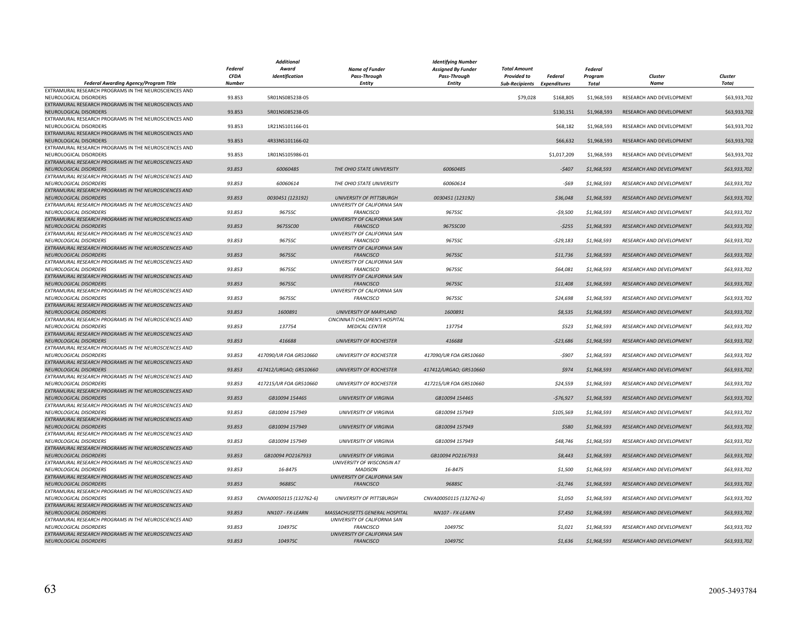| <b>Federal</b><br><b>Total Amount</b><br>Award<br><b>Name of Funder</b><br><b>Assigned By Funder</b><br><b>Federal</b><br><b>CFDA</b><br>Identification<br>Pass-Through<br><b>Provided to</b><br>Cluster<br><b>Pass-Through</b><br>Federal<br>Program<br>Cluster<br>Federal Awarding Agency/Program Title<br><b>Number</b><br><b>Entity</b><br><b>Entity</b><br><b>Sub-Recipients</b><br><b>Expenditures</b><br>Total<br>Name<br>Total<br>EXTRAMURAL RESEARCH PROGRAMS IN THE NEUROSCIENCES AND<br>NEUROLOGICAL DISORDERS<br>93.853<br>5R01NS085238-05<br>\$79,028<br>\$168,805<br>\$1,968,593<br>RESEARCH AND DEVELOPMENT<br>\$63,933,702<br>EXTRAMURAL RESEARCH PROGRAMS IN THE NEUROSCIENCES AND<br>\$130,151<br>NEUROLOGICAL DISORDERS<br>93.853<br>5R01NS085238-05<br>\$1,968,593<br>RESEARCH AND DEVELOPMENT<br>\$63,933,702<br>EXTRAMURAL RESEARCH PROGRAMS IN THE NEUROSCIENCES AND<br>NEUROLOGICAL DISORDERS<br>93.853<br>1R21NS101166-01<br>\$68,182<br>\$1,968,593<br>RESEARCH AND DEVELOPMENT<br>\$63,933,702<br>EXTRAMURAL RESEARCH PROGRAMS IN THE NEUROSCIENCES AND<br>93.853<br>4R33NS101166-02<br>\$66,632<br>RESEARCH AND DEVELOPMENT<br>\$63,933,702<br>NEUROLOGICAL DISORDERS<br>\$1,968,593<br>EXTRAMURAL RESEARCH PROGRAMS IN THE NEUROSCIENCES AND<br>NEUROLOGICAL DISORDERS<br>93.853<br>1R01NS105986-01<br>\$1,017,209<br>\$1,968,593<br>RESEARCH AND DEVELOPMENT<br>\$63,933,702<br>EXTRAMURAL RESEARCH PROGRAMS IN THE NEUROSCIENCES AND<br>60060485<br>NEUROLOGICAL DISORDERS<br>93.853<br>60060485<br>THE OHIO STATE UNIVERSITY<br>$-5407$<br>\$1,968,593<br>RESEARCH AND DEVELOPMENT<br>\$63,933,702<br>EXTRAMURAL RESEARCH PROGRAMS IN THE NEUROSCIENCES AND<br>NEUROLOGICAL DISORDERS<br>93.853<br>60060614<br>THE OHIO STATE UNIVERSITY<br>60060614<br>-\$69<br>\$1,968,593<br>RESEARCH AND DEVELOPMENT<br>\$63,933,702<br>EXTRAMURAL RESEARCH PROGRAMS IN THE NEUROSCIENCES AND<br>0030451 (123192)<br>93.853<br>0030451 (123192)<br><b>UNIVERSITY OF PITTSBURGH</b><br>\$36,048<br>\$1,968,593<br>RESEARCH AND DEVELOPMENT<br>\$63,933,702<br>NEUROLOGICAL DISORDERS<br>EXTRAMURAL RESEARCH PROGRAMS IN THE NEUROSCIENCES AND<br>UNIVERSITY OF CALIFORNIA SAN<br>93.853<br>NEUROLOGICAL DISORDERS<br>9675SC<br><b>FRANCISCO</b><br>9675SC<br>$-$9,500$<br>\$1,968,593<br>RESEARCH AND DEVELOPMENT<br>\$63,933,702<br>EXTRAMURAL RESEARCH PROGRAMS IN THE NEUROSCIENCES AND<br>UNIVERSITY OF CALIFORNIA SAN<br>93.853<br>9675SC00<br><b>NEUROLOGICAL DISORDERS</b><br><b>FRANCISCO</b><br>9675SC00<br>$-5255$<br>\$1,968,593<br><b>RESEARCH AND DEVELOPMENT</b><br>\$63,933,702<br>EXTRAMURAL RESEARCH PROGRAMS IN THE NEUROSCIENCES AND<br>UNIVERSITY OF CALIFORNIA SAN<br>93.853<br>9675SC<br>NEUROLOGICAL DISORDERS<br>9675SC<br><b>FRANCISCO</b><br>$-529,183$<br>\$1,968,593<br>RESEARCH AND DEVELOPMENT<br>\$63,933,702<br>EXTRAMURAL RESEARCH PROGRAMS IN THE NEUROSCIENCES AND<br>UNIVERSITY OF CALIFORNIA SAN<br>93.853<br>9675SC<br><b>FRANCISCO</b><br>9675SC<br>\$11,736<br>\$1,968,593<br>RESEARCH AND DEVELOPMENT<br>\$63,933,702<br>NEUROLOGICAL DISORDERS<br>EXTRAMURAL RESEARCH PROGRAMS IN THE NEUROSCIENCES AND<br>UNIVERSITY OF CALIFORNIA SAN<br>NEUROLOGICAL DISORDERS<br>93.853<br>9675SC<br><b>FRANCISCO</b><br>9675SC<br>\$64,081<br>\$1,968,593<br>RESEARCH AND DEVELOPMENT<br>\$63,933,702<br>EXTRAMURAL RESEARCH PROGRAMS IN THE NEUROSCIENCES AND<br>UNIVERSITY OF CALIFORNIA SAN<br>RESEARCH AND DEVELOPMENT<br>NEUROLOGICAL DISORDERS<br>93.853<br>9675SC<br><b>FRANCISCO</b><br>9675SC<br>\$11,408<br>\$1,968,593<br>\$63,933,702<br>EXTRAMURAL RESEARCH PROGRAMS IN THE NEUROSCIENCES AND<br>UNIVERSITY OF CALIFORNIA SAN<br>93.853<br>9675SC<br>9675SC<br>\$24,698<br>\$1,968,593<br>\$63,933,702<br>NEUROLOGICAL DISORDERS<br><b>FRANCISCO</b><br>RESEARCH AND DEVELOPMENT<br>EXTRAMURAL RESEARCH PROGRAMS IN THE NEUROSCIENCES AND<br>93.853<br>1600891<br><b>UNIVERSITY OF MARYLAND</b><br>1600891<br>\$8,535<br>\$1,968,593<br>RESEARCH AND DEVELOPMENT<br>\$63,933,702<br>NEUROLOGICAL DISORDERS<br>EXTRAMURAL RESEARCH PROGRAMS IN THE NEUROSCIENCES AND<br>CINCINNATI CHILDREN'S HOSPITAL<br>NEUROLOGICAL DISORDERS<br>93.853<br>137754<br><b>MEDICAL CENTER</b><br>137754<br>\$523<br>\$1,968,593<br>RESEARCH AND DEVELOPMENT<br>\$63,933,702<br>EXTRAMURAL RESEARCH PROGRAMS IN THE NEUROSCIENCES AND<br>93.853<br>416688<br><b>UNIVERSITY OF ROCHESTER</b><br>416688<br>$-523,686$<br>\$63,933,702<br>NEUROLOGICAL DISORDERS<br>\$1,968,593<br>RESEARCH AND DEVELOPMENT<br>EXTRAMURAL RESEARCH PROGRAMS IN THE NEUROSCIENCES AND<br>93.853<br>417090/UR FOA GR510660<br>NEUROLOGICAL DISORDERS<br>417090/UR FOA GR510660<br><b>UNIVERSITY OF ROCHESTER</b><br>-\$907<br>\$1,968,593<br>RESEARCH AND DEVELOPMENT<br>\$63,933,702<br>EXTRAMURAL RESEARCH PROGRAMS IN THE NEUROSCIENCES AND<br>93.853<br>\$63,933,702<br>NEUROLOGICAL DISORDERS<br>417412/URGAO; GR510660<br><b>UNIVERSITY OF ROCHESTER</b><br>417412/URGAO; GR510660<br>\$974<br>\$1,968,593<br>RESEARCH AND DEVELOPMENT<br>EXTRAMURAL RESEARCH PROGRAMS IN THE NEUROSCIENCES AND<br>NEUROLOGICAL DISORDERS<br>93.853<br><b>UNIVERSITY OF ROCHESTER</b><br><b>RESEARCH AND DEVELOPMENT</b><br>417215/UR FOA GR510660<br>417215/UR FOA GR510660<br>\$24,559<br>\$1,968,593<br>\$63,933,702<br>EXTRAMURAL RESEARCH PROGRAMS IN THE NEUROSCIENCES AND<br>93.853<br>GB10094 154465<br><b>UNIVERSITY OF VIRGINIA</b><br>GB10094 154465<br>$-576,927$<br>RESEARCH AND DEVELOPMENT<br>\$63,933,702<br>NEUROLOGICAL DISORDERS<br>\$1,968,593<br>EXTRAMURAL RESEARCH PROGRAMS IN THE NEUROSCIENCES AND<br>93.853<br>GB10094 157949<br><b>UNIVERSITY OF VIRGINIA</b><br>GB10094 157949<br>\$105,569<br>\$1,968,593<br>RESEARCH AND DEVELOPMENT<br>\$63,933,702<br>NEUROLOGICAL DISORDERS<br>EXTRAMURAL RESEARCH PROGRAMS IN THE NEUROSCIENCES AND<br>NEUROLOGICAL DISORDERS<br>93.853<br>GB10094 157949<br><b>UNIVERSITY OF VIRGINIA</b><br>GB10094 157949<br>\$580<br>\$1,968,593<br>RESEARCH AND DEVELOPMENT<br>\$63,933,702<br>EXTRAMURAL RESEARCH PROGRAMS IN THE NEUROSCIENCES AND<br>NEUROLOGICAL DISORDERS<br>93.853<br>GB10094 157949<br><b>UNIVERSITY OF VIRGINIA</b><br>GB10094 157949<br>\$48,746<br>\$1,968,593<br>RESEARCH AND DEVELOPMENT<br>\$63,933,702<br>EXTRAMURAL RESEARCH PROGRAMS IN THE NEUROSCIENCES AND<br>NEUROLOGICAL DISORDERS<br>93.853<br>GB10094 PO2167933<br>GB10094 PO2167933<br>\$1,968,593<br>RESEARCH AND DEVELOPMENT<br>\$63,933,702<br><b>UNIVERSITY OF VIRGINIA</b><br>\$8,443<br>EXTRAMURAL RESEARCH PROGRAMS IN THE NEUROSCIENCES AND<br>UNIVERSITY OF WISCONSIN AT<br>93.853<br>16-8475<br><b>MADISON</b><br>16-8475<br>\$1,500<br>\$1,968,593<br><b>RESEARCH AND DEVELOPMENT</b><br>\$63,933,702<br>NEUROLOGICAL DISORDERS<br>EXTRAMURAL RESEARCH PROGRAMS IN THE NEUROSCIENCES AND<br>UNIVERSITY OF CALIFORNIA SAN<br><b>NEUROLOGICAL DISORDERS</b><br>93.853<br>9688SC<br><b>FRANCISCO</b><br>9688SC<br>$-51,746$<br>\$1,968,593<br><b>RESEARCH AND DEVELOPMENT</b><br>\$63,933,702<br>EXTRAMURAL RESEARCH PROGRAMS IN THE NEUROSCIENCES AND<br>CNVA00050115 (132762-6)<br><b>UNIVERSITY OF PITTSBURGH</b><br>CNVA00050115 (132762-6)<br>\$1,050<br>\$1,968,593<br>NEUROLOGICAL DISORDERS<br>93.853<br>RESEARCH AND DEVELOPMENT<br>\$63,933,702<br>EXTRAMURAL RESEARCH PROGRAMS IN THE NEUROSCIENCES AND<br>93.853<br>NN107 - FX-LEARN<br>MASSACHUSETTS GENERAL HOSPITAL<br>NN107 - FX-LEARN<br>\$1,968,593<br>RESEARCH AND DEVELOPMENT<br>\$63,933,702<br>NEUROLOGICAL DISORDERS<br>\$7,450<br>EXTRAMURAL RESEARCH PROGRAMS IN THE NEUROSCIENCES AND<br>UNIVERSITY OF CALIFORNIA SAN<br>NEUROLOGICAL DISORDERS<br>93.853<br>10497SC<br><b>FRANCISCO</b><br>10497SC<br>\$1,021<br>\$1,968,593<br>RESEARCH AND DEVELOPMENT<br>\$63,933,702<br>EXTRAMURAL RESEARCH PROGRAMS IN THE NEUROSCIENCES AND<br>UNIVERSITY OF CALIFORNIA SAN<br>NEUROLOGICAL DISORDERS<br>93.853<br>10497SC<br><b>FRANCISCO</b><br>10497SC<br>\$1,636<br>\$1,968,593<br><b>RESEARCH AND DEVELOPMENT</b><br>\$63,933,702 |  | <b>Additional</b> | <b>Identifying Number</b> |  |  |
|------------------------------------------------------------------------------------------------------------------------------------------------------------------------------------------------------------------------------------------------------------------------------------------------------------------------------------------------------------------------------------------------------------------------------------------------------------------------------------------------------------------------------------------------------------------------------------------------------------------------------------------------------------------------------------------------------------------------------------------------------------------------------------------------------------------------------------------------------------------------------------------------------------------------------------------------------------------------------------------------------------------------------------------------------------------------------------------------------------------------------------------------------------------------------------------------------------------------------------------------------------------------------------------------------------------------------------------------------------------------------------------------------------------------------------------------------------------------------------------------------------------------------------------------------------------------------------------------------------------------------------------------------------------------------------------------------------------------------------------------------------------------------------------------------------------------------------------------------------------------------------------------------------------------------------------------------------------------------------------------------------------------------------------------------------------------------------------------------------------------------------------------------------------------------------------------------------------------------------------------------------------------------------------------------------------------------------------------------------------------------------------------------------------------------------------------------------------------------------------------------------------------------------------------------------------------------------------------------------------------------------------------------------------------------------------------------------------------------------------------------------------------------------------------------------------------------------------------------------------------------------------------------------------------------------------------------------------------------------------------------------------------------------------------------------------------------------------------------------------------------------------------------------------------------------------------------------------------------------------------------------------------------------------------------------------------------------------------------------------------------------------------------------------------------------------------------------------------------------------------------------------------------------------------------------------------------------------------------------------------------------------------------------------------------------------------------------------------------------------------------------------------------------------------------------------------------------------------------------------------------------------------------------------------------------------------------------------------------------------------------------------------------------------------------------------------------------------------------------------------------------------------------------------------------------------------------------------------------------------------------------------------------------------------------------------------------------------------------------------------------------------------------------------------------------------------------------------------------------------------------------------------------------------------------------------------------------------------------------------------------------------------------------------------------------------------------------------------------------------------------------------------------------------------------------------------------------------------------------------------------------------------------------------------------------------------------------------------------------------------------------------------------------------------------------------------------------------------------------------------------------------------------------------------------------------------------------------------------------------------------------------------------------------------------------------------------------------------------------------------------------------------------------------------------------------------------------------------------------------------------------------------------------------------------------------------------------------------------------------------------------------------------------------------------------------------------------------------------------------------------------------------------------------------------------------------------------------------------------------------------------------------------------------------------------------------------------------------------------------------------------------------------------------------------------------------------------------------------------------------------------------------------------------------------------------------------------------------------------------------------------------------------------------------------------------------------------------------------------------------------------------------------------------------------------------------------------------------------------------------------------------------------------------------------------------------------------------------------------------------------------------------------------------------------------------------------------------------------------------------------------------------------------------------------------------------------------------------------------------------------------------------------------------------------------------------------------------------------------------------------------------------------------------------------------------------------------------------------------------------------------------------------------------------------------------------------------------------------------------------------------------------------------------------------------------------------------------------------------------------------------------------------------------------------------------------------------------------------------------------------------------------------------------------------------------------------------------------------------------------------------------------------------------------------------------------------------------------------------------------------------------------------------------------------------------------------------------------------------------------------------------------------------------------------------------------------------------------------------------------------------------------------------------------------------------------------|--|-------------------|---------------------------|--|--|
|                                                                                                                                                                                                                                                                                                                                                                                                                                                                                                                                                                                                                                                                                                                                                                                                                                                                                                                                                                                                                                                                                                                                                                                                                                                                                                                                                                                                                                                                                                                                                                                                                                                                                                                                                                                                                                                                                                                                                                                                                                                                                                                                                                                                                                                                                                                                                                                                                                                                                                                                                                                                                                                                                                                                                                                                                                                                                                                                                                                                                                                                                                                                                                                                                                                                                                                                                                                                                                                                                                                                                                                                                                                                                                                                                                                                                                                                                                                                                                                                                                                                                                                                                                                                                                                                                                                                                                                                                                                                                                                                                                                                                                                                                                                                                                                                                                                                                                                                                                                                                                                                                                                                                                                                                                                                                                                                                                                                                                                                                                                                                                                                                                                                                                                                                                                                                                                                                                                                                                                                                                                                                                                                                                                                                                                                                                                                                                                                                                                                                                                                                                                                                                                                                                                                                                                                                                                                                                                                                                                                                                                                                                                                                                                                                                                                                                                                                                                                                                                                                                                                                                                                                                                                                                                                                                                                                                                                                                                                                                                                                                                                              |  |                   |                           |  |  |
|                                                                                                                                                                                                                                                                                                                                                                                                                                                                                                                                                                                                                                                                                                                                                                                                                                                                                                                                                                                                                                                                                                                                                                                                                                                                                                                                                                                                                                                                                                                                                                                                                                                                                                                                                                                                                                                                                                                                                                                                                                                                                                                                                                                                                                                                                                                                                                                                                                                                                                                                                                                                                                                                                                                                                                                                                                                                                                                                                                                                                                                                                                                                                                                                                                                                                                                                                                                                                                                                                                                                                                                                                                                                                                                                                                                                                                                                                                                                                                                                                                                                                                                                                                                                                                                                                                                                                                                                                                                                                                                                                                                                                                                                                                                                                                                                                                                                                                                                                                                                                                                                                                                                                                                                                                                                                                                                                                                                                                                                                                                                                                                                                                                                                                                                                                                                                                                                                                                                                                                                                                                                                                                                                                                                                                                                                                                                                                                                                                                                                                                                                                                                                                                                                                                                                                                                                                                                                                                                                                                                                                                                                                                                                                                                                                                                                                                                                                                                                                                                                                                                                                                                                                                                                                                                                                                                                                                                                                                                                                                                                                                                              |  |                   |                           |  |  |
|                                                                                                                                                                                                                                                                                                                                                                                                                                                                                                                                                                                                                                                                                                                                                                                                                                                                                                                                                                                                                                                                                                                                                                                                                                                                                                                                                                                                                                                                                                                                                                                                                                                                                                                                                                                                                                                                                                                                                                                                                                                                                                                                                                                                                                                                                                                                                                                                                                                                                                                                                                                                                                                                                                                                                                                                                                                                                                                                                                                                                                                                                                                                                                                                                                                                                                                                                                                                                                                                                                                                                                                                                                                                                                                                                                                                                                                                                                                                                                                                                                                                                                                                                                                                                                                                                                                                                                                                                                                                                                                                                                                                                                                                                                                                                                                                                                                                                                                                                                                                                                                                                                                                                                                                                                                                                                                                                                                                                                                                                                                                                                                                                                                                                                                                                                                                                                                                                                                                                                                                                                                                                                                                                                                                                                                                                                                                                                                                                                                                                                                                                                                                                                                                                                                                                                                                                                                                                                                                                                                                                                                                                                                                                                                                                                                                                                                                                                                                                                                                                                                                                                                                                                                                                                                                                                                                                                                                                                                                                                                                                                                                              |  |                   |                           |  |  |
|                                                                                                                                                                                                                                                                                                                                                                                                                                                                                                                                                                                                                                                                                                                                                                                                                                                                                                                                                                                                                                                                                                                                                                                                                                                                                                                                                                                                                                                                                                                                                                                                                                                                                                                                                                                                                                                                                                                                                                                                                                                                                                                                                                                                                                                                                                                                                                                                                                                                                                                                                                                                                                                                                                                                                                                                                                                                                                                                                                                                                                                                                                                                                                                                                                                                                                                                                                                                                                                                                                                                                                                                                                                                                                                                                                                                                                                                                                                                                                                                                                                                                                                                                                                                                                                                                                                                                                                                                                                                                                                                                                                                                                                                                                                                                                                                                                                                                                                                                                                                                                                                                                                                                                                                                                                                                                                                                                                                                                                                                                                                                                                                                                                                                                                                                                                                                                                                                                                                                                                                                                                                                                                                                                                                                                                                                                                                                                                                                                                                                                                                                                                                                                                                                                                                                                                                                                                                                                                                                                                                                                                                                                                                                                                                                                                                                                                                                                                                                                                                                                                                                                                                                                                                                                                                                                                                                                                                                                                                                                                                                                                                              |  |                   |                           |  |  |
|                                                                                                                                                                                                                                                                                                                                                                                                                                                                                                                                                                                                                                                                                                                                                                                                                                                                                                                                                                                                                                                                                                                                                                                                                                                                                                                                                                                                                                                                                                                                                                                                                                                                                                                                                                                                                                                                                                                                                                                                                                                                                                                                                                                                                                                                                                                                                                                                                                                                                                                                                                                                                                                                                                                                                                                                                                                                                                                                                                                                                                                                                                                                                                                                                                                                                                                                                                                                                                                                                                                                                                                                                                                                                                                                                                                                                                                                                                                                                                                                                                                                                                                                                                                                                                                                                                                                                                                                                                                                                                                                                                                                                                                                                                                                                                                                                                                                                                                                                                                                                                                                                                                                                                                                                                                                                                                                                                                                                                                                                                                                                                                                                                                                                                                                                                                                                                                                                                                                                                                                                                                                                                                                                                                                                                                                                                                                                                                                                                                                                                                                                                                                                                                                                                                                                                                                                                                                                                                                                                                                                                                                                                                                                                                                                                                                                                                                                                                                                                                                                                                                                                                                                                                                                                                                                                                                                                                                                                                                                                                                                                                                              |  |                   |                           |  |  |
|                                                                                                                                                                                                                                                                                                                                                                                                                                                                                                                                                                                                                                                                                                                                                                                                                                                                                                                                                                                                                                                                                                                                                                                                                                                                                                                                                                                                                                                                                                                                                                                                                                                                                                                                                                                                                                                                                                                                                                                                                                                                                                                                                                                                                                                                                                                                                                                                                                                                                                                                                                                                                                                                                                                                                                                                                                                                                                                                                                                                                                                                                                                                                                                                                                                                                                                                                                                                                                                                                                                                                                                                                                                                                                                                                                                                                                                                                                                                                                                                                                                                                                                                                                                                                                                                                                                                                                                                                                                                                                                                                                                                                                                                                                                                                                                                                                                                                                                                                                                                                                                                                                                                                                                                                                                                                                                                                                                                                                                                                                                                                                                                                                                                                                                                                                                                                                                                                                                                                                                                                                                                                                                                                                                                                                                                                                                                                                                                                                                                                                                                                                                                                                                                                                                                                                                                                                                                                                                                                                                                                                                                                                                                                                                                                                                                                                                                                                                                                                                                                                                                                                                                                                                                                                                                                                                                                                                                                                                                                                                                                                                                              |  |                   |                           |  |  |
|                                                                                                                                                                                                                                                                                                                                                                                                                                                                                                                                                                                                                                                                                                                                                                                                                                                                                                                                                                                                                                                                                                                                                                                                                                                                                                                                                                                                                                                                                                                                                                                                                                                                                                                                                                                                                                                                                                                                                                                                                                                                                                                                                                                                                                                                                                                                                                                                                                                                                                                                                                                                                                                                                                                                                                                                                                                                                                                                                                                                                                                                                                                                                                                                                                                                                                                                                                                                                                                                                                                                                                                                                                                                                                                                                                                                                                                                                                                                                                                                                                                                                                                                                                                                                                                                                                                                                                                                                                                                                                                                                                                                                                                                                                                                                                                                                                                                                                                                                                                                                                                                                                                                                                                                                                                                                                                                                                                                                                                                                                                                                                                                                                                                                                                                                                                                                                                                                                                                                                                                                                                                                                                                                                                                                                                                                                                                                                                                                                                                                                                                                                                                                                                                                                                                                                                                                                                                                                                                                                                                                                                                                                                                                                                                                                                                                                                                                                                                                                                                                                                                                                                                                                                                                                                                                                                                                                                                                                                                                                                                                                                                              |  |                   |                           |  |  |
|                                                                                                                                                                                                                                                                                                                                                                                                                                                                                                                                                                                                                                                                                                                                                                                                                                                                                                                                                                                                                                                                                                                                                                                                                                                                                                                                                                                                                                                                                                                                                                                                                                                                                                                                                                                                                                                                                                                                                                                                                                                                                                                                                                                                                                                                                                                                                                                                                                                                                                                                                                                                                                                                                                                                                                                                                                                                                                                                                                                                                                                                                                                                                                                                                                                                                                                                                                                                                                                                                                                                                                                                                                                                                                                                                                                                                                                                                                                                                                                                                                                                                                                                                                                                                                                                                                                                                                                                                                                                                                                                                                                                                                                                                                                                                                                                                                                                                                                                                                                                                                                                                                                                                                                                                                                                                                                                                                                                                                                                                                                                                                                                                                                                                                                                                                                                                                                                                                                                                                                                                                                                                                                                                                                                                                                                                                                                                                                                                                                                                                                                                                                                                                                                                                                                                                                                                                                                                                                                                                                                                                                                                                                                                                                                                                                                                                                                                                                                                                                                                                                                                                                                                                                                                                                                                                                                                                                                                                                                                                                                                                                                              |  |                   |                           |  |  |
|                                                                                                                                                                                                                                                                                                                                                                                                                                                                                                                                                                                                                                                                                                                                                                                                                                                                                                                                                                                                                                                                                                                                                                                                                                                                                                                                                                                                                                                                                                                                                                                                                                                                                                                                                                                                                                                                                                                                                                                                                                                                                                                                                                                                                                                                                                                                                                                                                                                                                                                                                                                                                                                                                                                                                                                                                                                                                                                                                                                                                                                                                                                                                                                                                                                                                                                                                                                                                                                                                                                                                                                                                                                                                                                                                                                                                                                                                                                                                                                                                                                                                                                                                                                                                                                                                                                                                                                                                                                                                                                                                                                                                                                                                                                                                                                                                                                                                                                                                                                                                                                                                                                                                                                                                                                                                                                                                                                                                                                                                                                                                                                                                                                                                                                                                                                                                                                                                                                                                                                                                                                                                                                                                                                                                                                                                                                                                                                                                                                                                                                                                                                                                                                                                                                                                                                                                                                                                                                                                                                                                                                                                                                                                                                                                                                                                                                                                                                                                                                                                                                                                                                                                                                                                                                                                                                                                                                                                                                                                                                                                                                                              |  |                   |                           |  |  |
|                                                                                                                                                                                                                                                                                                                                                                                                                                                                                                                                                                                                                                                                                                                                                                                                                                                                                                                                                                                                                                                                                                                                                                                                                                                                                                                                                                                                                                                                                                                                                                                                                                                                                                                                                                                                                                                                                                                                                                                                                                                                                                                                                                                                                                                                                                                                                                                                                                                                                                                                                                                                                                                                                                                                                                                                                                                                                                                                                                                                                                                                                                                                                                                                                                                                                                                                                                                                                                                                                                                                                                                                                                                                                                                                                                                                                                                                                                                                                                                                                                                                                                                                                                                                                                                                                                                                                                                                                                                                                                                                                                                                                                                                                                                                                                                                                                                                                                                                                                                                                                                                                                                                                                                                                                                                                                                                                                                                                                                                                                                                                                                                                                                                                                                                                                                                                                                                                                                                                                                                                                                                                                                                                                                                                                                                                                                                                                                                                                                                                                                                                                                                                                                                                                                                                                                                                                                                                                                                                                                                                                                                                                                                                                                                                                                                                                                                                                                                                                                                                                                                                                                                                                                                                                                                                                                                                                                                                                                                                                                                                                                                              |  |                   |                           |  |  |
|                                                                                                                                                                                                                                                                                                                                                                                                                                                                                                                                                                                                                                                                                                                                                                                                                                                                                                                                                                                                                                                                                                                                                                                                                                                                                                                                                                                                                                                                                                                                                                                                                                                                                                                                                                                                                                                                                                                                                                                                                                                                                                                                                                                                                                                                                                                                                                                                                                                                                                                                                                                                                                                                                                                                                                                                                                                                                                                                                                                                                                                                                                                                                                                                                                                                                                                                                                                                                                                                                                                                                                                                                                                                                                                                                                                                                                                                                                                                                                                                                                                                                                                                                                                                                                                                                                                                                                                                                                                                                                                                                                                                                                                                                                                                                                                                                                                                                                                                                                                                                                                                                                                                                                                                                                                                                                                                                                                                                                                                                                                                                                                                                                                                                                                                                                                                                                                                                                                                                                                                                                                                                                                                                                                                                                                                                                                                                                                                                                                                                                                                                                                                                                                                                                                                                                                                                                                                                                                                                                                                                                                                                                                                                                                                                                                                                                                                                                                                                                                                                                                                                                                                                                                                                                                                                                                                                                                                                                                                                                                                                                                                              |  |                   |                           |  |  |
|                                                                                                                                                                                                                                                                                                                                                                                                                                                                                                                                                                                                                                                                                                                                                                                                                                                                                                                                                                                                                                                                                                                                                                                                                                                                                                                                                                                                                                                                                                                                                                                                                                                                                                                                                                                                                                                                                                                                                                                                                                                                                                                                                                                                                                                                                                                                                                                                                                                                                                                                                                                                                                                                                                                                                                                                                                                                                                                                                                                                                                                                                                                                                                                                                                                                                                                                                                                                                                                                                                                                                                                                                                                                                                                                                                                                                                                                                                                                                                                                                                                                                                                                                                                                                                                                                                                                                                                                                                                                                                                                                                                                                                                                                                                                                                                                                                                                                                                                                                                                                                                                                                                                                                                                                                                                                                                                                                                                                                                                                                                                                                                                                                                                                                                                                                                                                                                                                                                                                                                                                                                                                                                                                                                                                                                                                                                                                                                                                                                                                                                                                                                                                                                                                                                                                                                                                                                                                                                                                                                                                                                                                                                                                                                                                                                                                                                                                                                                                                                                                                                                                                                                                                                                                                                                                                                                                                                                                                                                                                                                                                                                              |  |                   |                           |  |  |
|                                                                                                                                                                                                                                                                                                                                                                                                                                                                                                                                                                                                                                                                                                                                                                                                                                                                                                                                                                                                                                                                                                                                                                                                                                                                                                                                                                                                                                                                                                                                                                                                                                                                                                                                                                                                                                                                                                                                                                                                                                                                                                                                                                                                                                                                                                                                                                                                                                                                                                                                                                                                                                                                                                                                                                                                                                                                                                                                                                                                                                                                                                                                                                                                                                                                                                                                                                                                                                                                                                                                                                                                                                                                                                                                                                                                                                                                                                                                                                                                                                                                                                                                                                                                                                                                                                                                                                                                                                                                                                                                                                                                                                                                                                                                                                                                                                                                                                                                                                                                                                                                                                                                                                                                                                                                                                                                                                                                                                                                                                                                                                                                                                                                                                                                                                                                                                                                                                                                                                                                                                                                                                                                                                                                                                                                                                                                                                                                                                                                                                                                                                                                                                                                                                                                                                                                                                                                                                                                                                                                                                                                                                                                                                                                                                                                                                                                                                                                                                                                                                                                                                                                                                                                                                                                                                                                                                                                                                                                                                                                                                                                              |  |                   |                           |  |  |
|                                                                                                                                                                                                                                                                                                                                                                                                                                                                                                                                                                                                                                                                                                                                                                                                                                                                                                                                                                                                                                                                                                                                                                                                                                                                                                                                                                                                                                                                                                                                                                                                                                                                                                                                                                                                                                                                                                                                                                                                                                                                                                                                                                                                                                                                                                                                                                                                                                                                                                                                                                                                                                                                                                                                                                                                                                                                                                                                                                                                                                                                                                                                                                                                                                                                                                                                                                                                                                                                                                                                                                                                                                                                                                                                                                                                                                                                                                                                                                                                                                                                                                                                                                                                                                                                                                                                                                                                                                                                                                                                                                                                                                                                                                                                                                                                                                                                                                                                                                                                                                                                                                                                                                                                                                                                                                                                                                                                                                                                                                                                                                                                                                                                                                                                                                                                                                                                                                                                                                                                                                                                                                                                                                                                                                                                                                                                                                                                                                                                                                                                                                                                                                                                                                                                                                                                                                                                                                                                                                                                                                                                                                                                                                                                                                                                                                                                                                                                                                                                                                                                                                                                                                                                                                                                                                                                                                                                                                                                                                                                                                                                              |  |                   |                           |  |  |
|                                                                                                                                                                                                                                                                                                                                                                                                                                                                                                                                                                                                                                                                                                                                                                                                                                                                                                                                                                                                                                                                                                                                                                                                                                                                                                                                                                                                                                                                                                                                                                                                                                                                                                                                                                                                                                                                                                                                                                                                                                                                                                                                                                                                                                                                                                                                                                                                                                                                                                                                                                                                                                                                                                                                                                                                                                                                                                                                                                                                                                                                                                                                                                                                                                                                                                                                                                                                                                                                                                                                                                                                                                                                                                                                                                                                                                                                                                                                                                                                                                                                                                                                                                                                                                                                                                                                                                                                                                                                                                                                                                                                                                                                                                                                                                                                                                                                                                                                                                                                                                                                                                                                                                                                                                                                                                                                                                                                                                                                                                                                                                                                                                                                                                                                                                                                                                                                                                                                                                                                                                                                                                                                                                                                                                                                                                                                                                                                                                                                                                                                                                                                                                                                                                                                                                                                                                                                                                                                                                                                                                                                                                                                                                                                                                                                                                                                                                                                                                                                                                                                                                                                                                                                                                                                                                                                                                                                                                                                                                                                                                                                              |  |                   |                           |  |  |
|                                                                                                                                                                                                                                                                                                                                                                                                                                                                                                                                                                                                                                                                                                                                                                                                                                                                                                                                                                                                                                                                                                                                                                                                                                                                                                                                                                                                                                                                                                                                                                                                                                                                                                                                                                                                                                                                                                                                                                                                                                                                                                                                                                                                                                                                                                                                                                                                                                                                                                                                                                                                                                                                                                                                                                                                                                                                                                                                                                                                                                                                                                                                                                                                                                                                                                                                                                                                                                                                                                                                                                                                                                                                                                                                                                                                                                                                                                                                                                                                                                                                                                                                                                                                                                                                                                                                                                                                                                                                                                                                                                                                                                                                                                                                                                                                                                                                                                                                                                                                                                                                                                                                                                                                                                                                                                                                                                                                                                                                                                                                                                                                                                                                                                                                                                                                                                                                                                                                                                                                                                                                                                                                                                                                                                                                                                                                                                                                                                                                                                                                                                                                                                                                                                                                                                                                                                                                                                                                                                                                                                                                                                                                                                                                                                                                                                                                                                                                                                                                                                                                                                                                                                                                                                                                                                                                                                                                                                                                                                                                                                                                              |  |                   |                           |  |  |
|                                                                                                                                                                                                                                                                                                                                                                                                                                                                                                                                                                                                                                                                                                                                                                                                                                                                                                                                                                                                                                                                                                                                                                                                                                                                                                                                                                                                                                                                                                                                                                                                                                                                                                                                                                                                                                                                                                                                                                                                                                                                                                                                                                                                                                                                                                                                                                                                                                                                                                                                                                                                                                                                                                                                                                                                                                                                                                                                                                                                                                                                                                                                                                                                                                                                                                                                                                                                                                                                                                                                                                                                                                                                                                                                                                                                                                                                                                                                                                                                                                                                                                                                                                                                                                                                                                                                                                                                                                                                                                                                                                                                                                                                                                                                                                                                                                                                                                                                                                                                                                                                                                                                                                                                                                                                                                                                                                                                                                                                                                                                                                                                                                                                                                                                                                                                                                                                                                                                                                                                                                                                                                                                                                                                                                                                                                                                                                                                                                                                                                                                                                                                                                                                                                                                                                                                                                                                                                                                                                                                                                                                                                                                                                                                                                                                                                                                                                                                                                                                                                                                                                                                                                                                                                                                                                                                                                                                                                                                                                                                                                                                              |  |                   |                           |  |  |
|                                                                                                                                                                                                                                                                                                                                                                                                                                                                                                                                                                                                                                                                                                                                                                                                                                                                                                                                                                                                                                                                                                                                                                                                                                                                                                                                                                                                                                                                                                                                                                                                                                                                                                                                                                                                                                                                                                                                                                                                                                                                                                                                                                                                                                                                                                                                                                                                                                                                                                                                                                                                                                                                                                                                                                                                                                                                                                                                                                                                                                                                                                                                                                                                                                                                                                                                                                                                                                                                                                                                                                                                                                                                                                                                                                                                                                                                                                                                                                                                                                                                                                                                                                                                                                                                                                                                                                                                                                                                                                                                                                                                                                                                                                                                                                                                                                                                                                                                                                                                                                                                                                                                                                                                                                                                                                                                                                                                                                                                                                                                                                                                                                                                                                                                                                                                                                                                                                                                                                                                                                                                                                                                                                                                                                                                                                                                                                                                                                                                                                                                                                                                                                                                                                                                                                                                                                                                                                                                                                                                                                                                                                                                                                                                                                                                                                                                                                                                                                                                                                                                                                                                                                                                                                                                                                                                                                                                                                                                                                                                                                                                              |  |                   |                           |  |  |
|                                                                                                                                                                                                                                                                                                                                                                                                                                                                                                                                                                                                                                                                                                                                                                                                                                                                                                                                                                                                                                                                                                                                                                                                                                                                                                                                                                                                                                                                                                                                                                                                                                                                                                                                                                                                                                                                                                                                                                                                                                                                                                                                                                                                                                                                                                                                                                                                                                                                                                                                                                                                                                                                                                                                                                                                                                                                                                                                                                                                                                                                                                                                                                                                                                                                                                                                                                                                                                                                                                                                                                                                                                                                                                                                                                                                                                                                                                                                                                                                                                                                                                                                                                                                                                                                                                                                                                                                                                                                                                                                                                                                                                                                                                                                                                                                                                                                                                                                                                                                                                                                                                                                                                                                                                                                                                                                                                                                                                                                                                                                                                                                                                                                                                                                                                                                                                                                                                                                                                                                                                                                                                                                                                                                                                                                                                                                                                                                                                                                                                                                                                                                                                                                                                                                                                                                                                                                                                                                                                                                                                                                                                                                                                                                                                                                                                                                                                                                                                                                                                                                                                                                                                                                                                                                                                                                                                                                                                                                                                                                                                                                              |  |                   |                           |  |  |
|                                                                                                                                                                                                                                                                                                                                                                                                                                                                                                                                                                                                                                                                                                                                                                                                                                                                                                                                                                                                                                                                                                                                                                                                                                                                                                                                                                                                                                                                                                                                                                                                                                                                                                                                                                                                                                                                                                                                                                                                                                                                                                                                                                                                                                                                                                                                                                                                                                                                                                                                                                                                                                                                                                                                                                                                                                                                                                                                                                                                                                                                                                                                                                                                                                                                                                                                                                                                                                                                                                                                                                                                                                                                                                                                                                                                                                                                                                                                                                                                                                                                                                                                                                                                                                                                                                                                                                                                                                                                                                                                                                                                                                                                                                                                                                                                                                                                                                                                                                                                                                                                                                                                                                                                                                                                                                                                                                                                                                                                                                                                                                                                                                                                                                                                                                                                                                                                                                                                                                                                                                                                                                                                                                                                                                                                                                                                                                                                                                                                                                                                                                                                                                                                                                                                                                                                                                                                                                                                                                                                                                                                                                                                                                                                                                                                                                                                                                                                                                                                                                                                                                                                                                                                                                                                                                                                                                                                                                                                                                                                                                                                              |  |                   |                           |  |  |
|                                                                                                                                                                                                                                                                                                                                                                                                                                                                                                                                                                                                                                                                                                                                                                                                                                                                                                                                                                                                                                                                                                                                                                                                                                                                                                                                                                                                                                                                                                                                                                                                                                                                                                                                                                                                                                                                                                                                                                                                                                                                                                                                                                                                                                                                                                                                                                                                                                                                                                                                                                                                                                                                                                                                                                                                                                                                                                                                                                                                                                                                                                                                                                                                                                                                                                                                                                                                                                                                                                                                                                                                                                                                                                                                                                                                                                                                                                                                                                                                                                                                                                                                                                                                                                                                                                                                                                                                                                                                                                                                                                                                                                                                                                                                                                                                                                                                                                                                                                                                                                                                                                                                                                                                                                                                                                                                                                                                                                                                                                                                                                                                                                                                                                                                                                                                                                                                                                                                                                                                                                                                                                                                                                                                                                                                                                                                                                                                                                                                                                                                                                                                                                                                                                                                                                                                                                                                                                                                                                                                                                                                                                                                                                                                                                                                                                                                                                                                                                                                                                                                                                                                                                                                                                                                                                                                                                                                                                                                                                                                                                                                              |  |                   |                           |  |  |
|                                                                                                                                                                                                                                                                                                                                                                                                                                                                                                                                                                                                                                                                                                                                                                                                                                                                                                                                                                                                                                                                                                                                                                                                                                                                                                                                                                                                                                                                                                                                                                                                                                                                                                                                                                                                                                                                                                                                                                                                                                                                                                                                                                                                                                                                                                                                                                                                                                                                                                                                                                                                                                                                                                                                                                                                                                                                                                                                                                                                                                                                                                                                                                                                                                                                                                                                                                                                                                                                                                                                                                                                                                                                                                                                                                                                                                                                                                                                                                                                                                                                                                                                                                                                                                                                                                                                                                                                                                                                                                                                                                                                                                                                                                                                                                                                                                                                                                                                                                                                                                                                                                                                                                                                                                                                                                                                                                                                                                                                                                                                                                                                                                                                                                                                                                                                                                                                                                                                                                                                                                                                                                                                                                                                                                                                                                                                                                                                                                                                                                                                                                                                                                                                                                                                                                                                                                                                                                                                                                                                                                                                                                                                                                                                                                                                                                                                                                                                                                                                                                                                                                                                                                                                                                                                                                                                                                                                                                                                                                                                                                                                              |  |                   |                           |  |  |
|                                                                                                                                                                                                                                                                                                                                                                                                                                                                                                                                                                                                                                                                                                                                                                                                                                                                                                                                                                                                                                                                                                                                                                                                                                                                                                                                                                                                                                                                                                                                                                                                                                                                                                                                                                                                                                                                                                                                                                                                                                                                                                                                                                                                                                                                                                                                                                                                                                                                                                                                                                                                                                                                                                                                                                                                                                                                                                                                                                                                                                                                                                                                                                                                                                                                                                                                                                                                                                                                                                                                                                                                                                                                                                                                                                                                                                                                                                                                                                                                                                                                                                                                                                                                                                                                                                                                                                                                                                                                                                                                                                                                                                                                                                                                                                                                                                                                                                                                                                                                                                                                                                                                                                                                                                                                                                                                                                                                                                                                                                                                                                                                                                                                                                                                                                                                                                                                                                                                                                                                                                                                                                                                                                                                                                                                                                                                                                                                                                                                                                                                                                                                                                                                                                                                                                                                                                                                                                                                                                                                                                                                                                                                                                                                                                                                                                                                                                                                                                                                                                                                                                                                                                                                                                                                                                                                                                                                                                                                                                                                                                                                              |  |                   |                           |  |  |
|                                                                                                                                                                                                                                                                                                                                                                                                                                                                                                                                                                                                                                                                                                                                                                                                                                                                                                                                                                                                                                                                                                                                                                                                                                                                                                                                                                                                                                                                                                                                                                                                                                                                                                                                                                                                                                                                                                                                                                                                                                                                                                                                                                                                                                                                                                                                                                                                                                                                                                                                                                                                                                                                                                                                                                                                                                                                                                                                                                                                                                                                                                                                                                                                                                                                                                                                                                                                                                                                                                                                                                                                                                                                                                                                                                                                                                                                                                                                                                                                                                                                                                                                                                                                                                                                                                                                                                                                                                                                                                                                                                                                                                                                                                                                                                                                                                                                                                                                                                                                                                                                                                                                                                                                                                                                                                                                                                                                                                                                                                                                                                                                                                                                                                                                                                                                                                                                                                                                                                                                                                                                                                                                                                                                                                                                                                                                                                                                                                                                                                                                                                                                                                                                                                                                                                                                                                                                                                                                                                                                                                                                                                                                                                                                                                                                                                                                                                                                                                                                                                                                                                                                                                                                                                                                                                                                                                                                                                                                                                                                                                                                              |  |                   |                           |  |  |
|                                                                                                                                                                                                                                                                                                                                                                                                                                                                                                                                                                                                                                                                                                                                                                                                                                                                                                                                                                                                                                                                                                                                                                                                                                                                                                                                                                                                                                                                                                                                                                                                                                                                                                                                                                                                                                                                                                                                                                                                                                                                                                                                                                                                                                                                                                                                                                                                                                                                                                                                                                                                                                                                                                                                                                                                                                                                                                                                                                                                                                                                                                                                                                                                                                                                                                                                                                                                                                                                                                                                                                                                                                                                                                                                                                                                                                                                                                                                                                                                                                                                                                                                                                                                                                                                                                                                                                                                                                                                                                                                                                                                                                                                                                                                                                                                                                                                                                                                                                                                                                                                                                                                                                                                                                                                                                                                                                                                                                                                                                                                                                                                                                                                                                                                                                                                                                                                                                                                                                                                                                                                                                                                                                                                                                                                                                                                                                                                                                                                                                                                                                                                                                                                                                                                                                                                                                                                                                                                                                                                                                                                                                                                                                                                                                                                                                                                                                                                                                                                                                                                                                                                                                                                                                                                                                                                                                                                                                                                                                                                                                                                              |  |                   |                           |  |  |
|                                                                                                                                                                                                                                                                                                                                                                                                                                                                                                                                                                                                                                                                                                                                                                                                                                                                                                                                                                                                                                                                                                                                                                                                                                                                                                                                                                                                                                                                                                                                                                                                                                                                                                                                                                                                                                                                                                                                                                                                                                                                                                                                                                                                                                                                                                                                                                                                                                                                                                                                                                                                                                                                                                                                                                                                                                                                                                                                                                                                                                                                                                                                                                                                                                                                                                                                                                                                                                                                                                                                                                                                                                                                                                                                                                                                                                                                                                                                                                                                                                                                                                                                                                                                                                                                                                                                                                                                                                                                                                                                                                                                                                                                                                                                                                                                                                                                                                                                                                                                                                                                                                                                                                                                                                                                                                                                                                                                                                                                                                                                                                                                                                                                                                                                                                                                                                                                                                                                                                                                                                                                                                                                                                                                                                                                                                                                                                                                                                                                                                                                                                                                                                                                                                                                                                                                                                                                                                                                                                                                                                                                                                                                                                                                                                                                                                                                                                                                                                                                                                                                                                                                                                                                                                                                                                                                                                                                                                                                                                                                                                                                              |  |                   |                           |  |  |
|                                                                                                                                                                                                                                                                                                                                                                                                                                                                                                                                                                                                                                                                                                                                                                                                                                                                                                                                                                                                                                                                                                                                                                                                                                                                                                                                                                                                                                                                                                                                                                                                                                                                                                                                                                                                                                                                                                                                                                                                                                                                                                                                                                                                                                                                                                                                                                                                                                                                                                                                                                                                                                                                                                                                                                                                                                                                                                                                                                                                                                                                                                                                                                                                                                                                                                                                                                                                                                                                                                                                                                                                                                                                                                                                                                                                                                                                                                                                                                                                                                                                                                                                                                                                                                                                                                                                                                                                                                                                                                                                                                                                                                                                                                                                                                                                                                                                                                                                                                                                                                                                                                                                                                                                                                                                                                                                                                                                                                                                                                                                                                                                                                                                                                                                                                                                                                                                                                                                                                                                                                                                                                                                                                                                                                                                                                                                                                                                                                                                                                                                                                                                                                                                                                                                                                                                                                                                                                                                                                                                                                                                                                                                                                                                                                                                                                                                                                                                                                                                                                                                                                                                                                                                                                                                                                                                                                                                                                                                                                                                                                                                              |  |                   |                           |  |  |
|                                                                                                                                                                                                                                                                                                                                                                                                                                                                                                                                                                                                                                                                                                                                                                                                                                                                                                                                                                                                                                                                                                                                                                                                                                                                                                                                                                                                                                                                                                                                                                                                                                                                                                                                                                                                                                                                                                                                                                                                                                                                                                                                                                                                                                                                                                                                                                                                                                                                                                                                                                                                                                                                                                                                                                                                                                                                                                                                                                                                                                                                                                                                                                                                                                                                                                                                                                                                                                                                                                                                                                                                                                                                                                                                                                                                                                                                                                                                                                                                                                                                                                                                                                                                                                                                                                                                                                                                                                                                                                                                                                                                                                                                                                                                                                                                                                                                                                                                                                                                                                                                                                                                                                                                                                                                                                                                                                                                                                                                                                                                                                                                                                                                                                                                                                                                                                                                                                                                                                                                                                                                                                                                                                                                                                                                                                                                                                                                                                                                                                                                                                                                                                                                                                                                                                                                                                                                                                                                                                                                                                                                                                                                                                                                                                                                                                                                                                                                                                                                                                                                                                                                                                                                                                                                                                                                                                                                                                                                                                                                                                                                              |  |                   |                           |  |  |
|                                                                                                                                                                                                                                                                                                                                                                                                                                                                                                                                                                                                                                                                                                                                                                                                                                                                                                                                                                                                                                                                                                                                                                                                                                                                                                                                                                                                                                                                                                                                                                                                                                                                                                                                                                                                                                                                                                                                                                                                                                                                                                                                                                                                                                                                                                                                                                                                                                                                                                                                                                                                                                                                                                                                                                                                                                                                                                                                                                                                                                                                                                                                                                                                                                                                                                                                                                                                                                                                                                                                                                                                                                                                                                                                                                                                                                                                                                                                                                                                                                                                                                                                                                                                                                                                                                                                                                                                                                                                                                                                                                                                                                                                                                                                                                                                                                                                                                                                                                                                                                                                                                                                                                                                                                                                                                                                                                                                                                                                                                                                                                                                                                                                                                                                                                                                                                                                                                                                                                                                                                                                                                                                                                                                                                                                                                                                                                                                                                                                                                                                                                                                                                                                                                                                                                                                                                                                                                                                                                                                                                                                                                                                                                                                                                                                                                                                                                                                                                                                                                                                                                                                                                                                                                                                                                                                                                                                                                                                                                                                                                                                              |  |                   |                           |  |  |
|                                                                                                                                                                                                                                                                                                                                                                                                                                                                                                                                                                                                                                                                                                                                                                                                                                                                                                                                                                                                                                                                                                                                                                                                                                                                                                                                                                                                                                                                                                                                                                                                                                                                                                                                                                                                                                                                                                                                                                                                                                                                                                                                                                                                                                                                                                                                                                                                                                                                                                                                                                                                                                                                                                                                                                                                                                                                                                                                                                                                                                                                                                                                                                                                                                                                                                                                                                                                                                                                                                                                                                                                                                                                                                                                                                                                                                                                                                                                                                                                                                                                                                                                                                                                                                                                                                                                                                                                                                                                                                                                                                                                                                                                                                                                                                                                                                                                                                                                                                                                                                                                                                                                                                                                                                                                                                                                                                                                                                                                                                                                                                                                                                                                                                                                                                                                                                                                                                                                                                                                                                                                                                                                                                                                                                                                                                                                                                                                                                                                                                                                                                                                                                                                                                                                                                                                                                                                                                                                                                                                                                                                                                                                                                                                                                                                                                                                                                                                                                                                                                                                                                                                                                                                                                                                                                                                                                                                                                                                                                                                                                                                              |  |                   |                           |  |  |
|                                                                                                                                                                                                                                                                                                                                                                                                                                                                                                                                                                                                                                                                                                                                                                                                                                                                                                                                                                                                                                                                                                                                                                                                                                                                                                                                                                                                                                                                                                                                                                                                                                                                                                                                                                                                                                                                                                                                                                                                                                                                                                                                                                                                                                                                                                                                                                                                                                                                                                                                                                                                                                                                                                                                                                                                                                                                                                                                                                                                                                                                                                                                                                                                                                                                                                                                                                                                                                                                                                                                                                                                                                                                                                                                                                                                                                                                                                                                                                                                                                                                                                                                                                                                                                                                                                                                                                                                                                                                                                                                                                                                                                                                                                                                                                                                                                                                                                                                                                                                                                                                                                                                                                                                                                                                                                                                                                                                                                                                                                                                                                                                                                                                                                                                                                                                                                                                                                                                                                                                                                                                                                                                                                                                                                                                                                                                                                                                                                                                                                                                                                                                                                                                                                                                                                                                                                                                                                                                                                                                                                                                                                                                                                                                                                                                                                                                                                                                                                                                                                                                                                                                                                                                                                                                                                                                                                                                                                                                                                                                                                                                              |  |                   |                           |  |  |
|                                                                                                                                                                                                                                                                                                                                                                                                                                                                                                                                                                                                                                                                                                                                                                                                                                                                                                                                                                                                                                                                                                                                                                                                                                                                                                                                                                                                                                                                                                                                                                                                                                                                                                                                                                                                                                                                                                                                                                                                                                                                                                                                                                                                                                                                                                                                                                                                                                                                                                                                                                                                                                                                                                                                                                                                                                                                                                                                                                                                                                                                                                                                                                                                                                                                                                                                                                                                                                                                                                                                                                                                                                                                                                                                                                                                                                                                                                                                                                                                                                                                                                                                                                                                                                                                                                                                                                                                                                                                                                                                                                                                                                                                                                                                                                                                                                                                                                                                                                                                                                                                                                                                                                                                                                                                                                                                                                                                                                                                                                                                                                                                                                                                                                                                                                                                                                                                                                                                                                                                                                                                                                                                                                                                                                                                                                                                                                                                                                                                                                                                                                                                                                                                                                                                                                                                                                                                                                                                                                                                                                                                                                                                                                                                                                                                                                                                                                                                                                                                                                                                                                                                                                                                                                                                                                                                                                                                                                                                                                                                                                                                              |  |                   |                           |  |  |
|                                                                                                                                                                                                                                                                                                                                                                                                                                                                                                                                                                                                                                                                                                                                                                                                                                                                                                                                                                                                                                                                                                                                                                                                                                                                                                                                                                                                                                                                                                                                                                                                                                                                                                                                                                                                                                                                                                                                                                                                                                                                                                                                                                                                                                                                                                                                                                                                                                                                                                                                                                                                                                                                                                                                                                                                                                                                                                                                                                                                                                                                                                                                                                                                                                                                                                                                                                                                                                                                                                                                                                                                                                                                                                                                                                                                                                                                                                                                                                                                                                                                                                                                                                                                                                                                                                                                                                                                                                                                                                                                                                                                                                                                                                                                                                                                                                                                                                                                                                                                                                                                                                                                                                                                                                                                                                                                                                                                                                                                                                                                                                                                                                                                                                                                                                                                                                                                                                                                                                                                                                                                                                                                                                                                                                                                                                                                                                                                                                                                                                                                                                                                                                                                                                                                                                                                                                                                                                                                                                                                                                                                                                                                                                                                                                                                                                                                                                                                                                                                                                                                                                                                                                                                                                                                                                                                                                                                                                                                                                                                                                                                              |  |                   |                           |  |  |
|                                                                                                                                                                                                                                                                                                                                                                                                                                                                                                                                                                                                                                                                                                                                                                                                                                                                                                                                                                                                                                                                                                                                                                                                                                                                                                                                                                                                                                                                                                                                                                                                                                                                                                                                                                                                                                                                                                                                                                                                                                                                                                                                                                                                                                                                                                                                                                                                                                                                                                                                                                                                                                                                                                                                                                                                                                                                                                                                                                                                                                                                                                                                                                                                                                                                                                                                                                                                                                                                                                                                                                                                                                                                                                                                                                                                                                                                                                                                                                                                                                                                                                                                                                                                                                                                                                                                                                                                                                                                                                                                                                                                                                                                                                                                                                                                                                                                                                                                                                                                                                                                                                                                                                                                                                                                                                                                                                                                                                                                                                                                                                                                                                                                                                                                                                                                                                                                                                                                                                                                                                                                                                                                                                                                                                                                                                                                                                                                                                                                                                                                                                                                                                                                                                                                                                                                                                                                                                                                                                                                                                                                                                                                                                                                                                                                                                                                                                                                                                                                                                                                                                                                                                                                                                                                                                                                                                                                                                                                                                                                                                                                              |  |                   |                           |  |  |
|                                                                                                                                                                                                                                                                                                                                                                                                                                                                                                                                                                                                                                                                                                                                                                                                                                                                                                                                                                                                                                                                                                                                                                                                                                                                                                                                                                                                                                                                                                                                                                                                                                                                                                                                                                                                                                                                                                                                                                                                                                                                                                                                                                                                                                                                                                                                                                                                                                                                                                                                                                                                                                                                                                                                                                                                                                                                                                                                                                                                                                                                                                                                                                                                                                                                                                                                                                                                                                                                                                                                                                                                                                                                                                                                                                                                                                                                                                                                                                                                                                                                                                                                                                                                                                                                                                                                                                                                                                                                                                                                                                                                                                                                                                                                                                                                                                                                                                                                                                                                                                                                                                                                                                                                                                                                                                                                                                                                                                                                                                                                                                                                                                                                                                                                                                                                                                                                                                                                                                                                                                                                                                                                                                                                                                                                                                                                                                                                                                                                                                                                                                                                                                                                                                                                                                                                                                                                                                                                                                                                                                                                                                                                                                                                                                                                                                                                                                                                                                                                                                                                                                                                                                                                                                                                                                                                                                                                                                                                                                                                                                                                              |  |                   |                           |  |  |
|                                                                                                                                                                                                                                                                                                                                                                                                                                                                                                                                                                                                                                                                                                                                                                                                                                                                                                                                                                                                                                                                                                                                                                                                                                                                                                                                                                                                                                                                                                                                                                                                                                                                                                                                                                                                                                                                                                                                                                                                                                                                                                                                                                                                                                                                                                                                                                                                                                                                                                                                                                                                                                                                                                                                                                                                                                                                                                                                                                                                                                                                                                                                                                                                                                                                                                                                                                                                                                                                                                                                                                                                                                                                                                                                                                                                                                                                                                                                                                                                                                                                                                                                                                                                                                                                                                                                                                                                                                                                                                                                                                                                                                                                                                                                                                                                                                                                                                                                                                                                                                                                                                                                                                                                                                                                                                                                                                                                                                                                                                                                                                                                                                                                                                                                                                                                                                                                                                                                                                                                                                                                                                                                                                                                                                                                                                                                                                                                                                                                                                                                                                                                                                                                                                                                                                                                                                                                                                                                                                                                                                                                                                                                                                                                                                                                                                                                                                                                                                                                                                                                                                                                                                                                                                                                                                                                                                                                                                                                                                                                                                                                              |  |                   |                           |  |  |
|                                                                                                                                                                                                                                                                                                                                                                                                                                                                                                                                                                                                                                                                                                                                                                                                                                                                                                                                                                                                                                                                                                                                                                                                                                                                                                                                                                                                                                                                                                                                                                                                                                                                                                                                                                                                                                                                                                                                                                                                                                                                                                                                                                                                                                                                                                                                                                                                                                                                                                                                                                                                                                                                                                                                                                                                                                                                                                                                                                                                                                                                                                                                                                                                                                                                                                                                                                                                                                                                                                                                                                                                                                                                                                                                                                                                                                                                                                                                                                                                                                                                                                                                                                                                                                                                                                                                                                                                                                                                                                                                                                                                                                                                                                                                                                                                                                                                                                                                                                                                                                                                                                                                                                                                                                                                                                                                                                                                                                                                                                                                                                                                                                                                                                                                                                                                                                                                                                                                                                                                                                                                                                                                                                                                                                                                                                                                                                                                                                                                                                                                                                                                                                                                                                                                                                                                                                                                                                                                                                                                                                                                                                                                                                                                                                                                                                                                                                                                                                                                                                                                                                                                                                                                                                                                                                                                                                                                                                                                                                                                                                                                              |  |                   |                           |  |  |
|                                                                                                                                                                                                                                                                                                                                                                                                                                                                                                                                                                                                                                                                                                                                                                                                                                                                                                                                                                                                                                                                                                                                                                                                                                                                                                                                                                                                                                                                                                                                                                                                                                                                                                                                                                                                                                                                                                                                                                                                                                                                                                                                                                                                                                                                                                                                                                                                                                                                                                                                                                                                                                                                                                                                                                                                                                                                                                                                                                                                                                                                                                                                                                                                                                                                                                                                                                                                                                                                                                                                                                                                                                                                                                                                                                                                                                                                                                                                                                                                                                                                                                                                                                                                                                                                                                                                                                                                                                                                                                                                                                                                                                                                                                                                                                                                                                                                                                                                                                                                                                                                                                                                                                                                                                                                                                                                                                                                                                                                                                                                                                                                                                                                                                                                                                                                                                                                                                                                                                                                                                                                                                                                                                                                                                                                                                                                                                                                                                                                                                                                                                                                                                                                                                                                                                                                                                                                                                                                                                                                                                                                                                                                                                                                                                                                                                                                                                                                                                                                                                                                                                                                                                                                                                                                                                                                                                                                                                                                                                                                                                                                              |  |                   |                           |  |  |
|                                                                                                                                                                                                                                                                                                                                                                                                                                                                                                                                                                                                                                                                                                                                                                                                                                                                                                                                                                                                                                                                                                                                                                                                                                                                                                                                                                                                                                                                                                                                                                                                                                                                                                                                                                                                                                                                                                                                                                                                                                                                                                                                                                                                                                                                                                                                                                                                                                                                                                                                                                                                                                                                                                                                                                                                                                                                                                                                                                                                                                                                                                                                                                                                                                                                                                                                                                                                                                                                                                                                                                                                                                                                                                                                                                                                                                                                                                                                                                                                                                                                                                                                                                                                                                                                                                                                                                                                                                                                                                                                                                                                                                                                                                                                                                                                                                                                                                                                                                                                                                                                                                                                                                                                                                                                                                                                                                                                                                                                                                                                                                                                                                                                                                                                                                                                                                                                                                                                                                                                                                                                                                                                                                                                                                                                                                                                                                                                                                                                                                                                                                                                                                                                                                                                                                                                                                                                                                                                                                                                                                                                                                                                                                                                                                                                                                                                                                                                                                                                                                                                                                                                                                                                                                                                                                                                                                                                                                                                                                                                                                                                              |  |                   |                           |  |  |
|                                                                                                                                                                                                                                                                                                                                                                                                                                                                                                                                                                                                                                                                                                                                                                                                                                                                                                                                                                                                                                                                                                                                                                                                                                                                                                                                                                                                                                                                                                                                                                                                                                                                                                                                                                                                                                                                                                                                                                                                                                                                                                                                                                                                                                                                                                                                                                                                                                                                                                                                                                                                                                                                                                                                                                                                                                                                                                                                                                                                                                                                                                                                                                                                                                                                                                                                                                                                                                                                                                                                                                                                                                                                                                                                                                                                                                                                                                                                                                                                                                                                                                                                                                                                                                                                                                                                                                                                                                                                                                                                                                                                                                                                                                                                                                                                                                                                                                                                                                                                                                                                                                                                                                                                                                                                                                                                                                                                                                                                                                                                                                                                                                                                                                                                                                                                                                                                                                                                                                                                                                                                                                                                                                                                                                                                                                                                                                                                                                                                                                                                                                                                                                                                                                                                                                                                                                                                                                                                                                                                                                                                                                                                                                                                                                                                                                                                                                                                                                                                                                                                                                                                                                                                                                                                                                                                                                                                                                                                                                                                                                                                              |  |                   |                           |  |  |
|                                                                                                                                                                                                                                                                                                                                                                                                                                                                                                                                                                                                                                                                                                                                                                                                                                                                                                                                                                                                                                                                                                                                                                                                                                                                                                                                                                                                                                                                                                                                                                                                                                                                                                                                                                                                                                                                                                                                                                                                                                                                                                                                                                                                                                                                                                                                                                                                                                                                                                                                                                                                                                                                                                                                                                                                                                                                                                                                                                                                                                                                                                                                                                                                                                                                                                                                                                                                                                                                                                                                                                                                                                                                                                                                                                                                                                                                                                                                                                                                                                                                                                                                                                                                                                                                                                                                                                                                                                                                                                                                                                                                                                                                                                                                                                                                                                                                                                                                                                                                                                                                                                                                                                                                                                                                                                                                                                                                                                                                                                                                                                                                                                                                                                                                                                                                                                                                                                                                                                                                                                                                                                                                                                                                                                                                                                                                                                                                                                                                                                                                                                                                                                                                                                                                                                                                                                                                                                                                                                                                                                                                                                                                                                                                                                                                                                                                                                                                                                                                                                                                                                                                                                                                                                                                                                                                                                                                                                                                                                                                                                                                              |  |                   |                           |  |  |
|                                                                                                                                                                                                                                                                                                                                                                                                                                                                                                                                                                                                                                                                                                                                                                                                                                                                                                                                                                                                                                                                                                                                                                                                                                                                                                                                                                                                                                                                                                                                                                                                                                                                                                                                                                                                                                                                                                                                                                                                                                                                                                                                                                                                                                                                                                                                                                                                                                                                                                                                                                                                                                                                                                                                                                                                                                                                                                                                                                                                                                                                                                                                                                                                                                                                                                                                                                                                                                                                                                                                                                                                                                                                                                                                                                                                                                                                                                                                                                                                                                                                                                                                                                                                                                                                                                                                                                                                                                                                                                                                                                                                                                                                                                                                                                                                                                                                                                                                                                                                                                                                                                                                                                                                                                                                                                                                                                                                                                                                                                                                                                                                                                                                                                                                                                                                                                                                                                                                                                                                                                                                                                                                                                                                                                                                                                                                                                                                                                                                                                                                                                                                                                                                                                                                                                                                                                                                                                                                                                                                                                                                                                                                                                                                                                                                                                                                                                                                                                                                                                                                                                                                                                                                                                                                                                                                                                                                                                                                                                                                                                                                              |  |                   |                           |  |  |
|                                                                                                                                                                                                                                                                                                                                                                                                                                                                                                                                                                                                                                                                                                                                                                                                                                                                                                                                                                                                                                                                                                                                                                                                                                                                                                                                                                                                                                                                                                                                                                                                                                                                                                                                                                                                                                                                                                                                                                                                                                                                                                                                                                                                                                                                                                                                                                                                                                                                                                                                                                                                                                                                                                                                                                                                                                                                                                                                                                                                                                                                                                                                                                                                                                                                                                                                                                                                                                                                                                                                                                                                                                                                                                                                                                                                                                                                                                                                                                                                                                                                                                                                                                                                                                                                                                                                                                                                                                                                                                                                                                                                                                                                                                                                                                                                                                                                                                                                                                                                                                                                                                                                                                                                                                                                                                                                                                                                                                                                                                                                                                                                                                                                                                                                                                                                                                                                                                                                                                                                                                                                                                                                                                                                                                                                                                                                                                                                                                                                                                                                                                                                                                                                                                                                                                                                                                                                                                                                                                                                                                                                                                                                                                                                                                                                                                                                                                                                                                                                                                                                                                                                                                                                                                                                                                                                                                                                                                                                                                                                                                                                              |  |                   |                           |  |  |
|                                                                                                                                                                                                                                                                                                                                                                                                                                                                                                                                                                                                                                                                                                                                                                                                                                                                                                                                                                                                                                                                                                                                                                                                                                                                                                                                                                                                                                                                                                                                                                                                                                                                                                                                                                                                                                                                                                                                                                                                                                                                                                                                                                                                                                                                                                                                                                                                                                                                                                                                                                                                                                                                                                                                                                                                                                                                                                                                                                                                                                                                                                                                                                                                                                                                                                                                                                                                                                                                                                                                                                                                                                                                                                                                                                                                                                                                                                                                                                                                                                                                                                                                                                                                                                                                                                                                                                                                                                                                                                                                                                                                                                                                                                                                                                                                                                                                                                                                                                                                                                                                                                                                                                                                                                                                                                                                                                                                                                                                                                                                                                                                                                                                                                                                                                                                                                                                                                                                                                                                                                                                                                                                                                                                                                                                                                                                                                                                                                                                                                                                                                                                                                                                                                                                                                                                                                                                                                                                                                                                                                                                                                                                                                                                                                                                                                                                                                                                                                                                                                                                                                                                                                                                                                                                                                                                                                                                                                                                                                                                                                                                              |  |                   |                           |  |  |
|                                                                                                                                                                                                                                                                                                                                                                                                                                                                                                                                                                                                                                                                                                                                                                                                                                                                                                                                                                                                                                                                                                                                                                                                                                                                                                                                                                                                                                                                                                                                                                                                                                                                                                                                                                                                                                                                                                                                                                                                                                                                                                                                                                                                                                                                                                                                                                                                                                                                                                                                                                                                                                                                                                                                                                                                                                                                                                                                                                                                                                                                                                                                                                                                                                                                                                                                                                                                                                                                                                                                                                                                                                                                                                                                                                                                                                                                                                                                                                                                                                                                                                                                                                                                                                                                                                                                                                                                                                                                                                                                                                                                                                                                                                                                                                                                                                                                                                                                                                                                                                                                                                                                                                                                                                                                                                                                                                                                                                                                                                                                                                                                                                                                                                                                                                                                                                                                                                                                                                                                                                                                                                                                                                                                                                                                                                                                                                                                                                                                                                                                                                                                                                                                                                                                                                                                                                                                                                                                                                                                                                                                                                                                                                                                                                                                                                                                                                                                                                                                                                                                                                                                                                                                                                                                                                                                                                                                                                                                                                                                                                                                              |  |                   |                           |  |  |
|                                                                                                                                                                                                                                                                                                                                                                                                                                                                                                                                                                                                                                                                                                                                                                                                                                                                                                                                                                                                                                                                                                                                                                                                                                                                                                                                                                                                                                                                                                                                                                                                                                                                                                                                                                                                                                                                                                                                                                                                                                                                                                                                                                                                                                                                                                                                                                                                                                                                                                                                                                                                                                                                                                                                                                                                                                                                                                                                                                                                                                                                                                                                                                                                                                                                                                                                                                                                                                                                                                                                                                                                                                                                                                                                                                                                                                                                                                                                                                                                                                                                                                                                                                                                                                                                                                                                                                                                                                                                                                                                                                                                                                                                                                                                                                                                                                                                                                                                                                                                                                                                                                                                                                                                                                                                                                                                                                                                                                                                                                                                                                                                                                                                                                                                                                                                                                                                                                                                                                                                                                                                                                                                                                                                                                                                                                                                                                                                                                                                                                                                                                                                                                                                                                                                                                                                                                                                                                                                                                                                                                                                                                                                                                                                                                                                                                                                                                                                                                                                                                                                                                                                                                                                                                                                                                                                                                                                                                                                                                                                                                                                              |  |                   |                           |  |  |
|                                                                                                                                                                                                                                                                                                                                                                                                                                                                                                                                                                                                                                                                                                                                                                                                                                                                                                                                                                                                                                                                                                                                                                                                                                                                                                                                                                                                                                                                                                                                                                                                                                                                                                                                                                                                                                                                                                                                                                                                                                                                                                                                                                                                                                                                                                                                                                                                                                                                                                                                                                                                                                                                                                                                                                                                                                                                                                                                                                                                                                                                                                                                                                                                                                                                                                                                                                                                                                                                                                                                                                                                                                                                                                                                                                                                                                                                                                                                                                                                                                                                                                                                                                                                                                                                                                                                                                                                                                                                                                                                                                                                                                                                                                                                                                                                                                                                                                                                                                                                                                                                                                                                                                                                                                                                                                                                                                                                                                                                                                                                                                                                                                                                                                                                                                                                                                                                                                                                                                                                                                                                                                                                                                                                                                                                                                                                                                                                                                                                                                                                                                                                                                                                                                                                                                                                                                                                                                                                                                                                                                                                                                                                                                                                                                                                                                                                                                                                                                                                                                                                                                                                                                                                                                                                                                                                                                                                                                                                                                                                                                                                              |  |                   |                           |  |  |
|                                                                                                                                                                                                                                                                                                                                                                                                                                                                                                                                                                                                                                                                                                                                                                                                                                                                                                                                                                                                                                                                                                                                                                                                                                                                                                                                                                                                                                                                                                                                                                                                                                                                                                                                                                                                                                                                                                                                                                                                                                                                                                                                                                                                                                                                                                                                                                                                                                                                                                                                                                                                                                                                                                                                                                                                                                                                                                                                                                                                                                                                                                                                                                                                                                                                                                                                                                                                                                                                                                                                                                                                                                                                                                                                                                                                                                                                                                                                                                                                                                                                                                                                                                                                                                                                                                                                                                                                                                                                                                                                                                                                                                                                                                                                                                                                                                                                                                                                                                                                                                                                                                                                                                                                                                                                                                                                                                                                                                                                                                                                                                                                                                                                                                                                                                                                                                                                                                                                                                                                                                                                                                                                                                                                                                                                                                                                                                                                                                                                                                                                                                                                                                                                                                                                                                                                                                                                                                                                                                                                                                                                                                                                                                                                                                                                                                                                                                                                                                                                                                                                                                                                                                                                                                                                                                                                                                                                                                                                                                                                                                                                              |  |                   |                           |  |  |
|                                                                                                                                                                                                                                                                                                                                                                                                                                                                                                                                                                                                                                                                                                                                                                                                                                                                                                                                                                                                                                                                                                                                                                                                                                                                                                                                                                                                                                                                                                                                                                                                                                                                                                                                                                                                                                                                                                                                                                                                                                                                                                                                                                                                                                                                                                                                                                                                                                                                                                                                                                                                                                                                                                                                                                                                                                                                                                                                                                                                                                                                                                                                                                                                                                                                                                                                                                                                                                                                                                                                                                                                                                                                                                                                                                                                                                                                                                                                                                                                                                                                                                                                                                                                                                                                                                                                                                                                                                                                                                                                                                                                                                                                                                                                                                                                                                                                                                                                                                                                                                                                                                                                                                                                                                                                                                                                                                                                                                                                                                                                                                                                                                                                                                                                                                                                                                                                                                                                                                                                                                                                                                                                                                                                                                                                                                                                                                                                                                                                                                                                                                                                                                                                                                                                                                                                                                                                                                                                                                                                                                                                                                                                                                                                                                                                                                                                                                                                                                                                                                                                                                                                                                                                                                                                                                                                                                                                                                                                                                                                                                                                              |  |                   |                           |  |  |
|                                                                                                                                                                                                                                                                                                                                                                                                                                                                                                                                                                                                                                                                                                                                                                                                                                                                                                                                                                                                                                                                                                                                                                                                                                                                                                                                                                                                                                                                                                                                                                                                                                                                                                                                                                                                                                                                                                                                                                                                                                                                                                                                                                                                                                                                                                                                                                                                                                                                                                                                                                                                                                                                                                                                                                                                                                                                                                                                                                                                                                                                                                                                                                                                                                                                                                                                                                                                                                                                                                                                                                                                                                                                                                                                                                                                                                                                                                                                                                                                                                                                                                                                                                                                                                                                                                                                                                                                                                                                                                                                                                                                                                                                                                                                                                                                                                                                                                                                                                                                                                                                                                                                                                                                                                                                                                                                                                                                                                                                                                                                                                                                                                                                                                                                                                                                                                                                                                                                                                                                                                                                                                                                                                                                                                                                                                                                                                                                                                                                                                                                                                                                                                                                                                                                                                                                                                                                                                                                                                                                                                                                                                                                                                                                                                                                                                                                                                                                                                                                                                                                                                                                                                                                                                                                                                                                                                                                                                                                                                                                                                                                              |  |                   |                           |  |  |
|                                                                                                                                                                                                                                                                                                                                                                                                                                                                                                                                                                                                                                                                                                                                                                                                                                                                                                                                                                                                                                                                                                                                                                                                                                                                                                                                                                                                                                                                                                                                                                                                                                                                                                                                                                                                                                                                                                                                                                                                                                                                                                                                                                                                                                                                                                                                                                                                                                                                                                                                                                                                                                                                                                                                                                                                                                                                                                                                                                                                                                                                                                                                                                                                                                                                                                                                                                                                                                                                                                                                                                                                                                                                                                                                                                                                                                                                                                                                                                                                                                                                                                                                                                                                                                                                                                                                                                                                                                                                                                                                                                                                                                                                                                                                                                                                                                                                                                                                                                                                                                                                                                                                                                                                                                                                                                                                                                                                                                                                                                                                                                                                                                                                                                                                                                                                                                                                                                                                                                                                                                                                                                                                                                                                                                                                                                                                                                                                                                                                                                                                                                                                                                                                                                                                                                                                                                                                                                                                                                                                                                                                                                                                                                                                                                                                                                                                                                                                                                                                                                                                                                                                                                                                                                                                                                                                                                                                                                                                                                                                                                                                              |  |                   |                           |  |  |
|                                                                                                                                                                                                                                                                                                                                                                                                                                                                                                                                                                                                                                                                                                                                                                                                                                                                                                                                                                                                                                                                                                                                                                                                                                                                                                                                                                                                                                                                                                                                                                                                                                                                                                                                                                                                                                                                                                                                                                                                                                                                                                                                                                                                                                                                                                                                                                                                                                                                                                                                                                                                                                                                                                                                                                                                                                                                                                                                                                                                                                                                                                                                                                                                                                                                                                                                                                                                                                                                                                                                                                                                                                                                                                                                                                                                                                                                                                                                                                                                                                                                                                                                                                                                                                                                                                                                                                                                                                                                                                                                                                                                                                                                                                                                                                                                                                                                                                                                                                                                                                                                                                                                                                                                                                                                                                                                                                                                                                                                                                                                                                                                                                                                                                                                                                                                                                                                                                                                                                                                                                                                                                                                                                                                                                                                                                                                                                                                                                                                                                                                                                                                                                                                                                                                                                                                                                                                                                                                                                                                                                                                                                                                                                                                                                                                                                                                                                                                                                                                                                                                                                                                                                                                                                                                                                                                                                                                                                                                                                                                                                                                              |  |                   |                           |  |  |
|                                                                                                                                                                                                                                                                                                                                                                                                                                                                                                                                                                                                                                                                                                                                                                                                                                                                                                                                                                                                                                                                                                                                                                                                                                                                                                                                                                                                                                                                                                                                                                                                                                                                                                                                                                                                                                                                                                                                                                                                                                                                                                                                                                                                                                                                                                                                                                                                                                                                                                                                                                                                                                                                                                                                                                                                                                                                                                                                                                                                                                                                                                                                                                                                                                                                                                                                                                                                                                                                                                                                                                                                                                                                                                                                                                                                                                                                                                                                                                                                                                                                                                                                                                                                                                                                                                                                                                                                                                                                                                                                                                                                                                                                                                                                                                                                                                                                                                                                                                                                                                                                                                                                                                                                                                                                                                                                                                                                                                                                                                                                                                                                                                                                                                                                                                                                                                                                                                                                                                                                                                                                                                                                                                                                                                                                                                                                                                                                                                                                                                                                                                                                                                                                                                                                                                                                                                                                                                                                                                                                                                                                                                                                                                                                                                                                                                                                                                                                                                                                                                                                                                                                                                                                                                                                                                                                                                                                                                                                                                                                                                                                              |  |                   |                           |  |  |
|                                                                                                                                                                                                                                                                                                                                                                                                                                                                                                                                                                                                                                                                                                                                                                                                                                                                                                                                                                                                                                                                                                                                                                                                                                                                                                                                                                                                                                                                                                                                                                                                                                                                                                                                                                                                                                                                                                                                                                                                                                                                                                                                                                                                                                                                                                                                                                                                                                                                                                                                                                                                                                                                                                                                                                                                                                                                                                                                                                                                                                                                                                                                                                                                                                                                                                                                                                                                                                                                                                                                                                                                                                                                                                                                                                                                                                                                                                                                                                                                                                                                                                                                                                                                                                                                                                                                                                                                                                                                                                                                                                                                                                                                                                                                                                                                                                                                                                                                                                                                                                                                                                                                                                                                                                                                                                                                                                                                                                                                                                                                                                                                                                                                                                                                                                                                                                                                                                                                                                                                                                                                                                                                                                                                                                                                                                                                                                                                                                                                                                                                                                                                                                                                                                                                                                                                                                                                                                                                                                                                                                                                                                                                                                                                                                                                                                                                                                                                                                                                                                                                                                                                                                                                                                                                                                                                                                                                                                                                                                                                                                                                              |  |                   |                           |  |  |
|                                                                                                                                                                                                                                                                                                                                                                                                                                                                                                                                                                                                                                                                                                                                                                                                                                                                                                                                                                                                                                                                                                                                                                                                                                                                                                                                                                                                                                                                                                                                                                                                                                                                                                                                                                                                                                                                                                                                                                                                                                                                                                                                                                                                                                                                                                                                                                                                                                                                                                                                                                                                                                                                                                                                                                                                                                                                                                                                                                                                                                                                                                                                                                                                                                                                                                                                                                                                                                                                                                                                                                                                                                                                                                                                                                                                                                                                                                                                                                                                                                                                                                                                                                                                                                                                                                                                                                                                                                                                                                                                                                                                                                                                                                                                                                                                                                                                                                                                                                                                                                                                                                                                                                                                                                                                                                                                                                                                                                                                                                                                                                                                                                                                                                                                                                                                                                                                                                                                                                                                                                                                                                                                                                                                                                                                                                                                                                                                                                                                                                                                                                                                                                                                                                                                                                                                                                                                                                                                                                                                                                                                                                                                                                                                                                                                                                                                                                                                                                                                                                                                                                                                                                                                                                                                                                                                                                                                                                                                                                                                                                                                              |  |                   |                           |  |  |
|                                                                                                                                                                                                                                                                                                                                                                                                                                                                                                                                                                                                                                                                                                                                                                                                                                                                                                                                                                                                                                                                                                                                                                                                                                                                                                                                                                                                                                                                                                                                                                                                                                                                                                                                                                                                                                                                                                                                                                                                                                                                                                                                                                                                                                                                                                                                                                                                                                                                                                                                                                                                                                                                                                                                                                                                                                                                                                                                                                                                                                                                                                                                                                                                                                                                                                                                                                                                                                                                                                                                                                                                                                                                                                                                                                                                                                                                                                                                                                                                                                                                                                                                                                                                                                                                                                                                                                                                                                                                                                                                                                                                                                                                                                                                                                                                                                                                                                                                                                                                                                                                                                                                                                                                                                                                                                                                                                                                                                                                                                                                                                                                                                                                                                                                                                                                                                                                                                                                                                                                                                                                                                                                                                                                                                                                                                                                                                                                                                                                                                                                                                                                                                                                                                                                                                                                                                                                                                                                                                                                                                                                                                                                                                                                                                                                                                                                                                                                                                                                                                                                                                                                                                                                                                                                                                                                                                                                                                                                                                                                                                                                              |  |                   |                           |  |  |
|                                                                                                                                                                                                                                                                                                                                                                                                                                                                                                                                                                                                                                                                                                                                                                                                                                                                                                                                                                                                                                                                                                                                                                                                                                                                                                                                                                                                                                                                                                                                                                                                                                                                                                                                                                                                                                                                                                                                                                                                                                                                                                                                                                                                                                                                                                                                                                                                                                                                                                                                                                                                                                                                                                                                                                                                                                                                                                                                                                                                                                                                                                                                                                                                                                                                                                                                                                                                                                                                                                                                                                                                                                                                                                                                                                                                                                                                                                                                                                                                                                                                                                                                                                                                                                                                                                                                                                                                                                                                                                                                                                                                                                                                                                                                                                                                                                                                                                                                                                                                                                                                                                                                                                                                                                                                                                                                                                                                                                                                                                                                                                                                                                                                                                                                                                                                                                                                                                                                                                                                                                                                                                                                                                                                                                                                                                                                                                                                                                                                                                                                                                                                                                                                                                                                                                                                                                                                                                                                                                                                                                                                                                                                                                                                                                                                                                                                                                                                                                                                                                                                                                                                                                                                                                                                                                                                                                                                                                                                                                                                                                                                              |  |                   |                           |  |  |
|                                                                                                                                                                                                                                                                                                                                                                                                                                                                                                                                                                                                                                                                                                                                                                                                                                                                                                                                                                                                                                                                                                                                                                                                                                                                                                                                                                                                                                                                                                                                                                                                                                                                                                                                                                                                                                                                                                                                                                                                                                                                                                                                                                                                                                                                                                                                                                                                                                                                                                                                                                                                                                                                                                                                                                                                                                                                                                                                                                                                                                                                                                                                                                                                                                                                                                                                                                                                                                                                                                                                                                                                                                                                                                                                                                                                                                                                                                                                                                                                                                                                                                                                                                                                                                                                                                                                                                                                                                                                                                                                                                                                                                                                                                                                                                                                                                                                                                                                                                                                                                                                                                                                                                                                                                                                                                                                                                                                                                                                                                                                                                                                                                                                                                                                                                                                                                                                                                                                                                                                                                                                                                                                                                                                                                                                                                                                                                                                                                                                                                                                                                                                                                                                                                                                                                                                                                                                                                                                                                                                                                                                                                                                                                                                                                                                                                                                                                                                                                                                                                                                                                                                                                                                                                                                                                                                                                                                                                                                                                                                                                                                              |  |                   |                           |  |  |
|                                                                                                                                                                                                                                                                                                                                                                                                                                                                                                                                                                                                                                                                                                                                                                                                                                                                                                                                                                                                                                                                                                                                                                                                                                                                                                                                                                                                                                                                                                                                                                                                                                                                                                                                                                                                                                                                                                                                                                                                                                                                                                                                                                                                                                                                                                                                                                                                                                                                                                                                                                                                                                                                                                                                                                                                                                                                                                                                                                                                                                                                                                                                                                                                                                                                                                                                                                                                                                                                                                                                                                                                                                                                                                                                                                                                                                                                                                                                                                                                                                                                                                                                                                                                                                                                                                                                                                                                                                                                                                                                                                                                                                                                                                                                                                                                                                                                                                                                                                                                                                                                                                                                                                                                                                                                                                                                                                                                                                                                                                                                                                                                                                                                                                                                                                                                                                                                                                                                                                                                                                                                                                                                                                                                                                                                                                                                                                                                                                                                                                                                                                                                                                                                                                                                                                                                                                                                                                                                                                                                                                                                                                                                                                                                                                                                                                                                                                                                                                                                                                                                                                                                                                                                                                                                                                                                                                                                                                                                                                                                                                                                              |  |                   |                           |  |  |
|                                                                                                                                                                                                                                                                                                                                                                                                                                                                                                                                                                                                                                                                                                                                                                                                                                                                                                                                                                                                                                                                                                                                                                                                                                                                                                                                                                                                                                                                                                                                                                                                                                                                                                                                                                                                                                                                                                                                                                                                                                                                                                                                                                                                                                                                                                                                                                                                                                                                                                                                                                                                                                                                                                                                                                                                                                                                                                                                                                                                                                                                                                                                                                                                                                                                                                                                                                                                                                                                                                                                                                                                                                                                                                                                                                                                                                                                                                                                                                                                                                                                                                                                                                                                                                                                                                                                                                                                                                                                                                                                                                                                                                                                                                                                                                                                                                                                                                                                                                                                                                                                                                                                                                                                                                                                                                                                                                                                                                                                                                                                                                                                                                                                                                                                                                                                                                                                                                                                                                                                                                                                                                                                                                                                                                                                                                                                                                                                                                                                                                                                                                                                                                                                                                                                                                                                                                                                                                                                                                                                                                                                                                                                                                                                                                                                                                                                                                                                                                                                                                                                                                                                                                                                                                                                                                                                                                                                                                                                                                                                                                                                              |  |                   |                           |  |  |
|                                                                                                                                                                                                                                                                                                                                                                                                                                                                                                                                                                                                                                                                                                                                                                                                                                                                                                                                                                                                                                                                                                                                                                                                                                                                                                                                                                                                                                                                                                                                                                                                                                                                                                                                                                                                                                                                                                                                                                                                                                                                                                                                                                                                                                                                                                                                                                                                                                                                                                                                                                                                                                                                                                                                                                                                                                                                                                                                                                                                                                                                                                                                                                                                                                                                                                                                                                                                                                                                                                                                                                                                                                                                                                                                                                                                                                                                                                                                                                                                                                                                                                                                                                                                                                                                                                                                                                                                                                                                                                                                                                                                                                                                                                                                                                                                                                                                                                                                                                                                                                                                                                                                                                                                                                                                                                                                                                                                                                                                                                                                                                                                                                                                                                                                                                                                                                                                                                                                                                                                                                                                                                                                                                                                                                                                                                                                                                                                                                                                                                                                                                                                                                                                                                                                                                                                                                                                                                                                                                                                                                                                                                                                                                                                                                                                                                                                                                                                                                                                                                                                                                                                                                                                                                                                                                                                                                                                                                                                                                                                                                                                              |  |                   |                           |  |  |
|                                                                                                                                                                                                                                                                                                                                                                                                                                                                                                                                                                                                                                                                                                                                                                                                                                                                                                                                                                                                                                                                                                                                                                                                                                                                                                                                                                                                                                                                                                                                                                                                                                                                                                                                                                                                                                                                                                                                                                                                                                                                                                                                                                                                                                                                                                                                                                                                                                                                                                                                                                                                                                                                                                                                                                                                                                                                                                                                                                                                                                                                                                                                                                                                                                                                                                                                                                                                                                                                                                                                                                                                                                                                                                                                                                                                                                                                                                                                                                                                                                                                                                                                                                                                                                                                                                                                                                                                                                                                                                                                                                                                                                                                                                                                                                                                                                                                                                                                                                                                                                                                                                                                                                                                                                                                                                                                                                                                                                                                                                                                                                                                                                                                                                                                                                                                                                                                                                                                                                                                                                                                                                                                                                                                                                                                                                                                                                                                                                                                                                                                                                                                                                                                                                                                                                                                                                                                                                                                                                                                                                                                                                                                                                                                                                                                                                                                                                                                                                                                                                                                                                                                                                                                                                                                                                                                                                                                                                                                                                                                                                                                              |  |                   |                           |  |  |
|                                                                                                                                                                                                                                                                                                                                                                                                                                                                                                                                                                                                                                                                                                                                                                                                                                                                                                                                                                                                                                                                                                                                                                                                                                                                                                                                                                                                                                                                                                                                                                                                                                                                                                                                                                                                                                                                                                                                                                                                                                                                                                                                                                                                                                                                                                                                                                                                                                                                                                                                                                                                                                                                                                                                                                                                                                                                                                                                                                                                                                                                                                                                                                                                                                                                                                                                                                                                                                                                                                                                                                                                                                                                                                                                                                                                                                                                                                                                                                                                                                                                                                                                                                                                                                                                                                                                                                                                                                                                                                                                                                                                                                                                                                                                                                                                                                                                                                                                                                                                                                                                                                                                                                                                                                                                                                                                                                                                                                                                                                                                                                                                                                                                                                                                                                                                                                                                                                                                                                                                                                                                                                                                                                                                                                                                                                                                                                                                                                                                                                                                                                                                                                                                                                                                                                                                                                                                                                                                                                                                                                                                                                                                                                                                                                                                                                                                                                                                                                                                                                                                                                                                                                                                                                                                                                                                                                                                                                                                                                                                                                                                              |  |                   |                           |  |  |
|                                                                                                                                                                                                                                                                                                                                                                                                                                                                                                                                                                                                                                                                                                                                                                                                                                                                                                                                                                                                                                                                                                                                                                                                                                                                                                                                                                                                                                                                                                                                                                                                                                                                                                                                                                                                                                                                                                                                                                                                                                                                                                                                                                                                                                                                                                                                                                                                                                                                                                                                                                                                                                                                                                                                                                                                                                                                                                                                                                                                                                                                                                                                                                                                                                                                                                                                                                                                                                                                                                                                                                                                                                                                                                                                                                                                                                                                                                                                                                                                                                                                                                                                                                                                                                                                                                                                                                                                                                                                                                                                                                                                                                                                                                                                                                                                                                                                                                                                                                                                                                                                                                                                                                                                                                                                                                                                                                                                                                                                                                                                                                                                                                                                                                                                                                                                                                                                                                                                                                                                                                                                                                                                                                                                                                                                                                                                                                                                                                                                                                                                                                                                                                                                                                                                                                                                                                                                                                                                                                                                                                                                                                                                                                                                                                                                                                                                                                                                                                                                                                                                                                                                                                                                                                                                                                                                                                                                                                                                                                                                                                                                              |  |                   |                           |  |  |
|                                                                                                                                                                                                                                                                                                                                                                                                                                                                                                                                                                                                                                                                                                                                                                                                                                                                                                                                                                                                                                                                                                                                                                                                                                                                                                                                                                                                                                                                                                                                                                                                                                                                                                                                                                                                                                                                                                                                                                                                                                                                                                                                                                                                                                                                                                                                                                                                                                                                                                                                                                                                                                                                                                                                                                                                                                                                                                                                                                                                                                                                                                                                                                                                                                                                                                                                                                                                                                                                                                                                                                                                                                                                                                                                                                                                                                                                                                                                                                                                                                                                                                                                                                                                                                                                                                                                                                                                                                                                                                                                                                                                                                                                                                                                                                                                                                                                                                                                                                                                                                                                                                                                                                                                                                                                                                                                                                                                                                                                                                                                                                                                                                                                                                                                                                                                                                                                                                                                                                                                                                                                                                                                                                                                                                                                                                                                                                                                                                                                                                                                                                                                                                                                                                                                                                                                                                                                                                                                                                                                                                                                                                                                                                                                                                                                                                                                                                                                                                                                                                                                                                                                                                                                                                                                                                                                                                                                                                                                                                                                                                                                              |  |                   |                           |  |  |
|                                                                                                                                                                                                                                                                                                                                                                                                                                                                                                                                                                                                                                                                                                                                                                                                                                                                                                                                                                                                                                                                                                                                                                                                                                                                                                                                                                                                                                                                                                                                                                                                                                                                                                                                                                                                                                                                                                                                                                                                                                                                                                                                                                                                                                                                                                                                                                                                                                                                                                                                                                                                                                                                                                                                                                                                                                                                                                                                                                                                                                                                                                                                                                                                                                                                                                                                                                                                                                                                                                                                                                                                                                                                                                                                                                                                                                                                                                                                                                                                                                                                                                                                                                                                                                                                                                                                                                                                                                                                                                                                                                                                                                                                                                                                                                                                                                                                                                                                                                                                                                                                                                                                                                                                                                                                                                                                                                                                                                                                                                                                                                                                                                                                                                                                                                                                                                                                                                                                                                                                                                                                                                                                                                                                                                                                                                                                                                                                                                                                                                                                                                                                                                                                                                                                                                                                                                                                                                                                                                                                                                                                                                                                                                                                                                                                                                                                                                                                                                                                                                                                                                                                                                                                                                                                                                                                                                                                                                                                                                                                                                                                              |  |                   |                           |  |  |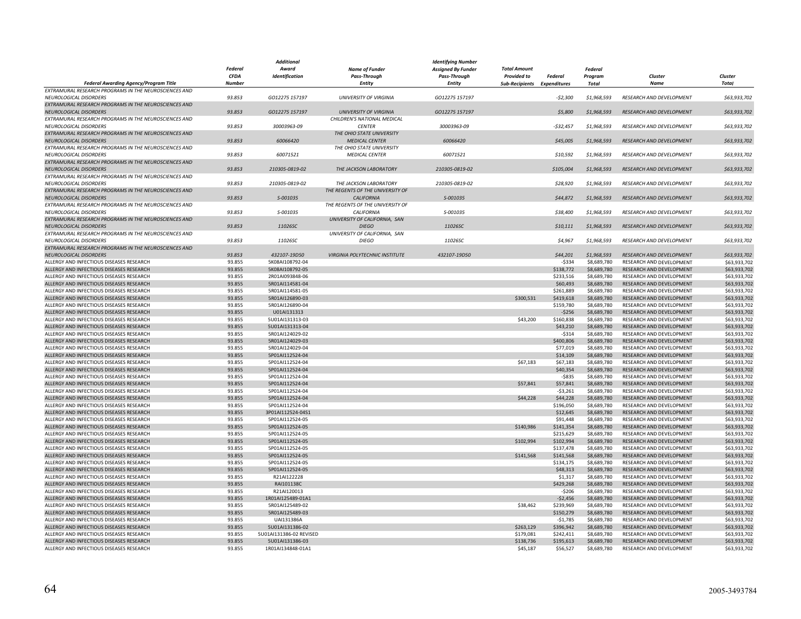|                                                       |               | <b>Additional</b>       |                                  | <b>Identifying Number</b> |                             |            |                |                                 |              |
|-------------------------------------------------------|---------------|-------------------------|----------------------------------|---------------------------|-----------------------------|------------|----------------|---------------------------------|--------------|
|                                                       | Federal       | Award                   | <b>Name of Funder</b>            | <b>Assigned By Funder</b> | <b>Total Amount</b>         |            | <b>Federal</b> |                                 |              |
|                                                       | <b>CFDA</b>   | Identification          | <b>Pass-Through</b>              | <b>Pass-Through</b>       | <b>Provided to</b>          | Federal    | Program        | Cluster                         | Cluster      |
| Federal Awarding Agency/Program Title                 | <b>Number</b> |                         | <b>Entity</b>                    | Entity                    | Sub-Recipients Expenditures |            | Total          | Name                            | <b>Total</b> |
| EXTRAMURAL RESEARCH PROGRAMS IN THE NEUROSCIENCES AND |               |                         |                                  |                           |                             |            |                |                                 |              |
| NEUROLOGICAL DISORDERS                                | 93.853        | GO12275 157197          | <b>UNIVERSITY OF VIRGINIA</b>    | GO12275 157197            |                             | $-52,300$  | \$1,968,593    | RESEARCH AND DEVELOPMENT        | \$63,933,702 |
| EXTRAMURAL RESEARCH PROGRAMS IN THE NEUROSCIENCES AND |               |                         |                                  |                           |                             |            |                |                                 |              |
| NEUROLOGICAL DISORDERS                                | 93.853        | GO12275 157197          | <b>UNIVERSITY OF VIRGINIA</b>    | GO12275 157197            |                             | \$5,800    | \$1,968,593    | <b>RESEARCH AND DEVELOPMENT</b> | \$63,933,702 |
| EXTRAMURAL RESEARCH PROGRAMS IN THE NEUROSCIENCES AND |               |                         | CHILDREN'S NATIONAL MEDICAL      |                           |                             |            |                |                                 |              |
| NEUROLOGICAL DISORDERS                                | 93.853        | 30003963-09             | <b>CENTER</b>                    | 30003963-09               |                             | $-532,457$ | \$1,968,593    | RESEARCH AND DEVELOPMENT        | \$63,933,702 |
|                                                       |               |                         |                                  |                           |                             |            |                |                                 |              |
| EXTRAMURAL RESEARCH PROGRAMS IN THE NEUROSCIENCES AND |               |                         | THE OHIO STATE UNIVERSITY        |                           |                             |            |                |                                 |              |
| NEUROLOGICAL DISORDERS                                | 93.853        | 60066420                | <b>MEDICAL CENTER</b>            | 60066420                  |                             | \$45,005   | \$1,968,593    | RESEARCH AND DEVELOPMENT        | \$63,933,702 |
| EXTRAMURAL RESEARCH PROGRAMS IN THE NEUROSCIENCES AND |               |                         | THE OHIO STATE UNIVERSITY        |                           |                             |            |                |                                 |              |
| NEUROLOGICAL DISORDERS                                | 93.853        | 60071521                | <b>MEDICAL CENTER</b>            | 60071521                  |                             | \$10,592   | \$1,968,593    | RESEARCH AND DEVELOPMENT        | \$63,933,702 |
| EXTRAMURAL RESEARCH PROGRAMS IN THE NEUROSCIENCES AND |               |                         |                                  |                           |                             |            |                |                                 |              |
| <b>NEUROLOGICAL DISORDERS</b>                         | 93.853        | 210305-0819-02          | THE JACKSON LABORATORY           | 210305-0819-02            |                             | \$105,004  | \$1,968,593    | <b>RESEARCH AND DEVELOPMENT</b> | \$63,933,702 |
| EXTRAMURAL RESEARCH PROGRAMS IN THE NEUROSCIENCES AND |               |                         |                                  |                           |                             |            |                |                                 |              |
| NEUROLOGICAL DISORDERS                                | 93.853        | 210305-0819-02          | THE JACKSON LABORATORY           | 210305-0819-02            |                             | \$28,920   | \$1,968,593    | RESEARCH AND DEVELOPMENT        | \$63,933,702 |
| EXTRAMURAL RESEARCH PROGRAMS IN THE NEUROSCIENCES AND |               |                         | THE REGENTS OF THE UNIVERSITY OF |                           |                             |            |                |                                 |              |
| NEUROLOGICAL DISORDERS                                | 93.853        | S-001035                | <b>CALIFORNIA</b>                | S-001035                  |                             | \$44,872   | \$1,968,593    | RESEARCH AND DEVELOPMENT        | \$63,933,702 |
| EXTRAMURAL RESEARCH PROGRAMS IN THE NEUROSCIENCES AND |               |                         | THE REGENTS OF THE UNIVERSITY OF |                           |                             |            |                |                                 |              |
| <b>NEUROLOGICAL DISORDERS</b>                         | 93.853        | S-001035                | CALIFORNIA                       | S-001035                  |                             | \$38,400   | \$1,968,593    | <b>RESEARCH AND DEVELOPMENT</b> | \$63,933,702 |
| EXTRAMURAL RESEARCH PROGRAMS IN THE NEUROSCIENCES AND |               |                         | UNIVERSITY OF CALIFORNIA, SAN    |                           |                             |            |                |                                 |              |
| NEUROLOGICAL DISORDERS                                | 93.853        | 11026SC                 | <b>DIEGO</b>                     | 11026SC                   |                             | \$10,111   | \$1,968,593    | RESEARCH AND DEVELOPMENT        | \$63,933,702 |
| EXTRAMURAL RESEARCH PROGRAMS IN THE NEUROSCIENCES AND |               |                         | UNIVERSITY OF CALIFORNIA, SAN    |                           |                             |            |                |                                 |              |
| NEUROLOGICAL DISORDERS                                | 93.853        | 11026SC                 | <b>DIEGO</b>                     | 11026SC                   |                             | \$4,967    | \$1,968,593    | RESEARCH AND DEVELOPMENT        | \$63,933,702 |
| EXTRAMURAL RESEARCH PROGRAMS IN THE NEUROSCIENCES AND |               |                         |                                  |                           |                             |            |                |                                 |              |
|                                                       | 93.853        | 432107-19D50            | VIRGINIA POLYTECHNIC INSTITUTE   | 432107-19D50              |                             | \$44,201   | \$1,968,593    | <b>RESEARCH AND DEVELOPMENT</b> | \$63,933,702 |
| NEUROLOGICAL DISORDERS                                |               |                         |                                  |                           |                             |            |                |                                 |              |
| ALLERGY AND INFECTIOUS DISEASES RESEARCH              | 93.855        | 5K08AI108792-04         |                                  |                           |                             | $-$ \$334  | \$8,689,780    | RESEARCH AND DEVELOPMENT        | \$63,933,702 |
| ALLERGY AND INFECTIOUS DISEASES RESEARCH              | 93.855        | 5K08AI108792-05         |                                  |                           |                             | \$138,772  | \$8,689,780    | RESEARCH AND DEVELOPMENT        | \$63,933,702 |
| ALLERGY AND INFECTIOUS DISEASES RESEARCH              | 93.855        | 2R01AI093848-06         |                                  |                           |                             | \$233,516  | \$8,689,780    | RESEARCH AND DEVELOPMENT        | \$63,933,702 |
| ALLERGY AND INFECTIOUS DISEASES RESEARCH              | 93.855        | 5R01AI114581-04         |                                  |                           |                             | \$60,493   | \$8,689,780    | RESEARCH AND DEVELOPMENT        | \$63,933,702 |
| ALLERGY AND INFECTIOUS DISEASES RESEARCH              | 93.855        | 5R01AI114581-05         |                                  |                           |                             | \$261,889  | \$8,689,780    | RESEARCH AND DEVELOPMENT        | \$63,933,702 |
| ALLERGY AND INFECTIOUS DISEASES RESEARCH              | 93.855        | 5R01AI126890-03         |                                  |                           | \$300,531                   | \$419,618  | \$8,689,780    | RESEARCH AND DEVELOPMENT        | \$63,933,702 |
| ALLERGY AND INFECTIOUS DISEASES RESEARCH              | 93.855        | 5R01AI126890-04         |                                  |                           |                             | \$159,780  | \$8,689,780    | RESEARCH AND DEVELOPMENT        | \$63,933,702 |
| ALLERGY AND INFECTIOUS DISEASES RESEARCH              | 93.855        | U01AI131313             |                                  |                           |                             | $-$256$    | \$8,689,780    | RESEARCH AND DEVELOPMENT        | \$63,933,702 |
| ALLERGY AND INFECTIOUS DISEASES RESEARCH              | 93.855        | 5U01AI131313-03         |                                  |                           | \$43,200                    | \$160,838  | \$8,689,780    | RESEARCH AND DEVELOPMENT        | \$63,933,702 |
| ALLERGY AND INFECTIOUS DISEASES RESEARCH              | 93.855        | 5U01AI131313-04         |                                  |                           |                             | \$43,210   | \$8,689,780    | RESEARCH AND DEVELOPMENT        | \$63,933,702 |
| ALLERGY AND INFECTIOUS DISEASES RESEARCH              | 93.855        | 5R01AI124029-02         |                                  |                           |                             | $-5314$    | \$8,689,780    | RESEARCH AND DEVELOPMENT        | \$63,933,702 |
| ALLERGY AND INFECTIOUS DISEASES RESEARCH              | 93.855        | 5R01AI124029-03         |                                  |                           |                             | \$400,806  | \$8,689,780    | RESEARCH AND DEVELOPMENT        | \$63,933,702 |
| ALLERGY AND INFECTIOUS DISEASES RESEARCH              | 93.855        | 5R01AI124029-04         |                                  |                           |                             | \$77,019   | \$8,689,780    | RESEARCH AND DEVELOPMENT        | \$63,933,702 |
| ALLERGY AND INFECTIOUS DISEASES RESEARCH              | 93.855        | 5P01AI112524-04         |                                  |                           |                             | \$14,109   | \$8,689,780    | RESEARCH AND DEVELOPMENT        | \$63,933,702 |
| ALLERGY AND INFECTIOUS DISEASES RESEARCH              | 93.855        | 5P01AI112524-04         |                                  |                           | \$67,183                    | \$67,183   | \$8,689,780    | RESEARCH AND DEVELOPMENT        | \$63,933,702 |
| ALLERGY AND INFECTIOUS DISEASES RESEARCH              | 93.855        | 5P01AI112524-04         |                                  |                           |                             | \$40,354   | \$8,689,780    | RESEARCH AND DEVELOPMENT        | \$63,933,702 |
| ALLERGY AND INFECTIOUS DISEASES RESEARCH              | 93.855        | 5P01AI112524-04         |                                  |                           |                             | $-5835$    | \$8,689,780    | RESEARCH AND DEVELOPMENT        | \$63,933,702 |
|                                                       |               |                         |                                  |                           |                             |            |                |                                 |              |
| ALLERGY AND INFECTIOUS DISEASES RESEARCH              | 93.855        | 5P01AI112524-04         |                                  |                           | \$57,841                    | \$57,841   | \$8,689,780    | RESEARCH AND DEVELOPMENT        | \$63,933,702 |
| ALLERGY AND INFECTIOUS DISEASES RESEARCH              | 93.855        | 5P01AI112524-04         |                                  |                           |                             | $-53,261$  | \$8,689,780    | RESEARCH AND DEVELOPMENT        | \$63,933,702 |
| ALLERGY AND INFECTIOUS DISEASES RESEARCH              | 93.855        | 5P01AI112524-04         |                                  |                           | \$44,228                    | \$44,228   | \$8,689,780    | RESEARCH AND DEVELOPMENT        | \$63,933,702 |
| ALLERGY AND INFECTIOUS DISEASES RESEARCH              | 93.855        | 5P01AI112524-04         |                                  |                           |                             | \$196,050  | \$8,689,780    | RESEARCH AND DEVELOPMENT        | \$63,933,702 |
| ALLERGY AND INFECTIOUS DISEASES RESEARCH              | 93.855        | 3P01AI112524-04S1       |                                  |                           |                             | \$12,645   | \$8,689,780    | RESEARCH AND DEVELOPMENT        | \$63,933,702 |
| ALLERGY AND INFECTIOUS DISEASES RESEARCH              | 93.855        | 5P01AI112524-05         |                                  |                           |                             | \$91,448   | \$8,689,780    | RESEARCH AND DEVELOPMENT        | \$63,933,702 |
| ALLERGY AND INFECTIOUS DISEASES RESEARCH              | 93.855        | 5P01AI112524-05         |                                  |                           | \$140,986                   | \$141,354  | \$8,689,780    | RESEARCH AND DEVELOPMENT        | \$63,933,702 |
| ALLERGY AND INFECTIOUS DISEASES RESEARCH              | 93.855        | 5P01AI112524-05         |                                  |                           |                             | \$215,629  | \$8,689,780    | RESEARCH AND DEVELOPMENT        | \$63,933,702 |
| ALLERGY AND INFECTIOUS DISEASES RESEARCH              | 93.855        | 5P01AI112524-05         |                                  |                           | \$102,994                   | \$102,994  | \$8,689,780    | RESEARCH AND DEVELOPMENT        | \$63,933,702 |
| ALLERGY AND INFECTIOUS DISEASES RESEARCH              | 93.855        | 5P01AI112524-05         |                                  |                           |                             | \$137,478  | \$8,689,780    | RESEARCH AND DEVELOPMENT        | \$63,933,702 |
| ALLERGY AND INFECTIOUS DISEASES RESEARCH              | 93.855        | 5P01AI112524-05         |                                  |                           | \$141,568                   | \$141,568  | \$8,689,780    | RESEARCH AND DEVELOPMENT        | \$63,933,702 |
| ALLERGY AND INFECTIOUS DISEASES RESEARCH              | 93.855        | 5P01AI112524-05         |                                  |                           |                             | \$134,175  | \$8,689,780    | RESEARCH AND DEVELOPMENT        | \$63,933,702 |
| ALLERGY AND INFECTIOUS DISEASES RESEARCH              | 93.855        | 5P01AI112524-05         |                                  |                           |                             | \$48,313   | \$8,689,780    | RESEARCH AND DEVELOPMENT        | \$63,933,702 |
| ALLERGY AND INFECTIOUS DISEASES RESEARCH              | 93.855        | R21AI122228             |                                  |                           |                             | \$1,317    | \$8,689,780    | RESEARCH AND DEVELOPMENT        | \$63,933,702 |
| ALLERGY AND INFECTIOUS DISEASES RESEARCH              | 93.855        | RAI101138C              |                                  |                           |                             | \$429,268  | \$8,689,780    | RESEARCH AND DEVELOPMENT        | \$63,933,702 |
| ALLERGY AND INFECTIOUS DISEASES RESEARCH              | 93.855        | R21AI120013             |                                  |                           |                             | $-$206$    | \$8,689,780    | RESEARCH AND DEVELOPMENT        | \$63,933,702 |
|                                                       |               |                         |                                  |                           |                             |            |                |                                 |              |
| ALLERGY AND INFECTIOUS DISEASES RESEARCH              | 93.855        | 1R01AI125489-01A1       |                                  |                           |                             | $-52,456$  | \$8,689,780    | RESEARCH AND DEVELOPMENT        | \$63,933,702 |
| ALLERGY AND INFECTIOUS DISEASES RESEARCH              | 93.855        | 5R01AI125489-02         |                                  |                           | \$38,462                    | \$239,969  | \$8,689,780    | RESEARCH AND DEVELOPMENT        | \$63,933,702 |
| ALLERGY AND INFECTIOUS DISEASES RESEARCH              | 93.855        | 5R01AI125489-03         |                                  |                           |                             | \$150,279  | \$8,689,780    | RESEARCH AND DEVELOPMENT        | \$63,933,702 |
| ALLERGY AND INFECTIOUS DISEASES RESEARCH              | 93.855        | UAI131386A              |                                  |                           |                             | $-51,785$  | \$8,689,780    | RESEARCH AND DEVELOPMENT        | \$63,933,702 |
| ALLERGY AND INFECTIOUS DISEASES RESEARCH              | 93.855        | 5U01AI131386-02         |                                  |                           | \$263,129                   | \$396,942  | \$8,689,780    | RESEARCH AND DEVELOPMENT        | \$63,933,702 |
| ALLERGY AND INFECTIOUS DISEASES RESEARCH              | 93.855        | 5U01AI131386-02 REVISED |                                  |                           | \$179,081                   | \$242,411  | \$8,689,780    | RESEARCH AND DEVELOPMENT        | \$63,933,702 |
| ALLERGY AND INFECTIOUS DISEASES RESEARCH              | 93.855        | 5U01AI131386-03         |                                  |                           | \$138,736                   | \$195,613  | \$8,689,780    | RESEARCH AND DEVELOPMENT        | \$63,933,702 |
| ALLERGY AND INFECTIOUS DISEASES RESEARCH              | 93.855        | 1R01AI134848-01A1       |                                  |                           | \$45,187                    | \$56,527   | \$8,689,780    | RESEARCH AND DEVELOPMENT        | \$63,933,702 |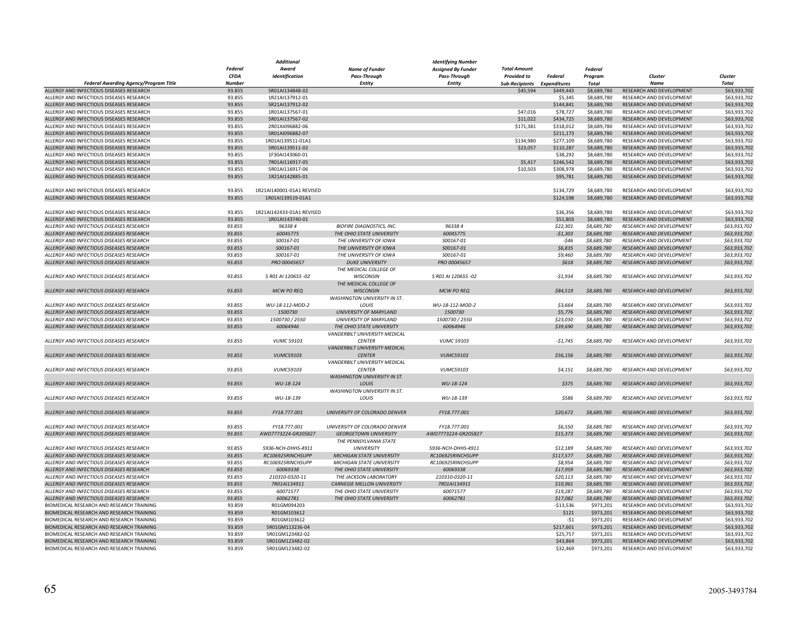|                                              |                | Additional                |                                                      | <b>Identifying Number</b> |                             |            |                            |                                 |                              |
|----------------------------------------------|----------------|---------------------------|------------------------------------------------------|---------------------------|-----------------------------|------------|----------------------------|---------------------------------|------------------------------|
|                                              | <b>Federal</b> | Award                     | <b>Name of Funder</b>                                | <b>Assigned By Funder</b> | <b>Total Amount</b>         |            | <b>Federal</b>             |                                 |                              |
|                                              | <b>CFDA</b>    | Identification            | <b>Pass-Through</b>                                  | <b>Pass-Through</b>       | <b>Provided to</b>          | Federal    | Program                    | Cluster                         | Cluster                      |
| <b>Federal Awarding Agency/Program Title</b> | <b>Number</b>  |                           | <b>Entity</b>                                        | <b>Entity</b>             | Sub-Recipients Expenditures |            | Total                      | <b>Name</b>                     | <b>Total</b>                 |
| ALLERGY AND INFECTIOUS DISEASES RESEARCH     | 93.855         | 5R01AI134848-02           |                                                      |                           | \$45,594                    | \$449,443  | \$8,689,780                | RESEARCH AND DEVELOPMENT        | \$63,933,702                 |
| ALLERGY AND INFECTIOUS DISEASES RESEARCH     | 93.855         | 1R21AI137912-01           |                                                      |                           |                             | \$5,345    | \$8,689,780                | RESEARCH AND DEVELOPMENT        | \$63,933,702                 |
| ALLERGY AND INFECTIOUS DISEASES RESEARCH     | 93.855         | 5R21AI137912-02           |                                                      |                           |                             | \$144,841  | \$8,689,780                | RESEARCH AND DEVELOPMENT        | \$63,933,702                 |
| ALLERGY AND INFECTIOUS DISEASES RESEARCH     | 93.855         | 1R01AI137567-01           |                                                      |                           | \$47,016                    | \$78,727   | \$8,689,780                | RESEARCH AND DEVELOPMENT        | \$63,933,702                 |
| ALLERGY AND INFECTIOUS DISEASES RESEARCH     | 93.855         | 5R01AI137567-02           |                                                      |                           | \$11,022                    | \$434,725  | \$8,689,780                | RESEARCH AND DEVELOPMENT        | \$63,933,702                 |
| ALLERGY AND INFECTIOUS DISEASES RESEARCH     | 93.855         | 2R01AI096882-06           |                                                      |                           | \$171,381                   | \$318,012  | \$8,689,780                | RESEARCH AND DEVELOPMENT        | \$63,933,702                 |
| ALLERGY AND INFECTIOUS DISEASES RESEARCH     | 93.855         | 5R01AI096882-07           |                                                      |                           |                             | \$211.173  | \$8,689,780                | RESEARCH AND DEVELOPMENT        | \$63,933,702                 |
| ALLERGY AND INFECTIOUS DISEASES RESEARCH     | 93.855         | 1R01AI139511-01A1         |                                                      |                           | \$134,980                   | \$277,109  | \$8,689,780                | RESEARCH AND DEVELOPMENT        | \$63,933,702                 |
| ALLERGY AND INFECTIOUS DISEASES RESEARCH     | 93.855         | 5R01AI139511-02           |                                                      |                           | \$23,057                    | \$110,287  | \$8,689,780                | RESEARCH AND DEVELOPMENT        | \$63,933,702                 |
| ALLERGY AND INFECTIOUS DISEASES RESEARCH     | 93.855         | 1F30AI143060-01           |                                                      |                           |                             | \$38,292   | \$8,689,780                | RESEARCH AND DEVELOPMENT        | \$63,933,702                 |
| ALLERGY AND INFECTIOUS DISEASES RESEARCH     | 93.855         | 7R01AI116917-05           |                                                      |                           | \$5,417                     | \$246,542  | \$8,689,780                | RESEARCH AND DEVELOPMENT        | \$63,933,702                 |
| ALLERGY AND INFECTIOUS DISEASES RESEARCH     | 93.855         | 5R01AI116917-06           |                                                      |                           | \$10,503                    | \$308,978  | \$8,689,780                | RESEARCH AND DEVELOPMENT        | \$63,933,702                 |
| ALLERGY AND INFECTIOUS DISEASES RESEARCH     | 93.855         | 1R21AI142885-01           |                                                      |                           |                             | \$95,781   | \$8,689,780                | RESEARCH AND DEVELOPMENT        | \$63,933,702                 |
|                                              |                |                           |                                                      |                           |                             |            |                            |                                 |                              |
| ALLERGY AND INFECTIOUS DISEASES RESEARCH     | 93.855         | 1R21AI140001-01A1 REVISED |                                                      |                           |                             | \$134,729  | \$8,689,780                | RESEARCH AND DEVELOPMENT        | \$63,933,702                 |
| ALLERGY AND INFECTIOUS DISEASES RESEARCH     | 93.855         | 1R01AI139519-01A1         |                                                      |                           |                             | \$124,598  | \$8,689,780                | RESEARCH AND DEVELOPMENT        | \$63,933,702                 |
|                                              |                |                           |                                                      |                           |                             |            |                            |                                 |                              |
| ALLERGY AND INFECTIOUS DISEASES RESEARCH     | 93.855         | 1R21AI142433-01A1 REVISED |                                                      |                           |                             | \$36,356   | \$8,689,780                | RESEARCH AND DEVELOPMENT        | \$63,933,702                 |
| ALLERGY AND INFECTIOUS DISEASES RESEARCH     | 93.855         | 1R01AI143740-01           |                                                      |                           |                             | \$51,803   | \$8,689,780                | RESEARCH AND DEVELOPMENT        | \$63,933,702                 |
| ALLERGY AND INFECTIOUS DISEASES RESEARCH     | 93.855         | 963384                    | <b>BIOFIRE DIAGNOSTICS, INC.</b>                     | 963384                    |                             | \$22,301   | \$8,689,780                | RESEARCH AND DEVELOPMENT        | \$63,933,702                 |
| ALLERGY AND INFECTIOUS DISEASES RESEARCH     | 93.855         | 60045775                  | THE OHIO STATE UNIVERSITY                            | 60045775                  |                             | $-51,303$  | \$8,689,780                | RESEARCH AND DEVELOPMENT        | \$63,933,702                 |
| ALLERGY AND INFECTIOUS DISEASES RESEARCH     | 93.855         | S00167-01                 | THE UNIVERSITY OF IOWA                               | S00167-01                 |                             | $-546$     | \$8,689,780                | RESEARCH AND DEVELOPMENT        | \$63,933,702                 |
| ALLERGY AND INFECTIOUS DISEASES RESEARCH     | 93.855         | S00167-01                 | THE UNIVERSITY OF IOWA                               | S00167-01                 |                             | \$6,835    | \$8,689,780                | RESEARCH AND DEVELOPMENT        | \$63,933,702                 |
| ALLERGY AND INFECTIOUS DISEASES RESEARCH     | 93.855         | S00167-01                 | THE UNIVERSITY OF IOWA                               | S00167-01                 |                             | \$9,460    | \$8,689,780                | RESEARCH AND DEVELOPMENT        | \$63,933,702                 |
| ALLERGY AND INFECTIOUS DISEASES RESEARCH     | 93.855         | PRO 00045657              | <b>DUKE UNIVERSITY</b>                               | PRO 00045657              |                             | \$618      | \$8,689,780                | <b>RESEARCH AND DEVELOPMENT</b> | \$63,933,702                 |
|                                              |                |                           | THE MEDICAL COLLEGE OF                               |                           |                             |            |                            |                                 |                              |
| ALLERGY AND INFECTIOUS DISEASES RESEARCH     | 93.855         | 5 R01 AI 120655 -02       | <b>WISCONSIN</b>                                     | 5 R01 AI 120655 -02       |                             | $-51.934$  | \$8,689,780                | RESEARCH AND DEVELOPMENT        | \$63,933,702                 |
|                                              |                |                           | THE MEDICAL COLLEGE OF                               |                           |                             |            |                            |                                 |                              |
| ALLERGY AND INFECTIOUS DISEASES RESEARCH     | 93.855         | <b>MCW PO REQ</b>         | <b>WISCONSIN</b>                                     | <b>MCW PO REQ</b>         |                             | \$84,519   | \$8,689,780                | RESEARCH AND DEVELOPMENT        | \$63,933,702                 |
|                                              |                |                           | WASHINGTON UNIVERSITY IN ST.                         |                           |                             |            |                            |                                 |                              |
| ALLERGY AND INFECTIOUS DISEASES RESEARCH     | 93.855         | WU-18-112-MOD-2           | LOUIS                                                | WU-18-112-MOD-2           |                             | \$3,664    | \$8,689,780                | RESEARCH AND DEVELOPMENT        | \$63,933,702                 |
| ALLERGY AND INFECTIOUS DISEASES RESEARCH     | 93.855         | 1500730                   | UNIVERSITY OF MARYLAND                               | 1500730                   |                             | \$5,776    | \$8,689,780                | RESEARCH AND DEVELOPMENT        | \$63,933,702                 |
| ALLERGY AND INFECTIOUS DISEASES RESEARCH     | 93.855         | 1500730 / 2550            | UNIVERSITY OF MARYLAND                               | 1500730 / 2550            |                             | \$23,030   | \$8,689,780                | RESEARCH AND DEVELOPMENT        | \$63,933,702                 |
| ALLERGY AND INFECTIOUS DISEASES RESEARCH     | 93.855         | 60064946                  | THE OHIO STATE UNIVERSITY                            | 60064946                  |                             | \$39,690   | \$8,689,780                | RESEARCH AND DEVELOPMENT        | \$63,933,702                 |
|                                              |                |                           | VANDERBILT UNIVERSITY MEDICAL                        |                           |                             |            |                            |                                 |                              |
| ALLERGY AND INFECTIOUS DISEASES RESEARCH     | 93.855         | <b>VUMC 59103</b>         | <b>CENTER</b>                                        | <b>VUMC 59103</b>         |                             | $-51,745$  | \$8,689,780                | RESEARCH AND DEVELOPMENT        | \$63,933,702                 |
|                                              |                |                           | VANDERBILT UNIVERSITY MEDICAL                        |                           |                             |            |                            |                                 |                              |
| ALLERGY AND INFECTIOUS DISEASES RESEARCH     | 93.855         | <b>VUMC59103</b>          | <b>CENTER</b>                                        | <b>VUMC59103</b>          |                             | \$56,156   | \$8,689,780                | RESEARCH AND DEVELOPMENT        | \$63,933,702                 |
|                                              |                |                           | VANDERBILT UNIVERSITY MEDICAL                        |                           |                             |            |                            |                                 |                              |
|                                              |                |                           |                                                      |                           |                             |            |                            |                                 |                              |
| ALLERGY AND INFECTIOUS DISEASES RESEARCH     | 93.855         | <b>VUMC59103</b>          | <b>CENTER</b><br><b>WASHINGTON UNIVERSITY IN ST.</b> | <b>VUMC59103</b>          |                             | \$4,151    | \$8,689,780                | RESEARCH AND DEVELOPMENT        | \$63,933,702                 |
|                                              |                |                           |                                                      |                           |                             | \$375      | \$8,689,780                |                                 |                              |
| ALLERGY AND INFECTIOUS DISEASES RESEARCH     | 93.855         | WU-18-124                 | LOUIS                                                | WU-18-124                 |                             |            |                            | RESEARCH AND DEVELOPMENT        | \$63,933,702                 |
|                                              |                |                           | WASHINGTON UNIVERSITY IN ST.                         |                           |                             |            |                            |                                 |                              |
| ALLERGY AND INFECTIOUS DISEASES RESEARCH     | 93.855         | WU-18-139                 | LOUIS                                                | WU-18-139                 |                             | \$586      | \$8,689,780                | RESEARCH AND DEVELOPMENT        | \$63,933,702                 |
|                                              |                |                           |                                                      |                           |                             |            |                            |                                 |                              |
| ALLERGY AND INFECTIOUS DISEASES RESEARCH     | 93.855         | FY18.777.001              | UNIVERSITY OF COLORADO DENVER                        | FY18.777.001              |                             | \$20,672   | \$8,689,780                | RESEARCH AND DEVELOPMENT        | \$63,933,702                 |
|                                              |                |                           |                                                      |                           |                             |            |                            |                                 |                              |
| ALLERGY AND INFECTIOUS DISEASES RESEARCH     | 93.855         | FY18.777.001              | UNIVERSITY OF COLORADO DENVER                        | FY18.777.001              |                             | \$6,550    | \$8,689,780<br>\$8,689,780 | RESEARCH AND DEVELOPMENT        | \$63,933,702<br>\$63,933,702 |
| ALLERGY AND INFECTIOUS DISEASES RESEARCH     | 93.855         | AWD7773224-GR205827       | <b>GEORGETOWN UNIVERSITY</b>                         | AWD7773224-GR205827       |                             | \$15,373   |                            | RESEARCH AND DEVELOPMENT        |                              |
|                                              |                |                           | THE PENNSYLVANIA STATE                               |                           |                             |            |                            |                                 |                              |
| ALLERGY AND INFECTIOUS DISEASES RESEARCH     | 93.855         | 5936-NCH-DHHS-4911        | <b>UNIVERSITY</b>                                    | 5936-NCH-DHHS-4911        |                             | \$12,189   | \$8,689,780                | RESEARCH AND DEVELOPMENT        | \$63,933,702                 |
| ALLERGY AND INFECTIOUS DISEASES RESEARCH     | 93.855         | RC106925RINCHSUPP         | MICHIGAN STATE UNIVERSITY                            | RC106925RINCHSUPP         |                             | \$117,577  | \$8,689,780                | RESEARCH AND DEVELOPMENT        | \$63,933,702                 |
| ALLERGY AND INFECTIOUS DISEASES RESEARCH     | 93.855         | RC106925RINCHSUPP         | MICHIGAN STATE UNIVERSITY                            | RC106925RINCHSUPP         |                             | \$8,954    | \$8,689,780                | <b>RESEARCH AND DEVELOPMENT</b> | \$63,933,702                 |
| ALLERGY AND INFECTIOUS DISEASES RESEARCH     | 93.855         | 60069338                  | THE OHIO STATE UNIVERSITY                            | 60069338                  |                             | \$17,959   | \$8,689,780                | RESEARCH AND DEVELOPMENT        | \$63,933,702                 |
| ALLERGY AND INFECTIOUS DISEASES RESEARCH     | 93.855         | 210310-0320-11            | THE JACKSON LABORATORY                               | 210310-0320-11            |                             | \$20,113   | \$8,689,780                | RESEARCH AND DEVELOPMENT        | \$63,933,702                 |
| ALLERGY AND INFECTIOUS DISEASES RESEARCH     | 93.855         | 7R01AI134911              | <b>CARNEGIE MELLON UNIVERSITY</b>                    | 7R01AI134911              |                             | \$10,961   | \$8,689,780                | RESEARCH AND DEVELOPMENT        | \$63,933,702                 |
| ALLERGY AND INFECTIOUS DISEASES RESEARCH     | 93.855         | 60071577                  | THE OHIO STATE UNIVERSITY                            | 60071577                  |                             | \$19,287   | \$8,689,780                | RESEARCH AND DEVELOPMENT        | \$63,933,702                 |
| ALLERGY AND INFECTIOUS DISEASES RESEARCH     | 93.855         | 60062781                  | THE OHIO STATE UNIVERSITY                            | 60062781                  |                             | \$17,082   | \$8,689,780                | RESEARCH AND DEVELOPMENT        | \$63,933,702                 |
| BIOMEDICAL RESEARCH AND RESEARCH TRAINING    | 93.859         | R01GM094203               |                                                      |                           |                             | $-$13,536$ | \$973,201                  | RESEARCH AND DEVELOPMENT        | \$63,933,70                  |
| BIOMEDICAL RESEARCH AND RESEARCH TRAINING    | 93.859         | R01GM103612               |                                                      |                           |                             | \$121      | \$973,201                  | RESEARCH AND DEVELOPMENT        | \$63,933,702                 |
| BIOMEDICAL RESEARCH AND RESEARCH TRAINING    | 93.859         | R01GM103612               |                                                      |                           |                             | $-51$      | \$973,201                  | RESEARCH AND DEVELOPMENT        | \$63,933,702                 |
| BIOMEDICAL RESEARCH AND RESEARCH TRAINING    | 93.859         | 5R01GM113236-04           |                                                      |                           |                             | \$217,601  | \$973,201                  | RESEARCH AND DEVELOPMENT        | \$63,933,702                 |
| BIOMEDICAL RESEARCH AND RESEARCH TRAINING    | 93.859         | 5R01GM123482-02           |                                                      |                           |                             | \$25,757   | \$973,201                  | RESEARCH AND DEVELOPMENT        | \$63,933,702                 |
| BIOMEDICAL RESEARCH AND RESEARCH TRAINING    | 93.859         | 5R01GM123482-02           |                                                      |                           |                             | \$43,864   | \$973,201                  | RESEARCH AND DEVELOPMENT        | \$63,933,702                 |
| BIOMEDICAL RESEARCH AND RESEARCH TRAINING    | 93.859         | 5R01GM123482-02           |                                                      |                           |                             | \$32,469   | \$973,201                  | RESEARCH AND DEVELOPMENT        | \$63,933,702                 |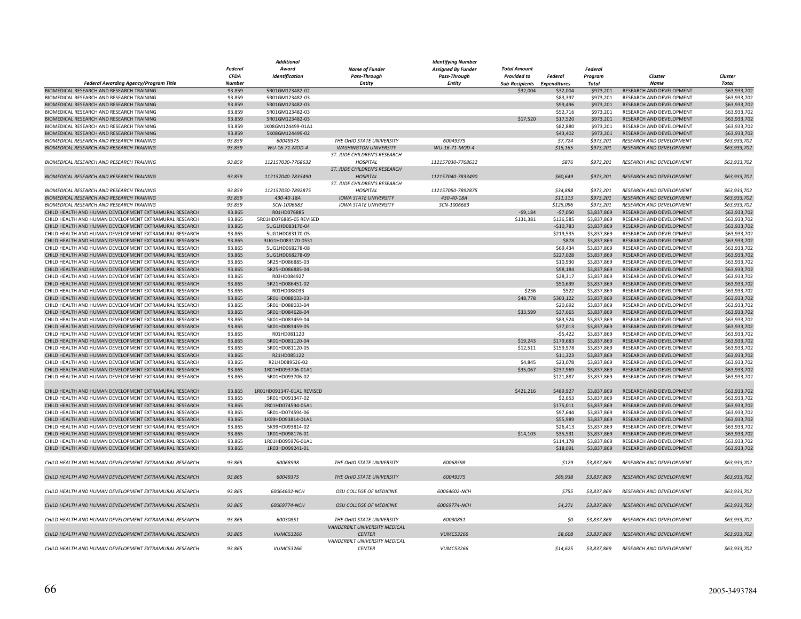|                                                          |               | Additional                |                               | Identifying Number        |                             |            |                |                                 |              |
|----------------------------------------------------------|---------------|---------------------------|-------------------------------|---------------------------|-----------------------------|------------|----------------|---------------------------------|--------------|
|                                                          | Federal       | Award                     | <b>Name of Funder</b>         | <b>Assigned By Funder</b> | <b>Total Amount</b>         |            | <b>Federal</b> |                                 |              |
|                                                          | <b>CFDA</b>   | Identification            | Pass-Through                  | <b>Pass-Through</b>       | <b>Provided to</b>          | Federal    | Program        | Cluster                         | Cluster      |
| Federal Awarding Agency/Program Title                    | <b>Number</b> |                           | <b>Entity</b>                 | <b>Entity</b>             | Sub-Recipients Expenditures |            | Total          | <b>Name</b>                     | <b>Total</b> |
| BIOMEDICAL RESEARCH AND RESEARCH TRAINING                | 93.859        | 5R01GM123482-02           |                               |                           | \$32,004                    | \$32,004   | \$973,201      | RESEARCH AND DEVELOPMENT        | \$63,933,702 |
| BIOMEDICAL RESEARCH AND RESEARCH TRAINING                | 93.859        | 5R01GM123482-03           |                               |                           |                             | \$83,397   | \$973,201      | RESEARCH AND DEVELOPMENT        | \$63,933,702 |
| BIOMEDICAL RESEARCH AND RESEARCH TRAINING                | 93.859        | 5R01GM123482-03           |                               |                           |                             | \$99,496   | \$973,201      | RESEARCH AND DEVELOPMENT        | \$63,933,702 |
| BIOMEDICAL RESEARCH AND RESEARCH TRAINING                | 93.859        | 5R01GM123482-03           |                               |                           |                             | \$52,716   | \$973,201      | RESEARCH AND DEVELOPMENT        | \$63,933,702 |
|                                                          | 93.859        |                           |                               |                           | \$17,520                    |            |                |                                 |              |
| BIOMEDICAL RESEARCH AND RESEARCH TRAINING                |               | 5R01GM123482-03           |                               |                           |                             | \$17,520   | \$973,201      | RESEARCH AND DEVELOPMENT        | \$63,933,702 |
| BIOMEDICAL RESEARCH AND RESEARCH TRAINING                | 93.859        | 1K08GM124499-01A1         |                               |                           |                             | \$82,880   | \$973,201      | RESEARCH AND DEVELOPMENT        | \$63,933,702 |
| BIOMEDICAL RESEARCH AND RESEARCH TRAINING                | 93.859        | 5K08GM124499-02           |                               |                           |                             | \$43,402   | \$973,201      | RESEARCH AND DEVELOPMENT        | \$63,933,702 |
| BIOMEDICAL RESEARCH AND RESEARCH TRAINING                | 93.859        | 60049375                  | THE OHIO STATE UNIVERSITY     | 60049375                  |                             | \$7,724    | \$973,201      | RESEARCH AND DEVELOPMENT        | \$63,933,702 |
| BIOMEDICAL RESEARCH AND RESEARCH TRAINING                | 93.859        | WU-16-71-MOD-4            | <b>WASHINGTON UNIVERSITY</b>  | WU-16-71-MOD-4            |                             | \$15,165   | \$973,201      | RESEARCH AND DEVELOPMENT        | \$63,933,702 |
|                                                          |               |                           | ST. JUDE CHILDREN'S RESEARCH  |                           |                             |            |                |                                 |              |
| BIOMEDICAL RESEARCH AND RESEARCH TRAINING                | 93.859        | 112157030-7768632         | <b>HOSPITAL</b>               | 112157030-7768632         |                             | \$876      | \$973,201      | RESEARCH AND DEVELOPMENT        | \$63,933,702 |
|                                                          |               |                           | ST. JUDE CHILDREN'S RESEARCH  |                           |                             |            |                |                                 |              |
| <b>BIOMEDICAL RESEARCH AND RESEARCH TRAINING</b>         | 93.859        | 112157040-7833490         | <b>HOSPITAL</b>               | 112157040-7833490         |                             | \$60,649   | \$973.201      | <b>RESEARCH AND DEVELOPMENT</b> | \$63,933,702 |
|                                                          |               |                           | ST. JUDE CHILDREN'S RESEARCH  |                           |                             |            |                |                                 |              |
| BIOMEDICAL RESEARCH AND RESEARCH TRAINING                | 93.859        | 112157050-7892875         | <b>HOSPITAL</b>               | 112157050-7892875         |                             | \$34,888   | \$973,201      | RESEARCH AND DEVELOPMENT        | \$63,933,702 |
| BIOMEDICAL RESEARCH AND RESEARCH TRAINING                | 93.859        | 430-40-18A                | <b>IOWA STATE UNIVERSITY</b>  | 430-40-18A                |                             | \$11,113   | \$973,201      | <b>RESEARCH AND DEVELOPMENT</b> | \$63,933,702 |
| BIOMEDICAL RESEARCH AND RESEARCH TRAINING                | 93.859        | SCN-1006683               | <b>IOWA STATE UNIVERSITY</b>  | SCN-1006683               |                             | \$125,096  | \$973,201      | RESEARCH AND DEVELOPMENT        | \$63,933,702 |
| CHILD HEALTH AND HUMAN DEVELOPMENT EXTRAMURAL RESEARCH   | 93.865        | R01HD076885               |                               |                           | $-59,184$                   | $-$7,050$  | \$3,837,869    | RESEARCH AND DEVELOPMENT        | \$63,933,702 |
|                                                          |               |                           |                               |                           |                             |            |                |                                 |              |
| CHILD HEALTH AND HUMAN DEVELOPMENT EXTRAMURAL RESEARCH   | 93.865        | 5R01HD076885-05 REVISED   |                               |                           | \$131,381                   | \$136,585  | \$3,837,869    | RESEARCH AND DEVELOPMENT        | \$63,933,702 |
| CHILD HEALTH AND HUMAN DEVELOPMENT EXTRAMURAL RESEARCH   | 93.865        | 5UG1HD083170-04           |                               |                           |                             | $-$10,783$ | \$3,837,869    | RESEARCH AND DEVELOPMENT        | \$63,933,702 |
| CHILD HEALTH AND HUMAN DEVELOPMENT EXTRAMURAL RESEARCH   | 93.865        | 5UG1HD083170-05           |                               |                           |                             | \$219,535  | \$3,837,869    | RESEARCH AND DEVELOPMENT        | \$63,933,702 |
| CHILD HEALTH AND HUMAN DEVELOPMENT EXTRAMURAL RESEARCH   | 93.865        | 3UG1HD083170-05S1         |                               |                           |                             | \$878      | \$3,837,869    | RESEARCH AND DEVELOPMENT        | \$63,933,702 |
| CHILD HEALTH AND HUMAN DEVELOPMENT EXTRAMURAL RESEARCH   | 93.865        | 5UG1HD068278-08           |                               |                           |                             | \$69,434   | \$3,837,869    | RESEARCH AND DEVELOPMENT        | \$63,933,702 |
| CHILD HEALTH AND HUMAN DEVELOPMENT EXTRAMURAL RESEARCH   | 93.865        | 5UG1HD068278-09           |                               |                           |                             | \$227,028  | \$3,837,869    | <b>RESEARCH AND DEVELOPMENT</b> | \$63,933,702 |
| CHILD HEALTH AND HUMAN DEVELOPMENT EXTRAMURAL RESEARCH   | 93.865        | 5R25HD086885-03           |                               |                           |                             | \$10,930   | \$3,837,869    | RESEARCH AND DEVELOPMENT        | \$63,933,702 |
| CHILD HEALTH AND HUMAN DEVELOPMENT EXTRAMURAL RESEARCH   | 93.865        | 5R25HD086885-04           |                               |                           |                             | \$98,184   | \$3,837,869    | RESEARCH AND DEVELOPMENT        | \$63,933,702 |
| CHILD HEALTH AND HUMAN DEVELOPMENT EXTRAMURAL RESEARCH   | 93.865        | R03HD084927               |                               |                           |                             | \$28,317   | \$3,837,869    | RESEARCH AND DEVELOPMENT        | \$63,933,702 |
| CHILD HEALTH AND HUMAN DEVELOPMENT EXTRAMURAL RESEARCH   | 93.865        | 5R21HD086451-02           |                               |                           |                             | \$50,639   | \$3,837,869    | RESEARCH AND DEVELOPMENT        | \$63,933,702 |
| CHILD HEALTH AND HUMAN DEVELOPMENT EXTRAMURAL RESEARCH   | 93.865        | R01HD088033               |                               |                           | \$236                       | \$522      | \$3,837,869    | RESEARCH AND DEVELOPMENT        | \$63,933,702 |
| CHILD HEALTH AND HUMAN DEVELOPMENT EXTRAMURAL RESEARCH   | 93.865        | 5R01HD088033-03           |                               |                           | \$48,778                    | \$303,122  | \$3,837,869    | RESEARCH AND DEVELOPMENT        | \$63,933,702 |
|                                                          |               |                           |                               |                           |                             |            |                |                                 |              |
| CHILD HEALTH AND HUMAN DEVELOPMENT EXTRAMURAL RESEARCH   | 93.865        | 5R01HD088033-04           |                               |                           |                             | \$20,692   | \$3,837,869    | RESEARCH AND DEVELOPMENT        | \$63,933,702 |
| CHILD HEALTH AND HUMAN DEVELOPMENT EXTRAMURAL RESEARCH   | 93.865        | 5R01HD084628-04           |                               |                           | \$33,599                    | \$37,665   | \$3,837,869    | RESEARCH AND DEVELOPMENT        | \$63,933,702 |
| CHILD HEALTH AND HUMAN DEVELOPMENT EXTRAMURAL RESEARCH   | 93.865        | 5K01HD083459-04           |                               |                           |                             | \$83,524   | \$3,837,869    | RESEARCH AND DEVELOPMENT        | \$63,933,702 |
| CHILD HEALTH AND HUMAN DEVELOPMENT EXTRAMURAL RESEARCH   | 93.865        | 5K01HD083459-05           |                               |                           |                             | \$37,013   | \$3,837,869    | RESEARCH AND DEVELOPMENT        | \$63,933,702 |
| CHILD HEALTH AND HUMAN DEVELOPMENT EXTRAMURAL RESEARCH   | 93.865        | R01HD081120               |                               |                           |                             | $-55,422$  | \$3,837,869    | RESEARCH AND DEVELOPMENT        | \$63,933,702 |
| CHILD HEALTH AND HUMAN DEVELOPMENT EXTRAMURAL RESEARCH   | 93.865        | 5R01HD081120-04           |                               |                           | \$19,243                    | \$179,683  | \$3,837,869    | RESEARCH AND DEVELOPMENT        | \$63,933,702 |
| CHILD HEALTH AND HUMAN DEVELOPMENT EXTRAMURAL RESEARCH   | 93.865        | 5R01HD081120-05           |                               |                           | \$12,511                    | \$159,978  | \$3,837,869    | RESEARCH AND DEVELOPMENT        | \$63,933,702 |
| CHILD HEALTH AND HUMAN DEVELOPMENT EXTRAMURAL RESEARCH   | 93.865        | R21HD085122               |                               |                           |                             | \$11,323   | \$3,837,869    | RESEARCH AND DEVELOPMENT        | \$63,933,702 |
| CHILD HEALTH AND HUMAN DEVELOPMENT EXTRAMURAL RESEARCH   | 93.865        | R21HD089526-02            |                               |                           | \$4,845                     | \$23,078   | \$3,837,869    | RESEARCH AND DEVELOPMENT        | \$63,933,702 |
| CHILD HEALTH AND HUMAN DEVELOPMENT EXTRAMURAL RESEARCH   | 93.865        | 1R01HD093706-01A1         |                               |                           | \$35,067                    | \$237,969  | \$3,837,869    | RESEARCH AND DEVELOPMENT        | \$63,933,702 |
| CHILD HEALTH AND HUMAN DEVELOPMENT EXTRAMURAL RESEARCH   | 93.865        | 5R01HD093706-02           |                               |                           |                             | \$121,887  | \$3,837,869    | RESEARCH AND DEVELOPMENT        | \$63,933,702 |
|                                                          |               |                           |                               |                           |                             |            |                |                                 |              |
|                                                          |               |                           |                               |                           |                             |            |                |                                 |              |
| CHILD HEALTH AND HUMAN DEVELOPMENT EXTRAMURAL RESEARCH   | 93.865        | 1R01HD091347-01A1 REVISED |                               |                           | \$421,216                   | \$489,927  | \$3,837,869    | RESEARCH AND DEVELOPMENT        | \$63,933,702 |
| CHILD HEALTH AND HUMAN DEVELOPMENT EXTRAMURAL RESEARCH   | 93.865        | 5R01HD091347-02           |                               |                           |                             | \$2.653    | \$3,837,869    | RESEARCH AND DEVELOPMENT        | \$63,933,702 |
| CHILD HEALTH AND HUMAN DEVELOPMENT EXTRAMURAL RESEARCH   | 93.865        | 2R01HD074594-05A1         |                               |                           |                             | \$175,011  | \$3,837,869    | RESEARCH AND DEVELOPMENT        | \$63,933,702 |
| CHILD HEALTH AND HUMAN DEVELOPMENT EXTRAMURAL RESEARCH   | 93.865        | 5R01HD074594-06           |                               |                           |                             | \$97,644   | \$3,837,869    | RESEARCH AND DEVELOPMENT        | \$63,933,702 |
| CHILD HEALTH AND HUMAN DEVELOPMENT EXTRAMURAL RESEARCH   | 93.865        | 1K99HD093814-01A1         |                               |                           |                             | \$55,989   | \$3,837,869    | <b>RESEARCH AND DEVELOPMENT</b> | \$63,933,702 |
| CHILD HEALTH AND HUMAN DEVELOPMENT EXTRAMURAL RESEARCH   | 93.865        | 5K99HD093814-02           |                               |                           |                             | \$26,413   | \$3,837,869    | RESEARCH AND DEVELOPMENT        | \$63,933,702 |
| CHILD HEALTH AND HUMAN DEVELOPMENT EXTRAMURAL RESEARCH   | 93.865        | 1R01HD098176-01           |                               |                           | \$14,103                    | \$35,531   | \$3,837,869    | RESEARCH AND DEVELOPMENT        | \$63,933,702 |
| CHILD HEALTH AND HUMAN DEVELOPMENT EXTRAMURAL RESEARCH   | 93.865        | 1R01HD095976-01A1         |                               |                           |                             | \$114,178  | \$3,837,869    | <b>RESEARCH AND DEVELOPMENT</b> | \$63,933,702 |
| CHILD HEALTH AND HUMAN DEVELOPMENT EXTRAMURAL RESEARCH   | 93.865        | 1R03HD099241-01           |                               |                           |                             | \$18,091   | \$3,837,869    | RESEARCH AND DEVELOPMENT        | \$63,933,702 |
|                                                          |               |                           |                               |                           |                             |            |                |                                 |              |
| CHILD HEALTH AND HUMAN DEVELOPMENT EXTRAMURAL RESEARCH   | 93.865        | 60068598                  | THE OHIO STATE UNIVERSITY     | 60068598                  |                             | \$129      | \$3,837,869    | <b>RESEARCH AND DEVELOPMENT</b> | \$63,933,702 |
|                                                          |               |                           |                               |                           |                             |            |                |                                 |              |
| CHILD HEALTH AND HUMAN DEVELOPMENT EXTRAMURAL RESEARCH   | 93.865        | 60049375                  | THE OHIO STATE UNIVERSITY     | 60049375                  |                             | \$69,938   | \$3,837,869    | RESEARCH AND DEVELOPMENT        | \$63,933,702 |
|                                                          |               |                           |                               |                           |                             |            |                |                                 |              |
|                                                          |               |                           |                               |                           |                             |            |                |                                 |              |
| CHILD HEALTH AND HUMAN DEVELOPMENT EXTRAMURAL RESEARCH   | 93.865        | 60064602-NCH              | OSU COLLEGE OF MEDICINE       | 60064602-NCH              |                             | \$755      | \$3,837,869    | RESEARCH AND DEVELOPMENT        | \$63,933,702 |
|                                                          |               |                           |                               |                           |                             |            |                |                                 |              |
| CHILD HEALTH AND HUMAN DEVELOPMENT EXTRAMURAL RESEARCH   | 93.865        | 60069774-NCH              | OSU COLLEGE OF MEDICINE       | 60069774-NCH              |                             | \$4,271    | \$3,837,869    | <b>RESEARCH AND DEVELOPMENT</b> | \$63,933,702 |
|                                                          |               |                           |                               |                           |                             |            |                |                                 |              |
| CHILD HEALTH AND HUMAN DEVELOPMENT EXTRAMURAL RESEARCH   | 93.865        | 60030851                  | THE OHIO STATE UNIVERSITY     | 60030851                  |                             | SO         | \$3,837,869    | <b>RESEARCH AND DEVELOPMENT</b> | \$63,933,702 |
|                                                          |               |                           | VANDERBILT UNIVERSITY MEDICAL |                           |                             |            |                |                                 |              |
| CHILD HEALTH AND HUMAN DEVELOPMENT EXTRAMURAL RESEARCH   | 93.865        | <b>VUMC53266</b>          | <b>CENTER</b>                 | <b>VUMC53266</b>          |                             | \$8,608    | \$3,837,869    | RESEARCH AND DEVELOPMENT        | \$63,933,702 |
|                                                          |               |                           | VANDERBILT UNIVERSITY MEDICAL |                           |                             |            |                |                                 |              |
| CHII D HEAI TH AND HUMAN DEVELOPMENT EXTRAMURAL RESEARCH | 93.865        | <b>VUMC53266</b>          | <b>CENTER</b>                 | <b>VUMC53266</b>          |                             | \$14,625   | \$3,837,869    | RESEARCH AND DEVELOPMENT        | \$63,933,702 |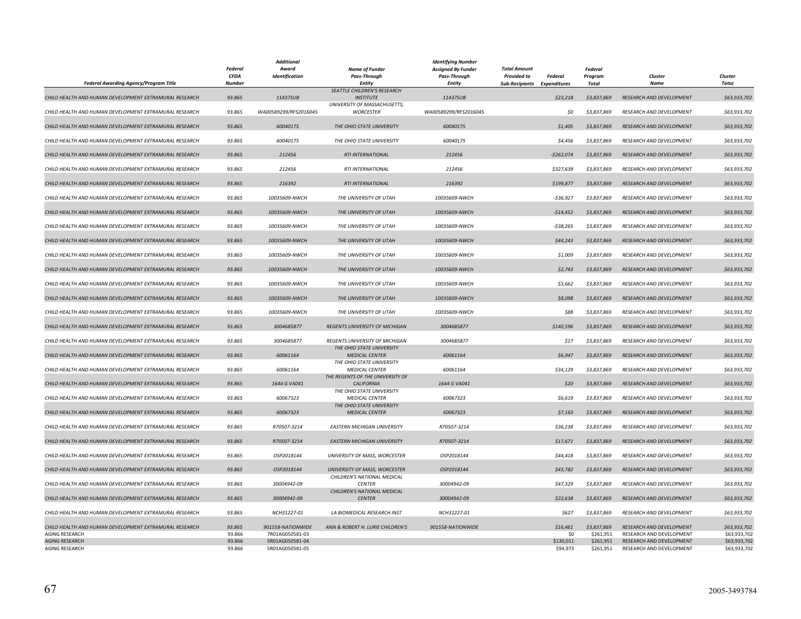|                                                        |                              | <b>Additional</b>                  |                                                    | <b>Identifying Number</b> |                             |                       |                        |                                                      |                              |
|--------------------------------------------------------|------------------------------|------------------------------------|----------------------------------------------------|---------------------------|-----------------------------|-----------------------|------------------------|------------------------------------------------------|------------------------------|
|                                                        | Federal                      | Award                              | <b>Name of Funder</b>                              | <b>Assigned By Funder</b> | <b>Total Amount</b>         |                       | <b>Federal</b>         |                                                      |                              |
|                                                        | <b>CFDA</b><br><b>Number</b> | Identification                     | Pass-Through                                       | Pass-Through              | <b>Provided to</b>          | Federal               | Program<br>Total       | Cluster<br><b>Name</b>                               | Cluster<br><b>Total</b>      |
| Federal Awarding Agency/Program Title                  |                              |                                    | <b>Entity</b><br>SEATTLE CHILDREN'S RESEARCH       | <b>Entity</b>             | Sub-Recipients Expenditures |                       |                        |                                                      |                              |
| CHILD HEALTH AND HUMAN DEVELOPMENT EXTRAMURAL RESEARCH | 93.865                       | 11437SUB                           | <b>INSTITUTE</b>                                   | 11437SUB                  |                             | \$23,218              | \$3,837,869            | <b>RESEARCH AND DEVELOPMENT</b>                      | \$63,933,702                 |
|                                                        |                              |                                    | UNIVERSITY OF MASSACHUSETTS,                       |                           |                             |                       |                        |                                                      |                              |
| CHILD HEALTH AND HUMAN DEVELOPMENT EXTRAMURAL RESEARCH | 93.865                       | WA00589299/RFS2016045              | <b>WORCESTER</b>                                   | WA00589299/RFS2016045     |                             | 50                    | \$3,837,869            | RESEARCH AND DEVELOPMENT                             | \$63,933,702                 |
|                                                        |                              |                                    |                                                    |                           |                             |                       |                        |                                                      |                              |
| CHILD HEALTH AND HUMAN DEVELOPMENT EXTRAMURAL RESEARCH | 93.865                       | 60040175                           | THE OHIO STATE UNIVERSITY                          | 60040175                  |                             | \$1,405               | \$3,837,869            | <b>RESEARCH AND DEVELOPMENT</b>                      | \$63,933,702                 |
| CHILD HEALTH AND HUMAN DEVELOPMENT EXTRAMURAL RESEARCH | 93.865                       | 60040175                           | THE OHIO STATE UNIVERSITY                          | 60040175                  |                             | \$4,456               | \$3,837,869            | RESEARCH AND DEVELOPMENT                             | \$63,933,702                 |
|                                                        |                              |                                    |                                                    |                           |                             |                       |                        |                                                      |                              |
| CHILD HEALTH AND HUMAN DEVELOPMENT EXTRAMURAL RESEARCH | 93.865                       | 212456                             | RTI INTERNATIONAL                                  | 212456                    |                             | $-$262,074$           | \$3,837,869            | RESEARCH AND DEVELOPMENT                             | \$63,933,702                 |
|                                                        |                              |                                    |                                                    |                           |                             |                       |                        |                                                      |                              |
| CHILD HEALTH AND HUMAN DEVELOPMENT EXTRAMURAL RESEARCH | 93.865                       | 212456                             | RTI INTERNATIONAL                                  | 212456                    |                             | \$327,639             | \$3,837,869            | RESEARCH AND DEVELOPMENT                             | \$63,933,702                 |
| CHILD HEALTH AND HUMAN DEVELOPMENT EXTRAMURAL RESEARCH | 93.865                       | 216392                             | RTI INTERNATIONAL                                  | 216392                    |                             | \$199,877             | \$3,837,869            | RESEARCH AND DEVELOPMENT                             | \$63,933,702                 |
|                                                        |                              |                                    |                                                    |                           |                             |                       |                        |                                                      |                              |
| CHILD HEALTH AND HUMAN DEVELOPMENT EXTRAMURAL RESEARCH | 93.865                       | 10035609-NWCH                      | THE UNIVERSITY OF UTAH                             | 10035609-NWCH             |                             | $-536,927$            | \$3,837,869            | RESEARCH AND DEVELOPMENT                             | \$63,933,702                 |
|                                                        |                              |                                    |                                                    |                           |                             |                       |                        |                                                      |                              |
| CHILD HEALTH AND HUMAN DEVELOPMENT EXTRAMURAL RESEARCH | 93.865                       | 10035609-NWCH                      | THE UNIVERSITY OF UTAH                             | 10035609-NWCH             |                             | $-514,452$            | \$3,837,869            | RESEARCH AND DEVELOPMENT                             | \$63,933,702                 |
| CHILD HEALTH AND HUMAN DEVELOPMENT EXTRAMURAL RESEARCH | 93.865                       | 10035609-NWCH                      | THE UNIVERSITY OF UTAH                             | 10035609-NWCH             |                             | $-538,265$            | \$3,837,869            | RESEARCH AND DEVELOPMENT                             | \$63,933,702                 |
|                                                        |                              |                                    |                                                    |                           |                             |                       |                        |                                                      |                              |
| CHILD HEALTH AND HUMAN DEVELOPMENT EXTRAMURAL RESEARCH | 93.865                       | 10035609-NWCH                      | THE UNIVERSITY OF UTAH                             | 10035609-NWCH             |                             | \$44,243              | \$3,837,869            | RESEARCH AND DEVELOPMENT                             | \$63,933,702                 |
|                                                        |                              |                                    |                                                    |                           |                             |                       |                        |                                                      |                              |
| CHILD HEALTH AND HUMAN DEVELOPMENT EXTRAMURAL RESEARCH | 93.865                       | 10035609-NWCH                      | THE UNIVERSITY OF UTAH                             | 10035609-NWCH             |                             | \$1,009               | \$3,837,869            | RESEARCH AND DEVELOPMENT                             | \$63,933,702                 |
| CHILD HEALTH AND HUMAN DEVELOPMENT EXTRAMURAL RESEARCH | 93.865                       | 10035609-NWCH                      | THE UNIVERSITY OF UTAH                             | 10035609-NWCH             |                             | \$2,743               | \$3,837,869            | RESEARCH AND DEVELOPMENT                             | \$63,933,702                 |
|                                                        |                              |                                    |                                                    |                           |                             |                       |                        |                                                      |                              |
| CHILD HEALTH AND HUMAN DEVELOPMENT EXTRAMURAL RESEARCH | 93.865                       | 10035609-NWCH                      | THE UNIVERSITY OF UTAH                             | 10035609-NWCH             |                             | \$3,662               | \$3,837,869            | RESEARCH AND DEVELOPMENT                             | \$63,933,702                 |
|                                                        |                              |                                    |                                                    |                           |                             |                       |                        |                                                      |                              |
| CHILD HEALTH AND HUMAN DEVELOPMENT EXTRAMURAL RESEARCH | 93.865                       | 10035609-NWCH                      | THE UNIVERSITY OF UTAH                             | 10035609-NWCH             |                             | \$8,098               | \$3,837,869            | RESEARCH AND DEVELOPMENT                             | \$63,933,702                 |
| CHILD HEALTH AND HUMAN DEVELOPMENT EXTRAMURAL RESEARCH |                              | 10035609-NWCH                      | THE UNIVERSITY OF UTAH                             | 10035609-NWCH             |                             |                       |                        |                                                      |                              |
|                                                        | 93.865                       |                                    |                                                    |                           |                             | \$88                  | \$3,837,869            | RESEARCH AND DEVELOPMENT                             | \$63,933,702                 |
| CHILD HEALTH AND HUMAN DEVELOPMENT EXTRAMURAL RESEARCH | 93.865                       | 3004685877                         | REGENTS UNIVERSITY OF MICHIGAN                     | 3004685877                |                             | \$140,596             | \$3,837,869            | RESEARCH AND DEVELOPMENT                             | \$63,933,702                 |
|                                                        |                              |                                    |                                                    |                           |                             |                       |                        |                                                      |                              |
| CHILD HEALTH AND HUMAN DEVELOPMENT EXTRAMURAL RESEARCH | 93.865                       | 3004685877                         | REGENTS UNIVERSITY OF MICHIGAN                     | 3004685877                |                             | \$17                  | \$3,837,869            | RESEARCH AND DEVELOPMENT                             | \$63,933,702                 |
|                                                        |                              |                                    | THE OHIO STATE UNIVERSITY                          |                           |                             |                       |                        |                                                      |                              |
| CHILD HEALTH AND HUMAN DEVELOPMENT EXTRAMURAL RESEARCH | 93.865                       | 60061164                           | <b>MEDICAL CENTER</b><br>THE OHIO STATE UNIVERSITY | 60061164                  |                             | \$6,947               | \$3,837,869            | RESEARCH AND DEVELOPMENT                             | \$63,933,702                 |
| CHILD HEALTH AND HUMAN DEVELOPMENT EXTRAMURAL RESEARCH | 93.865                       | 60061164                           | <b>MEDICAL CENTER</b>                              | 60061164                  |                             | \$34,129              | \$3,837,869            | RESEARCH AND DEVELOPMENT                             | \$63,933,702                 |
|                                                        |                              |                                    | THE REGENTS OF THE UNIVERSITY OF                   |                           |                             |                       |                        |                                                      |                              |
| CHILD HEALTH AND HUMAN DEVELOPMENT EXTRAMURAL RESEARCH | 93.865                       | 1644 G VA041                       | <b>CALIFORNIA</b>                                  | 1644 G VA041              |                             | \$20                  | \$3,837,869            | RESEARCH AND DEVELOPMENT                             | \$63,933,702                 |
|                                                        |                              |                                    | THE OHIO STATE UNIVERSITY                          |                           |                             |                       |                        |                                                      |                              |
| CHILD HEALTH AND HUMAN DEVELOPMENT EXTRAMURAL RESEARCH | 93.865                       | 60067323                           | <b>MEDICAL CENTER</b>                              | 60067323                  |                             | \$6,619               | \$3,837,869            | RESEARCH AND DEVELOPMENT                             | \$63,933,702                 |
| CHILD HEALTH AND HUMAN DEVELOPMENT EXTRAMURAL RESEARCH | 93.865                       | 60067323                           | THE OHIO STATE UNIVERSITY<br><b>MEDICAL CENTER</b> | 60067323                  |                             | \$7,163               | \$3,837,869            | RESEARCH AND DEVELOPMENT                             | \$63,933,702                 |
|                                                        |                              |                                    |                                                    |                           |                             |                       |                        |                                                      |                              |
| CHILD HEALTH AND HUMAN DEVELOPMENT EXTRAMURAL RESEARCH | 93.865                       | R70507-3214                        | <b>EASTERN MICHIGAN UNIVERSITY</b>                 | R70507-3214               |                             | \$36,238              | \$3,837,869            | RESEARCH AND DEVELOPMENT                             | \$63,933,702                 |
|                                                        |                              |                                    |                                                    |                           |                             |                       |                        |                                                      |                              |
| CHILD HEALTH AND HUMAN DEVELOPMENT EXTRAMURAL RESEARCH | 93.865                       | R70507-3214                        | <b>EASTERN MICHIGAN UNIVERSITY</b>                 | R70507-3214               |                             | \$17,671              | \$3,837,869            | RESEARCH AND DEVELOPMENT                             | \$63,933,702                 |
| CHILD HEALTH AND HUMAN DEVELOPMENT EXTRAMURAL RESEARCH | 93.865                       | OSP2018144                         | <b>UNIVERSITY OF MASS, WORCESTER</b>               | OSP2018144                |                             | \$44,418              | \$3,837,869            | <b>RESEARCH AND DEVELOPMENT</b>                      | \$63,933,702                 |
|                                                        |                              |                                    |                                                    |                           |                             |                       |                        |                                                      |                              |
| CHILD HEALTH AND HUMAN DEVELOPMENT EXTRAMURAL RESEARCH | 93.865                       | OSP2018144                         | UNIVERSITY OF MASS, WORCESTER                      | OSP2018144                |                             | \$43,782              | \$3,837,869            | RESEARCH AND DEVELOPMENT                             | \$63,933,702                 |
|                                                        |                              |                                    | CHILDREN'S NATIONAL MEDICAL                        |                           |                             |                       |                        |                                                      |                              |
| CHILD HEALTH AND HUMAN DEVELOPMENT EXTRAMURAL RESEARCH | 93.865                       | 30004942-09                        | <b>CENTER</b>                                      | 30004942-09               |                             | \$47,329              | \$3,837,869            | <b>RESEARCH AND DEVELOPMENT</b>                      | \$63,933,702                 |
| CHILD HEALTH AND HUMAN DEVELOPMENT EXTRAMURAL RESEARCH | 93.865                       | 30004942-09                        | CHILDREN'S NATIONAL MEDICAL<br><b>CENTER</b>       | 30004942-09               |                             | \$22,638              | \$3,837,869            | <b>RESEARCH AND DEVELOPMENT</b>                      | \$63,933,702                 |
|                                                        |                              |                                    |                                                    |                           |                             |                       |                        |                                                      |                              |
| CHILD HEALTH AND HUMAN DEVELOPMENT EXTRAMURAL RESEARCH | 93.865                       | NCH31227-01                        | LA BIOMEDICAL RESEARCH INST                        | NCH31227-01               |                             | \$627                 | \$3,837,869            | RESEARCH AND DEVELOPMENT                             | \$63,933,702                 |
|                                                        |                              |                                    |                                                    |                           |                             |                       |                        |                                                      |                              |
| CHILD HEALTH AND HUMAN DEVELOPMENT EXTRAMURAL RESEARCH | 93.865                       | 901558-NATIONWIDE                  | ANN & ROBERT H. LURIE CHILDREN'S                   | 901558-NATIONWIDE         |                             | \$16,461              | \$3,837,869            | RESEARCH AND DEVELOPMENT                             | \$63,933,702                 |
| <b>AGING RESEARCH</b>                                  | 93.866                       | 7R01AG050581-03                    |                                                    |                           |                             | \$0                   | \$261,951              | RESEARCH AND DEVELOPMENT                             | \$63,933,702                 |
| <b>AGING RESEARCH</b><br>AGING RESEARCH                | 93.866<br>93.866             | 5R01AG050581-04<br>5R01AG050581-05 |                                                    |                           |                             | \$130,011<br>\$94,973 | \$261,951<br>\$261,951 | RESEARCH AND DEVELOPMENT<br>RESEARCH AND DEVELOPMENT | \$63,933,702<br>\$63,933,702 |
|                                                        |                              |                                    |                                                    |                           |                             |                       |                        |                                                      |                              |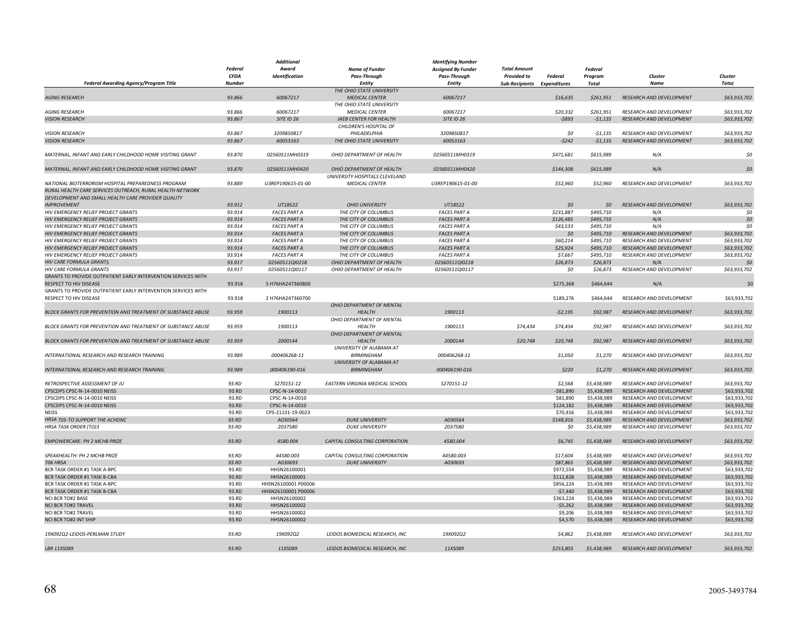|                                                                     | <b>Additional</b> |                     |                                 | <b>Identifying Number</b> |                             |            |                |                                 |              |
|---------------------------------------------------------------------|-------------------|---------------------|---------------------------------|---------------------------|-----------------------------|------------|----------------|---------------------------------|--------------|
|                                                                     | Federal           | Award               | <b>Name of Funder</b>           | <b>Assigned By Funder</b> | <b>Total Amount</b>         |            | <b>Federal</b> |                                 |              |
|                                                                     | <b>CFDA</b>       | Identification      | <b>Pass-Through</b>             | <b>Pass-Through</b>       | <b>Provided to</b>          | Federal    | Program        | Cluster                         | Cluster      |
| Federal Awarding Agency/Program Title                               | <b>Number</b>     |                     | <b>Entity</b>                   | <b>Entity</b>             | Sub-Recipients Expenditures |            | Total          | Name                            | <b>Total</b> |
|                                                                     |                   |                     | THE OHIO STATE UNIVERSITY       |                           |                             |            |                |                                 |              |
| <b>AGING RESEARCH</b>                                               | 93.866            | 60067217            | <b>MEDICAL CENTER</b>           | 60067217                  |                             | \$16,635   | \$261,951      | RESEARCH AND DEVELOPMENT        | \$63,933,702 |
|                                                                     |                   |                     |                                 |                           |                             |            |                |                                 |              |
|                                                                     |                   |                     | THE OHIO STATE UNIVERSITY       |                           |                             |            |                |                                 |              |
| <b>AGING RESEARCH</b>                                               | 93.866            | 60067217            | <b>MEDICAL CENTER</b>           | 60067217                  |                             | \$20,332   | \$261.951      | <b>RESEARCH AND DEVELOPMENT</b> | \$63,933,702 |
| <b>VISION RESEARCH</b>                                              | 93.867            | SITE ID 26          | JAEB CENTER FOR HEALTH          | SITE ID 26                |                             | $-5893$    | $-51,135$      | RESEARCH AND DEVELOPMENT        | \$63,933,702 |
|                                                                     |                   |                     | CHILDREN'S HOSPITAL OF          |                           |                             |            |                |                                 |              |
| <b>VISION RESEARCH</b>                                              | 93.867            | 3209850817          | PHILADELPHIA                    | 3209850817                |                             | SO         | $-51,135$      | RESEARCH AND DEVELOPMENT        | \$63,933,702 |
| <b>VISION RESEARCH</b>                                              | 93.867            | 60053163            | THE OHIO STATE UNIVERSITY       | 60053163                  |                             | $-5242$    | $-51,135$      | RESEARCH AND DEVELOPMENT        | \$63,933,702 |
|                                                                     |                   |                     |                                 |                           |                             |            |                |                                 |              |
| MATERNAL, INFANT AND EARLY CHILDHOOD HOME VISITING GRANT            | 93.870            | 02560511MH0319      | OHIO DEPARTMENT OF HEALTH       | 02560511MH0319            |                             | \$471,681  | \$615,989      | N/A                             | 50           |
|                                                                     |                   |                     |                                 |                           |                             |            |                |                                 |              |
|                                                                     |                   |                     |                                 |                           |                             |            |                |                                 |              |
| MATERNAL, INFANT AND EARLY CHILDHOOD HOME VISITING GRANT            | 93.870            | 02560511MH0420      | OHIO DEPARTMENT OF HEALTH       | 02560511MH0420            |                             | \$144,308  | \$615.989      | N/A                             | \$0          |
|                                                                     |                   |                     | UNIVERSITY HOSPITALS CLEVELAND  |                           |                             |            |                |                                 |              |
| NATIONAL BIOTERRORISM HOSPITAL PREPAREDNESS PROGRAM                 | 93.889            | U3REP190615-01-00   | <b>MEDICAL CENTER</b>           | U3REP190615-01-00         |                             | \$52,960   | \$52,960       | RESEARCH AND DEVELOPMENT        | \$63,933,702 |
| RURAL HEALTH CARE SERVICES OUTREACH, RURAL HEALTH NETWORK           |                   |                     |                                 |                           |                             |            |                |                                 |              |
| DEVELOPMENT AND SMALL HEALTH CARE PROVIDER QUALITY                  |                   |                     |                                 |                           |                             |            |                |                                 |              |
| <b>IMPROVEMENT</b>                                                  | 93.912            | UT18522             | <b>OHIO UNIVERSITY</b>          | UT18522                   |                             | \$0        | \$0            | RESEARCH AND DEVELOPMENT        | \$63,933,702 |
|                                                                     |                   |                     |                                 |                           |                             |            |                |                                 |              |
| HIV EMERGENCY RELIEF PROJECT GRANTS                                 | 93.914            | <b>FACES PART A</b> | THE CITY OF COLUMBUS            | <b>FACES PART A</b>       |                             | \$231,887  | \$495,710      | N/A                             | \$0          |
| HIV EMERGENCY RELIEF PROJECT GRANTS                                 | 93.914            | <b>FACES PART A</b> | THE CITY OF COLUMBUS            | <b>FACES PART A</b>       |                             | \$126,485  | \$495,710      | N/A                             | \$0          |
| HIV EMERGENCY RELIEF PROJECT GRANTS                                 | 93.914            | <b>FACES PART A</b> | THE CITY OF COLUMBUS            | <b>FACES PART A</b>       |                             | \$43,533   | \$495,710      | N/A                             | \$0          |
| HIV EMERGENCY RELIEF PROJECT GRANTS                                 | 93.914            | <b>FACES PART A</b> | THE CITY OF COLUMBUS            | <b>FACES PART A</b>       |                             | \$0        | \$495,710      | RESEARCH AND DEVELOPMENT        | \$63,933,702 |
| HIV EMERGENCY RELIEF PROJECT GRANTS                                 | 93.914            | <b>FACES PART A</b> | THE CITY OF COLUMBUS            | <b>FACES PART A</b>       |                             | \$60,214   | \$495,710      | RESEARCH AND DEVELOPMENT        | \$63,933,702 |
| HIV EMERGENCY RELIEF PROJECT GRANTS                                 | 93.914            | <b>FACES PART A</b> | THE CITY OF COLUMBUS            | <b>FACES PART A</b>       |                             | \$25,924   | \$495,710      | <b>RESEARCH AND DEVELOPMENT</b> | \$63,933,702 |
|                                                                     |                   |                     |                                 |                           |                             |            |                |                                 |              |
| HIV EMERGENCY RELIEF PROJECT GRANTS                                 | 93.914            | <b>FACES PART A</b> | THE CITY OF COLUMBUS            | <b>FACES PART A</b>       |                             | \$7,667    | \$495,710      | RESEARCH AND DEVELOPMENT        | \$63,933,702 |
| HIV CARE FORMULA GRANTS                                             | 93.917            | 02560511QI0218      | OHIO DEPARTMENT OF HEALTH       | 02560511Ql0218            |                             | \$26,873   | \$26,873       | N/A                             | \$0          |
| HIV CARE FORMULA GRANTS                                             | 93.917            | 02560511QI0117      | OHIO DEPARTMENT OF HEALTH       | 02560511Ql0117            |                             | \$0        | \$26,873       | RESEARCH AND DEVELOPMENT        | \$63,933,702 |
| GRANTS TO PROVIDE OUTPATIENT EARLY INTERVENTION SERVICES WITH       |                   |                     |                                 |                           |                             |            |                |                                 |              |
| RESPECT TO HIV DISEASE                                              | 93.918            | 5 H76HA247360800    |                                 |                           |                             | \$275,368  | \$464,644      | N/A                             | \$0          |
| GRANTS TO PROVIDE OUTPATIENT EARLY INTERVENTION SERVICES WITH       |                   |                     |                                 |                           |                             |            |                |                                 |              |
| RESPECT TO HIV DISEASE                                              | 93.918            | 2 H76HA247360700    |                                 |                           |                             | \$189,276  | \$464,644      | RESEARCH AND DEVELOPMENT        | \$63,933,702 |
|                                                                     |                   |                     |                                 |                           |                             |            |                |                                 |              |
|                                                                     |                   |                     | OHIO DEPARTMENT OF MENTAL       |                           |                             |            |                |                                 |              |
| BLOCK GRANTS FOR PREVENTION AND TREATMENT OF SUBSTANCE ABUSE        | 93.959            | 1900113             | <b>HEALTH</b>                   | 1900113                   |                             | $-52,195$  | \$92,987       | RESEARCH AND DEVELOPMENT        | \$63,933,702 |
|                                                                     |                   |                     | OHIO DEPARTMENT OF MENTAL       |                           |                             |            |                |                                 |              |
| <b>BLOCK GRANTS FOR PREVENTION AND TREATMENT OF SUBSTANCE ABUSE</b> | 93.959            | 1900113             | <b>HEALTH</b>                   | 1900113                   | \$74,434                    | \$74,434   | \$92,987       | RESEARCH AND DEVELOPMENT        | \$63,933,702 |
|                                                                     |                   |                     | OHIO DEPARTMENT OF MENTAL       |                           |                             |            |                |                                 |              |
| BLOCK GRANTS FOR PREVENTION AND TREATMENT OF SUBSTANCE ABUSE        | 93.959            | 2000144             | <b>HEALTH</b>                   | 2000144                   | \$20,748                    | \$20,748   | \$92,987       | <b>RESEARCH AND DEVELOPMENT</b> | \$63,933,702 |
|                                                                     |                   |                     |                                 |                           |                             |            |                |                                 |              |
|                                                                     |                   |                     | UNIVERSITY OF ALABAMA AT        |                           |                             |            |                |                                 |              |
| INTERNATIONAL RESEARCH AND RESEARCH TRAINING                        | 93.989            | 000406268-11        | <b>BIRMINGHAM</b>               | 000406268-11              |                             | \$1,050    | \$1,270        | RESEARCH AND DEVELOPMENT        | \$63,933,702 |
|                                                                     |                   |                     | <b>UNIVERSITY OF ALABAMA AT</b> |                           |                             |            |                |                                 |              |
| INTERNATIONAL RESEARCH AND RESEARCH TRAINING                        | 93.989            | 000406190-016       | <b>BIRMINGHAM</b>               | 000406190-016             |                             | \$220      | \$1,270        | RESEARCH AND DEVELOPMENT        | \$63,933,702 |
|                                                                     |                   |                     |                                 |                           |                             |            |                |                                 |              |
| RETROSPECTIVE ASSESSMENT OF JU                                      | 93.RD             | S270151-12          | EASTERN VIRGINIA MEDICAL SCHOOL | S270151-12                |                             | \$2,568    | \$5,438,989    | RESEARCH AND DEVELOPMENT        | \$63,933,702 |
|                                                                     |                   | CPSC-N-14-0010      |                                 |                           |                             | $-$81,890$ | \$5,438,989    |                                 |              |
| CPSCDPS CPSC-N-14-0010 NEISS                                        | 93.RD             |                     |                                 |                           |                             |            |                | RESEARCH AND DEVELOPMENT        | \$63,933,702 |
| CPSCDPS CPSC-N-14-0010 NEISS                                        | 93.RD             | CPSC-N-14-0010      |                                 |                           |                             | \$81,890   | \$5,438,989    | RESEARCH AND DEVELOPMENT        | \$63,933,702 |
| CPSCDPS CPSC-N-14-0010 NEISS                                        | 93.RD             | CPSC-N-14-0010      |                                 |                           |                             | \$124,182  | \$5,438,989    | RESEARCH AND DEVELOPMENT        | \$63,933,702 |
| <b>NEISS</b>                                                        | 93.RD             | CPS-21131-19-0023   |                                 |                           |                             | \$70,416   | \$5,438,989    | RESEARCH AND DEVELOPMENT        | \$63,933,702 |
| HRSA T05-TO SUPPORT THE ACHDNC                                      | 93.RD             | A030564             | <b>DUKE UNIVERSITY</b>          | A030564                   |                             | \$148,816  | \$5,438,989    | RESEARCH AND DEVELOPMENT        | \$63,933,702 |
| HRSA TASK ORDER (TO)3                                               | 93.RD             | 2037580             | <b>DUKE UNIVERSITY</b>          | 2037580                   |                             | \$0        | \$5,438,989    | RESEARCH AND DEVELOPMENT        | \$63,933,702 |
|                                                                     |                   |                     |                                 |                           |                             |            |                |                                 |              |
|                                                                     |                   |                     |                                 |                           |                             |            |                |                                 |              |
| <b>EMPOWERCARE: PH 2 MCHB PRIZE</b>                                 | 93.RD             | 4580.004            | CAPITAL CONSULTING CORPORATION  | 4580.004                  |                             | \$6,745    | \$5,438,989    | RESEARCH AND DEVELOPMENT        | \$63,933,702 |
|                                                                     |                   |                     |                                 |                           |                             |            |                |                                 |              |
| SPEAKHEALTH: PH 2 MCHB PRIZE                                        | 93.RD             | 44580.003           | CAPITAL CONSULTING CORPORATION  | 44580.003                 |                             | \$17,604   | \$5,438,989    | RESEARCH AND DEVELOPMENT        | \$63,933,702 |
| T06 HRSA                                                            | 93.RD             | A030693             | <b>DUKE UNIVERSITY</b>          | A030693                   |                             | \$87,865   | \$5,438,989    | <b>RESEARCH AND DEVELOPMENT</b> | \$63,933,702 |
| BCR TASK ORDER #1 TASK A-BPC                                        | 93.RD             | HHSN26100001        |                                 |                           |                             | \$972,554  | \$5,438,989    | RESEARCH AND DEVELOPMENT        | \$63,933,702 |
|                                                                     |                   |                     |                                 |                           |                             |            |                |                                 |              |
| BCR TASK ORDER #1 TASK B-CBA                                        | 93.RD             | HHSN26100001        |                                 |                           |                             | \$112,828  | \$5,438,989    | RESEARCH AND DEVELOPMENT        | \$63,933,702 |
| BCR TASK ORDER #1 TASK A-BPC                                        | 93.RD             | HHSN26100001 P00006 |                                 |                           |                             | \$856,224  | \$5,438,989    | RESEARCH AND DEVELOPMENT        | \$63,933,702 |
| <b>BCR TASK ORDER #1 TASK B-CBA</b>                                 | 93.RD             | HHSN26100001 P00006 |                                 |                           |                             | $-57,440$  | \$5,438,989    | RESEARCH AND DEVELOPMENT        | \$63,933,702 |
| <b>NCI BCR TO#2 BASE</b>                                            | 93.RD             | HHSN26100002        |                                 |                           |                             | \$363,224  | \$5,438,989    | RESEARCH AND DEVELOPMENT        | \$63,933,702 |
| <b>NCI BCR TO#2 TRAVEL</b>                                          | 93.RD             | HHSN26100002        |                                 |                           |                             | $-55,262$  | \$5,438,989    | RESEARCH AND DEVELOPMENT        | \$63,933,702 |
| <b>NCI BCR TO#2 TRAVEL</b>                                          | 93.RD             | HHSN26100002        |                                 |                           |                             | \$9,206    | \$5,438,989    | RESEARCH AND DEVELOPMENT        |              |
|                                                                     |                   |                     |                                 |                           |                             |            |                |                                 | \$63,933,702 |
| <b>NCI BCR TO#2 INT SHIP</b>                                        | 93.RD             | HHSN26100002        |                                 |                           |                             | \$4,570    | \$5,438,989    | RESEARCH AND DEVELOPMENT        | \$63,933,702 |
|                                                                     |                   |                     |                                 |                           |                             |            |                |                                 |              |
| 19X092Q2-LEIDOS-PERLMAN STUDY                                       | 93.RD             | 19X092Q2            | LEIDOS BIOMEDICAL RESEARCH, INC | 19X092Q2                  |                             | \$4,862    | \$5,438,989    | RESEARCH AND DEVELOPMENT        | \$63,933,702 |
|                                                                     |                   |                     |                                 |                           |                             |            |                |                                 |              |
| <b>LBR 11XS089</b>                                                  | 93.RD             | 11XS089             | LEIDOS BIOMEDICAL RESEARCH, INC | 11XS089                   |                             | \$253,803  | \$5,438,989    | <b>RESEARCH AND DEVELOPMENT</b> | \$63,933,702 |
|                                                                     |                   |                     |                                 |                           |                             |            |                |                                 |              |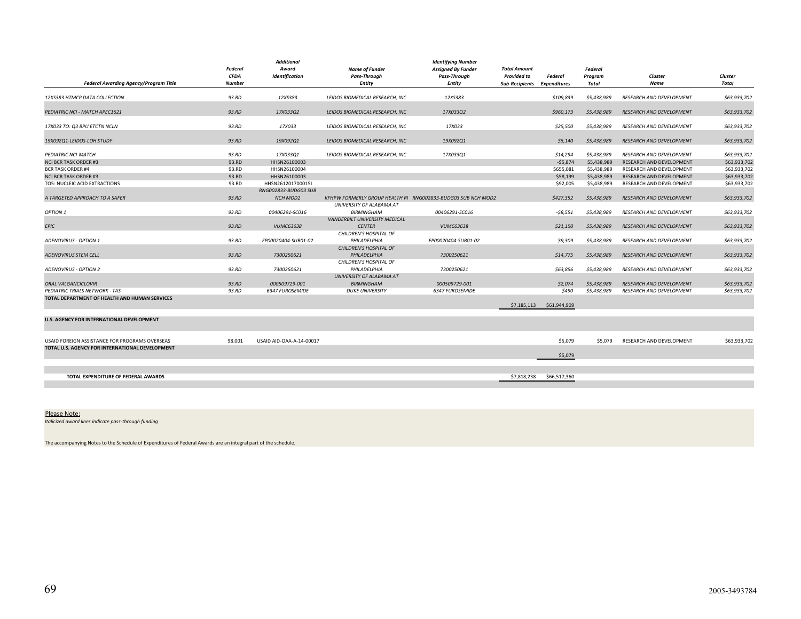| <b>Federal Awarding Agency/Program Title</b>     | Federal<br><b>CFDA</b><br><b>Number</b> | <b>Additional</b><br>Award<br><b>Identification</b> | <b>Name of Funder</b><br>Pass-Through<br><b>Entity</b> | <b>Identifying Number</b><br><b>Assigned By Funder</b><br>Pass-Through<br><b>Entity</b> | <b>Total Amount</b><br><b>Provided to</b><br>Sub-Recipients Expenditures | <b>Federal</b> | <b>Federal</b><br>Program<br>Total | Cluster<br>Name                 | Cluster<br>Total |
|--------------------------------------------------|-----------------------------------------|-----------------------------------------------------|--------------------------------------------------------|-----------------------------------------------------------------------------------------|--------------------------------------------------------------------------|----------------|------------------------------------|---------------------------------|------------------|
| 12XS383 HTMCP DATA COLLECTION                    | 93.RD                                   | 12XS383                                             | LEIDOS BIOMEDICAL RESEARCH, INC                        | 12XS383                                                                                 |                                                                          | \$109,839      | \$5,438,989                        | RESEARCH AND DEVELOPMENT        | \$63,933,702     |
| PEDIATRIC NCI - MATCH APEC1621                   | 93.RD                                   | 17X033Q2                                            | LEIDOS BIOMEDICAL RESEARCH, INC                        | 17X033Q2                                                                                |                                                                          | \$960,173      | \$5,438,989                        | RESEARCH AND DEVELOPMENT        | \$63,933,702     |
| 17X033 TO: Q3 BPU ETCTN NCLN                     | 93.RD                                   | 17X033                                              | LEIDOS BIOMEDICAL RESEARCH, INC                        | 17X033                                                                                  |                                                                          | \$25,500       | \$5,438,989                        | RESEARCH AND DEVELOPMENT        | \$63,933,702     |
| 19X092Q1-LEIDOS-LOH STUDY                        | 93.RD                                   | 19X092Q1                                            | LEIDOS BIOMEDICAL RESEARCH, INC                        | 19X092Q1                                                                                |                                                                          | \$5,140        | \$5,438,989                        | RESEARCH AND DEVELOPMENT        | \$63,933,702     |
| PEDIATRIC NCI-MATCH                              | 93.RD                                   | 17X033O1                                            | LEIDOS BIOMEDICAL RESEARCH, INC                        | 17X033Q1                                                                                |                                                                          | $-514,294$     | \$5,438,989                        | RESEARCH AND DEVELOPMENT        | \$63,933,702     |
| <b>NCI BCR TASK ORDER #3</b>                     | 93.RD                                   | HHSN26100003                                        |                                                        |                                                                                         |                                                                          | $-55,874$      | \$5,438,989                        | RESEARCH AND DEVELOPMENT        | \$63,933,702     |
| <b>BCR TASK ORDER #4</b>                         | 93.RD                                   | HHSN26100004                                        |                                                        |                                                                                         |                                                                          | \$655,081      | \$5.438.989                        | RESEARCH AND DEVELOPMENT        | \$63,933,702     |
| <b>NCI BCR TASK ORDER #3</b>                     | 93.RD                                   | HHSN26100003                                        |                                                        |                                                                                         |                                                                          | \$58,199       | \$5,438,989                        | RESEARCH AND DEVELOPMENT        | \$63,933,702     |
| TO5: NUCLEIC ACID EXTRACTIONS                    | 93.RD                                   | HHSN261201700015I                                   |                                                        |                                                                                         |                                                                          | \$92,005       | \$5,438,989                        | RESEARCH AND DEVELOPMENT        | \$63,933,702     |
| A TARGETED APPROACH TO A SAFER                   | 93.RD                                   | RNG002833-BUDG03 SUB<br><b>NCH MOD2</b>             |                                                        | KFHPW FORMERLY GROUP HEALTH RI RNG002833-BUDG03 SUB NCH MOD2                            |                                                                          | \$427,352      | \$5,438,989                        | <b>RESEARCH AND DEVELOPMENT</b> | \$63,933,702     |
| OPTION 1                                         | 93.RD                                   | 00406291-SC016                                      | UNIVERSITY OF ALABAMA AT<br><b>BIRMINGHAM</b>          | 00406291-SC016                                                                          |                                                                          | $-58.551$      | \$5,438,989                        | <b>RESEARCH AND DEVELOPMENT</b> | \$63,933,702     |
| <b>EPIC</b>                                      | 93.RD                                   | <b>VUMC63638</b>                                    | VANDERBILT UNIVERSITY MEDICAL<br><b>CENTER</b>         | <b>VUMC63638</b>                                                                        |                                                                          | \$21,150       | \$5,438,989                        | RESEARCH AND DEVELOPMENT        | \$63,933,702     |
| <b>ADENOVIRUS - OPTION 1</b>                     | 93.RD                                   | FP00020404-SUB01-02                                 | CHILDREN'S HOSPITAL OF<br>PHILADELPHIA                 | FP00020404-SUB01-02                                                                     |                                                                          | \$9,309        | \$5,438,989                        | RESEARCH AND DEVELOPMENT        | \$63,933,702     |
| <b>ADENOVIRUS STEM CELL</b>                      | 93.RD                                   | 7300250621                                          | CHILDREN'S HOSPITAL OF<br>PHILADELPHIA                 | 7300250621                                                                              |                                                                          | \$14,775       | \$5,438,989                        | <b>RESEARCH AND DEVELOPMENT</b> | \$63,933,702     |
| <b>ADENOVIRUS - OPTION 2</b>                     | 93.RD                                   | 7300250621                                          | CHILDREN'S HOSPITAL OF<br>PHILADELPHIA                 | 7300250621                                                                              |                                                                          | \$63,856       | \$5,438,989                        | RESEARCH AND DEVELOPMENT        | \$63,933,702     |
| ORAL VALGANCICLOVIR                              | 93.RD                                   | 000509729-001                                       | UNIVERSITY OF ALABAMA AT<br><b>BIRMINGHAM</b>          | 000509729-001                                                                           |                                                                          | \$2,074        | \$5,438,989                        | <b>RESEARCH AND DEVELOPMENT</b> | \$63,933,702     |
| PEDIATRIC TRIALS NETWORK - TAS                   | 93.RD                                   | 6347 FUROSEMIDE                                     | <b>DUKE UNIVERSITY</b>                                 | 6347 FUROSEMIDE                                                                         |                                                                          | \$490          | \$5,438,989                        | RESEARCH AND DEVELOPMENT        | \$63,933,702     |
| TOTAL DEPARTMENT OF HEALTH AND HUMAN SERVICES    |                                         |                                                     |                                                        |                                                                                         | \$7,185,113                                                              | \$61,944,909   |                                    |                                 |                  |
| <b>U.S. AGENCY FOR INTERNATIONAL DEVELOPMENT</b> |                                         |                                                     |                                                        |                                                                                         |                                                                          |                |                                    |                                 |                  |
| USAID FOREIGN ASSISTANCE FOR PROGRAMS OVERSEAS   | 98.001                                  | USAID AID-OAA-A-14-00017                            |                                                        |                                                                                         |                                                                          | \$5,079        | \$5,079                            | RESEARCH AND DEVELOPMENT        | \$63,933,702     |
| TOTAL U.S. AGENCY FOR INTERNATIONAL DEVELOPMENT  |                                         |                                                     |                                                        |                                                                                         |                                                                          | \$5,079        |                                    |                                 |                  |
|                                                  |                                         |                                                     |                                                        |                                                                                         |                                                                          |                |                                    |                                 |                  |
| TOTAL EXPENDITURE OF FEDERAL AWARDS              |                                         |                                                     |                                                        |                                                                                         | \$7,818,238                                                              | \$66,517,360   |                                    |                                 |                  |
|                                                  |                                         |                                                     |                                                        |                                                                                         |                                                                          |                |                                    |                                 |                  |

#### Please Note:

*Italicized award lines indicate pass‐through funding*

The accompanying Notes to the Schedule of Expenditures of Federal Awards are an integral part of the schedule.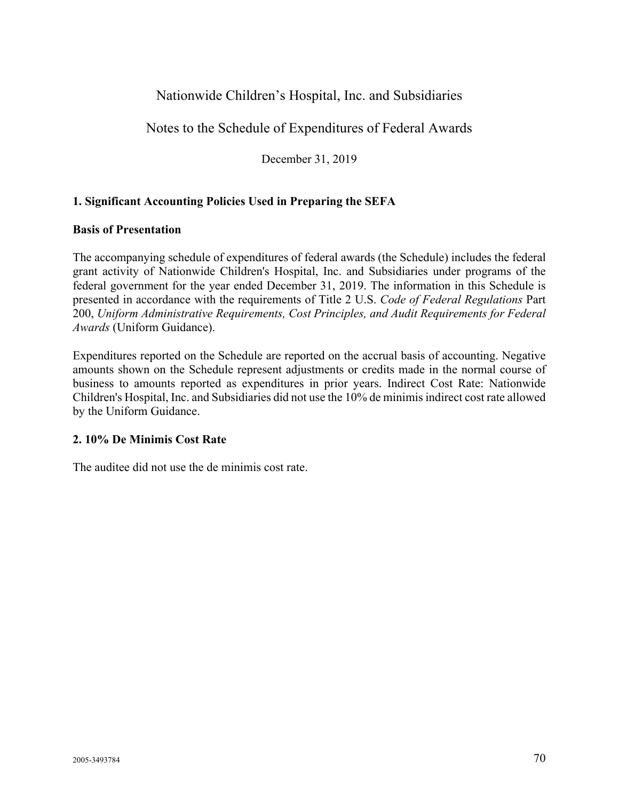### Nationwide Children's Hospital, Inc. and Subsidiaries

#### Notes to the Schedule of Expenditures of Federal Awards

December 31, 2019

#### **1. Significant Accounting Policies Used in Preparing the SEFA**

#### **Basis of Presentation**

The accompanying schedule of expenditures of federal awards (the Schedule) includes the federal grant activity of Nationwide Children's Hospital, Inc. and Subsidiaries under programs of the federal government for the year ended December 31, 2019. The information in this Schedule is presented in accordance with the requirements of Title 2 U.S. *Code of Federal Regulations* Part 200, *Uniform Administrative Requirements, Cost Principles, and Audit Requirements for Federal Awards* (Uniform Guidance).

Expenditures reported on the Schedule are reported on the accrual basis of accounting. Negative amounts shown on the Schedule represent adjustments or credits made in the normal course of business to amounts reported as expenditures in prior years. Indirect Cost Rate: Nationwide Children's Hospital, Inc. and Subsidiaries did not use the 10% de minimis indirect cost rate allowed by the Uniform Guidance.

#### **2. 10% De Minimis Cost Rate**

The auditee did not use the de minimis cost rate.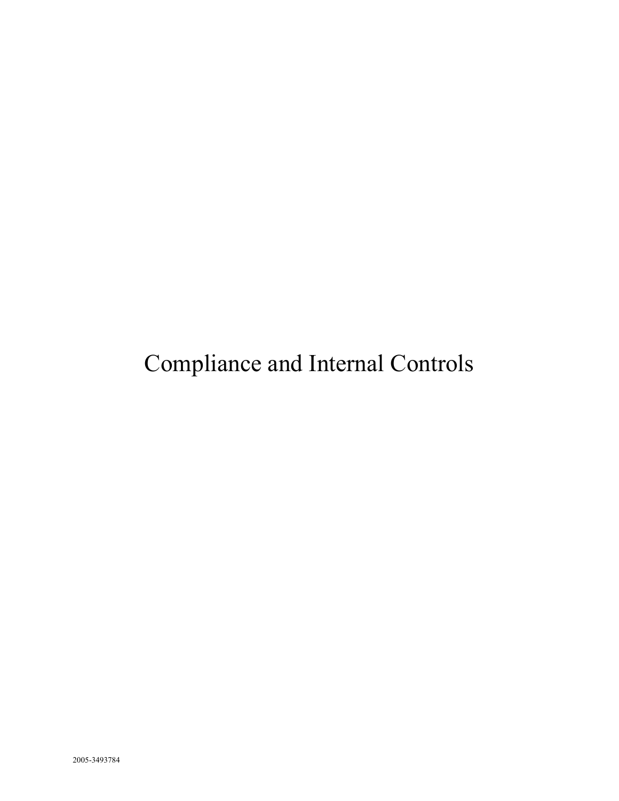# Compliance and Internal Controls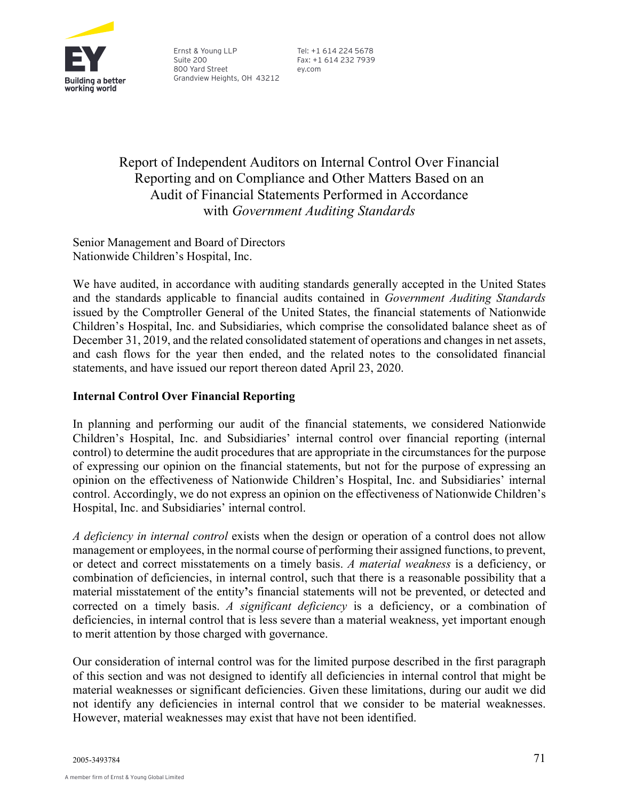

Ernst & Young LLP Suite 200 800 Yard Street Grandview Heights, OH 43212

Tel: +1 614 224 5678 Fax: +1 614 232 7939 ey.com

Report of Independent Auditors on Internal Control Over Financial Reporting and on Compliance and Other Matters Based on an Audit of Financial Statements Performed in Accordance with *Government Auditing Standards*

Senior Management and Board of Directors Nationwide Children's Hospital, Inc.

We have audited, in accordance with auditing standards generally accepted in the United States and the standards applicable to financial audits contained in *Government Auditing Standards* issued by the Comptroller General of the United States, the financial statements of Nationwide Children's Hospital, Inc. and Subsidiaries, which comprise the consolidated balance sheet as of December 31, 2019, and the related consolidated statement of operations and changes in net assets, and cash flows for the year then ended, and the related notes to the consolidated financial statements, and have issued our report thereon dated April 23, 2020.

#### **Internal Control Over Financial Reporting**

In planning and performing our audit of the financial statements, we considered Nationwide Children's Hospital, Inc. and Subsidiaries' internal control over financial reporting (internal control) to determine the audit procedures that are appropriate in the circumstances for the purpose of expressing our opinion on the financial statements, but not for the purpose of expressing an opinion on the effectiveness of Nationwide Children's Hospital, Inc. and Subsidiaries' internal control. Accordingly, we do not express an opinion on the effectiveness of Nationwide Children's Hospital, Inc. and Subsidiaries' internal control.

*A deficiency in internal control* exists when the design or operation of a control does not allow management or employees, in the normal course of performing their assigned functions, to prevent, or detect and correct misstatements on a timely basis. *A material weakness* is a deficiency, or combination of deficiencies, in internal control, such that there is a reasonable possibility that a material misstatement of the entity**'**s financial statements will not be prevented, or detected and corrected on a timely basis. *A significant deficiency* is a deficiency, or a combination of deficiencies, in internal control that is less severe than a material weakness, yet important enough to merit attention by those charged with governance.

Our consideration of internal control was for the limited purpose described in the first paragraph of this section and was not designed to identify all deficiencies in internal control that might be material weaknesses or significant deficiencies. Given these limitations, during our audit we did not identify any deficiencies in internal control that we consider to be material weaknesses. However, material weaknesses may exist that have not been identified.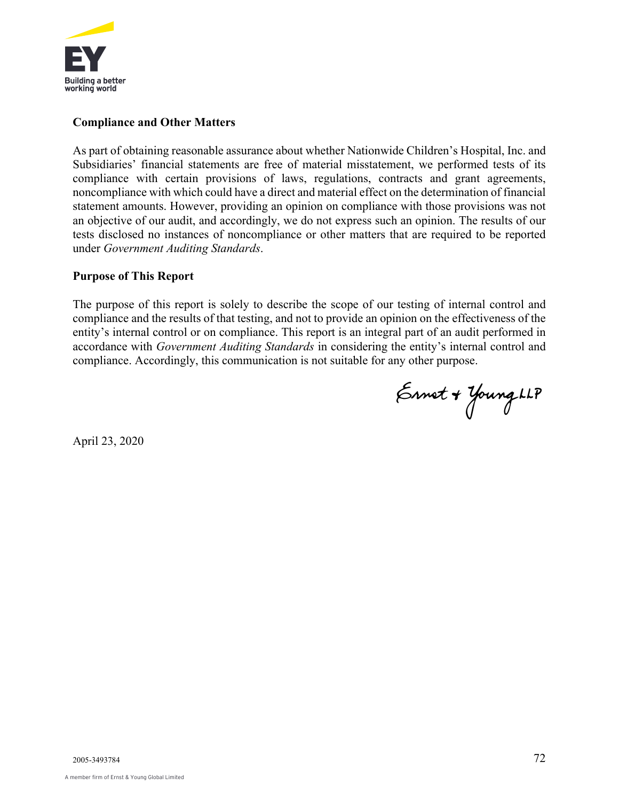

#### **Compliance and Other Matters**

As part of obtaining reasonable assurance about whether Nationwide Children's Hospital, Inc. and Subsidiaries' financial statements are free of material misstatement, we performed tests of its compliance with certain provisions of laws, regulations, contracts and grant agreements, noncompliance with which could have a direct and material effect on the determination of financial statement amounts. However, providing an opinion on compliance with those provisions was not an objective of our audit, and accordingly, we do not express such an opinion. The results of our tests disclosed no instances of noncompliance or other matters that are required to be reported under *Government Auditing Standards*.

#### **Purpose of This Report**

The purpose of this report is solely to describe the scope of our testing of internal control and compliance and the results of that testing, and not to provide an opinion on the effectiveness of the entity's internal control or on compliance. This report is an integral part of an audit performed in accordance with *Government Auditing Standards* in considering the entity's internal control and compliance. Accordingly, this communication is not suitable for any other purpose.

Ennet + Young LLP

April 23, 2020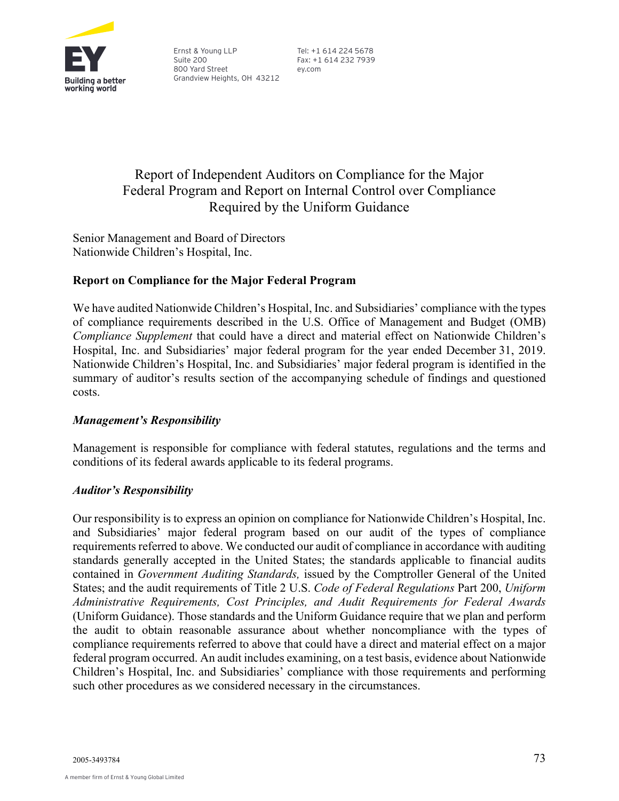

Ernst & Young LLP Suite 200 800 Yard Street Grandview Heights, OH 43212 Tel: +1 614 224 5678 Fax: +1 614 232 7939 ey.com

## Report of Independent Auditors on Compliance for the Major Federal Program and Report on Internal Control over Compliance Required by the Uniform Guidance

Senior Management and Board of Directors Nationwide Children's Hospital, Inc.

#### **Report on Compliance for the Major Federal Program**

We have audited Nationwide Children's Hospital, Inc. and Subsidiaries' compliance with the types of compliance requirements described in the U.S. Office of Management and Budget (OMB) *Compliance Supplement* that could have a direct and material effect on Nationwide Children's Hospital, Inc. and Subsidiaries' major federal program for the year ended December 31, 2019. Nationwide Children's Hospital, Inc. and Subsidiaries' major federal program is identified in the summary of auditor's results section of the accompanying schedule of findings and questioned costs.

#### *Management's Responsibility*

Management is responsible for compliance with federal statutes, regulations and the terms and conditions of its federal awards applicable to its federal programs.

#### *Auditor's Responsibility*

Our responsibility is to express an opinion on compliance for Nationwide Children's Hospital, Inc. and Subsidiaries' major federal program based on our audit of the types of compliance requirements referred to above. We conducted our audit of compliance in accordance with auditing standards generally accepted in the United States; the standards applicable to financial audits contained in *Government Auditing Standards,* issued by the Comptroller General of the United States; and the audit requirements of Title 2 U.S. *Code of Federal Regulations* Part 200, *Uniform Administrative Requirements, Cost Principles, and Audit Requirements for Federal Awards* (Uniform Guidance). Those standards and the Uniform Guidance require that we plan and perform the audit to obtain reasonable assurance about whether noncompliance with the types of compliance requirements referred to above that could have a direct and material effect on a major federal program occurred. An audit includes examining, on a test basis, evidence about Nationwide Children's Hospital, Inc. and Subsidiaries' compliance with those requirements and performing such other procedures as we considered necessary in the circumstances.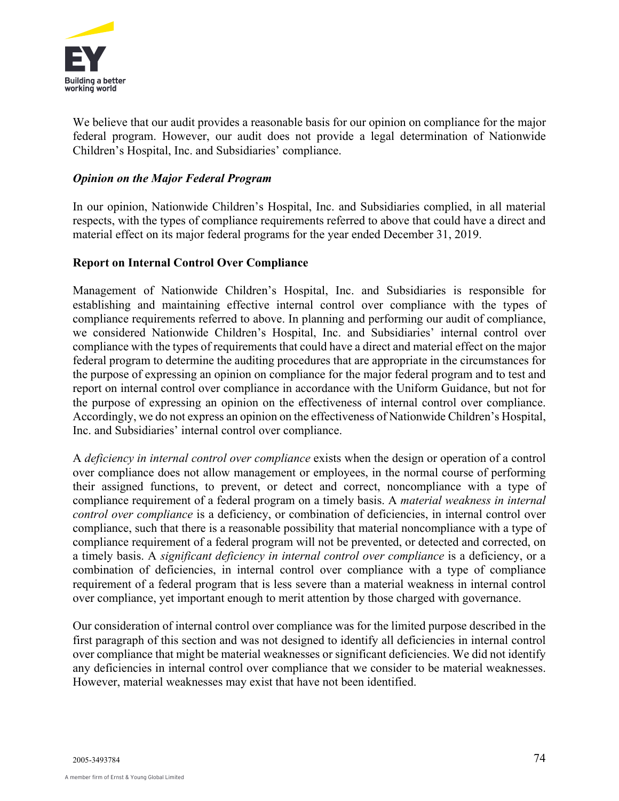

We believe that our audit provides a reasonable basis for our opinion on compliance for the major federal program. However, our audit does not provide a legal determination of Nationwide Children's Hospital, Inc. and Subsidiaries' compliance.

#### *Opinion on the Major Federal Program*

In our opinion, Nationwide Children's Hospital, Inc. and Subsidiaries complied, in all material respects, with the types of compliance requirements referred to above that could have a direct and material effect on its major federal programs for the year ended December 31, 2019.

#### **Report on Internal Control Over Compliance**

Management of Nationwide Children's Hospital, Inc. and Subsidiaries is responsible for establishing and maintaining effective internal control over compliance with the types of compliance requirements referred to above. In planning and performing our audit of compliance, we considered Nationwide Children's Hospital, Inc. and Subsidiaries' internal control over compliance with the types of requirements that could have a direct and material effect on the major federal program to determine the auditing procedures that are appropriate in the circumstances for the purpose of expressing an opinion on compliance for the major federal program and to test and report on internal control over compliance in accordance with the Uniform Guidance, but not for the purpose of expressing an opinion on the effectiveness of internal control over compliance. Accordingly, we do not express an opinion on the effectiveness of Nationwide Children's Hospital, Inc. and Subsidiaries' internal control over compliance.

A *deficiency in internal control over compliance* exists when the design or operation of a control over compliance does not allow management or employees, in the normal course of performing their assigned functions, to prevent, or detect and correct, noncompliance with a type of compliance requirement of a federal program on a timely basis. A *material weakness in internal control over compliance* is a deficiency, or combination of deficiencies, in internal control over compliance, such that there is a reasonable possibility that material noncompliance with a type of compliance requirement of a federal program will not be prevented, or detected and corrected, on a timely basis. A *significant deficiency in internal control over compliance* is a deficiency, or a combination of deficiencies, in internal control over compliance with a type of compliance requirement of a federal program that is less severe than a material weakness in internal control over compliance, yet important enough to merit attention by those charged with governance.

Our consideration of internal control over compliance was for the limited purpose described in the first paragraph of this section and was not designed to identify all deficiencies in internal control over compliance that might be material weaknesses or significant deficiencies. We did not identify any deficiencies in internal control over compliance that we consider to be material weaknesses. However, material weaknesses may exist that have not been identified.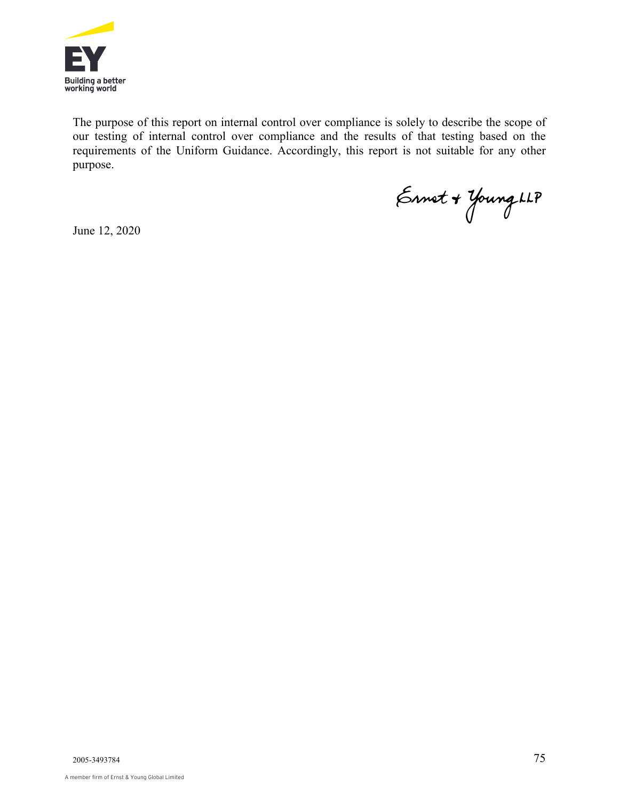

The purpose of this report on internal control over compliance is solely to describe the scope of our testing of internal control over compliance and the results of that testing based on the requirements of the Uniform Guidance. Accordingly, this report is not suitable for any other purpose.

Ennet + Young LLP

June 12, 2020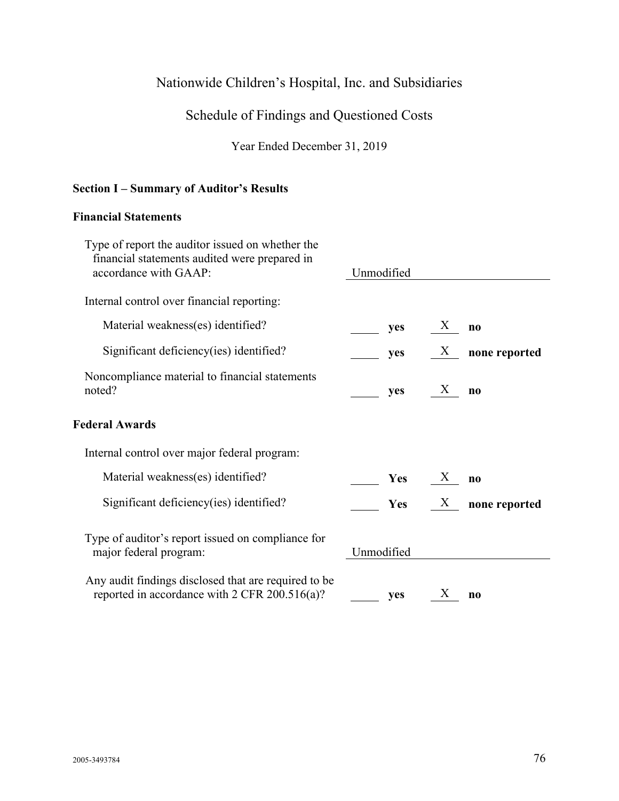## Nationwide Children's Hospital, Inc. and Subsidiaries

## Schedule of Findings and Questioned Costs

Year Ended December 31, 2019

#### **Section I – Summary of Auditor's Results**

#### **Financial Statements**

| Type of report the auditor issued on whether the<br>financial statements audited were prepared in<br>accordance with GAAP: | Unmodified |                   |               |
|----------------------------------------------------------------------------------------------------------------------------|------------|-------------------|---------------|
| Internal control over financial reporting:                                                                                 |            |                   |               |
| Material weakness(es) identified?                                                                                          | yes        | X                 | $\bf{no}$     |
| Significant deficiency (ies) identified?                                                                                   | yes        | X                 | none reported |
| Noncompliance material to financial statements<br>noted?                                                                   | yes        | $X_{\mathcal{E}}$ | $\bf{no}$     |
| <b>Federal Awards</b>                                                                                                      |            |                   |               |
| Internal control over major federal program:                                                                               |            |                   |               |
| Material weakness(es) identified?                                                                                          | <b>Yes</b> | X                 | $\bf{no}$     |
| Significant deficiency(ies) identified?                                                                                    | <b>Yes</b> | $X_{\mathcal{I}}$ | none reported |
| Type of auditor's report issued on compliance for<br>major federal program:                                                | Unmodified |                   |               |
| Any audit findings disclosed that are required to be<br>reported in accordance with 2 CFR 200.516(a)?                      | yes        | X                 | $\bf{no}$     |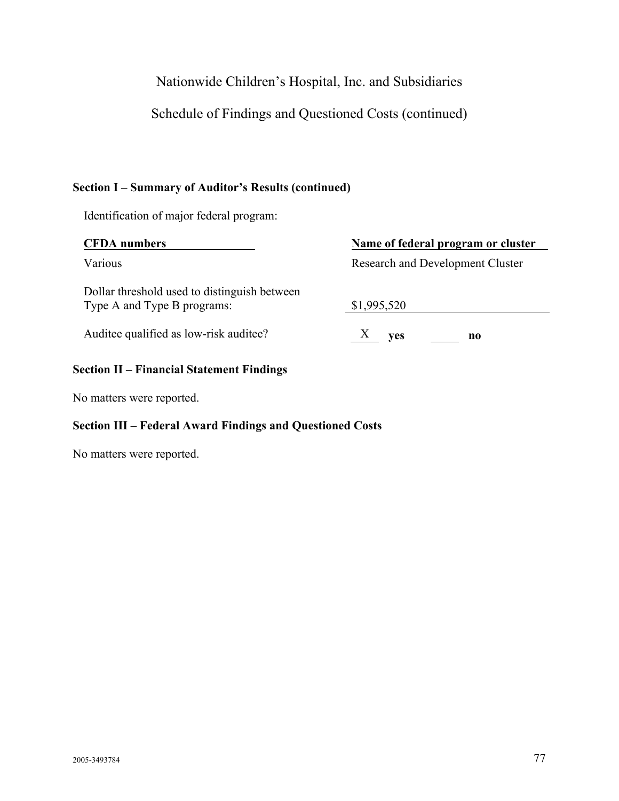## Nationwide Children's Hospital, Inc. and Subsidiaries

Schedule of Findings and Questioned Costs (continued)

#### **Section I – Summary of Auditor's Results (continued)**

Identification of major federal program:

| <b>CFDA</b> numbers                                                         | Name of federal program or cluster      |  |  |
|-----------------------------------------------------------------------------|-----------------------------------------|--|--|
| Various                                                                     | <b>Research and Development Cluster</b> |  |  |
| Dollar threshold used to distinguish between<br>Type A and Type B programs: | \$1,995,520                             |  |  |
| Auditee qualified as low-risk auditee?                                      | $X$ yes<br>no                           |  |  |
|                                                                             |                                         |  |  |

### **Section II – Financial Statement Findings**

No matters were reported.

#### **Section III – Federal Award Findings and Questioned Costs**

No matters were reported.